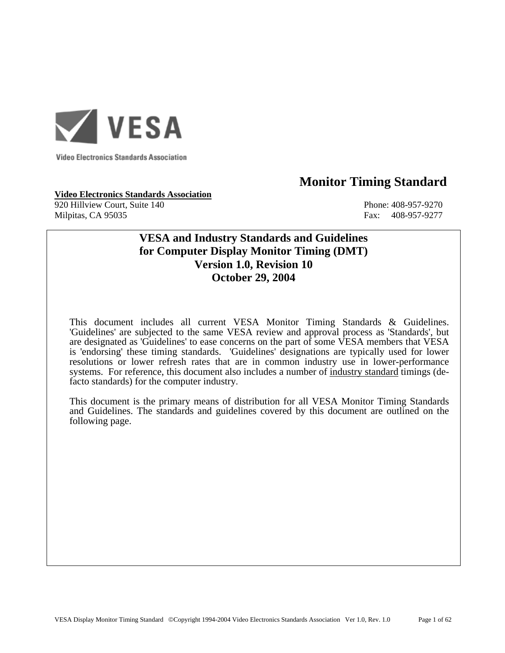

**Video Electronics Standards Association** 

# **Monitor Timing Standard**

**Video Electronics Standards Association** 920 Hillview Court, Suite 140 Phone: 408-957-9270 Milpitas, CA 95035 Fax: 408-957-9277

# **VESA and Industry Standards and Guidelines for Computer Display Monitor Timing (DMT) Version 1.0, Revision 10 October 29, 2004**

This document includes all current VESA Monitor Timing Standards & Guidelines. 'Guidelines' are subjected to the same VESA review and approval process as 'Standards', but are designated as 'Guidelines' to ease concerns on the part of some VESA members that VESA is 'endorsing' these timing standards. 'Guidelines' designations are typically used for lower resolutions or lower refresh rates that are in common industry use in lower-performance systems. For reference, this document also includes a number of industry standard timings (defacto standards) for the computer industry.

 This document is the primary means of distribution for all VESA Monitor Timing Standards and Guidelines. The standards and guidelines covered by this document are outlined on the following page.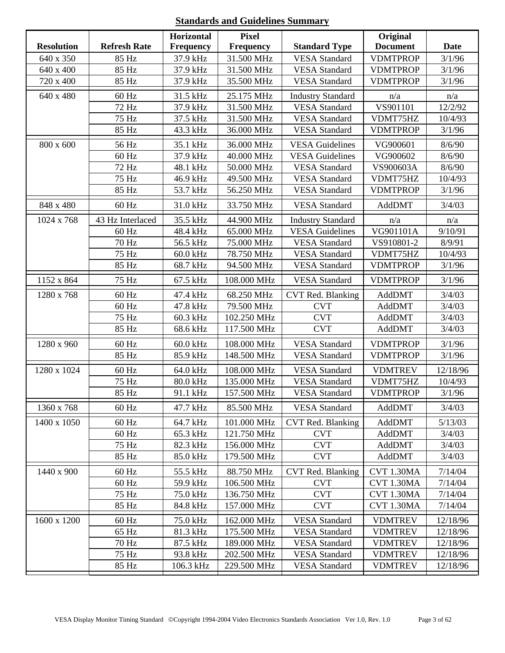# **Standards and Guidelines Summary**

|                   |                     | <b>Horizontal</b> | <b>Pixel</b> |                          | Original        |             |
|-------------------|---------------------|-------------------|--------------|--------------------------|-----------------|-------------|
| <b>Resolution</b> | <b>Refresh Rate</b> | <b>Frequency</b>  | Frequency    | <b>Standard Type</b>     | <b>Document</b> | <b>Date</b> |
| 640 x 350         | 85 Hz               | 37.9 kHz          | 31.500 MHz   | <b>VESA</b> Standard     | <b>VDMTPROP</b> | 3/1/96      |
| 640 x 400         | 85 Hz               | 37.9 kHz          | 31.500 MHz   | <b>VESA</b> Standard     | <b>VDMTPROP</b> | 3/1/96      |
| 720 x 400         | 85 Hz               | 37.9 kHz          | 35.500 MHz   | <b>VESA Standard</b>     | <b>VDMTPROP</b> | 3/1/96      |
| 640 x 480         | 60 Hz               | 31.5 kHz          | 25.175 MHz   | <b>Industry Standard</b> | n/a             | n/a         |
|                   | 72 Hz               | 37.9 kHz          | 31.500 MHz   | <b>VESA</b> Standard     | VS901101        | 12/2/92     |
|                   | 75 Hz               | 37.5 kHz          | 31.500 MHz   | <b>VESA</b> Standard     | VDMT75HZ        | 10/4/93     |
|                   | 85 Hz               | 43.3 kHz          | 36.000 MHz   | <b>VESA Standard</b>     | <b>VDMTPROP</b> | 3/1/96      |
| 800 x 600         | 56 Hz               | 35.1 kHz          | 36.000 MHz   | <b>VESA Guidelines</b>   | VG900601        | 8/6/90      |
|                   | 60 Hz               | 37.9 kHz          | 40.000 MHz   | <b>VESA Guidelines</b>   | VG900602        | 8/6/90      |
|                   | 72 Hz               | 48.1 kHz          | 50.000 MHz   | <b>VESA</b> Standard     | VS900603A       | 8/6/90      |
|                   | 75 Hz               | 46.9 kHz          | 49.500 MHz   | <b>VESA</b> Standard     | VDMT75HZ        | 10/4/93     |
|                   | 85 Hz               | 53.7 kHz          | 56.250 MHz   | <b>VESA Standard</b>     | <b>VDMTPROP</b> | 3/1/96      |
| 848 x 480         | 60 Hz               | 31.0 kHz          | 33.750 MHz   | <b>VESA Standard</b>     | AddDMT          | 3/4/03      |
| 1024 x 768        | 43 Hz Interlaced    | 35.5 kHz          | 44.900 MHz   | <b>Industry Standard</b> | n/a             | n/a         |
|                   | $60$ Hz             | 48.4 kHz          | 65.000 MHz   | <b>VESA Guidelines</b>   | VG901101A       | 9/10/91     |
|                   | 70 Hz               | 56.5 kHz          | 75.000 MHz   | <b>VESA Standard</b>     | VS910801-2      | 8/9/91      |
|                   | 75 Hz               | 60.0 kHz          | 78.750 MHz   | <b>VESA Standard</b>     | VDMT75HZ        | 10/4/93     |
|                   | 85 Hz               | 68.7 kHz          | 94.500 MHz   | <b>VESA</b> Standard     | <b>VDMTPROP</b> | 3/1/96      |
| 1152 x 864        | 75 Hz               | 67.5 kHz          | 108.000 MHz  | <b>VESA Standard</b>     | <b>VDMTPROP</b> | 3/1/96      |
| 1280 x 768        | 60 Hz               | 47.4 kHz          | 68.250 MHz   | CVT Red. Blanking        | AddDMT          | 3/4/03      |
|                   | 60 Hz               | 47.8 kHz          | 79.500 MHz   | <b>CVT</b>               | AddDMT          | 3/4/03      |
|                   | 75 Hz               | 60.3 kHz          | 102.250 MHz  | <b>CVT</b>               | AddDMT          | 3/4/03      |
|                   | 85 Hz               | 68.6 kHz          | 117.500 MHz  | <b>CVT</b>               | AddDMT          | 3/4/03      |
| 1280 x 960        | 60 Hz               | 60.0 kHz          | 108.000 MHz  | <b>VESA</b> Standard     | <b>VDMTPROP</b> | 3/1/96      |
|                   | 85 Hz               | 85.9 kHz          | 148.500 MHz  | <b>VESA</b> Standard     | <b>VDMTPROP</b> | 3/1/96      |
| 1280 x 1024       | 60 Hz               | 64.0 kHz          | 108.000 MHz  | <b>VESA</b> Standard     | <b>VDMTREV</b>  | 12/18/96    |
|                   | 75 Hz               | 80.0 kHz          | 135.000 MHz  | <b>VESA</b> Standard     | VDMT75HZ        | 10/4/93     |
|                   | 85 Hz               | 91.1 kHz          | 157.500 MHz  | <b>VESA Standard</b>     | <b>VDMTPROP</b> | 3/1/96      |
| 1360 x 768        | 60 Hz               | 47.7 kHz          | 85.500 MHz   | <b>VESA</b> Standard     | AddDMT          | 3/4/03      |
| 1400 x 1050       | 60 Hz               | 64.7 kHz          | 101.000 MHz  | CVT Red. Blanking        | AddDMT          | 5/13/03     |
|                   | $60$ Hz             | 65.3 kHz          | 121.750 MHz  | <b>CVT</b>               | AddDMT          | 3/4/03      |
|                   | 75 Hz               | 82.3 kHz          | 156.000 MHz  | <b>CVT</b>               | AddDMT          | 3/4/03      |
|                   | 85 Hz               | 85.0 kHz          | 179.500 MHz  | <b>CVT</b>               | AddDMT          | 3/4/03      |
| 1440 x 900        | $60$ Hz             | 55.5 kHz          | 88.750 MHz   | CVT Red. Blanking        | CVT 1.30MA      | 7/14/04     |
|                   | 60 Hz               | 59.9 kHz          | 106.500 MHz  | <b>CVT</b>               | CVT 1.30MA      | 7/14/04     |
|                   | 75 Hz               | 75.0 kHz          | 136.750 MHz  | <b>CVT</b>               | CVT 1.30MA      | 7/14/04     |
|                   | 85 Hz               | 84.8 kHz          | 157.000 MHz  | <b>CVT</b>               | CVT 1.30MA      | 7/14/04     |
| 1600 x 1200       | 60 Hz               | 75.0 kHz          | 162.000 MHz  | <b>VESA</b> Standard     | <b>VDMTREV</b>  | 12/18/96    |
|                   | 65 Hz               | 81.3 kHz          | 175.500 MHz  | <b>VESA</b> Standard     | <b>VDMTREV</b>  | 12/18/96    |
|                   | 70 Hz               | 87.5 kHz          | 189.000 MHz  | <b>VESA Standard</b>     | <b>VDMTREV</b>  | 12/18/96    |
|                   | 75 Hz               | 93.8 kHz          | 202.500 MHz  | <b>VESA Standard</b>     | <b>VDMTREV</b>  | 12/18/96    |
|                   | 85 Hz               | 106.3 kHz         | 229.500 MHz  | <b>VESA Standard</b>     | <b>VDMTREV</b>  | 12/18/96    |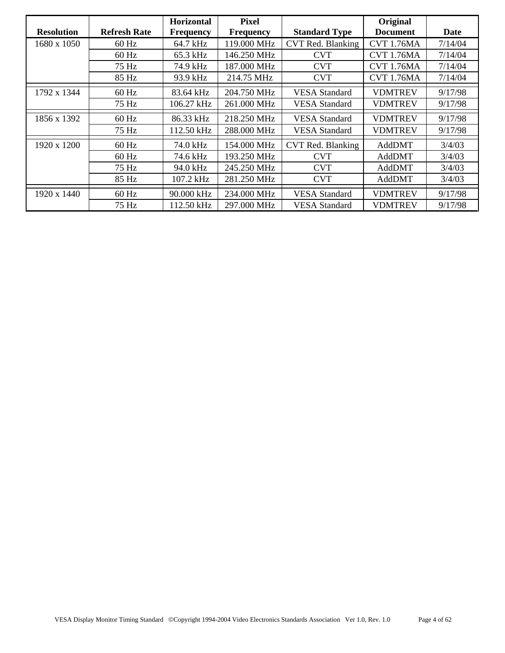|                   |                     | Horizontal       | <b>Pixel</b>     |                      | Original          |         |
|-------------------|---------------------|------------------|------------------|----------------------|-------------------|---------|
| <b>Resolution</b> | <b>Refresh Rate</b> | <b>Frequency</b> | <b>Frequency</b> | <b>Standard Type</b> | <b>Document</b>   | Date    |
| 1680 x 1050       | $60$ Hz             | 64.7 kHz         | 119.000 MHz      | CVT Red. Blanking    | <b>CVT 1.76MA</b> | 7/14/04 |
|                   | $60$ Hz             | 65.3 kHz         | 146.250 MHz      | <b>CVT</b>           | <b>CVT 1.76MA</b> | 7/14/04 |
|                   | 75 Hz               | 74.9 kHz         | 187.000 MHz      | <b>CVT</b>           | <b>CVT 1.76MA</b> | 7/14/04 |
|                   | 85 Hz               | 93.9 kHz         | 214.75 MHz       | <b>CVT</b>           | <b>CVT 1.76MA</b> | 7/14/04 |
| 1792 x 1344       | $60$ Hz             | 83.64 kHz        | 204.750 MHz      | <b>VESA Standard</b> | <b>VDMTREV</b>    | 9/17/98 |
|                   | 75 Hz               | 106.27 kHz       | 261.000 MHz      | <b>VESA Standard</b> | <b>VDMTREV</b>    | 9/17/98 |
| 1856 x 1392       | $60$ Hz             | 86.33 kHz        | 218.250 MHz      | <b>VESA Standard</b> | <b>VDMTREV</b>    | 9/17/98 |
|                   | 75 Hz               | 112.50 kHz       | 288.000 MHz      | <b>VESA Standard</b> | <b>VDMTREV</b>    | 9/17/98 |
| 1920 x 1200       | $60$ Hz             | 74.0 kHz         | 154.000 MHz      | CVT Red. Blanking    | AddDMT            | 3/4/03  |
|                   | $60$ Hz             | 74.6 kHz         | 193.250 MHz      | <b>CVT</b>           | AddDMT            | 3/4/03  |
|                   | 75 Hz               | 94.0 kHz         | 245.250 MHz      | <b>CVT</b>           | AddDMT            | 3/4/03  |
|                   | 85 Hz               | 107.2 kHz        | 281.250 MHz      | <b>CVT</b>           | AddDMT            | 3/4/03  |
| 1920 x 1440       | $60$ Hz             | 90.000 kHz       | 234.000 MHz      | <b>VESA Standard</b> | <b>VDMTREV</b>    | 9/17/98 |
|                   | 75 Hz               | 112.50 kHz       | 297.000 MHz      | <b>VESA Standard</b> | <b>VDMTREV</b>    | 9/17/98 |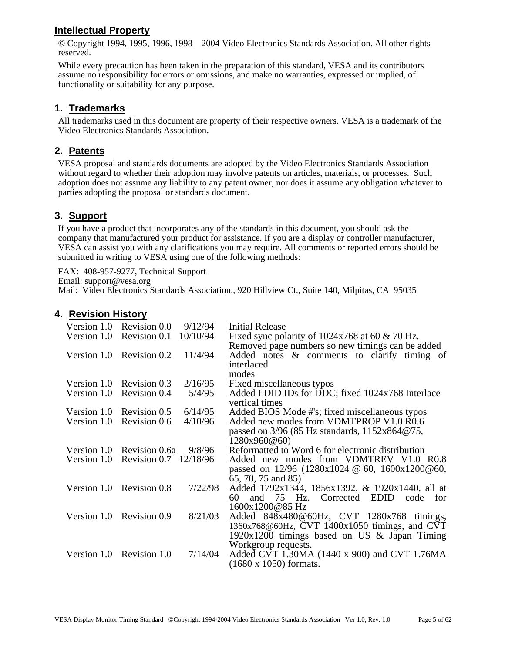## **Intellectual Property**

© Copyright 1994, 1995, 1996, 1998 – 2004 Video Electronics Standards Association. All other rights reserved.

While every precaution has been taken in the preparation of this standard, VESA and its contributors assume no responsibility for errors or omissions, and make no warranties, expressed or implied, of functionality or suitability for any purpose.

### **1. Trademarks**

All trademarks used in this document are property of their respective owners. VESA is a trademark of the Video Electronics Standards Association.

### **2. Patents**

VESA proposal and standards documents are adopted by the Video Electronics Standards Association without regard to whether their adoption may involve patents on articles, materials, or processes. Such adoption does not assume any liability to any patent owner, nor does it assume any obligation whatever to parties adopting the proposal or standards document.

## **3. Support**

If you have a product that incorporates any of the standards in this document, you should ask the company that manufactured your product for assistance. If you are a display or controller manufacturer, VESA can assist you with any clarifications you may require. All comments or reported errors should be submitted in writing to VESA using one of the following methods:

FAX: 408-957-9277, Technical Support

Email: support@vesa.org

Mail: Video Electronics Standards Association., 920 Hillview Ct., Suite 140, Milpitas, CA 95035

### **4. Revision History**

| Version 1.0 | Revision 0.0              | 9/12/94  | Initial Release                                                    |
|-------------|---------------------------|----------|--------------------------------------------------------------------|
| Version 1.0 | Revision 0.1              | 10/10/94 | Fixed sync polarity of $1024x768$ at 60 & 70 Hz.                   |
|             |                           |          | Removed page numbers so new timings can be added                   |
|             | Version 1.0 Revision 0.2  | 11/4/94  | Added notes & comments to clarify timing of                        |
|             |                           |          | interlaced                                                         |
|             |                           |          | modes                                                              |
|             | Version 1.0 Revision 0.3  | 2/16/95  | Fixed miscellaneous typos                                          |
| Version 1.0 | Revision 0.4              | 5/4/95   | Added EDID IDs for DDC; fixed 1024x768 Interlace<br>vertical times |
|             |                           |          |                                                                    |
| Version 1.0 | Revision 0.5              | 6/14/95  | Added BIOS Mode #'s; fixed miscellaneous typos                     |
| Version 1.0 | Revision 0.6              | 4/10/96  | Added new modes from VDMTPROP V1.0 R0.6                            |
|             |                           |          | passed on $3/96$ (85 Hz standards, $1152x864@75$ ,                 |
|             |                           |          | 1280x960@60                                                        |
|             | Version 1.0 Revision 0.6a | 9/8/96   | Reformatted to Word 6 for electronic distribution                  |
| Version 1.0 | Revision 0.7 12/18/96     |          | Added new modes from VDMTREV V1.0 R0.8                             |
|             |                           |          | passed on $12/96$ ( $1280x1024 \& 60$ , $1600x1200 \& 60$ ,        |
|             |                           |          | 65, 70, 75 and 85)                                                 |
|             | Version 1.0 Revision 0.8  | 7/22/98  | Added 1792x1344, 1856x1392, & 1920x1440, all at                    |
|             |                           |          | and 75 Hz. Corrected EDID code<br>60-<br>for                       |
|             |                           |          | 1600x1200@85 Hz                                                    |
|             | Version 1.0 Revision 0.9  | 8/21/03  | Added 848x480@60Hz, CVT 1280x768 timings,                          |
|             |                           |          | 1360x768@60Hz, CVT 1400x1050 timings, and CVT                      |
|             |                           |          | 1920x1200 timings based on US & Japan Timing                       |
|             |                           |          | Workgroup requests.                                                |
|             | Version 1.0 Revision 1.0  | 7/14/04  | Added CVT 1.30MA (1440 x 900) and CVT 1.76MA                       |
|             |                           |          | $(1680 \times 1050)$ formats.                                      |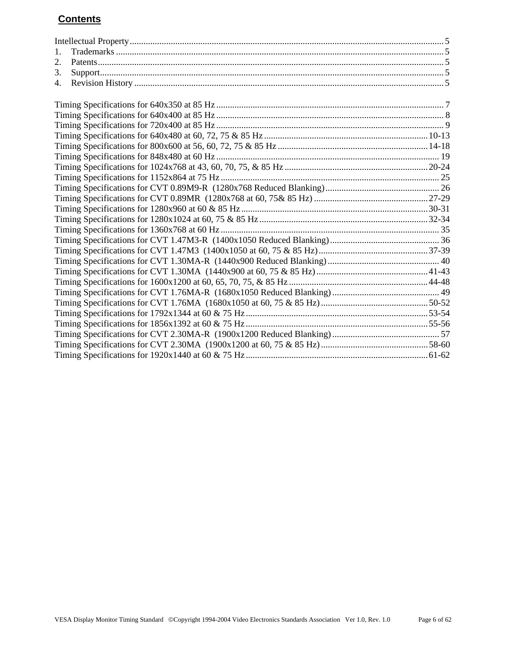# **Contents**

| 1. |  |
|----|--|
| 2. |  |
| 3. |  |
| 4. |  |
|    |  |
|    |  |
|    |  |
|    |  |
|    |  |
|    |  |
|    |  |
|    |  |
|    |  |
|    |  |
|    |  |
|    |  |
|    |  |
|    |  |
|    |  |
|    |  |
|    |  |
|    |  |
|    |  |
|    |  |
|    |  |
|    |  |
|    |  |
|    |  |
|    |  |
|    |  |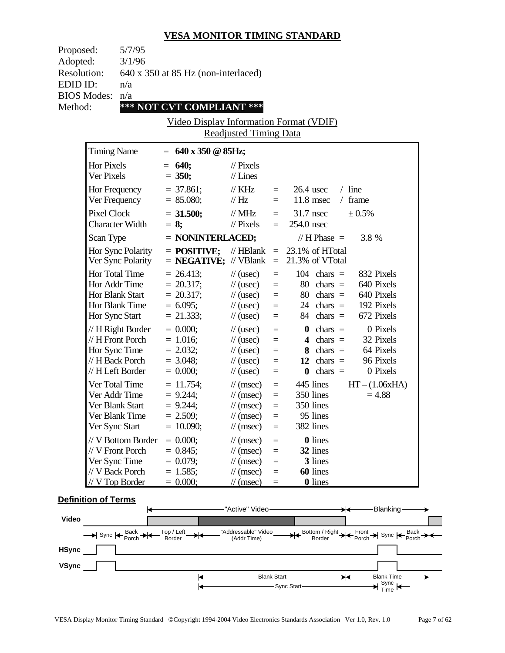| Proposed:          |                    | 5/7/95                 |                                                           |                               |                   |                           |                  |
|--------------------|--------------------|------------------------|-----------------------------------------------------------|-------------------------------|-------------------|---------------------------|------------------|
| Adopted:           |                    | 3/1/96                 |                                                           |                               |                   |                           |                  |
| Resolution:        |                    |                        | 640 x 350 at 85 Hz (non-interlaced)                       |                               |                   |                           |                  |
| EDID ID:           |                    | n/a                    |                                                           |                               |                   |                           |                  |
| <b>BIOS</b> Modes: |                    | n/a                    |                                                           |                               |                   |                           |                  |
| Method:            |                    |                        | *** NOT CVT COMPLIANT ***                                 |                               |                   |                           |                  |
|                    |                    |                        | Video Display Information Format (VDIF)                   |                               |                   |                           |                  |
|                    |                    |                        |                                                           | <b>Readjusted Timing Data</b> |                   |                           |                  |
|                    | <b>Timing Name</b> |                        | $= 640 \times 350 \text{ } \textcircled{a} 85 \text{Hz};$ |                               |                   |                           |                  |
|                    | <b>Hor Pixels</b>  |                        | $= 640;$                                                  | $\frac{1}{2}$ Pixels          |                   |                           |                  |
|                    | Ver Pixels         |                        | $= 350;$                                                  | $//$ Lines                    |                   |                           |                  |
|                    | Hor Frequency      |                        | $= 37.861;$                                               | $\frac{1}{K}$ KHz             | $=$               | $26.4$ usec               | $/$ line         |
|                    | Ver Frequency      |                        | $= 85.080;$                                               | $\frac{1}{1}$ Hz              | $=$               | 11.8 msec                 | $/$ frame        |
|                    | <b>Pixel Clock</b> |                        | $= 31.500;$                                               | $\frac{1}{1}$ MHz             | $=$               | $31.7$ nsec               | ± 0.5%           |
|                    |                    | <b>Character Width</b> | $= 8;$                                                    | $\frac{1}{2}$ Pixels          | $=$               | 254.0 nsec                |                  |
|                    | Scan Type          |                        | $=$ NONINTERLACED;                                        |                               |                   | // H Phase $=$            | 3.8 %            |
|                    |                    | Hor Sync Polarity      | $=$ POSITIVE;                                             | $//$ HBlank                   |                   | $= 23.1\%$ of HTotal      |                  |
|                    |                    | Ver Sync Polarity      | $=$ <b>NEGATIVE;</b> // VBlank                            |                               |                   | $= 21.3\%$ of VTotal      |                  |
|                    | Hor Total Time     |                        | $= 26.413;$                                               | $\frac{1}{2}$ (usec)          | $\equiv$          | $104$ chars =             | 832 Pixels       |
|                    | Hor Addr Time      |                        | $= 20.317;$                                               | $\frac{1}{2}$ (usec)          | $\equiv$          | $80 \text{ chars} =$      | 640 Pixels       |
|                    | Hor Blank Start    |                        | $= 20.317;$                                               | $\frac{1}{2}$ (usec)          | $\equiv$          | $80 \text{ chars} =$      | 640 Pixels       |
|                    |                    | Hor Blank Time         | $= 6.095;$                                                | $\frac{1}{2}$ (usec)          | $=$               | 24 chars $=$              | 192 Pixels       |
|                    | Hor Sync Start     |                        | $= 21.333;$                                               | $\frac{1}{2}$ (usec)          | $\equiv$          | $84$ chars =              | 672 Pixels       |
|                    |                    | // H Right Border      | $= 0.000;$                                                | $\frac{1}{2}$ (usec)          | $=$               | $\mathbf{0}$ chars =      | 0 Pixels         |
|                    |                    | // H Front Porch       | $= 1.016;$                                                | $\frac{1}{2}$ (usec)          | $=$               | 4 chars $=$               | 32 Pixels        |
|                    | Hor Sync Time      |                        | $= 2.032;$                                                | $\frac{1}{2}$ (usec)          | $\equiv$          | $8 \text{ chars} =$       | 64 Pixels        |
|                    | // H Back Porch    |                        | $= 3.048;$                                                | $\frac{1}{2}$ (usec)          | $=$               | 12 chars $=$              | 96 Pixels        |
|                    | // H Left Border   |                        | $= 0.000;$                                                | $\frac{1}{2}$ (usec)          | $\equiv$          | $chars =$<br>$\mathbf{0}$ | 0 Pixels         |
|                    | Ver Total Time     |                        | $= 11.754;$                                               | $\mathcal{U}$ (msec)          | $\equiv$          | 445 lines                 | $HT - (1.06xHA)$ |
|                    | Ver Addr Time      |                        | $= 9.244$ ;                                               | $\mathcal{U}$ (msec)          | $\qquad \qquad =$ | 350 lines                 | $= 4.88$         |
|                    | Ver Blank Start    |                        | $= 9.244$ ;                                               | $\frac{1}{\sqrt{2}}$ (msec)   | $=$               | 350 lines                 |                  |
|                    |                    | Ver Blank Time         | $= 2.509;$                                                | $\frac{1}{\tan(\theta)}$      | Ξ                 | 95 lines                  |                  |
|                    | Ver Sync Start     |                        | $= 10.090;$                                               | $\frac{1}{\sqrt{2}}$ (msec)   | $=$               | 382 lines                 |                  |
|                    |                    | // V Bottom Border     | $= 0.000;$                                                | $\frac{1}{\sqrt{2}}$ (msec)   | $=$               | 0 lines                   |                  |
|                    |                    | // V Front Porch       | $= 0.845$ ;                                               | $\frac{1}{\sqrt{2}}$ (msec)   | $=$               | 32 lines                  |                  |
|                    | Ver Sync Time      |                        | $= 0.079;$                                                | $\frac{1}{\tan(\theta)}$      | $=$               | 3 lines                   |                  |
|                    | // V Back Porch    |                        | $= 1.585;$                                                | $\frac{1}{\sqrt{2}}$ (msec)   | $\equiv$          | 60 lines                  |                  |
|                    | $// V$ Top Border  |                        | $= 0.000;$                                                | $\frac{1}{\sqrt{2}}$ (msec)   | $\equiv$          | <b>0</b> lines            |                  |

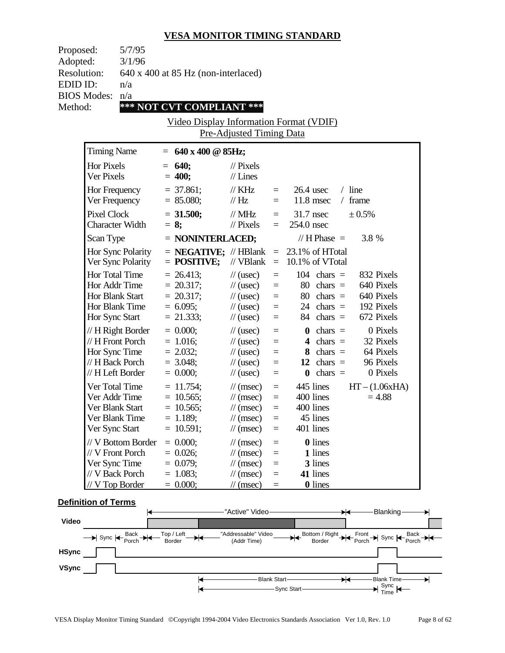| Proposed:                                  | 5/7/95                                                                                                                                              |                                                                                                                                               |                                                                                                                                                                                                                                              |                                                                                   |                                         |                                                                                                                                                                                                  |          |                                                                                                                                   |  |
|--------------------------------------------|-----------------------------------------------------------------------------------------------------------------------------------------------------|-----------------------------------------------------------------------------------------------------------------------------------------------|----------------------------------------------------------------------------------------------------------------------------------------------------------------------------------------------------------------------------------------------|-----------------------------------------------------------------------------------|-----------------------------------------|--------------------------------------------------------------------------------------------------------------------------------------------------------------------------------------------------|----------|-----------------------------------------------------------------------------------------------------------------------------------|--|
| Adopted:<br><b>Resolution:</b><br>EDID ID: | 3/1/96<br>n/a                                                                                                                                       | 640 x 400 at 85 Hz (non-interlaced)                                                                                                           |                                                                                                                                                                                                                                              |                                                                                   |                                         |                                                                                                                                                                                                  |          |                                                                                                                                   |  |
| <b>BIOS Modes:</b>                         | n/a                                                                                                                                                 |                                                                                                                                               |                                                                                                                                                                                                                                              |                                                                                   |                                         |                                                                                                                                                                                                  |          |                                                                                                                                   |  |
| Method:                                    |                                                                                                                                                     | *** NOT CVT COMPLIANT ***                                                                                                                     |                                                                                                                                                                                                                                              |                                                                                   |                                         |                                                                                                                                                                                                  |          |                                                                                                                                   |  |
|                                            |                                                                                                                                                     | Video Display Information Format (VDIF)                                                                                                       |                                                                                                                                                                                                                                              |                                                                                   |                                         |                                                                                                                                                                                                  |          |                                                                                                                                   |  |
|                                            |                                                                                                                                                     |                                                                                                                                               | Pre-Adjusted Timing Data                                                                                                                                                                                                                     |                                                                                   |                                         |                                                                                                                                                                                                  |          |                                                                                                                                   |  |
| <b>Timing Name</b>                         |                                                                                                                                                     | $= 640 \times 400 \text{ @ } 85 \text{Hz};$                                                                                                   |                                                                                                                                                                                                                                              |                                                                                   |                                         |                                                                                                                                                                                                  |          |                                                                                                                                   |  |
| Hor Pixels<br>Ver Pixels                   |                                                                                                                                                     | $= 640;$<br>$= 400;$                                                                                                                          | $\frac{1}{2}$ Pixels<br>$//$ Lines                                                                                                                                                                                                           |                                                                                   |                                         |                                                                                                                                                                                                  |          |                                                                                                                                   |  |
| Hor Frequency<br>Ver Frequency             |                                                                                                                                                     | $=$ 37.861;<br>$= 85.080;$                                                                                                                    | $\frac{1}{K}$ KHz<br>$\frac{1}{1}$ Hz                                                                                                                                                                                                        | $=$ $-$<br>$=$ $-$                                                                | $26.4$ usec                             | $11.8$ msec                                                                                                                                                                                      | $/$ line | $/$ frame                                                                                                                         |  |
| <b>Pixel Clock</b>                         | <b>Character Width</b>                                                                                                                              | $= 31.500;$<br>$= 8$ ;                                                                                                                        | $\frac{1}{1}$ MHz<br>$\frac{1}{2}$ Pixels                                                                                                                                                                                                    | $=$ $-$                                                                           | $=$ 31.7 nsec<br>254.0 nsec             |                                                                                                                                                                                                  |          | ± 0.5%                                                                                                                            |  |
| Scan Type                                  |                                                                                                                                                     | $=$ NONINTERLACED;                                                                                                                            |                                                                                                                                                                                                                                              |                                                                                   |                                         | // H Phase $=$                                                                                                                                                                                   |          | 3.8 %                                                                                                                             |  |
|                                            | Hor Sync Polarity<br>Ver Sync Polarity                                                                                                              | $=$ <b>NEGATIVE;</b> // HBlank<br>$=$ POSITIVE;                                                                                               | // VBlank                                                                                                                                                                                                                                    | $\equiv$                                                                          | $= 23.1\%$ of HTotal<br>10.1% of VTotal |                                                                                                                                                                                                  |          |                                                                                                                                   |  |
| Hor Total Time<br>Hor Sync Start           | Hor Addr Time<br>Hor Blank Start<br>Hor Blank Time<br>// H Right Border<br>// H Front Porch<br>Hor Sync Time<br>// H Back Porch<br>// H Left Border | $= 26.413;$<br>$= 20.317;$<br>$= 20.317$ ;<br>$= 6.095;$<br>$= 21.333;$<br>$= 0.000;$<br>$= 1.016;$<br>$= 2.032;$<br>$= 3.048;$<br>$= 0.000;$ | $\frac{1}{2}$ (usec)<br>$\frac{1}{2}$ (usec)<br>$\frac{1}{2}$ (usec)<br>$\frac{1}{2}$ (usec)<br>$\frac{1}{2}$ (usec)<br>$\frac{1}{2}$ (usec)<br>$\frac{1}{2}$ (usec)<br>$\frac{1}{2}$ (usec)<br>$\frac{1}{2}$ (usec)<br>$\frac{1}{2}$ (usec) | $=$<br>$\equiv$<br>$=$<br>$\equiv$<br>$=$<br>$=$<br>$\equiv$<br>$=$<br>$=$<br>$=$ | $\mathbf{0}$                            | $104$ chars =<br>$80 \text{ chars} =$<br>$80 \text{ chars} =$<br>$24 \text{ chars} =$<br>$84 \text{ chars} =$<br>$\mathbf{0}$ chars =<br>4 chars $=$<br>8 chars $=$<br>12 chars $=$<br>chars $=$ |          | 832 Pixels<br>640 Pixels<br>640 Pixels<br>192 Pixels<br>672 Pixels<br>0 Pixels<br>32 Pixels<br>64 Pixels<br>96 Pixels<br>0 Pixels |  |
| Ver Sync Start                             | Ver Total Time<br>Ver Addr Time<br>Ver Blank Start<br>Ver Blank Time<br>// V Bottom Border<br>// V Front Porch                                      | $= 11.754;$<br>$= 10.565$ ;<br>$= 10.565$ ;<br>$= 1.189;$<br>$= 10.591;$<br>$= 0.000;$<br>$= 0.026;$                                          | $\mathcal{U}$ (msec)<br>$\frac{1}{\sqrt{2}}$ (msec)<br>$\mathcal{U}$ (msec)<br>$\frac{1}{\sqrt{2}}$ (msec)<br>$\frac{1}{\sqrt{2}}$ (msec)<br>$\frac{1}{\sqrt{2}}$ (msec)<br>$\mathcal{N}(msec)$                                              | $\equiv$<br>$\equiv$<br>$\equiv$<br>$=$<br>$=$<br>$=$<br>$=$                      |                                         | 445 lines<br>400 lines<br>400 lines<br>45 lines<br>401 lines<br><b>0</b> lines<br>1 lines                                                                                                        |          | $HT - (1.06xHA)$<br>$= 4.88$                                                                                                      |  |
| Ver Sync Time                              | // V Back Porch<br>$// V$ Top Border                                                                                                                | $= 0.079;$<br>$= 1.083;$<br>$= 0.000;$                                                                                                        | $\frac{1}{\sqrt{2}}$ (msec)<br>$\frac{1}{\sqrt{2}}$ (msec)<br>$\frac{1}{\sqrt{2}}$ (msec)                                                                                                                                                    | $=$<br>$=$<br>$=$                                                                 |                                         | 3 lines<br>41 lines<br>0 lines                                                                                                                                                                   |          |                                                                                                                                   |  |

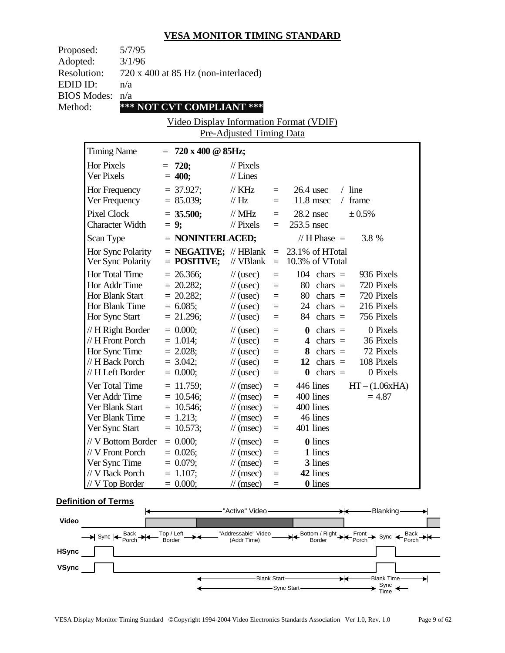| Proposed:          |                                  | 5/7/95             |                                             |                                                    |                 |                      |                                  |          |                        |  |
|--------------------|----------------------------------|--------------------|---------------------------------------------|----------------------------------------------------|-----------------|----------------------|----------------------------------|----------|------------------------|--|
| Adopted:           |                                  | 3/1/96             |                                             |                                                    |                 |                      |                                  |          |                        |  |
| <b>Resolution:</b> |                                  |                    | 720 x 400 at 85 Hz (non-interlaced)         |                                                    |                 |                      |                                  |          |                        |  |
| EDID ID:           |                                  | n/a                |                                             |                                                    |                 |                      |                                  |          |                        |  |
| <b>BIOS Modes:</b> |                                  | n/a                |                                             |                                                    |                 |                      |                                  |          |                        |  |
| Method:            |                                  |                    | *** NOT CVT COMPLIANT ***                   |                                                    |                 |                      |                                  |          |                        |  |
|                    |                                  |                    | Video Display Information Format (VDIF)     |                                                    |                 |                      |                                  |          |                        |  |
|                    |                                  |                    |                                             | <b>Pre-Adjusted Timing Data</b>                    |                 |                      |                                  |          |                        |  |
|                    | <b>Timing Name</b>               |                    | $= 720 \times 400 \text{ @ } 85 \text{Hz};$ |                                                    |                 |                      |                                  |          |                        |  |
|                    | Hor Pixels                       |                    | $= 720;$                                    | $\frac{1}{2}$ Pixels                               |                 |                      |                                  |          |                        |  |
|                    | Ver Pixels                       |                    | $= 400;$                                    | $//$ Lines                                         |                 |                      |                                  |          |                        |  |
|                    | Hor Frequency                    |                    | $= 37.927$ ;                                | $\frac{1}{K}$ KHz                                  | $=$ $-$         |                      | $26.4$ usec                      | $/$ line |                        |  |
|                    | Ver Frequency                    |                    | $= 85.039;$                                 | $\frac{1}{1}$ Hz                                   | $=$             |                      | $11.8$ msec                      |          | $/$ frame              |  |
|                    | Pixel Clock                      |                    | $= 35.500;$                                 | $\frac{1}{2}$ MHz                                  |                 | $= 28.2$ nsec        |                                  |          | $\pm 0.5\%$            |  |
|                    | <b>Character Width</b>           |                    | $= 9;$                                      | $\frac{1}{2}$ Pixels                               | $=$             | 253.5 nsec           |                                  |          |                        |  |
|                    | Scan Type                        |                    | $=$ NONINTERLACED;                          |                                                    |                 |                      | // H Phase $=$                   |          | 3.8 %                  |  |
|                    |                                  | Hor Sync Polarity  | $=$ <b>NEGATIVE;</b> // HBlank              |                                                    |                 | $= 23.1\%$ of HTotal |                                  |          |                        |  |
|                    |                                  | Ver Sync Polarity  | $=$ POSITIVE;                               | // VBlank                                          |                 | $=$ 10.3% of VTotal  |                                  |          |                        |  |
|                    | Hor Total Time                   |                    | $= 26.366$ ;                                | $\frac{1}{2}$ (usec)                               | $\equiv$        |                      | $104$ chars =                    |          | 936 Pixels             |  |
|                    | Hor Addr Time                    |                    | $= 20.282;$                                 | $\frac{1}{2}$ (usec)                               | $\equiv$        |                      | $80 \text{ chars} =$             |          | 720 Pixels             |  |
|                    | <b>Hor Blank Start</b>           |                    | $= 20.282;$                                 | $\frac{1}{2}$ (usec)                               | $\equiv$        |                      | $80 \text{ chars} =$             |          | 720 Pixels             |  |
|                    | Hor Blank Time                   |                    | $= 6.085;$                                  | $\frac{1}{2}$ (usec)                               | $\equiv$        |                      | $24 \text{ chars} =$             |          | 216 Pixels             |  |
|                    | Hor Sync Start                   |                    | $= 21.296;$                                 | $\frac{1}{2}$ (usec)                               | $\equiv$        |                      | $84$ chars =                     |          | 756 Pixels             |  |
|                    |                                  | // H Right Border  | $= 0.000;$                                  | $\frac{1}{2}$ (usec)                               | $\equiv$        |                      | $\theta$ chars =                 |          | 0 Pixels               |  |
|                    | // H Front Porch                 |                    | $= 1.014;$                                  | $\frac{1}{2}$ (usec)                               | $\equiv$        |                      | 4 chars $=$                      |          | 36 Pixels              |  |
|                    | Hor Sync Time<br>// H Back Porch |                    | $= 2.028;$                                  | $\frac{1}{2}$ (usec)                               | $=$             |                      |                                  |          | 8 chars $=$ 72 Pixels  |  |
|                    | // H Left Border                 |                    | $= 3.042;$<br>$= 0.000;$                    | $\frac{1}{2}$ (usec)<br>$\frac{1}{2}$ (usec)       | $\equiv$        |                      | 12 chars $=$<br>$\theta$ chars = |          | 108 Pixels<br>0 Pixels |  |
|                    |                                  |                    |                                             |                                                    | $\equiv$        |                      |                                  |          |                        |  |
|                    | Ver Total Time<br>Ver Addr Time  |                    | $= 11.759;$                                 | $\frac{1}{\tan(\theta)}$                           | $\equiv$        |                      | 446 lines                        |          | $HT - (1.06xHA)$       |  |
|                    | Ver Blank Start                  |                    | $= 10.546;$<br>$= 10.546;$                  | $\frac{1}{\tan(\theta)}$<br>$\mathcal{U}$ (msec)   | $=$<br>$\equiv$ |                      | 400 lines<br>400 lines           |          | $= 4.87$               |  |
|                    | Ver Blank Time                   |                    | $= 1.213;$                                  | $\frac{1}{\sqrt{2}}$ (msec)                        | $=$             |                      | 46 lines                         |          |                        |  |
|                    | Ver Sync Start                   |                    | $= 10.573;$                                 | $\frac{1}{\sqrt{2}}$ (msec)                        | $=$             |                      | 401 lines                        |          |                        |  |
|                    |                                  | // V Bottom Border | $= 0.000;$                                  |                                                    |                 |                      | <b>0</b> lines                   |          |                        |  |
|                    | // V Front Porch                 |                    | $= 0.026;$                                  | $\frac{1}{\sqrt{2}}$ (msec)<br>$\mathcal{N}(msec)$ | $=$<br>$\equiv$ |                      | 1 lines                          |          |                        |  |
|                    | Ver Sync Time                    |                    | $= 0.079;$                                  | $\mathcal{U}$ (msec)                               | $\equiv$        |                      | 3 lines                          |          |                        |  |
|                    | // V Back Porch                  |                    | $= 1.107$ ;                                 | $\frac{1}{\sqrt{2}}$ (msec)                        | $=$             |                      | 42 lines                         |          |                        |  |
|                    | $// V$ Top Border                |                    | $= 0.000;$                                  | $\frac{1}{\sqrt{2}}$ (msec)                        | $\equiv$        |                      | 0 lines                          |          |                        |  |
|                    |                                  |                    |                                             |                                                    |                 |                      |                                  |          |                        |  |

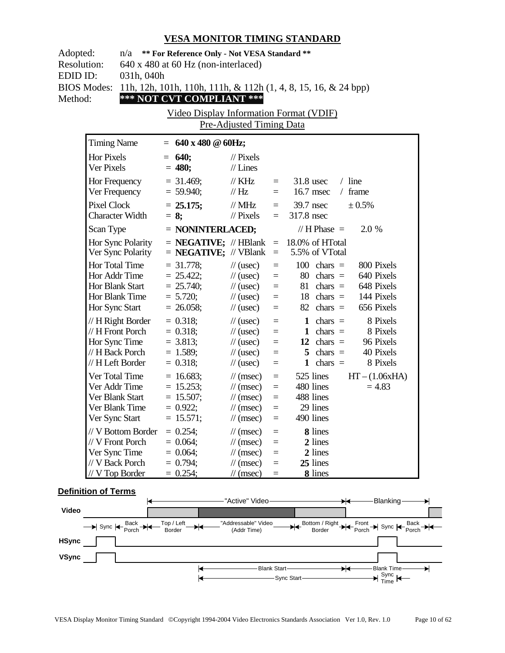| Adopted:<br>n/a ** For Reference Only - Not VESA Standard **<br><b>Resolution:</b><br>640 x 480 at 60 Hz (non-interlaced)<br>EDID ID:<br>031h, 040h<br><b>BIOS Modes:</b><br>11h, 12h, 101h, 110h, 111h, & 112h (1, 4, 8, 15, 16, & 24 bpp)<br>*** NOT CVT COMPLIANT ***<br>Method:<br>Video Display Information Format (VDIF)<br>Pre-Adjusted Timing Data |                                                                                               |         |                                                                          |                                                                                                                                                 |                                                         |                                                                                                                                                                                             |  |  |
|------------------------------------------------------------------------------------------------------------------------------------------------------------------------------------------------------------------------------------------------------------------------------------------------------------------------------------------------------------|-----------------------------------------------------------------------------------------------|---------|--------------------------------------------------------------------------|-------------------------------------------------------------------------------------------------------------------------------------------------|---------------------------------------------------------|---------------------------------------------------------------------------------------------------------------------------------------------------------------------------------------------|--|--|
| <b>Timing Name</b>                                                                                                                                                                                                                                                                                                                                         |                                                                                               |         | $= 640 \times 480 \text{ } \textcircled{a} 60 \text{Hz};$                |                                                                                                                                                 |                                                         |                                                                                                                                                                                             |  |  |
| <b>Hor Pixels</b><br>Ver Pixels                                                                                                                                                                                                                                                                                                                            |                                                                                               |         | $= 640;$<br>$= 480;$                                                     | $\frac{1}{2}$ Pixels<br>$//$ Lines                                                                                                              |                                                         |                                                                                                                                                                                             |  |  |
| Hor Frequency<br>Ver Frequency                                                                                                                                                                                                                                                                                                                             |                                                                                               |         | $= 31.469;$<br>$= 59.940;$                                               | $\mathcal{U}$ KHz<br>$\frac{1}{1}$ Hz                                                                                                           | $=$<br>$=$                                              | $/$ line<br>$31.8$ usec<br>16.7 msec<br>$/$ frame                                                                                                                                           |  |  |
| <b>Pixel Clock</b>                                                                                                                                                                                                                                                                                                                                         | <b>Character Width</b>                                                                        | $= 8$ ; | $= 25.175;$                                                              | $\text{/}/\text{/}$ MHz<br>$\frac{1}{2}$ Pixels                                                                                                 | $=$                                                     | $± 0.5\%$<br>$=$ 39.7 nsec<br>317.8 nsec                                                                                                                                                    |  |  |
| Scan Type                                                                                                                                                                                                                                                                                                                                                  |                                                                                               |         | $=$ NONINTERLACED;                                                       |                                                                                                                                                 |                                                         | // H Phase $=$<br>2.0 %                                                                                                                                                                     |  |  |
|                                                                                                                                                                                                                                                                                                                                                            | Hor Sync Polarity<br>Ver Sync Polarity                                                        |         | $=$ <b>NEGATIVE;</b> // VBlank $=$                                       |                                                                                                                                                 |                                                         | $=$ <b>NEGATIVE;</b> // HBlank $=$ 18.0% of HTotal<br>5.5% of VTotal                                                                                                                        |  |  |
| <b>Hor Total Time</b><br>Hor Sync Start                                                                                                                                                                                                                                                                                                                    | Hor Addr Time<br>Hor Blank Start<br>Hor Blank Time                                            |         | $= 31.778$ ;<br>$= 25.422;$<br>$= 25.740;$<br>$= 5.720;$<br>$= 26.058;$  | $\frac{1}{2}$ (usec)<br>$\frac{1}{2}$ (usec)<br>$\frac{1}{2}$ (usec)<br>$\frac{1}{2}$ (usec)<br>$\frac{1}{2}$ (usec)                            | $\equiv$<br>$\equiv$<br>$=$ $\qquad$<br>$\equiv$<br>$=$ | $100 \text{ chars} =$<br>800 Pixels<br>640 Pixels<br>$80 \text{ chars} =$<br>648 Pixels<br>$81 \text{ chars} =$<br>144 Pixels<br>$18 \text{ chars} =$<br>656 Pixels<br>$82 \text{ chars} =$ |  |  |
|                                                                                                                                                                                                                                                                                                                                                            | // H Right Border<br>// H Front Porch<br>Hor Sync Time<br>// H Back Porch<br>// H Left Border |         | $= 0.318;$<br>$= 0.318;$<br>$= 3.813;$<br>$= 1.589;$<br>$= 0.318;$       | $\frac{1}{2}$ (usec)<br>$\frac{1}{2}$ (usec)<br>$\frac{1}{2}$ (usec)<br>$\frac{1}{2}$ (usec)<br>$\frac{1}{2}$ (usec)                            | $\equiv$<br>$\equiv$<br>$\equiv$<br>$=$<br>$=$          | 8 Pixels<br>1 chars $=$<br>1 chars $=$<br>8 Pixels<br>12 chars $=$<br>96 Pixels<br>$5 \text{ chars} =$<br>40 Pixels<br>8 Pixels<br>1 chars $=$                                              |  |  |
| Ver Total Time                                                                                                                                                                                                                                                                                                                                             | Ver Addr Time<br>Ver Blank Start<br>Ver Blank Time<br>Ver Sync Start                          |         | $= 16.683;$<br>$= 15.253;$<br>$= 15.507$ ;<br>$= 0.922$ ;<br>$= 15.571;$ | $\frac{1}{\tan(\theta)}$<br>$\frac{1}{\tan(\theta)}$<br>$\frac{1}{\tan(\theta)}$<br>$\frac{1}{\tan(\theta)}$<br>$\frac{1}{\sqrt{2}}$ (msec)     | $\equiv$<br>$\equiv$<br>$\equiv$<br>$\equiv$            | 525 lines<br>$HT - (1.06xHA)$<br>480 lines<br>$= 4.83$<br>488 lines<br>29 lines<br>490 lines                                                                                                |  |  |
| Ver Sync Time                                                                                                                                                                                                                                                                                                                                              | // V Bottom Border<br>// V Front Porch<br>// V Back Porch<br>// V Top Border                  |         | $= 0.254;$<br>$= 0.064;$<br>$= 0.064;$<br>$= 0.794;$<br>$= 0.254;$       | $\frac{1}{\sqrt{2}}$ (msec)<br>$\frac{1}{\pi}$ (msec)<br>$\frac{1}{\sqrt{2}}$ (msec)<br>$\frac{1}{\sqrt{2}}$ (msec)<br>$\frac{1}{\tan(\theta)}$ | $=$<br>$=$<br>$=$<br>$=$<br>$=$                         | 8 lines<br>2 lines<br>2 lines<br>25 lines<br>8 lines                                                                                                                                        |  |  |

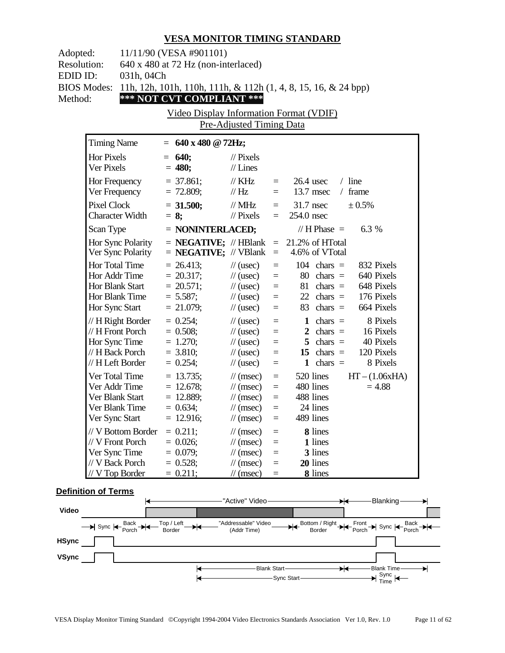| Adopted:<br><b>Resolution:</b><br>EDID ID:<br>Method: | 11/11/90 (VESA #901101)<br>640 x 480 at 72 Hz (non-interlaced)<br>031h, 04Ch<br><b>BIOS Modes:</b><br>11h, 12h, 101h, 110h, 111h, & 112h (1, 4, 8, 15, 16, & 24 bpp)<br>*** NOT CVT COMPLIANT ***<br>Video Display Information Format (VDIF)<br>Pre-Adjusted Timing Data |                                                                        |                                                                                                                                                    |                                                           |                                                                                                                                                                                                             |  |  |  |
|-------------------------------------------------------|--------------------------------------------------------------------------------------------------------------------------------------------------------------------------------------------------------------------------------------------------------------------------|------------------------------------------------------------------------|----------------------------------------------------------------------------------------------------------------------------------------------------|-----------------------------------------------------------|-------------------------------------------------------------------------------------------------------------------------------------------------------------------------------------------------------------|--|--|--|
|                                                       | <b>Timing Name</b>                                                                                                                                                                                                                                                       | $= 640 \times 480 \text{ @ } 72 \text{Hz};$                            |                                                                                                                                                    |                                                           |                                                                                                                                                                                                             |  |  |  |
|                                                       | <b>Hor Pixels</b><br>Ver Pixels                                                                                                                                                                                                                                          | $= 640;$<br>$= 480;$                                                   | $\frac{1}{2}$ Pixels<br>$//$ Lines                                                                                                                 |                                                           |                                                                                                                                                                                                             |  |  |  |
|                                                       | Hor Frequency<br>Ver Frequency                                                                                                                                                                                                                                           | $=$ 37.861;<br>$= 72.809;$                                             | $\frac{1}{K}$ KHz<br>$\mathcal{U}$ Hz                                                                                                              | $=$ $-$<br>$=$ $-$                                        | $26.4$ usec<br>$/$ line<br>13.7 msec<br>$/$ frame                                                                                                                                                           |  |  |  |
|                                                       | Pixel Clock<br><b>Character Width</b>                                                                                                                                                                                                                                    | $= 31.500;$<br>$= 8$ ;                                                 | $\text{/}\text{/}$ MHz<br>$\frac{1}{2}$ Pixels                                                                                                     | $=$                                                       | ± 0.5%<br>$=$ 31.7 nsec<br>254.0 nsec                                                                                                                                                                       |  |  |  |
|                                                       | Scan Type                                                                                                                                                                                                                                                                | $=$ NONINTERLACED;                                                     |                                                                                                                                                    |                                                           | // H Phase $=$<br>6.3 %                                                                                                                                                                                     |  |  |  |
|                                                       | Hor Sync Polarity<br>Ver Sync Polarity                                                                                                                                                                                                                                   | $=$ <b>NEGATIVE;</b> // VBlank                                         |                                                                                                                                                    | $\equiv$                                                  | $=$ <b>NEGATIVE;</b> // HBlank $=$ 21.2% of HTotal<br>4.6% of VTotal                                                                                                                                        |  |  |  |
|                                                       | <b>Hor Total Time</b><br>Hor Addr Time<br>Hor Blank Start<br>Hor Blank Time<br>Hor Sync Start                                                                                                                                                                            | $= 26.413;$<br>$= 20.317;$<br>$= 20.571;$<br>$= 5.587;$<br>$= 21.079;$ | $\frac{1}{2}$ (usec)<br>$\frac{1}{2}$ (usec)<br>$\frac{1}{2}$ (usec)<br>$\frac{1}{2}$ (usec)<br>$\frac{1}{2}$ (usec)                               | $\equiv$<br>$\equiv$<br>$\equiv$<br>$=$                   | 832 Pixels<br>$104 \text{ chars} =$<br>640 Pixels<br>$80 \text{ chars} =$<br>$=$ $\qquad$<br>648 Pixels<br>$81 \text{ chars} =$<br>176 Pixels<br>$22 \text{ chars} =$<br>664 Pixels<br>$83 \text{ chars} =$ |  |  |  |
|                                                       | // H Right Border<br>// H Front Porch<br>Hor Sync Time<br>// H Back Porch<br>// H Left Border                                                                                                                                                                            | $= 0.254$ ;<br>$= 0.508;$<br>$= 1.270;$<br>$= 3.810;$<br>$= 0.254;$    | $\frac{1}{2}$ (usec)<br>$\frac{1}{2}$ (usec)<br>$\frac{1}{2}$ (usec)<br>$\frac{1}{2}$ (usec)<br>$\frac{1}{2}$ (usec)                               | $\equiv$<br>$\equiv$<br>$\quad =$<br>$\equiv$<br>$\equiv$ | 8 Pixels<br>1 chars $=$<br>2 chars $=$<br>16 Pixels<br>5 chars $=$<br>40 Pixels<br>15 chars $=$<br>120 Pixels<br>8 Pixels<br>1 chars $=$                                                                    |  |  |  |
|                                                       | Ver Total Time<br>Ver Addr Time<br>Ver Blank Start<br>Ver Blank Time<br>Ver Sync Start                                                                                                                                                                                   | $= 13.735;$<br>$= 12.678;$<br>$= 12.889;$<br>$= 0.634;$<br>$= 12.916;$ | $\mathcal{U}$ (msec)<br>$\frac{1}{\tan(\theta)}$<br>$\frac{1}{\tan(\theta)}$<br>$\frac{1}{\tan(\theta)}$<br>$\frac{1}{\sqrt{2}}$ (msec)            | $=$<br>$\equiv$<br>$\equiv$<br>$=$                        | $HT - (1.06xHA)$<br>520 lines<br>$= 4.88$<br>480 lines<br>488 lines<br>24 lines<br>489 lines                                                                                                                |  |  |  |
|                                                       | // V Bottom Border<br>// V Front Porch<br>Ver Sync Time<br>// V Back Porch<br>$//V$ Top Border                                                                                                                                                                           | $= 0.211;$<br>$= 0.026;$<br>$= 0.079;$<br>$= 0.528;$<br>$= 0.211;$     | $\frac{1}{\pi}$ (msec)<br>$\frac{1}{\sqrt{2}}$ (msec)<br>$\frac{1}{\sqrt{2}}$ (msec)<br>$\frac{1}{\sqrt{2}}$ (msec)<br>$\frac{1}{\sqrt{2}}$ (msec) | $=$<br>$=$<br>$=$<br>$=$<br>$=$                           | 8 lines<br>1 lines<br>3 lines<br>20 lines<br>8 lines                                                                                                                                                        |  |  |  |

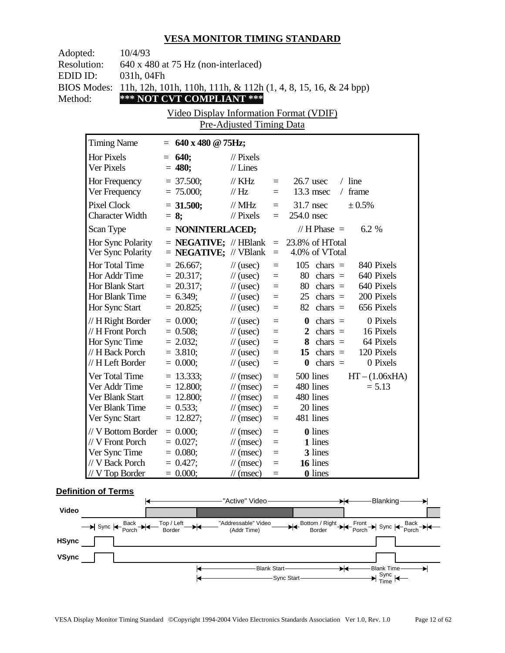| Adopted:<br><b>Resolution:</b> | 10/4/93                                | 640 x 480 at 75 Hz (non-interlaced)         |                                              |                      |                                                                      |
|--------------------------------|----------------------------------------|---------------------------------------------|----------------------------------------------|----------------------|----------------------------------------------------------------------|
| EDID ID:                       | 031h, 04Fh                             |                                             |                                              |                      |                                                                      |
| <b>BIOS Modes:</b>             |                                        |                                             |                                              |                      | 11h, 12h, 101h, 110h, 111h, & 112h (1, 4, 8, 15, 16, & 24 bpp)       |
| Method:                        |                                        | *** NOT CVT COMPLIANT ***                   |                                              |                      |                                                                      |
|                                |                                        | Video Display Information Format (VDIF)     |                                              |                      |                                                                      |
|                                |                                        |                                             | Pre-Adjusted Timing Data                     |                      |                                                                      |
|                                | <b>Timing Name</b>                     | $= 640 \times 480 \text{ @ } 75 \text{Hz};$ |                                              |                      |                                                                      |
|                                | Hor Pixels                             | $= 640;$                                    | $\frac{1}{2}$ Pixels                         |                      |                                                                      |
|                                | Ver Pixels                             | $= 480;$                                    | $//$ Lines                                   |                      |                                                                      |
|                                | Hor Frequency                          | $= 37.500;$                                 | $\frac{1}{K}$ KHz                            | $=$ $-$              | $26.7$ usec<br>$/$ line                                              |
|                                | Ver Frequency                          | $= 75.000;$                                 | $\frac{1}{1}$ Hz                             | $=$ $-$              | $13.3$ msec<br>/ frame                                               |
|                                | <b>Pixel Clock</b>                     | $= 31.500;$                                 | $\text{/}/\text{/}$ MHz                      |                      | $=$ 31.7 nsec<br>± 0.5%                                              |
|                                | <b>Character Width</b>                 | $= 8$ ;                                     | $\frac{1}{2}$ Pixels                         | $=$                  | 254.0 nsec                                                           |
|                                | Scan Type                              | $=$ NONINTERLACED;                          |                                              |                      | // H Phase $=$<br>$6.2\%$                                            |
|                                | Hor Sync Polarity<br>Ver Sync Polarity | $=$ <b>NEGATIVE;</b> // VBlank              |                                              | $\,=\,$              | $=$ <b>NEGATIVE;</b> // HBlank $=$ 23.8% of HTotal<br>4.0% of VTotal |
|                                | Hor Total Time                         | $= 26.667$ ;                                | $\frac{1}{2}$ (usec)                         | $\equiv$             | $105$ chars =<br>840 Pixels                                          |
|                                | Hor Addr Time                          | $= 20.317;$                                 | $\frac{1}{2}$ (usec)                         | $\equiv$             | $80 \text{ chars} =$<br>640 Pixels                                   |
|                                | Hor Blank Start                        | $= 20.317;$                                 | $\frac{1}{2}$ (usec)                         | $\equiv$             | $80 \text{ chars} =$<br>640 Pixels                                   |
|                                | Hor Blank Time                         | $= 6.349;$                                  | $\frac{1}{2}$ (usec)                         | $\equiv$             | 200 Pixels<br>$25$ chars $=$                                         |
|                                | Hor Sync Start                         | $= 20.825;$                                 | $\frac{1}{2}$ (usec)                         | $=$                  | $82 \text{ chars} =$<br>656 Pixels                                   |
|                                | $// H$ Right Border                    | $= 0.000;$                                  | $\frac{1}{2}$ (usec)                         | $\equiv$             | 0 Pixels<br>$\mathbf{0}$ chars =                                     |
|                                | // H Front Porch<br>Hor Sync Time      | $= 0.508;$<br>$= 2.032;$                    | $\frac{1}{2}$ (usec)<br>$\frac{1}{2}$ (usec) | $\equiv$             | 2 chars $=$<br>16 Pixels<br>$8 \text{ chars} =$<br>64 Pixels         |
|                                | // H Back Porch                        | $= 3.810;$                                  | $\frac{1}{2}$ (usec)                         | $\equiv$<br>$\equiv$ | 15 chars $=$<br>120 Pixels                                           |
|                                | // H Left Border                       | $= 0.000;$                                  | $\frac{1}{2}$ (usec)                         | $=$                  | 0 Pixels<br>$\theta$ chars =                                         |
|                                | Ver Total Time                         | $= 13.333$ ;                                | $\frac{1}{\tan(\theta)}$                     | $\equiv$             | 500 lines<br>$HT - (1.06xHA)$                                        |
|                                | Ver Addr Time                          | $= 12.800;$                                 | $\frac{1}{\sqrt{2}}$ (msec)                  | $\equiv$             | 480 lines<br>$= 5.13$                                                |
|                                | Ver Blank Start                        | $= 12.800;$                                 | $\frac{1}{\sqrt{2}}$ (msec)                  | $\equiv$             | 480 lines                                                            |
|                                | Ver Blank Time                         | $= 0.533;$                                  | $\frac{1}{\pi}$ (msec)                       | $\equiv$             | 20 lines                                                             |
|                                | Ver Sync Start                         | $= 12.827;$                                 | $\mathcal{U}$ (msec)                         | $=$                  | 481 lines                                                            |
|                                | // V Bottom Border                     | $= 0.000;$                                  | $\frac{1}{\pi}$ (msec)                       | $\equiv$             | <b>0</b> lines                                                       |
|                                | // V Front Porch                       | $= 0.027;$                                  | $\frac{1}{\pi}$ (msec)                       | $=$                  | 1 lines                                                              |
|                                | Ver Sync Time                          | $= 0.080;$                                  | $\frac{1}{\tan(\theta)}$                     | $=$                  | 3 lines                                                              |
|                                | // V Back Porch                        | $= 0.427;$                                  | $\frac{1}{\sqrt{2}}$ (msec)                  | $=$                  | 16 lines                                                             |
|                                | // V Top Border                        | $= 0.000;$                                  | $\frac{1}{\sqrt{2}}$ (msec)                  | $\equiv$             | <b>0</b> lines                                                       |

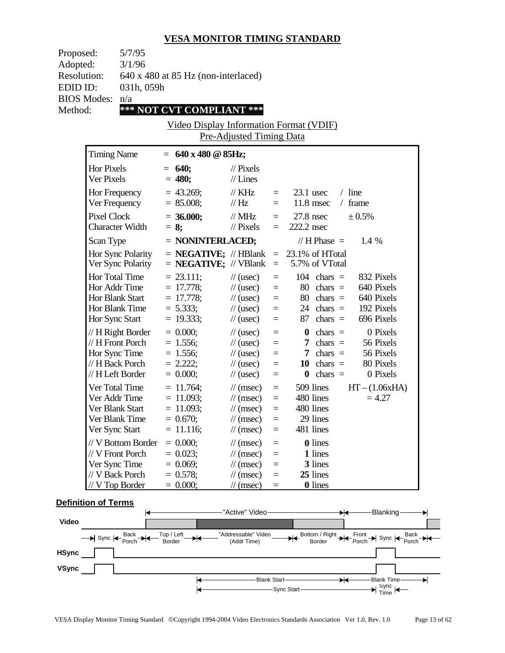| Proposed:          | 5/7/95                              |
|--------------------|-------------------------------------|
| Adopted:           | 3/1/96                              |
| <b>Resolution:</b> | 640 x 480 at 85 Hz (non-interlaced) |
| EDID ID:           | 031h, 059h                          |
| <b>BIOS Modes:</b> | n/a                                 |
| Method:            | *** NOT CVT COMPLIANT ***           |
|                    |                                     |

Video Display Information Format (VDIF) Pre-Adjusted Timing Data

| <b>Timing Name</b>                                                                              | $=$                                                                       | 640 x 480 @ 85Hz;                                                                                                                         |                                                |                                                                                                |                                                             |
|-------------------------------------------------------------------------------------------------|---------------------------------------------------------------------------|-------------------------------------------------------------------------------------------------------------------------------------------|------------------------------------------------|------------------------------------------------------------------------------------------------|-------------------------------------------------------------|
| Hor Pixels<br>Ver Pixels                                                                        | 640;<br>$=$<br>$= 480;$                                                   | $\frac{1}{2}$ Pixels<br>$//$ Lines                                                                                                        |                                                |                                                                                                |                                                             |
| Hor Frequency<br>Ver Frequency                                                                  | $= 43.269$ ;<br>$= 85.008;$                                               | $//$ KHz<br>// Hz                                                                                                                         | $=$<br>$=$                                     | $23.1$ usec<br>$/$ line<br>11.8 msec<br>$\sqrt{2}$                                             | frame                                                       |
| <b>Pixel Clock</b><br><b>Character Width</b>                                                    | $= 36.000;$<br>$= 8;$                                                     | $//$ MHz<br>$//$ Pixels                                                                                                                   | $=$<br>$=$                                     | $27.8$ nsec<br>222.2 nsec                                                                      | $\pm 0.5\%$                                                 |
| Scan Type                                                                                       |                                                                           | = NONINTERLACED;                                                                                                                          |                                                | // $H$ Phase $=$                                                                               | 1.4 %                                                       |
| Hor Sync Polarity<br>Ver Sync Polarity                                                          |                                                                           | $=$ <b>NEGATIVE;</b> // HBlank<br>$=$ <b>NEGATIVE;</b> // VBlank                                                                          | $\equiv$<br>$\equiv$                           | 23.1% of HTotal<br>5.7% of VTotal                                                              |                                                             |
| Hor Total Time<br>Hor Addr Time<br>Hor Blank Start<br>Hor Blank Time                            | $= 23.111;$<br>$= 17.778$ ;<br>$= 17.778$ ;<br>$= 5.333;$                 | $\frac{1}{2}$ (usec)<br>$\frac{1}{2}$ (usec)<br>$\frac{1}{2}$ (usec)<br>$\frac{1}{2}$ (usec)                                              | $=$<br>$\equiv$<br>$=$<br>$=$                  | 104<br>chars $=$<br>80<br>$chars =$<br>80<br>chars $=$<br>24<br>chars $=$                      | 832 Pixels<br>640 Pixels<br>640 Pixels<br>192 Pixels        |
| Hor Sync Start                                                                                  | $= 19.333;$                                                               | $\frac{1}{2}$ (usec)                                                                                                                      | $=$                                            | 87<br>chars $=$                                                                                | 696 Pixels                                                  |
| // H Right Border<br>// H Front Porch<br>Hor Sync Time<br>// H Back Porch<br>// H Left Border   | $= 0.000;$<br>$= 1.556;$<br>$= 1.556;$<br>$= 2.222$ ;<br>$= 0.000;$       | $\frac{1}{2}$ (usec)<br>$\frac{1}{2}$ (usec)<br>$\frac{1}{2}$ (usec)<br>$\frac{1}{2}$ (usec)<br>$\frac{1}{2}$ (usec)                      | $=$<br>$=$<br>Ξ<br>$=$<br>$=$                  | chars $=$<br>0<br>chars $=$<br>7<br>chars $=$<br>7<br>10<br>chars $=$<br>chars $=$<br>$\bf{0}$ | 0 Pixels<br>56 Pixels<br>56 Pixels<br>80 Pixels<br>0 Pixels |
| Ver Total Time<br>Ver Addr Time<br>Ver Blank Start<br>Ver Blank Time<br>Ver Sync Start          | $= 11.764$ ;<br>$= 11.093$ ;<br>$= 11.093$ ;<br>$= 0.670;$<br>$= 11.116;$ | $\frac{1}{\pi}$ (msec)<br>$\frac{1}{\pi}$ (msec)<br>$\frac{1}{\sqrt{2}}$ (msec)<br>$\frac{1}{\pi}$ (msec)<br>$\frac{1}{\sqrt{2}}$ (msec)  | $=$<br>$=$<br>$\equiv$<br>$\equiv$<br>$\equiv$ | 509 lines<br>480 lines<br>480 lines<br>29 lines<br>481 lines                                   | $HT - (1.06xHA)$<br>$= 4.27$                                |
| // V Bottom Border<br>// V Front Porch<br>Ver Sync Time<br>// V Back Porch<br>$//$ V Top Border | $= 0.000;$<br>$= 0.023$ ;<br>$= 0.069$ ;<br>$= 0.578;$<br>$= 0.000;$      | $\mathcal{U}$ (msec)<br>$\frac{1}{\sqrt{2}}$ (msec)<br>$\frac{1}{\sqrt{2}}$ (msec)<br>$\frac{1}{\sqrt{2}}$ (msec)<br>$\mathcal{U}$ (msec) | $=$<br>$=$<br>$\equiv$<br>$=$<br>$=$           | 0 lines<br>1 lines<br>3 lines<br>25 lines<br><b>0</b> lines                                    |                                                             |

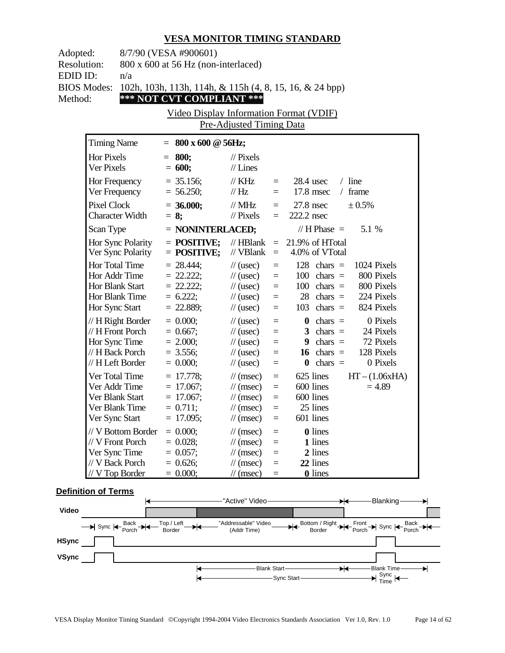| 8/7/90 (VESA #900601)<br>Adopted:<br><b>Resolution:</b><br>800 x 600 at 56 Hz (non-interlaced)<br>EDID ID:<br>n/a<br><b>BIOS Modes:</b><br>102h, 103h, 113h, 114h, & 115h (4, 8, 15, 16, & 24 bpp)<br>*** NOT CVT COMPLIANT ***<br>Method:<br>Video Display Information Format (VDIF)<br>Pre-Adjusted Timing Data |                                                                                               |                                                                          |                                                                                                                                                      |                                                          |                                                                                                                                                                                 |  |
|-------------------------------------------------------------------------------------------------------------------------------------------------------------------------------------------------------------------------------------------------------------------------------------------------------------------|-----------------------------------------------------------------------------------------------|--------------------------------------------------------------------------|------------------------------------------------------------------------------------------------------------------------------------------------------|----------------------------------------------------------|---------------------------------------------------------------------------------------------------------------------------------------------------------------------------------|--|
| <b>Timing Name</b>                                                                                                                                                                                                                                                                                                |                                                                                               | $= 800 \times 600 \text{ @ } 56$ Hz;                                     |                                                                                                                                                      |                                                          |                                                                                                                                                                                 |  |
| <b>Hor Pixels</b><br>Ver Pixels                                                                                                                                                                                                                                                                                   |                                                                                               | $= 800;$<br>$= 600;$                                                     | $\frac{1}{2}$ Pixels<br>$//$ Lines                                                                                                                   |                                                          |                                                                                                                                                                                 |  |
| Hor Frequency                                                                                                                                                                                                                                                                                                     | Ver Frequency                                                                                 | $= 35.156;$<br>$= 56.250;$                                               | $\frac{1}{K}$ KHz<br>$\frac{1}{1}$ Hz                                                                                                                | $=$ $-$<br>$=$                                           | $28.4$ usec<br>$/$ line<br>17.8 msec<br>$/$ frame                                                                                                                               |  |
| <b>Pixel Clock</b>                                                                                                                                                                                                                                                                                                | <b>Character Width</b>                                                                        | $= 36.000;$<br>$= 8$ ;                                                   | // $MHz$<br>$\frac{1}{2}$ Pixels                                                                                                                     | $=$                                                      | ± 0.5%<br>$= 27.8$ nsec<br>222.2 nsec                                                                                                                                           |  |
| Scan Type                                                                                                                                                                                                                                                                                                         |                                                                                               | $=$ NONINTERLACED;                                                       |                                                                                                                                                      |                                                          | // H Phase $=$<br>5.1 %                                                                                                                                                         |  |
|                                                                                                                                                                                                                                                                                                                   | Hor Sync Polarity<br>Ver Sync Polarity                                                        | $=$ POSITIVE;<br>$=$ POSITIVE;                                           | $//$ HBlank<br>// VBlank                                                                                                                             | $\equiv$                                                 | $= 21.9\%$ of HTotal<br>4.0% of VTotal                                                                                                                                          |  |
| Hor Total Time<br>Hor Sync Start                                                                                                                                                                                                                                                                                  | Hor Addr Time<br>Hor Blank Start<br>Hor Blank Time                                            | $= 28.444$ ;<br>$= 22.222;$<br>$= 22.222$ ;<br>$= 6.222;$<br>$= 22.889;$ | $\frac{1}{2}$ (usec)<br>$\frac{1}{2}$ (usec)<br>$\frac{1}{2}$ (usec)<br>$\frac{1}{2}$ (usec)<br>$\frac{1}{2}$ (usec)                                 | $\equiv$<br>$\equiv$<br>$\equiv$<br>$\equiv$<br>$\equiv$ | 128 chars $=$<br>1024 Pixels<br>800 Pixels<br>$100 \text{ chars} =$<br>$100 \text{ chars} =$<br>800 Pixels<br>224 Pixels<br>$28 \text{ chars} =$<br>824 Pixels<br>$103$ chars = |  |
|                                                                                                                                                                                                                                                                                                                   | // H Right Border<br>// H Front Porch<br>Hor Sync Time<br>// H Back Porch<br>// H Left Border | $= 0.000;$<br>$= 0.667;$<br>$= 2.000;$<br>$= 3.556;$<br>$= 0.000;$       | $\frac{1}{2}$ (usec)<br>$\frac{1}{2}$ (usec)<br>$\frac{1}{2}$ (usec)<br>$\frac{1}{2}$ (usec)<br>$\frac{1}{2}$ (usec)                                 | $\equiv$<br>$\equiv$<br>$\equiv$<br>$\equiv$<br>$\equiv$ | 0 Pixels<br>$\mathbf{0}$ chars =<br>24 Pixels<br>3 chars $=$<br>9 chars $=$<br>72 Pixels<br>128 Pixels<br>$16 \text{ chars} =$<br>0 Pixels<br>$\mathbf{0}$ chars =              |  |
|                                                                                                                                                                                                                                                                                                                   | Ver Total Time<br>Ver Addr Time<br>Ver Blank Start<br>Ver Blank Time<br>Ver Sync Start        | $= 17.778;$<br>$= 17.067;$<br>$= 17.067;$<br>$= 0.711;$<br>$= 17.095;$   | $\mathcal{U}$ (msec)<br>$\frac{1}{\tan(\theta)}$<br>$\frac{1}{\tan(\theta)}$<br>$\frac{1}{\tan(\theta)}$<br>$\frac{1}{\sqrt{2}}$ (msec)              | $\equiv$<br>$\equiv$<br>$\equiv$<br>$\equiv$<br>$\equiv$ | 625 lines<br>$HT - (1.06xHA)$<br>600 lines<br>$= 4.89$<br>600 lines<br>25 lines<br>601 lines                                                                                    |  |
| Ver Sync Time                                                                                                                                                                                                                                                                                                     | // V Bottom Border<br>// V Front Porch<br>// V Back Porch<br>// V Top Border                  | $= 0.000;$<br>$= 0.028;$<br>$= 0.057;$<br>$= 0.626;$<br>$= 0.000;$       | $\frac{1}{\sqrt{2}}$ (msec)<br>$\frac{1}{\sqrt{2}}$ (msec)<br>$\frac{1}{\tan(\theta)}$<br>$\frac{1}{\sqrt{2}}$ (msec)<br>$\frac{1}{\sqrt{2}}$ (msec) | $=$<br>$=$<br>$=$<br>$=$<br>$=$                          | <b>0</b> lines<br>1 lines<br>2 lines<br>22 lines<br><b>0</b> lines                                                                                                              |  |

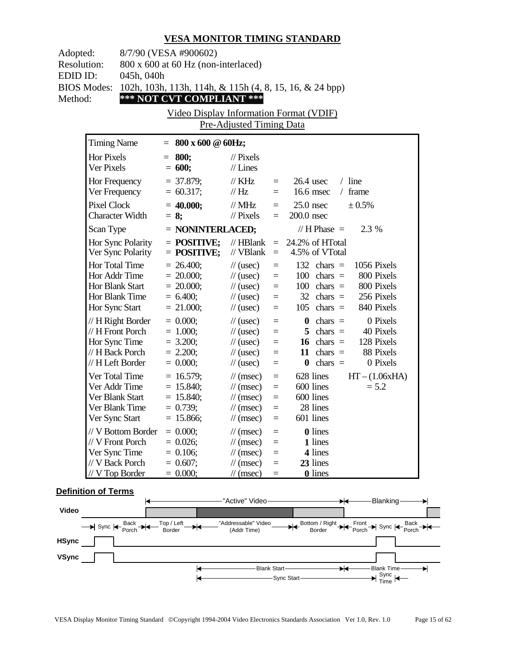| 8/7/90 (VESA #900602)<br>Adopted:<br><b>Resolution:</b><br>800 x 600 at 60 Hz (non-interlaced)<br>EDID ID:<br>045h, 040h<br><b>BIOS Modes:</b><br>102h, 103h, 113h, 114h, & 115h (4, 8, 15, 16, & 24 bpp)<br>*** NOT CVT COMPLIANT ***<br>Method:<br>Video Display Information Format (VDIF)<br><b>Pre-Adjusted Timing Data</b> |                                                                                                 |                                                                        |                                                                                                                                                      |                                                          |                                                                                                                                                                                 |  |
|---------------------------------------------------------------------------------------------------------------------------------------------------------------------------------------------------------------------------------------------------------------------------------------------------------------------------------|-------------------------------------------------------------------------------------------------|------------------------------------------------------------------------|------------------------------------------------------------------------------------------------------------------------------------------------------|----------------------------------------------------------|---------------------------------------------------------------------------------------------------------------------------------------------------------------------------------|--|
| <b>Timing Name</b>                                                                                                                                                                                                                                                                                                              |                                                                                                 | $= 800 \times 600 \text{ } @60 \text{Hz};$                             |                                                                                                                                                      |                                                          |                                                                                                                                                                                 |  |
| Hor Pixels<br>Ver Pixels                                                                                                                                                                                                                                                                                                        |                                                                                                 | $= 800;$<br>$= 600;$                                                   | $//$ Pixels<br>$//$ Lines                                                                                                                            |                                                          |                                                                                                                                                                                 |  |
| Hor Frequency                                                                                                                                                                                                                                                                                                                   | Ver Frequency                                                                                   | $= 37.879;$<br>$= 60.317;$                                             | $\frac{1}{K}$ KHz<br>$\frac{1}{1}$ Hz                                                                                                                | $=$ $-$<br>$=$ $-$                                       | $/$ line<br>$26.4$ usec<br>16.6 msec<br>frame<br>$\sqrt{2}$                                                                                                                     |  |
| <b>Pixel Clock</b>                                                                                                                                                                                                                                                                                                              | <b>Character Width</b>                                                                          | $= 40.000;$<br>$= 8:$                                                  | // $MHz$<br>$\frac{1}{2}$ Pixels                                                                                                                     | $=$<br>$=$                                               | $25.0$ nsec<br>± 0.5%<br>$200.0$ nsec                                                                                                                                           |  |
| Scan Type                                                                                                                                                                                                                                                                                                                       |                                                                                                 | $=$ NONINTERLACED;                                                     |                                                                                                                                                      |                                                          | // H Phase $=$<br>2.3 %                                                                                                                                                         |  |
|                                                                                                                                                                                                                                                                                                                                 | Hor Sync Polarity<br>Ver Sync Polarity                                                          | $=$ POSITIVE;<br>$=$ POSITIVE;                                         | $\mathcal{U}$ HBlank<br>// VBlank                                                                                                                    | $=$<br>$\equiv$                                          | 24.2% of HTotal<br>4.5% of VTotal                                                                                                                                               |  |
| Hor Sync Start                                                                                                                                                                                                                                                                                                                  | Hor Total Time<br>Hor Addr Time<br>Hor Blank Start<br>Hor Blank Time                            | $= 26.400;$<br>$= 20.000;$<br>$= 20.000;$<br>$= 6.400;$<br>$= 21.000;$ | $\frac{1}{2}$ (usec)<br>$\frac{1}{2}$ (usec)<br>$\frac{1}{2}$ (usec)<br>$\frac{1}{2}$ (usec)<br>$\frac{1}{2}$ (usec)                                 | $\equiv$<br>$\equiv$<br>$\equiv$<br>$\equiv$<br>$=$      | 1056 Pixels<br>132 chars $=$<br>$100 \text{ chars} =$<br>800 Pixels<br>800 Pixels<br>$100 \text{ chars} =$<br>256 Pixels<br>$32 \text{ chars} =$<br>840 Pixels<br>$105$ chars = |  |
|                                                                                                                                                                                                                                                                                                                                 | // H Right Border<br>// H Front Porch<br>Hor Sync Time<br>// H Back Porch<br>// H Left Border   | $= 0.000;$<br>$= 1.000;$<br>$= 3.200;$<br>$= 2.200;$<br>$= 0.000;$     | $\frac{1}{2}$ (usec)<br>$\frac{1}{2}$ (usec)<br>$\frac{1}{2}$ (usec)<br>$\frac{1}{2}$ (usec)<br>$\frac{1}{2}$ (usec)                                 | $\equiv$<br>$\equiv$<br>$\equiv$<br>$\equiv$<br>$\equiv$ | 0 Pixels<br>$\mathbf{0}$ chars =<br>$5 \text{ chars} =$<br>40 Pixels<br>128 Pixels<br>16 chars $=$<br>88 Pixels<br>11 chars $=$<br>0 Pixels<br>$\theta$ chars =                 |  |
|                                                                                                                                                                                                                                                                                                                                 | Ver Total Time<br>Ver Addr Time<br>Ver Blank Start<br>Ver Blank Time<br>Ver Sync Start          | $= 16.579;$<br>$= 15.840;$<br>$= 15.840;$<br>$= 0.739;$<br>$= 15.866;$ | $\mathcal{U}$ (msec)<br>$\frac{1}{\sqrt{2}}$ (msec)<br>$\frac{1}{\sqrt{2}}$ (msec)<br>$\frac{1}{\sqrt{2}}$ (msec)<br>$\frac{1}{2}$ (msec)            | $\equiv$<br>$\equiv$<br>$=$<br>$=$<br>$=$                | 628 lines<br>$HT - (1.06xHA)$<br>600 lines<br>$= 5.2$<br>600 lines<br>28 lines<br>601 lines                                                                                     |  |
|                                                                                                                                                                                                                                                                                                                                 | // V Bottom Border<br>// V Front Porch<br>Ver Sync Time<br>// V Back Porch<br>$// V$ Top Border | $= 0.000;$<br>$= 0.026;$<br>$= 0.106;$<br>$= 0.607;$<br>$= 0.000;$     | $\frac{1}{\sqrt{2}}$ (msec)<br>$\frac{1}{\sqrt{2}}$ (msec)<br>$\frac{1}{\sqrt{2}}$ (msec)<br>$\frac{1}{\tan(\theta)}$<br>$\frac{1}{\sqrt{2}}$ (msec) | $=$<br>$=$<br>$=$<br>$=$<br>$=$                          | 0 lines<br>1 lines<br>4 lines<br>23 lines<br><b>0</b> lines                                                                                                                     |  |

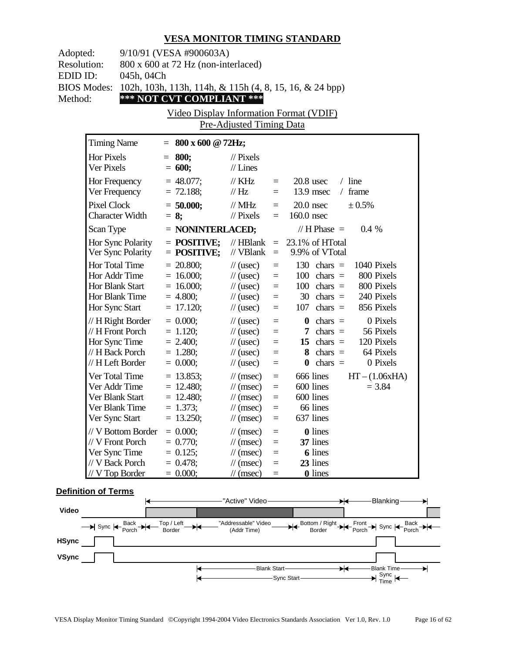| Adopted:<br><b>Resolution:</b><br>EDID ID:<br><b>BIOS Modes:</b><br>Method: | 9/10/91 (VESA #900603A)<br>800 x 600 at 72 Hz (non-interlaced)<br>045h, 04Ch<br>*** NOT CVT COMPLIANT *** | 102h, 103h, 113h, 114h, & 115h (4, 8, 15, 16, & 24 bpp)<br>Video Display Information Format (VDIF)<br>Pre-Adjusted Timing Data |                                                                                                                                                    |                                                     |                                                                                                                                                                                         |  |
|-----------------------------------------------------------------------------|-----------------------------------------------------------------------------------------------------------|--------------------------------------------------------------------------------------------------------------------------------|----------------------------------------------------------------------------------------------------------------------------------------------------|-----------------------------------------------------|-----------------------------------------------------------------------------------------------------------------------------------------------------------------------------------------|--|
| <b>Timing Name</b>                                                          |                                                                                                           | $= 800 \times 600 \text{ @ } 72 \text{Hz};$                                                                                    |                                                                                                                                                    |                                                     |                                                                                                                                                                                         |  |
| <b>Hor Pixels</b><br>Ver Pixels                                             |                                                                                                           | $= 800;$<br>$= 600;$                                                                                                           | $\frac{1}{2}$ Pixels<br>$//$ Lines                                                                                                                 |                                                     |                                                                                                                                                                                         |  |
| Hor Frequency                                                               | Ver Frequency                                                                                             | $= 48.077$ ;<br>$= 72.188;$                                                                                                    | $\frac{1}{K}$ KHz<br>$\frac{1}{1}$ Hz                                                                                                              | $=$ $-$<br>$\equiv$                                 | $20.8$ usec<br>$/$ line<br>$13.9$ msec<br>frame<br>$\sqrt{2}$                                                                                                                           |  |
| <b>Pixel Clock</b>                                                          | <b>Character Width</b>                                                                                    | $= 50.000;$<br>$= 8;$                                                                                                          | // $MHz$<br>$//$ Pixels                                                                                                                            | $\equiv$<br>$=$                                     | $20.0$ nsec<br>± 0.5%<br>$160.0$ nsec                                                                                                                                                   |  |
| Scan Type                                                                   |                                                                                                           | $=$ NONINTERLACED;                                                                                                             |                                                                                                                                                    |                                                     | // H Phase $=$<br>$0.4\%$                                                                                                                                                               |  |
|                                                                             | Hor Sync Polarity<br>Ver Sync Polarity                                                                    | $=$ POSITIVE;<br>$=$ POSITIVE;                                                                                                 | $//$ HBlank<br>// VBlank                                                                                                                           | $\equiv$<br>$\equiv$                                | 23.1% of HTotal<br>9.9% of VTotal                                                                                                                                                       |  |
| Hor Sync Start                                                              | Hor Total Time<br>Hor Addr Time<br>Hor Blank Start<br>Hor Blank Time                                      | $= 20.800;$<br>$= 16.000;$<br>$= 16.000;$<br>$= 4.800;$<br>$= 17.120;$                                                         | $\frac{1}{2}$ (usec)<br>$\frac{1}{2}$ (usec)<br>$\frac{1}{2}$ (usec)<br>$\frac{1}{2}$ (usec)<br>$\frac{1}{2}$ (usec)                               | $\equiv$<br>$\equiv$<br>$\equiv$<br>$\equiv$<br>$=$ | 130 chars $=$<br>1040 Pixels<br>$100 \text{ chars} =$<br>800 Pixels<br>$100 \text{ chars} =$<br>800 Pixels<br>240 Pixels<br>$30 \text{ chars} =$<br>856 Pixels<br>$107 \text{ chars} =$ |  |
|                                                                             | // H Right Border<br>// H Front Porch<br>Hor Sync Time<br>// H Back Porch<br>// H Left Border             | $= 0.000;$<br>$= 1.120;$<br>$= 2.400;$<br>$= 1.280;$<br>$= 0.000;$                                                             | $\frac{1}{2}$ (usec)<br>$\frac{1}{2}$ (usec)<br>$\frac{1}{2}$ (usec)<br>$\frac{1}{2}$ (usec)<br>$\frac{1}{2}$ (usec)                               | $=$<br>$\equiv$<br>$\equiv$<br>$=$<br>$\equiv$      | 0 Pixels<br>$\mathbf{0}$ chars =<br>56 Pixels<br>7 chars $=$<br>15 chars $=$<br>120 Pixels<br>$8 \text{ chars} =$<br>64 Pixels<br>$\theta$ chars =<br>0 Pixels                          |  |
|                                                                             | Ver Total Time<br>Ver Addr Time<br>Ver Blank Start<br>Ver Blank Time<br>Ver Sync Start                    | $= 13.853;$<br>$= 12.480;$<br>$= 12.480;$<br>$= 1.373;$<br>13.250;                                                             | $\frac{1}{\tan(\theta)}$<br>$\frac{1}{\pi}$ (msec)<br>$\frac{1}{\tan(\theta)}$<br>$\frac{1}{\sqrt{2}}$ (msec)<br>$\frac{1}{\sqrt{2}}$ (msec)       | $\equiv$<br>$\equiv$<br>$\equiv$<br>$\equiv$<br>$=$ | 666 lines<br>$HT - (1.06xHA)$<br>600 lines<br>$= 3.84$<br>600 lines<br>66 lines<br>637 lines                                                                                            |  |
|                                                                             | // V Bottom Border<br>// V Front Porch<br>Ver Sync Time<br>// V Back Porch<br>// V Top Border             | $= 0.000;$<br>$= 0.770;$<br>$= 0.125$ ;<br>$= 0.478;$<br>$= 0.000;$                                                            | $\frac{1}{\pi}$ (msec)<br>$\frac{1}{\sqrt{2}}$ (msec)<br>$\frac{1}{\sqrt{2}}$ (msec)<br>$\frac{1}{\sqrt{2}}$ (msec)<br>$\frac{1}{\sqrt{2}}$ (msec) | $=$<br>$=$<br>$=$<br>$=$<br>$=$                     | <b>0</b> lines<br>37 lines<br><b>6</b> lines<br>23 lines<br><b>0</b> lines                                                                                                              |  |

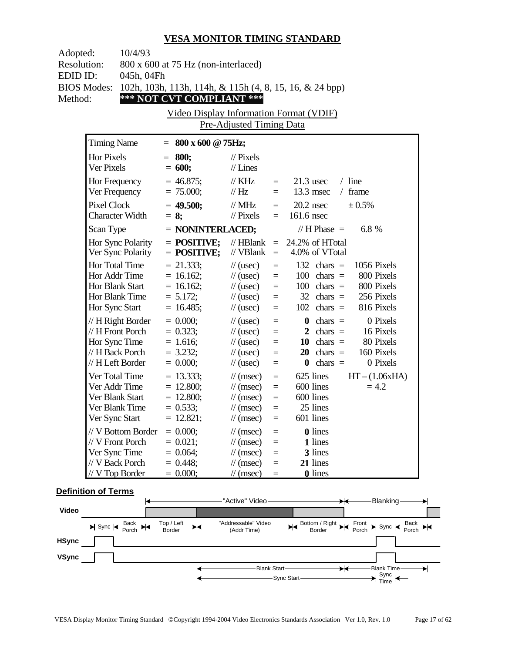| Adopted:           | 10/4/93                          |                                                         |                                                         |                 |                                                                         |  |
|--------------------|----------------------------------|---------------------------------------------------------|---------------------------------------------------------|-----------------|-------------------------------------------------------------------------|--|
| <b>Resolution:</b> |                                  | 800 x 600 at 75 Hz (non-interlaced)                     |                                                         |                 |                                                                         |  |
| EDID ID:           | 045h, 04Fh                       |                                                         |                                                         |                 |                                                                         |  |
| <b>BIOS Modes:</b> |                                  | 102h, 103h, 113h, 114h, & 115h (4, 8, 15, 16, & 24 bpp) |                                                         |                 |                                                                         |  |
| Method:            |                                  | *** NOT CVT COMPLIANT ***                               |                                                         |                 |                                                                         |  |
|                    |                                  | Video Display Information Format (VDIF)                 |                                                         |                 |                                                                         |  |
|                    |                                  |                                                         | Pre-Adjusted Timing Data                                |                 |                                                                         |  |
|                    | <b>Timing Name</b>               | $= 800 \times 600 \text{ @ } 75 \text{Hz};$             |                                                         |                 |                                                                         |  |
|                    | Hor Pixels                       | $= 800;$                                                | $\frac{1}{2}$ Pixels                                    |                 |                                                                         |  |
|                    | Ver Pixels                       | $= 600;$                                                | $//$ Lines                                              |                 |                                                                         |  |
|                    | Hor Frequency                    | $= 46.875$ ;                                            | $\frac{1}{K}$ KHz                                       | $=$             | $/$ line<br>$21.3$ usec                                                 |  |
|                    | Ver Frequency                    | $= 75.000;$                                             | $\frac{1}{1}$ Hz                                        | $=$             | $13.3$ msec<br>/ frame                                                  |  |
|                    | <b>Pixel Clock</b>               | $= 49.500;$                                             | // $MHz$                                                | $\equiv$        | ± 0.5%<br>$20.2$ nsec                                                   |  |
|                    | <b>Character Width</b>           | $= 8$ ;                                                 | $\frac{1}{2}$ Pixels                                    | $=$             | $161.6$ nsec                                                            |  |
|                    | Scan Type                        | $=$ NONINTERLACED;                                      |                                                         |                 | 6.8 %<br>// H Phase $=$                                                 |  |
|                    | Hor Sync Polarity                | $=$ POSITIVE;                                           | $//$ HBlank                                             | $\equiv$        | 24.2% of HTotal                                                         |  |
|                    | Ver Sync Polarity                | $=$ POSITIVE;                                           | // $VBlank =$                                           |                 | 4.0% of VTotal                                                          |  |
|                    | Hor Total Time                   | $= 21.333;$                                             | $\frac{1}{2}$ (usec)                                    | $\equiv$        | 132 chars $=$<br>1056 Pixels                                            |  |
|                    | Hor Addr Time                    | $= 16.162;$                                             | $\frac{1}{2}$ (usec)                                    | $\equiv$        | 800 Pixels<br>$100 \text{ chars} =$                                     |  |
|                    | Hor Blank Start                  | $= 16.162;$                                             | $\frac{1}{2}$ (usec)                                    | $\equiv$        | 800 Pixels<br>$100 \text{ chars} =$                                     |  |
|                    | Hor Blank Time                   | $= 5.172;$                                              | $\frac{1}{2}$ (usec)                                    | $=$             | 256 Pixels<br>$32 \text{ chars} =$                                      |  |
|                    | Hor Sync Start                   | $= 16.485;$                                             | $\frac{1}{2}$ (usec)                                    | $=$             | 816 Pixels<br>$102 \text{ chars} =$                                     |  |
|                    | // H Right Border                | $= 0.000;$                                              | $\frac{1}{2}$ (usec)                                    | $=$             | 0 Pixels<br>$\mathbf{0}$ chars =                                        |  |
|                    | // H Front Porch                 | $= 0.323;$                                              | $\frac{1}{2}$ (usec)                                    | $\equiv$        | 2 chars $=$<br>16 Pixels                                                |  |
|                    | Hor Sync Time<br>// H Back Porch | $= 1.616;$<br>$= 3.232;$                                | $\frac{1}{2}$ (usec)<br>$\frac{1}{2}$ (usec)            | $=$<br>$=$      | $10 \text{ chars} =$<br>80 Pixels<br>$20 \text{ chars} =$<br>160 Pixels |  |
|                    | // H Left Border                 | $= 0.000;$                                              | $\frac{1}{2}$ (usec)                                    | $=$             | 0 Pixels<br>$\theta$ chars =                                            |  |
|                    | Ver Total Time                   | $= 13.333;$                                             |                                                         |                 | 625 lines<br>$HT - (1.06xHA)$                                           |  |
|                    | Ver Addr Time                    | $= 12.800;$                                             | $\frac{1}{\tan(\theta)}$<br>$\frac{1}{\sqrt{2}}$ (msec) | $=$<br>$\equiv$ | 600 lines<br>$= 4.2$                                                    |  |
|                    | Ver Blank Start                  | $= 12.800;$                                             | $\frac{1}{\tan(\theta)}$                                | $\equiv$        | 600 lines                                                               |  |
|                    | Ver Blank Time                   | $= 0.533;$                                              | $\frac{1}{\sqrt{2}}$ (msec)                             | $=$             | 25 lines                                                                |  |
|                    | Ver Sync Start                   | 12.821;                                                 | $\frac{1}{2}$ (msec)                                    |                 | 601 lines                                                               |  |
|                    | // V Bottom Border               | $= 0.000;$                                              | $\frac{1}{\sqrt{2}}$ (msec)                             | $=$             | 0 lines                                                                 |  |
|                    | // V Front Porch                 | $= 0.021;$                                              | $\frac{1}{\sqrt{2}}$ (msec)                             | $=$             | 1 lines                                                                 |  |
|                    | Ver Sync Time                    | $= 0.064;$                                              | $\frac{1}{\sqrt{2}}$ (msec)                             | $=$             | 3 lines                                                                 |  |
|                    | // V Back Porch                  | $= 0.448;$                                              | $\frac{1}{\sqrt{2}}$ (msec)                             | $=$             | 21 lines                                                                |  |
|                    | $//V$ Top Border                 | $= 0.000;$                                              | $\frac{1}{\sqrt{2}}$ (msec)                             | $=$             | <b>0</b> lines                                                          |  |

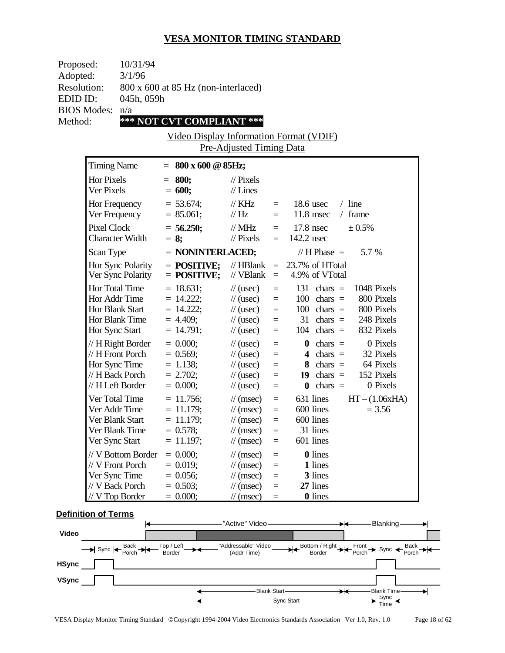| Proposed:          |                                 | 10/31/94               |                                             |                                    |                 |                            |              |
|--------------------|---------------------------------|------------------------|---------------------------------------------|------------------------------------|-----------------|----------------------------|--------------|
| Adopted:           |                                 | 3/1/96                 |                                             |                                    |                 |                            |              |
| Resolution:        |                                 |                        | $800 \times 600$ at 85 Hz (non-interlaced)  |                                    |                 |                            |              |
| EDID ID:           |                                 | 045h, 059h             |                                             |                                    |                 |                            |              |
| <b>BIOS</b> Modes: |                                 | n/a                    |                                             |                                    |                 |                            |              |
| Method:            |                                 |                        | *** NOT CVT COMPLIANT ***                   |                                    |                 |                            |              |
|                    |                                 |                        | Video Display Information Format (VDIF)     | Pre-Adjusted Timing Data           |                 |                            |              |
|                    | <b>Timing Name</b>              |                        | $= 800 \times 600 \text{ @ } 85 \text{Hz};$ |                                    |                 |                            |              |
|                    | <b>Hor Pixels</b><br>Ver Pixels |                        | $= 800;$<br>$= 600;$                        | $\mathcal{U}$ Pixels<br>$//$ Lines |                 |                            |              |
|                    | Hor Frequency<br>Ver Frequency  |                        | $= 53.674;$<br>$= 85.061$ ;                 | // KHz<br>$\mathcal{U}$ Hz         | $=$<br>$=$      | $18.6$ usec<br>$11.8$ msec | line<br>fran |
|                    | <b>Pixel Clock</b>              | <b>Character Width</b> | $= 56.250;$<br>$= 8$ ;                      | // MHz<br>$\mathcal{U}$ Pixels     | $\equiv$<br>$=$ | $17.8$ nsec<br>142.2 nsec  | $\pm 0.$     |

| That I requestly<br>Ver Frequency      | $-$ 00.01 T,<br>$= 85.061;$    | $\frac{1}{1}$ Hz                                | $\equiv$             | $11.8$ msec<br>frame<br>$\sqrt{2}$                |
|----------------------------------------|--------------------------------|-------------------------------------------------|----------------------|---------------------------------------------------|
| Pixel Clock<br>Character Width         | $= 56.250;$<br>$= 8;$          | $\text{/}/\text{/}$ MHz<br>$\frac{1}{2}$ Pixels | $=$<br>$=$           | $17.8$ nsec<br>$\pm 0.5\%$<br>142.2 nsec          |
| Scan Type                              | $=$ NONINTERLACED;             |                                                 |                      | // H Phase $=$<br>5.7 %                           |
| Hor Sync Polarity<br>Ver Sync Polarity | $=$ POSITIVE;<br>$=$ POSITIVE; | $\mathcal{U}$ HBlank<br>// VBlank               | $\equiv$<br>$\equiv$ | 23.7% of HTotal<br>4.9% of VTotal                 |
| Hor Total Time                         | $= 18.631;$                    | $\frac{1}{2}$ (usec)                            | $\equiv$             | 131<br>1048 Pixels<br>chars $=$                   |
| Hor Addr Time                          | $= 14.222;$                    | $\frac{1}{2}$ (usec)                            | $\equiv$             | 800 Pixels<br>100<br>chars $=$                    |
| Hor Blank Start                        | $= 14.222$ ;                   | $\frac{1}{2}$ (usec)                            | $=$                  | 100<br>800 Pixels<br>chars $=$                    |
| Hor Blank Time                         | $= 4.409;$                     | $\frac{1}{2}$ (usec)                            | $=$                  | 31<br>248 Pixels<br>chars $=$                     |
| Hor Sync Start                         | $= 14.791;$                    | $\frac{1}{2}$ (usec)                            | $=$                  | 832 Pixels<br>$104$ chars =                       |
| // H Right Border                      | $= 0.000;$                     | $\frac{1}{2}$ (usec)                            | $=$                  | 0 Pixels<br>$\theta$ chars =                      |
| // H Front Porch                       | $= 0.569$ ;                    | $\frac{1}{2}$ (usec)                            | $\equiv$             | chars $=$<br>32 Pixels<br>$\overline{\mathbf{4}}$ |
| Hor Sync Time                          | $= 1.138;$                     | $\frac{1}{2}$ (usec)                            | $=$                  | chars $=$<br>64 Pixels<br>8                       |
| // H Back Porch                        | $= 2.702;$                     | $\frac{1}{2}$ (usec)                            | $=$                  | 152 Pixels<br>$chars =$<br>19                     |
| // H Left Border                       | $= 0.000;$                     | $\frac{1}{2}$ (usec)                            | $=$                  | chars $=$<br>0 Pixels<br>$\bf{0}$                 |
| Ver Total Time                         | $= 11.756$ ;                   | $\mathcal{U}$ (msec)                            | $\equiv$             | $HT - (1.06xHA)$<br>631 lines                     |
| Ver Addr Time                          | $= 11.179;$                    | $\frac{1}{\pi}$ (msec)                          | $=$                  | 600 lines<br>$= 3.56$                             |
| Ver Blank Start                        | $= 11.179;$                    | $\mathcal{U}$ (msec)                            | $=$                  | 600 lines                                         |
| Ver Blank Time                         | $= 0.578;$                     | $\mathcal{U}$ (msec)                            | $=$                  | 31 lines                                          |
| Ver Sync Start                         | $= 11.197;$                    | $\mathcal{U}$ (msec)                            | $=$                  | 601 lines                                         |
| // V Bottom Border                     | $= 0.000$ ;                    | $\mathcal{U}$ (msec)                            | $\equiv$             | <b>0</b> lines                                    |
| // V Front Porch                       | $= 0.019$ ;                    | $\mathcal{U}$ (msec)                            | $\equiv$             | 1 lines                                           |
| Ver Sync Time                          | $= 0.056;$                     | $\frac{1}{\sqrt{2}}$ (msec)                     | $\equiv$             | 3 lines                                           |
| // V Back Porch                        | $= 0.503$ ;                    | $\mathcal{U}$ (msec)                            | $=$                  | 27 lines                                          |
| $//V$ Top Border                       | $= 0.000;$                     | $\frac{1}{\pi}$ (msec)                          | $=$                  | <b>0</b> lines                                    |

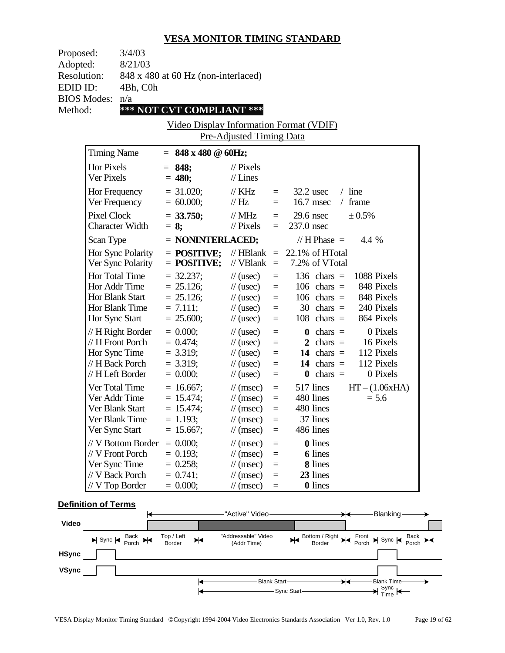| Proposed:          | 3/4/03                              |
|--------------------|-------------------------------------|
| Adopted:           | 8/21/03                             |
| <b>Resolution:</b> | 848 x 480 at 60 Hz (non-interlaced) |
| EDID ID:           | 4Bh, C0h                            |
| <b>BIOS Modes:</b> | n/a                                 |
| Method:            | *** NOT CVT COMPLIANT ***           |

Video Display Information Format (VDIF) Pre-Adjusted Timing Data

| <b>Timing Name</b>                                                                              | $= 848 \times 480 \text{ } \textcircled{a} 60 \text{Hz};$                |                                                                                                                                           |                                      |                                                                                                                                                                 |
|-------------------------------------------------------------------------------------------------|--------------------------------------------------------------------------|-------------------------------------------------------------------------------------------------------------------------------------------|--------------------------------------|-----------------------------------------------------------------------------------------------------------------------------------------------------------------|
| <b>Hor Pixels</b><br>Ver Pixels                                                                 | 848;<br>$=$<br>$= 480;$                                                  | $\frac{1}{2}$ Pixels<br>$//$ Lines                                                                                                        |                                      |                                                                                                                                                                 |
| Hor Frequency<br>Ver Frequency                                                                  | $= 31.020$ ;<br>$= 60.000;$                                              | // KHz<br>$\frac{1}{1}$ Hz                                                                                                                | $=$<br>$=$                           | $/$ line<br>$32.2$ usec<br>16.7 msec<br>frame<br>$\sqrt{2}$                                                                                                     |
| <b>Pixel Clock</b><br><b>Character Width</b>                                                    | $= 33.750;$<br>$= 8$ ;                                                   | $\frac{1}{M}$ MHz<br>$\frac{1}{2}$ Pixels                                                                                                 | $=$<br>$=$                           | $29.6$ nsec<br>± 0.5%<br>237.0 nsec                                                                                                                             |
| Scan Type                                                                                       | = NONINTERLACED;                                                         |                                                                                                                                           |                                      | $// H Phase =$<br>4.4 %                                                                                                                                         |
| Hor Sync Polarity<br>Ver Sync Polarity                                                          | $=$ POSITIVE;<br>$=$ POSITIVE;                                           | $//$ HBlank<br>// VBlank                                                                                                                  | $\equiv$<br>$\equiv$                 | 22.1% of HTotal<br>7.2% of VTotal                                                                                                                               |
| Hor Total Time<br>Hor Addr Time<br>Hor Blank Start<br>Hor Blank Time<br>Hor Sync Start          | $= 32.237$ ;<br>$= 25.126;$<br>$= 25.126$ ;<br>$= 7.111;$<br>$= 25.600;$ | $\frac{1}{2}$ (usec)<br>$\frac{1}{2}$ (usec)<br>$\frac{1}{2}$ (usec)<br>$\frac{1}{2}$ (usec)<br>$\frac{1}{2}$ (usec)                      | $=$<br>$=$<br>$=$<br>$=$<br>$=$      | 136 chars $=$<br>1088 Pixels<br>848 Pixels<br>$106$ chars =<br>848 Pixels<br>$106$ chars =<br>$30 \text{ chars} =$<br>240 Pixels<br>864 Pixels<br>$108$ chars = |
| // H Right Border<br>// H Front Porch<br>Hor Sync Time<br>// H Back Porch<br>// H Left Border   | $= 0.000;$<br>$= 0.474$ ;<br>$= 3.319;$<br>$= 3.319$ ;<br>$= 0.000;$     | $\frac{1}{2}$ (usec)<br>$\frac{1}{2}$ (usec)<br>$\frac{1}{2}$ (usec)<br>$\frac{1}{2}$ (usec)<br>$\frac{1}{2}$ (usec)                      | $=$<br>$=$<br>$=$<br>$=$<br>$=$      | 0 Pixels<br>$\bf{0}$<br>$chars =$<br>2 chars $=$<br>16 Pixels<br>112 Pixels<br>14 chars $=$<br>14 chars $=$<br>112 Pixels<br>$chars =$<br>0 Pixels<br>$\bf{0}$  |
| Ver Total Time<br>Ver Addr Time<br>Ver Blank Start<br>Ver Blank Time<br>Ver Sync Start          | $= 16.667$ ;<br>$= 15.474;$<br>$= 15.474$ ;<br>$= 1.193;$<br>$= 15.667;$ | $\mathcal{U}$ (msec)<br>$\frac{1}{\tan(\theta)}$<br>$\frac{1}{\pi}$ (msec)<br>$\frac{1}{\pi}$ (msec)<br>$\frac{1}{\tan(\theta)}$          | $\equiv$<br>$=$<br>$=$<br>$=$<br>$=$ | 517 lines<br>$HT - (1.06xHA)$<br>480 lines<br>$= 5.6$<br>480 lines<br>37 lines<br>486 lines                                                                     |
| // V Bottom Border<br>// V Front Porch<br>Ver Sync Time<br>// V Back Porch<br>$//$ V Top Border | $= 0.000;$<br>$= 0.193$ ;<br>$= 0.258;$<br>$= 0.741$ ;<br>$= 0.000;$     | $\frac{1}{\tan(\theta)}$<br>$\frac{1}{\tan(\theta)}$<br>$\frac{1}{\tan(\theta)}$<br>$\frac{1}{\pi}$ (msec)<br>$\frac{1}{\sqrt{2}}$ (msec) | $=$<br>$=$<br>$=$<br>$=$<br>$=$      | <b>0</b> lines<br>6 lines<br>8 lines<br>23 lines<br>0 lines                                                                                                     |

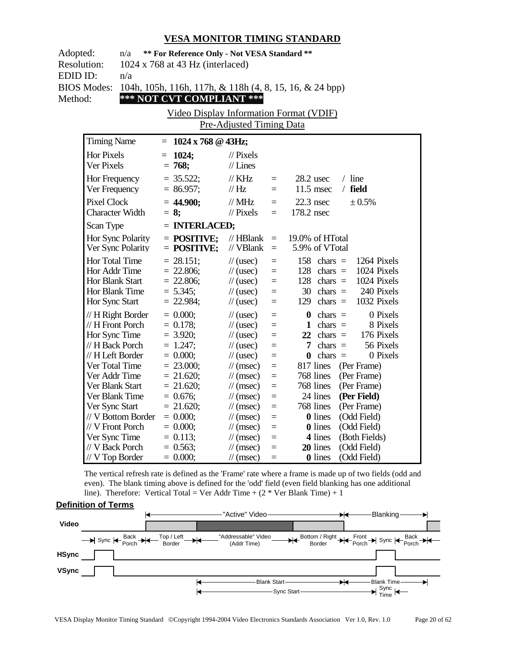| Adopted:           | n/a                    | ** For Reference Only - Not VESA Standard **            |                             |     |                                       |
|--------------------|------------------------|---------------------------------------------------------|-----------------------------|-----|---------------------------------------|
| <b>Resolution:</b> |                        | 1024 x 768 at 43 Hz (interlaced)                        |                             |     |                                       |
| EDID ID:           | n/a                    |                                                         |                             |     |                                       |
|                    | <b>BIOS Modes:</b>     | 104h, 105h, 116h, 117h, & 118h (4, 8, 15, 16, & 24 bpp) |                             |     |                                       |
| Method:            |                        | *** NOT CVT COMPLIANT ***                               |                             |     |                                       |
|                    |                        | Video Display Information Format (VDIF)                 |                             |     |                                       |
|                    |                        |                                                         | Pre-Adjusted Timing Data    |     |                                       |
|                    | <b>Timing Name</b>     | $= 1024 \times 768 \text{ } @43 \text{Hz};$             |                             |     |                                       |
|                    | <b>Hor Pixels</b>      | 1024;<br>$=$                                            | $//$ Pixels                 |     |                                       |
|                    | Ver Pixels             | $= 768;$                                                | $//$ Lines                  |     |                                       |
|                    | Hor Frequency          | $= 35.522$ ;                                            | $//$ KHz                    | $=$ | $/$ line<br>28.2 usec                 |
|                    | Ver Frequency          | $= 86.957;$                                             | // Hz                       | $=$ | $11.5$ msec<br>$/$ field              |
|                    | <b>Pixel Clock</b>     | $= 44.900;$                                             | $//$ MHz                    | $=$ | $22.3$ nsec<br>± 0.5%                 |
|                    | <b>Character Width</b> | $= 8$ ;                                                 | $//$ Pixels                 | $=$ | 178.2 nsec                            |
|                    | Scan Type              | = INTERLACED;                                           |                             |     |                                       |
|                    | Hor Sync Polarity      | $=$ POSITIVE;                                           | $//$ HBlank                 | $=$ | 19.0% of HTotal                       |
|                    | Ver Sync Polarity      | $=$ POSITIVE;                                           | // VBlank                   | $=$ | 5.9% of VTotal                        |
|                    | Hor Total Time         | $= 28.151$ ;                                            | $\frac{1}{2}$ (usec)        | $=$ | 158 chars $=$<br>1264 Pixels          |
|                    | Hor Addr Time          | $= 22.806$ ;                                            | $\frac{1}{2}$ (usec)        | $=$ | 128 chars $=$<br>1024 Pixels          |
|                    | Hor Blank Start        | $= 22.806$ ;                                            | $\frac{1}{2}$ (usec)        | $=$ | 128 chars $=$<br>1024 Pixels          |
|                    | Hor Blank Time         | $= 5.345$ ;                                             | $\frac{1}{2}$ (usec)        | $=$ | 240 Pixels<br>$30$ chars =            |
|                    | Hor Sync Start         | $= 22.984;$                                             | $\frac{1}{2}$ (usec)        | $=$ | 1032 Pixels<br>129 chars $=$          |
|                    | // H Right Border      | $= 0.000;$                                              | $\frac{1}{2}$ (usec)        | $=$ | 0 Pixels<br>$chars =$<br>$\bf{0}$     |
|                    | // H Front Porch       | $= 0.178$ ;                                             | $\frac{1}{2}$ (usec)        | $=$ | 8 Pixels<br>chars $=$<br>$\mathbf{1}$ |
|                    | Hor Sync Time          | $= 3.920;$                                              | $\frac{1}{2}$ (usec)        | $=$ | 22 chars $=$<br>176 Pixels            |
|                    | // H Back Porch        | $= 1.247$ ;                                             | $\frac{1}{2}$ (usec)        | $=$ | $chars =$<br>56 Pixels<br>7           |
|                    | // H Left Border       | $= 0.000;$                                              | $\frac{1}{2}$ (usec)        | $=$ | $chars =$<br>0 Pixels<br>0            |
|                    | Ver Total Time         | $= 23.000;$                                             | $\frac{1}{\pi}$ (msec)      | $=$ | 817 lines<br>(Per Frame)              |
|                    | Ver Addr Time          | $= 21.620;$                                             | $\frac{1}{\sqrt{2}}$ (msec) | $=$ | 768 lines<br>(Per Frame)              |
|                    | Ver Blank Start        | $= 21.620$ ;                                            | $\frac{1}{\sqrt{2}}$ (msec) | $=$ | 768 lines<br>(Per Frame)              |
|                    | Ver Blank Time         | $= 0.676$ ;                                             | $\frac{1}{\sqrt{2}}$ (msec) | $=$ | 24 lines<br>(Per Field)               |
|                    | Ver Sync Start         | $= 21.620;$                                             | $\frac{1}{\sqrt{2}}$ (msec) | $=$ | 768 lines<br>(Per Frame)              |
|                    | // V Bottom Border     | $= 0.000;$                                              | $\frac{1}{\sqrt{2}}$ (msec) | $=$ | <b>0</b> lines<br>(Odd Field)         |
|                    | // V Front Porch       | $= 0.000;$                                              | $\frac{1}{\sqrt{2}}$ (msec) | $=$ | <b>0</b> lines<br>(Odd Field)         |
|                    | Ver Sync Time          | $= 0.113$ ;                                             | $\frac{1}{\sqrt{2}}$ (msec) | $=$ | 4 lines<br>(Both Fields)              |
|                    | // V Back Porch        | $= 0.563$ ;                                             | $\frac{1}{\sqrt{2}}$ (msec) | $=$ | (Odd Field)<br>20 lines               |
|                    | // V Top Border        | $= 0.000;$                                              | $\frac{1}{\sqrt{2}}$ (msec) | $=$ | <b>0</b> lines<br>(Odd Field)         |

The vertical refresh rate is defined as the 'Frame' rate where a frame is made up of two fields (odd and even). The blank timing above is defined for the 'odd' field (even field blanking has one additional line). Therefore: Vertical Total = Ver Addr Time +  $(2 * Ver Blank Time) + 1$ 

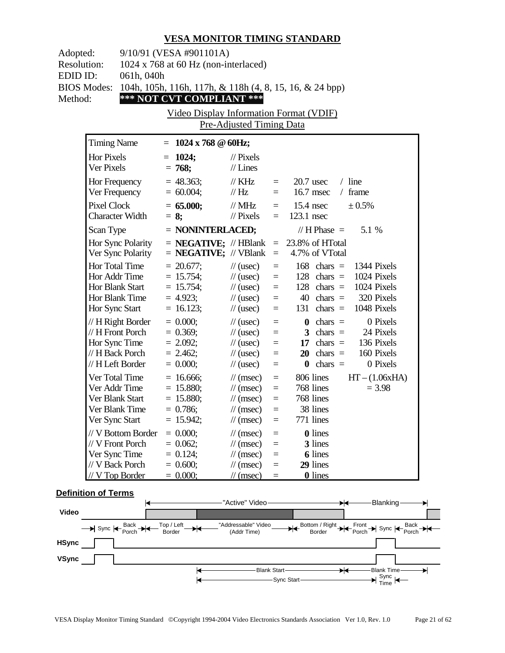| Adopted:<br><b>Resolution:</b><br>EDID ID:<br><b>BIOS Modes:</b><br>Method: | 9/10/91 (VESA #901101A)<br>1024 x 768 at 60 Hz (non-interlaced)<br>061h, 040h<br>104h, 105h, 116h, 117h, & 118h (4, 8, 15, 16, & 24 bpp)<br>*** NOT CVT COMPLIANT ***<br>Video Display Information Format (VDIF) |                                                                                       |                                                                                                                                                      |                                                          |                                                                                                                                                                         |  |
|-----------------------------------------------------------------------------|------------------------------------------------------------------------------------------------------------------------------------------------------------------------------------------------------------------|---------------------------------------------------------------------------------------|------------------------------------------------------------------------------------------------------------------------------------------------------|----------------------------------------------------------|-------------------------------------------------------------------------------------------------------------------------------------------------------------------------|--|
|                                                                             |                                                                                                                                                                                                                  |                                                                                       | Pre-Adjusted Timing Data                                                                                                                             |                                                          |                                                                                                                                                                         |  |
| Hor Pixels<br>Ver Pixels                                                    | <b>Timing Name</b>                                                                                                                                                                                               | $= 1024 \times 768 \text{ } \textcircled{ } 60 \text{ Hz};$<br>$= 1024$ ;<br>$= 768;$ | // Pixels<br>$//$ Lines                                                                                                                              |                                                          |                                                                                                                                                                         |  |
|                                                                             | Hor Frequency<br>Ver Frequency                                                                                                                                                                                   | $= 48.363;$<br>$= 60.004;$                                                            | $\frac{1}{K}$ KHz<br>$\frac{1}{1}$ Hz                                                                                                                | $=$<br>$=$                                               | $/$ line<br>$20.7$ usec<br>16.7 msec<br>$/$ frame                                                                                                                       |  |
| <b>Pixel Clock</b>                                                          | <b>Character Width</b>                                                                                                                                                                                           | $= 65.000;$<br>$= 8;$                                                                 | $\frac{1}{2}$ MHz<br>$\frac{1}{2}$ Pixels                                                                                                            | $\equiv$<br>$=$                                          | $15.4$ nsec<br>± 0.5%<br>$123.1$ nsec                                                                                                                                   |  |
| Scan Type                                                                   |                                                                                                                                                                                                                  | $=$ NONINTERLACED;                                                                    |                                                                                                                                                      |                                                          | // H Phase $=$<br>5.1 %                                                                                                                                                 |  |
|                                                                             | Hor Sync Polarity<br>Ver Sync Polarity                                                                                                                                                                           | $=$ <b>NEGATIVE;</b> // VBlank                                                        |                                                                                                                                                      | $\equiv$                                                 | $=$ <b>NEGATIVE;</b> // HBlank $=$ 23.8% of HTotal<br>4.7% of VTotal                                                                                                    |  |
|                                                                             | Hor Total Time<br>Hor Addr Time<br>Hor Blank Start<br>Hor Blank Time<br>Hor Sync Start                                                                                                                           | $= 20.677$ ;<br>$= 15.754;$<br>$= 15.754;$<br>$= 4.923;$<br>$= 16.123;$               | $\frac{1}{2}$ (usec)<br>$\frac{1}{2}$ (usec)<br>$\frac{1}{2}$ (usec)<br>$\frac{1}{2}$ (usec)<br>$\frac{1}{2}$ (usec)                                 | $\equiv$<br>$\equiv$<br>$\equiv$<br>$\equiv$<br>$\equiv$ | $168$ chars =<br>1344 Pixels<br>1024 Pixels<br>$128$ chars =<br>$128$ chars =<br>1024 Pixels<br>$40 \text{ chars} = 320 \text{ Pixels}$<br>1048 Pixels<br>$131$ chars = |  |
|                                                                             | $// H$ Right Border<br>// H Front Porch<br>Hor Sync Time<br>// H Back Porch<br>// H Left Border                                                                                                                  | $= 0.000;$<br>$= 0.369;$<br>$= 2.092;$<br>$= 2.462;$<br>$= 0.000;$                    | $\frac{1}{2}$ (usec)<br>$\frac{1}{2}$ (usec)<br>$\frac{1}{2}$ (usec)<br>$\frac{1}{2}$ (usec)<br>$\frac{1}{2}$ (usec)                                 | $\equiv$<br>$\equiv$<br>$=$<br>$\equiv$<br>$\equiv$      | 0 Pixels<br>$\theta$ chars =<br>24 Pixels<br>3 chars $=$<br>17 chars $=$<br>136 Pixels<br>160 Pixels<br>$20 \text{ chars} =$<br>$chars =$<br>0 Pixels<br>$\mathbf{0}$   |  |
|                                                                             | Ver Total Time<br>Ver Addr Time<br>Ver Blank Start<br>Ver Blank Time<br>Ver Sync Start                                                                                                                           | $= 16.666;$<br>$= 15.880;$<br>$= 15.880;$<br>$= 0.786;$<br>$= 15.942;$                | $\frac{1}{\sqrt{2}}$ (msec)<br>$\frac{1}{\sqrt{2}}$ (msec)<br>$\frac{1}{\tan(\theta)}$<br>$\frac{1}{\sqrt{2}}$ (msec)<br>$\frac{1}{\sqrt{2}}$ (msec) | $\equiv$<br>$\equiv$<br>$\equiv$<br>$\equiv$<br>$=$      | 806 lines<br>$HT - (1.06xHA)$<br>768 lines<br>$= 3.98$<br>768 lines<br>38 lines<br>771 lines                                                                            |  |
|                                                                             | // V Bottom Border<br>// V Front Porch<br>Ver Sync Time<br>// V Back Porch<br>// V Top Border                                                                                                                    | $= 0.000;$<br>$= 0.062;$<br>$= 0.124;$<br>$= 0.600;$<br>$= 0.000;$                    | $\frac{1}{\pi}$ (msec)<br>$\frac{1}{\sqrt{2}}$ (msec)<br>$\frac{1}{\sqrt{2}}$ (msec)<br>$\frac{1}{\sqrt{2}}$ (msec)<br>$\frac{1}{\sqrt{2}}$ (msec)   | $=$<br>$\equiv$<br>$=$<br>$=$<br>$=$                     | <b>0</b> lines<br>3 lines<br><b>6</b> lines<br>29 lines<br><b>0</b> lines                                                                                               |  |

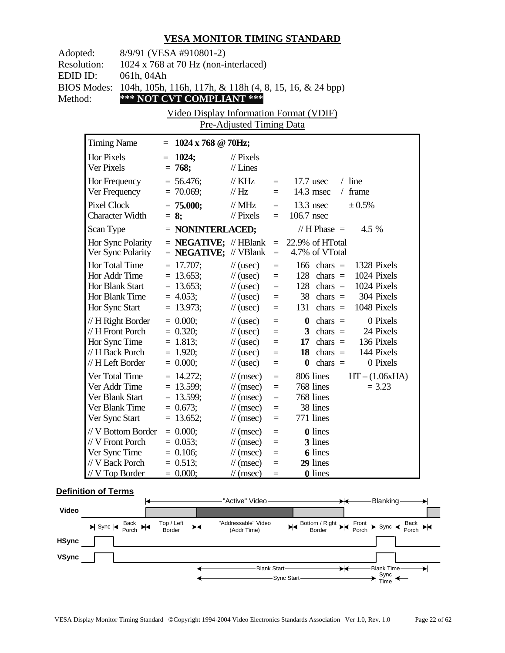| Adopted:<br><b>Resolution:</b><br>EDID ID:<br><b>BIOS Modes:</b><br>Method: | 061h, 04Ah                                                                                    | 8/9/91 (VESA #910801-2)<br>1024 x 768 at 70 Hz (non-interlaced)<br>104h, 105h, 116h, 117h, & 118h (4, 8, 15, 16, & 24 bpp)<br>*** NOT CVT COMPLIANT ***<br>Video Display Information Format (VDIF) | Pre-Adjusted Timing Data                                                                                                                          |                                                     |                                                                                                                                                                                 |  |
|-----------------------------------------------------------------------------|-----------------------------------------------------------------------------------------------|----------------------------------------------------------------------------------------------------------------------------------------------------------------------------------------------------|---------------------------------------------------------------------------------------------------------------------------------------------------|-----------------------------------------------------|---------------------------------------------------------------------------------------------------------------------------------------------------------------------------------|--|
|                                                                             | <b>Timing Name</b>                                                                            | $= 1024 \times 768 \text{ @ } 70 \text{Hz};$                                                                                                                                                       |                                                                                                                                                   |                                                     |                                                                                                                                                                                 |  |
|                                                                             | <b>Hor Pixels</b><br>Ver Pixels                                                               | $= 1024;$<br>$= 768;$                                                                                                                                                                              | $\frac{1}{2}$ Pixels<br>$//$ Lines                                                                                                                |                                                     |                                                                                                                                                                                 |  |
|                                                                             | Hor Frequency<br>Ver Frequency                                                                | $= 56.476;$<br>$= 70.069;$                                                                                                                                                                         | $\frac{1}{K}$ KHz<br>$\frac{1}{1}$ Hz                                                                                                             | $=$ $-$<br>$=$ $-$                                  | $/$ line<br>$17.7$ usec<br>14.3 msec<br>$/$ frame                                                                                                                               |  |
|                                                                             | <b>Pixel Clock</b><br><b>Character Width</b>                                                  | $= 75.000;$<br>$= 8;$                                                                                                                                                                              | $\frac{1}{2}$ MHz<br>$\frac{1}{2}$ Pixels                                                                                                         | $\equiv$<br>$=$                                     | $13.3$ nsec<br>± 0.5%<br>106.7 nsec                                                                                                                                             |  |
|                                                                             | Scan Type                                                                                     | $=$ NONINTERLACED;                                                                                                                                                                                 |                                                                                                                                                   |                                                     | // H Phase $=$<br>4.5 %                                                                                                                                                         |  |
|                                                                             | Hor Sync Polarity<br>Ver Sync Polarity                                                        | $=$ <b>NEGATIVE;</b> // VBlank                                                                                                                                                                     |                                                                                                                                                   | $\equiv$                                            | $=$ <b>NEGATIVE;</b> // HBlank $=$ 22.9% of HTotal<br>4.7% of VTotal                                                                                                            |  |
|                                                                             | Hor Total Time<br>Hor Addr Time<br>Hor Blank Start<br>Hor Blank Time<br>Hor Sync Start        | $= 17.707$ ;<br>$= 13.653;$<br>$= 13.653;$<br>$= 4.053;$<br>$= 13.973;$                                                                                                                            | $\frac{1}{2}$ (usec)<br>$\frac{1}{2}$ (usec)<br>$\frac{1}{2}$ (usec)<br>$\frac{1}{2}$ (usec)<br>$\frac{1}{2}$ (usec)                              | $\equiv$<br>$\equiv$<br>$=$<br>$\equiv$<br>$\equiv$ | $166 \text{ chars} =$<br>1328 Pixels<br>$128$ chars =<br>1024 Pixels<br>$128$ chars =<br>1024 Pixels<br>$38 \text{ chars} = 304 \text{ Pixels}$<br>$131$ chars =<br>1048 Pixels |  |
|                                                                             | // H Right Border<br>// H Front Porch<br>Hor Sync Time<br>// H Back Porch<br>// H Left Border | $= 0.000;$<br>$= 0.320;$<br>$= 1.813;$<br>$= 1.920;$<br>$= 0.000;$                                                                                                                                 | $\frac{1}{2}$ (usec)<br>$\frac{1}{2}$ (usec)<br>$\frac{1}{2}$ (usec)<br>$\frac{1}{2}$ (usec)<br>$\frac{1}{2}$ (usec)                              | $=$<br>$\equiv$<br>$\equiv$<br>$\equiv$<br>$=$      | 0 Pixels<br>$\theta$ chars =<br>3 chars $=$<br>24 Pixels<br>17 chars $=$ 136 Pixels<br>18 chars $=$<br>144 Pixels<br>0 Pixels<br>$\theta$ chars =                               |  |
|                                                                             | Ver Total Time<br>Ver Addr Time<br>Ver Blank Start<br>Ver Blank Time<br>Ver Sync Start        | $= 14.272$ ;<br>$= 13.599;$<br>$= 13.599$ ;<br>$= 0.673$ ;<br>13.652;                                                                                                                              | $\frac{1}{\pi}$ (msec)<br>$\frac{1}{\sqrt{2}}$ (msec)<br>$\mathcal{U}$ (msec)<br>$\frac{1}{\sqrt{2}}$ (msec)<br>$\frac{1}{2}$ (msec)              | $\equiv$<br>$=$<br>$\equiv$<br>$=$<br>$=$           | 806 lines<br>$HT - (1.06xHA)$<br>768 lines<br>$= 3.23$<br>768 lines<br>38 lines<br>771 lines                                                                                    |  |
|                                                                             | // V Bottom Border<br>// V Front Porch<br>Ver Sync Time<br>// V Back Porch<br>// V Top Border | $= 0.000;$<br>$= 0.053;$<br>$= 0.106;$<br>$= 0.513;$<br>$= 0.000;$                                                                                                                                 | $\frac{1}{\sqrt{2}}$ (msec)<br>$\frac{1}{\sqrt{2}}$ (msec)<br>$\frac{1}{\tan(\theta)}$<br>$\frac{1}{\tan(\theta)}$<br>$\frac{1}{\sqrt{2}}$ (msec) | $=$<br>$=$<br>$=$<br>$=$<br>$=$                     | 0 lines<br>3 lines<br><b>6</b> lines<br>29 lines<br><b>0</b> lines                                                                                                              |  |

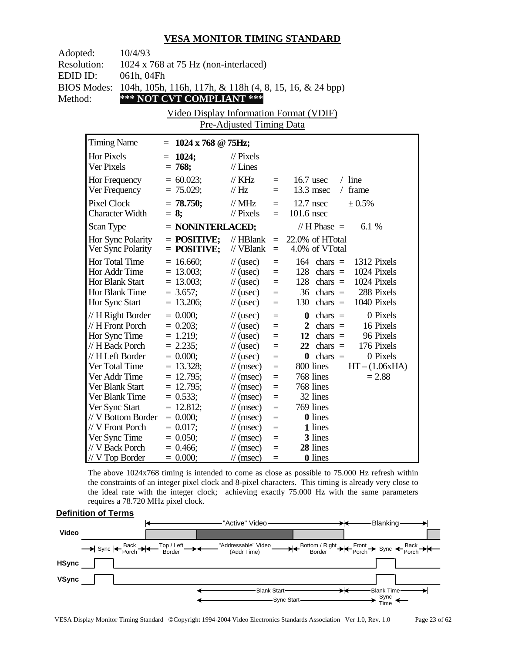| Adopted:           | 10/4/93                |                                                         |                             |          |                                  |  |  |
|--------------------|------------------------|---------------------------------------------------------|-----------------------------|----------|----------------------------------|--|--|
| <b>Resolution:</b> |                        | 1024 x 768 at 75 Hz (non-interlaced)                    |                             |          |                                  |  |  |
|                    | EDID ID:<br>061h, 04Fh |                                                         |                             |          |                                  |  |  |
| <b>BIOS Modes:</b> |                        | 104h, 105h, 116h, 117h, & 118h (4, 8, 15, 16, & 24 bpp) |                             |          |                                  |  |  |
| Method:            |                        | *** NOT CVT COMPLIANT ***                               |                             |          |                                  |  |  |
|                    |                        |                                                         |                             |          |                                  |  |  |
|                    |                        | Video Display Information Format (VDIF)                 |                             |          |                                  |  |  |
|                    |                        |                                                         | Pre-Adjusted Timing Data    |          |                                  |  |  |
|                    | <b>Timing Name</b>     | $= 1024 \times 768 \text{ @ } 75 \text{Hz};$            |                             |          |                                  |  |  |
|                    | <b>Hor Pixels</b>      | 1024;<br>Ξ                                              | $//$ Pixels                 |          |                                  |  |  |
|                    | Ver Pixels             | $= 768;$                                                | $//$ Lines                  |          |                                  |  |  |
|                    | Hor Frequency          | $= 60.023$ ;                                            | // $\rm{KHz}$               | $=$      | $/$ line<br>$16.7$ usec          |  |  |
|                    | Ver Frequency          | $= 75.029$ ;                                            | // Hz                       | $=$      | $13.3$ msec<br>/ frame           |  |  |
|                    | <b>Pixel Clock</b>     | $= 78.750;$                                             | $//$ MHz                    | $=$      | ± 0.5%<br>$12.7$ nsec            |  |  |
|                    | <b>Character Width</b> | $= 8;$                                                  | $//$ Pixels                 | $=$      | 101.6 nsec                       |  |  |
|                    | Scan Type              | $=$ NONINTERLACED;                                      |                             |          | // H Phase $=$<br>6.1 %          |  |  |
|                    | Hor Sync Polarity      | $=$ POSITIVE;                                           | $//$ HBlank                 | $=$      | 22.0% of HTotal                  |  |  |
|                    | Ver Sync Polarity      | $=$ POSITIVE;                                           | // VBlank                   | $=$      | 4.0% of VTotal                   |  |  |
|                    | Hor Total Time         | $= 16.660;$                                             | $\frac{1}{2}$ (usec)        | $=$      | 1312 Pixels<br>$164$ chars =     |  |  |
|                    | Hor Addr Time          | $= 13.003;$                                             | $\frac{1}{2}$ (usec)        | $=$      | 128 chars $=$<br>1024 Pixels     |  |  |
|                    | Hor Blank Start        | $= 13.003$ ;                                            | $\frac{1}{2}$ (usec)        | $=$      | 128 chars $=$<br>1024 Pixels     |  |  |
|                    | Hor Blank Time         | $= 3.657$ ;                                             | $\frac{1}{2}$ (usec)        | $=$      | 288 Pixels<br>$36$ chars =       |  |  |
|                    | Hor Sync Start         | $= 13.206;$                                             | $\frac{1}{2}$ (usec)        | $=$      | 1040 Pixels<br>130<br>chars $=$  |  |  |
|                    | // H Right Border      | $= 0.000;$                                              | $\frac{1}{2}$ (usec)        | $=$      | 0 Pixels<br>$\mathbf{0}$ chars = |  |  |
|                    | // H Front Porch       | $= 0.203$ ;                                             | $\frac{1}{2}$ (usec)        | $=$      | 2 chars $=$<br>16 Pixels         |  |  |
|                    | Hor Sync Time          | $= 1.219$ ;                                             | $\frac{1}{2}$ (usec)        | $=$      | 12 chars $=$<br>96 Pixels        |  |  |
|                    | // H Back Porch        | $= 2.235;$                                              | $\frac{1}{2}$ (usec)        | $=$      | 176 Pixels<br>22<br>$chars =$    |  |  |
|                    | // H Left Border       | $= 0.000;$                                              | $\frac{1}{\sqrt{2}}$ (usec) | $=$      | $\theta$ chars =<br>0 Pixels     |  |  |
|                    | Ver Total Time         | $= 13.328;$                                             | $\frac{1}{\sqrt{2}}$ (msec) | $=$      | 800 lines<br>$HT - (1.06xHA)$    |  |  |
|                    | Ver Addr Time          | $= 12.795$ ;                                            | $\frac{1}{\sqrt{2}}$ (msec) | $=$      | 768 lines<br>$= 2.88$            |  |  |
|                    | Ver Blank Start        | $= 12.795$ ;                                            | $\frac{1}{\sqrt{2}}$ (msec) | $=$      | 768 lines                        |  |  |
|                    | Ver Blank Time         | $= 0.533;$                                              | $\frac{1}{\sqrt{2}}$ (msec) | $\equiv$ | 32 lines                         |  |  |
|                    | Ver Sync Start         | $= 12.812;$                                             | $\frac{1}{\sqrt{2}}$ (msec) | $=$      | 769 lines                        |  |  |
|                    | // V Bottom Border     | $= 0.000;$                                              | $\frac{1}{\sqrt{2}}$ (msec) | $=$      | 0 lines                          |  |  |
|                    | // V Front Porch       | $= 0.017;$                                              | $\frac{1}{\sqrt{2}}$ (msec) | $=$      | 1 lines                          |  |  |
|                    | Ver Sync Time          | $= 0.050;$                                              | $\frac{1}{\sqrt{2}}$ (msec) | $=$      | 3 lines                          |  |  |
|                    | // V Back Porch        | $= 0.466$ ;                                             | $\frac{1}{\sqrt{2}}$ (msec) | $=$      | 28 lines                         |  |  |
|                    | // V Top Border        | $= 0.000$                                               | $\frac{1}{\sqrt{2}}$ (msec) | $=$      | 0 lines                          |  |  |

The above 1024x768 timing is intended to come as close as possible to 75.000 Hz refresh within the constraints of an integer pixel clock and 8-pixel characters. This timing is already very close to the ideal rate with the integer clock; achieving exactly 75.000 Hz with the same parameters requires a 78.720 MHz pixel clock.

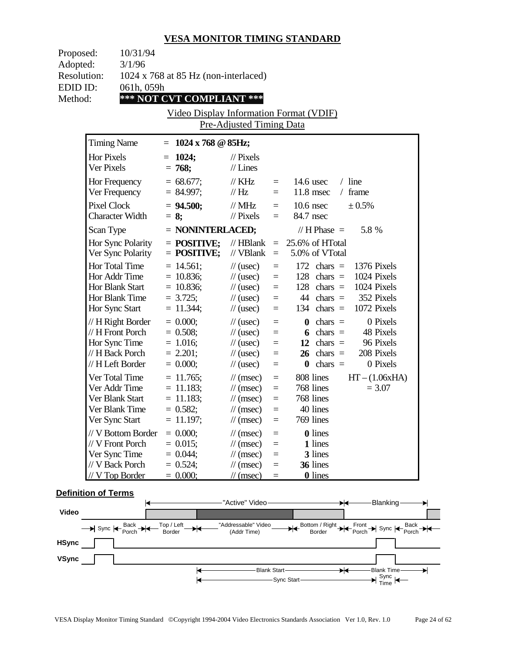| Proposed:<br>Adopted:    | 10/31/94<br>3/1/96                                                                                   |                                                                         |                                                                                                                                                      |                                                                   |                                                                                                                                                                         |  |
|--------------------------|------------------------------------------------------------------------------------------------------|-------------------------------------------------------------------------|------------------------------------------------------------------------------------------------------------------------------------------------------|-------------------------------------------------------------------|-------------------------------------------------------------------------------------------------------------------------------------------------------------------------|--|
| <b>Resolution:</b>       |                                                                                                      | $1024 \times 768$ at 85 Hz (non-interlaced)                             |                                                                                                                                                      |                                                                   |                                                                                                                                                                         |  |
| EDID ID:<br>Method:      | 061h, 059h                                                                                           | *** NOT CVT COMPLIANT ***                                               |                                                                                                                                                      |                                                                   |                                                                                                                                                                         |  |
|                          |                                                                                                      | Video Display Information Format (VDIF)                                 |                                                                                                                                                      |                                                                   |                                                                                                                                                                         |  |
|                          |                                                                                                      |                                                                         | Pre-Adjusted Timing Data                                                                                                                             |                                                                   |                                                                                                                                                                         |  |
|                          | <b>Timing Name</b>                                                                                   | $= 1024 \times 768 \text{ } \textcircled{ } 85 \text{Hz};$              |                                                                                                                                                      |                                                                   |                                                                                                                                                                         |  |
| Hor Pixels<br>Ver Pixels |                                                                                                      | $= 1024;$<br>$= 768;$                                                   | $//$ Pixels<br>$//$ Lines                                                                                                                            |                                                                   |                                                                                                                                                                         |  |
|                          | Hor Frequency<br>Ver Frequency                                                                       | $= 68.677;$<br>$= 84.997;$                                              | $\frac{1}{K}$ KHz<br>$\mathcal{U}$ Hz                                                                                                                | $=$                                                               | $/$ line<br>$=$ 14.6 usec<br>$11.8$ msec<br>$/$ frame                                                                                                                   |  |
| <b>Pixel Clock</b>       | <b>Character Width</b>                                                                               | $= 94.500;$<br>$= 8:$                                                   | $\frac{1}{2}$ MHz<br>$\mathcal{U}$ Pixels                                                                                                            | $=$                                                               | ± 0.5%<br>$=$ 10.6 nsec<br>84.7 nsec                                                                                                                                    |  |
| Scan Type                |                                                                                                      | $=$ NONINTERLACED;                                                      |                                                                                                                                                      |                                                                   | $// H Phase =$<br>5.8 %                                                                                                                                                 |  |
|                          | Hor Sync Polarity<br>Ver Sync Polarity                                                               | $=$ POSITIVE;<br>$=$ POSITIVE;                                          | // $VBlank =$                                                                                                                                        |                                                                   | // HBlank = $25.6\%$ of HTotal<br>5.0% of VTotal                                                                                                                        |  |
|                          | <b>Hor Total Time</b><br>Hor Addr Time<br><b>Hor Blank Start</b><br>Hor Blank Time<br>Hor Sync Start | $= 14.561;$<br>$= 10.836;$<br>$= 10.836;$<br>$= 3.725;$<br>$= 11.344;$  | $\frac{1}{2}$ (usec)<br>$\frac{1}{2}$ (usec)<br>$\frac{1}{2}$ (usec)<br>$\frac{1}{2}$ (usec)<br>$\frac{1}{2}$ (usec)                                 | $\equiv$<br>$\equiv$<br>$\qquad \qquad =$<br>$\equiv$<br>$\equiv$ | $172 \text{ chars} =$<br>1376 Pixels<br>1024 Pixels<br>$128$ chars =<br>1024 Pixels<br>$128$ chars =<br>44 chars $=$ 352 Pixels<br>1072 Pixels<br>$134 \text{ chars} =$ |  |
|                          | // H Right Border<br>$// H$ Front Porch<br>Hor Sync Time<br>// H Back Porch<br>// H Left Border      | $= 0.000;$<br>$= 0.508;$<br>$= 1.016;$<br>$= 2.201;$<br>$= 0.000;$      | $\frac{1}{2}$ (usec)<br>$\frac{1}{2}$ (usec)<br>$\frac{1}{2}$ (usec)<br>$\frac{1}{2}$ (usec)<br>$\frac{1}{2}$ (usec)                                 | $\equiv$<br>$\equiv$<br>$\equiv$<br>$\equiv$<br>$=$               | 0 Pixels<br>$\mathbf{0}$ chars =<br>6 chars $=$<br>48 Pixels<br>12 chars $=$<br>96 Pixels<br>$26 \text{ chars} =$<br>208 Pixels<br>0 Pixels<br>$\theta$ chars =         |  |
|                          | Ver Total Time<br>Ver Addr Time<br>Ver Blank Start<br>Ver Blank Time<br>Ver Sync Start               | $= 11.765$ ;<br>$= 11.183;$<br>$= 11.183;$<br>$= 0.582;$<br>$= 11.197;$ | $\mathcal{U}$ (msec)<br>$\mathcal{U}$ (msec)<br>$\frac{1}{\tan(\theta)}$<br>$\frac{1}{\sqrt{2}}$ (msec)<br>$\frac{1}{2}$ (msec) =                    | $\equiv$<br>$\qquad \qquad =$<br>$\qquad \qquad =$<br>$=$         | 808 lines<br>$HT - (1.06xHA)$<br>768 lines<br>$= 3.07$<br>768 lines<br>40 lines<br>769 lines                                                                            |  |
|                          | // V Bottom Border<br>// V Front Porch<br>Ver Sync Time<br>// V Back Porch<br>$// V$ Top Border      | $= 0.000;$<br>$= 0.015;$<br>$= 0.044;$<br>$= 0.524;$<br>$= 0.000;$      | $\frac{1}{\sqrt{2}}$ (msec)<br>$\frac{1}{\sqrt{2}}$ (msec)<br>$\frac{1}{\sqrt{2}}$ (msec)<br>$\frac{1}{\tan(\theta)}$<br>$\frac{1}{\sqrt{2}}$ (msec) | $=$<br>$=$<br>$=$<br>$=$<br>$\equiv$                              | <b>0</b> lines<br>1 lines<br>3 lines<br>36 lines<br><b>0</b> lines                                                                                                      |  |

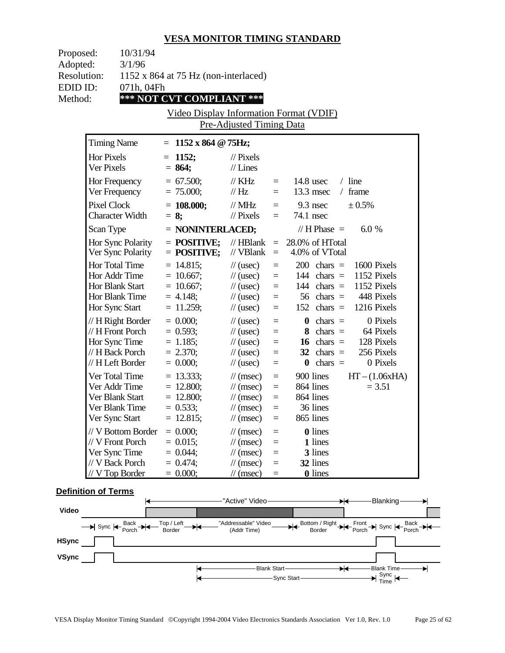| Proposed:                      | 10/31/94                               |                                                    |                                                         |                      |                                                                 |  |
|--------------------------------|----------------------------------------|----------------------------------------------------|---------------------------------------------------------|----------------------|-----------------------------------------------------------------|--|
| Adopted:<br><b>Resolution:</b> | 3/1/96                                 |                                                    |                                                         |                      |                                                                 |  |
| EDID ID:                       | 071h, 04Fh                             | 1152 x 864 at 75 Hz (non-interlaced)               |                                                         |                      |                                                                 |  |
| Method:                        |                                        | *** NOT CVT COMPLIANT ***                          |                                                         |                      |                                                                 |  |
|                                |                                        | Video Display Information Format (VDIF)            |                                                         |                      |                                                                 |  |
|                                |                                        |                                                    | <b>Pre-Adjusted Timing Data</b>                         |                      |                                                                 |  |
|                                | <b>Timing Name</b>                     | $= 1152 \times 864 \text{ } \textcircled{g}$ 75Hz; |                                                         |                      |                                                                 |  |
|                                | Hor Pixels                             | $= 1152;$                                          | $\frac{1}{2}$ Pixels                                    |                      |                                                                 |  |
|                                | Ver Pixels                             | $= 864;$                                           | $//$ Lines                                              |                      |                                                                 |  |
|                                | Hor Frequency                          | $= 67.500;$                                        | $\frac{1}{K}$ KHz                                       |                      | $/$ line<br>$=$ 14.8 usec                                       |  |
|                                | Ver Frequency                          | $= 75.000;$                                        | $\mathcal{U}$ Hz                                        | $=$                  | $13.3$ msec<br>$/$ frame                                        |  |
|                                | <b>Pixel Clock</b>                     | $= 108.000;$                                       | $\text{/}/\text{/}$ MHz                                 | $=$                  | $9.3$ nsec<br>± 0.5%                                            |  |
|                                | <b>Character Width</b>                 | $= 8;$                                             | $\frac{1}{2}$ Pixels                                    | $=$                  | 74.1 nsec                                                       |  |
|                                | Scan Type                              | $=$ NONINTERLACED;                                 |                                                         |                      | 6.0%<br>$// H Phase =$                                          |  |
|                                | Hor Sync Polarity<br>Ver Sync Polarity | $=$ POSITIVE;<br>$=$ POSITIVE;                     | // $VBlank =$                                           |                      | // HBlank = $28.0\%$ of HTotal<br>4.0% of VTotal                |  |
|                                | Hor Total Time                         | $= 14.815$ ;                                       | $\frac{1}{2}$ (usec)                                    | $=$                  | 1600 Pixels<br>$200 \text{ chars} =$                            |  |
|                                | Hor Addr Time                          | $= 10.667;$                                        | $\frac{1}{2}$ (usec)                                    | $\equiv$             | 1152 Pixels<br>$144 \text{ chars} =$                            |  |
|                                | Hor Blank Start                        | $= 10.667;$                                        | $\frac{1}{2}$ (usec)                                    | $\equiv$             | 144 chars $=$<br>1152 Pixels                                    |  |
|                                | Hor Blank Time<br>Hor Sync Start       | $= 4.148;$<br>$= 11.259;$                          | $\frac{1}{2}$ (usec)<br>$\frac{1}{2}$ (usec)            | $\equiv$<br>$\equiv$ | 56 chars $=$ 448 Pixels<br>1216 Pixels<br>$152 \text{ chars} =$ |  |
|                                | // H Right Border                      | $= 0.000;$                                         | $\frac{1}{2}$ (usec)                                    | $=$                  | 0 Pixels<br>$\mathbf{0}$ chars =                                |  |
|                                | $// H$ Front Porch                     | $= 0.593;$                                         | $\frac{1}{2}$ (usec)                                    | $=$                  | 8 chars $=$<br>64 Pixels                                        |  |
|                                | Hor Sync Time                          | $= 1.185$ ;                                        | $\frac{1}{2}$ (usec)                                    | $=$                  | 16 chars $=$ 128 Pixels                                         |  |
|                                | // H Back Porch                        | $= 2.370;$                                         | $\frac{1}{2}$ (usec)                                    | $=$                  | $32 \text{ chars} =$<br>256 Pixels                              |  |
|                                | // H Left Border                       | $= 0.000;$                                         | $\frac{1}{2}$ (usec)                                    | $=$                  | 0 Pixels<br>$\theta$ chars =                                    |  |
|                                | Ver Total Time                         | $= 13.333;$                                        | $\mathcal{U}$ (msec)                                    | $\equiv$             | 900 lines<br>$HT - (1.06xHA)$                                   |  |
|                                | Ver Addr Time                          | $= 12.800;$                                        | $\frac{1}{\sqrt{2}}$ (msec)                             | $\equiv$             | 864 lines<br>$= 3.51$                                           |  |
|                                | Ver Blank Start                        | $= 12.800;$                                        | $\frac{1}{\sqrt{2}}$ (msec)                             | $\quad \  \  =$      | 864 lines                                                       |  |
|                                | Ver Blank Time<br>Ver Sync Start       | $= 0.533;$<br>$= 12.815;$                          | $\mathcal{U}$ (msec)<br>$\frac{1}{\sqrt{2}}$ (msec)     | $\equiv$<br>$\equiv$ | 36 lines<br>865 lines                                           |  |
|                                |                                        |                                                    |                                                         |                      |                                                                 |  |
|                                | // V Bottom Border<br>// V Front Porch | $= 0.000;$<br>$= 0.015$ ;                          | $\frac{1}{\sqrt{2}}$ (msec)<br>$\frac{1}{\tan(\theta)}$ | $=$<br>$=$           | <b>0</b> lines<br>1 lines                                       |  |
|                                | Ver Sync Time                          | $= 0.044;$                                         | $\frac{1}{\sqrt{2}}$ (msec)                             | $=$                  | 3 lines                                                         |  |
|                                | // V Back Porch                        | $= 0.474;$                                         | $\frac{1}{\sqrt{2}}$ (msec)                             | $=$                  | 32 lines                                                        |  |
|                                | $// V$ Top Border                      | $= 0.000;$                                         | $\frac{1}{\sqrt{2}}$ (msec)                             | $=$                  | <b>0</b> lines                                                  |  |
|                                |                                        |                                                    |                                                         |                      |                                                                 |  |

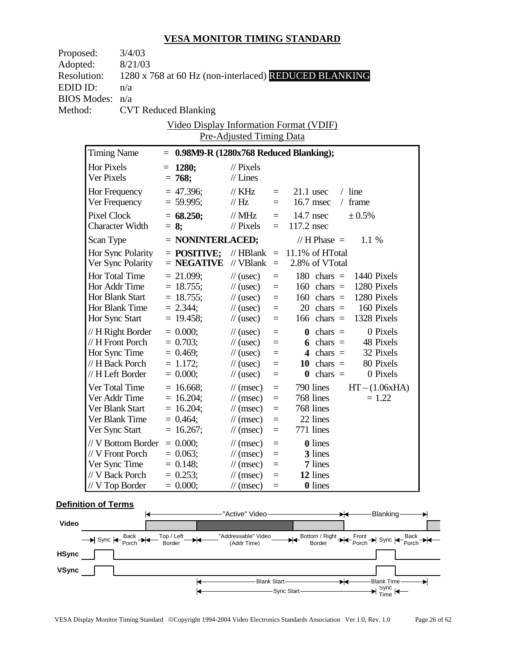| Proposed:          |                       | 3/4/03                          |                                                       |                                                      |                      |                |                                      |                                           |                              |
|--------------------|-----------------------|---------------------------------|-------------------------------------------------------|------------------------------------------------------|----------------------|----------------|--------------------------------------|-------------------------------------------|------------------------------|
| Adopted:           |                       | 8/21/03                         |                                                       |                                                      |                      |                |                                      |                                           |                              |
| <b>Resolution:</b> |                       |                                 | 1280 x 768 at 60 Hz (non-interlaced) REDUCED BLANKING |                                                      |                      |                |                                      |                                           |                              |
| EDID ID:           |                       | n/a                             |                                                       |                                                      |                      |                |                                      |                                           |                              |
| <b>BIOS Modes:</b> |                       | n/a                             |                                                       |                                                      |                      |                |                                      |                                           |                              |
| Method:            |                       |                                 | <b>CVT Reduced Blanking</b>                           |                                                      |                      |                |                                      |                                           |                              |
|                    |                       |                                 | <b>Video Display Information Format (VDIF)</b>        |                                                      |                      |                |                                      |                                           |                              |
|                    |                       |                                 |                                                       | Pre-Adjusted Timing Data                             |                      |                |                                      |                                           |                              |
|                    | <b>Timing Name</b>    |                                 | $= 0.98M9-R (1280x768$ Reduced Blanking);             |                                                      |                      |                |                                      |                                           |                              |
|                    | Hor Pixels            |                                 | $= 1280;$                                             | $\frac{1}{2}$ Pixels                                 |                      |                |                                      |                                           |                              |
|                    | Ver Pixels            |                                 | $= 768;$                                              | $//$ Lines                                           |                      |                |                                      |                                           |                              |
|                    |                       | Hor Frequency                   | $= 47.396$ ;                                          | $\frac{1}{K}$ KHz                                    | $=$                  |                | $21.1$ usec                          | $/$ line                                  |                              |
|                    |                       | Ver Frequency                   | $= 59.995;$                                           | $\frac{1}{1}$ Hz                                     | $=$                  |                | $16.7$ msec                          | / frame                                   |                              |
|                    | Pixel Clock           |                                 | $= 68.250;$                                           | $\frac{1}{2}$ MHz                                    |                      | $=$ 14.7 nsec  |                                      | ± 0.5%                                    |                              |
|                    |                       | <b>Character Width</b>          | $= 8:$                                                | $\frac{1}{2}$ Pixels                                 | $=$                  | $117.2$ nsec   |                                      |                                           |                              |
|                    | Scan Type             |                                 | $=$ NONINTERLACED;                                    |                                                      |                      |                | // H Phase $=$                       | 1.1 %                                     |                              |
|                    |                       | Hor Sync Polarity               | $=$ POSITIVE:                                         | // HBlank $=$ 11.1% of HTotal                        |                      |                |                                      |                                           |                              |
|                    |                       | Ver Sync Polarity               | $=$ <b>NEGATIVE</b> // VBlank $=$                     |                                                      |                      | 2.8% of VTotal |                                      |                                           |                              |
|                    | <b>Hor Total Time</b> |                                 | $= 21.099;$                                           | $\frac{1}{2}$ (usec)                                 | $\equiv$             |                |                                      | 180 chars $=$ 1440 Pixels                 |                              |
|                    |                       | Hor Addr Time                   | $= 18.755$ ;                                          | $\frac{1}{2}$ (usec)                                 | $\equiv$             |                |                                      | $160 \text{ chars} = 1280 \text{ Pixels}$ |                              |
|                    | Hor Blank Start       |                                 | $= 18.755;$                                           | $\frac{1}{2}$ (usec)                                 | $\equiv$             |                |                                      | $160 \text{ chars} = 1280 \text{ Pixels}$ |                              |
|                    |                       | Hor Blank Time                  | $= 2.344;$                                            | $\frac{1}{2}$ (usec)                                 | $\equiv$             |                |                                      | $20 \text{ chars} = 160 \text{ Pixels}$   |                              |
|                    | Hor Sync Start        |                                 | $= 19.458;$                                           | $\frac{1}{2}$ (usec)                                 | $\equiv$             |                |                                      | 166 chars $=$ 1328 Pixels                 |                              |
|                    |                       | // H Right Border               | $= 0.000;$                                            | $\frac{1}{2}$ (usec)                                 | $\equiv$             |                | $\mathbf{0}$ chars =                 |                                           | 0 Pixels                     |
|                    |                       | // H Front Porch                | $= 0.703;$                                            | $\frac{1}{2}$ (usec)                                 | $\equiv$             |                | 6 chars $=$                          |                                           | 48 Pixels                    |
|                    |                       | Hor Sync Time                   | $= 0.469;$                                            | $\frac{1}{2}$ (usec)                                 | $\equiv$             |                | 4 chars $=$                          |                                           | 32 Pixels                    |
|                    | // H Left Border      | // H Back Porch                 | $= 1.172$ ;<br>$= 0.000;$                             | $\frac{1}{2}$ (usec)<br>$\frac{1}{2}$ (usec)         | $\equiv$<br>$\equiv$ |                | 10 chars $=$<br>$\mathbf{0}$ chars = |                                           | 80 Pixels<br>0 Pixels        |
|                    |                       |                                 |                                                       |                                                      |                      |                |                                      |                                           |                              |
|                    |                       | Ver Total Time<br>Ver Addr Time | $= 16.668;$<br>$= 16.204$ ;                           | $\frac{1}{\tan(\theta)}$                             | $\equiv$<br>$\equiv$ |                | 790 lines<br>768 lines               |                                           | $HT - (1.06xHA)$<br>$= 1.22$ |
|                    | Ver Blank Start       |                                 | $= 16.204$ ;                                          | $\frac{1}{\tan(\theta)}$<br>$\frac{1}{\tan(\theta)}$ | $\equiv$             |                | 768 lines                            |                                           |                              |
|                    |                       | Ver Blank Time                  | $= 0.464;$                                            | $\frac{1}{\sqrt{2}}$ (msec)                          | $=$                  |                | 22 lines                             |                                           |                              |
|                    | Ver Sync Start        |                                 | $= 16.267;$                                           | $\frac{1}{\sqrt{2}}$ (msec)                          | $=$                  |                | 771 lines                            |                                           |                              |
|                    |                       | // V Bottom Border              | $= 0.000;$                                            | $\frac{1}{\sqrt{2}}$ (msec)                          | $=$                  |                | <b>0</b> lines                       |                                           |                              |
|                    | // V Front Porch      |                                 | $= 0.063;$                                            | $\frac{1}{\sqrt{2}}$ (msec)                          | $=$                  |                | 3 lines                              |                                           |                              |
|                    | Ver Sync Time         |                                 | $= 0.148$ ;                                           | $\frac{1}{\sqrt{2}}$ (msec)                          | $=$                  |                | 7 lines                              |                                           |                              |
|                    | // V Back Porch       |                                 | $= 0.253;$                                            | $\frac{1}{\sqrt{2}}$ (msec)                          | $=$                  |                | 12 lines                             |                                           |                              |
|                    | $//$ V Top Border     |                                 | $= 0.000;$                                            | $\frac{1}{\sqrt{2}}$ (msec)                          | $=$                  |                | <b>0</b> lines                       |                                           |                              |
|                    |                       |                                 |                                                       |                                                      |                      |                |                                      |                                           |                              |

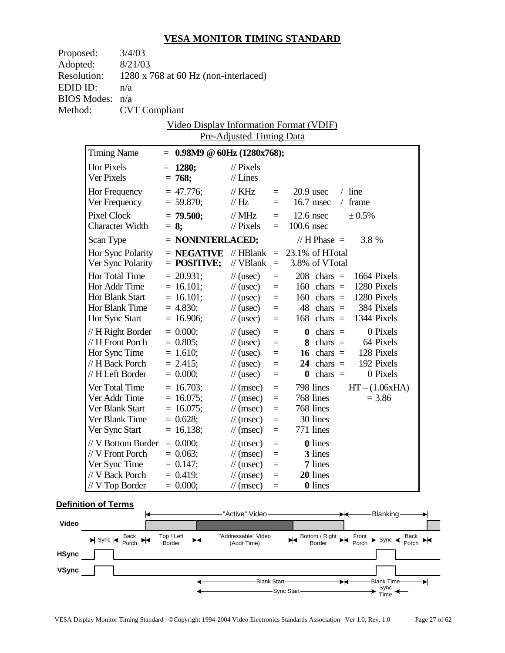| Proposed:          | 3/4/03                 |                                       |                             |          |                                                  |                                         |
|--------------------|------------------------|---------------------------------------|-----------------------------|----------|--------------------------------------------------|-----------------------------------------|
| Adopted:           | 8/21/03                |                                       |                             |          |                                                  |                                         |
| <b>Resolution:</b> |                        | 1280 x 768 at 60 Hz (non-interlaced)  |                             |          |                                                  |                                         |
| EDID ID:           | n/a                    |                                       |                             |          |                                                  |                                         |
| <b>BIOS Modes:</b> | n/a                    |                                       |                             |          |                                                  |                                         |
| Method:            | <b>CVT</b> Compliant   |                                       |                             |          |                                                  |                                         |
|                    |                        |                                       |                             |          | Video Display Information Format (VDIF)          |                                         |
|                    |                        |                                       | Pre-Adjusted Timing Data    |          |                                                  |                                         |
|                    | <b>Timing Name</b>     | $= 0.98M9 \text{ } @60Hz (1280x768);$ |                             |          |                                                  |                                         |
|                    | Hor Pixels             | $= 1280;$                             | $\frac{1}{2}$ Pixels        |          |                                                  |                                         |
|                    | Ver Pixels             | $= 768;$                              | $//$ Lines                  |          |                                                  |                                         |
|                    | Hor Frequency          | $= 47.776$ ;                          | $\frac{1}{K}$ KHz           | $=$ $-$  | $20.9$ usec                                      | $/$ line                                |
|                    | Ver Frequency          | $= 59.870;$                           | $\frac{1}{1}$ Hz            | $=$      | $16.7$ msec                                      | $/$ frame                               |
|                    | Pixel Clock            | $= 79.500;$                           | $\frac{1}{2}$ MHz           | $=$      | $12.6$ nsec                                      | ± 0.5%                                  |
|                    | <b>Character Width</b> | $= 8$ ;                               | $//$ Pixels                 | $=$      | 100.6 nsec                                       |                                         |
|                    | Scan Type              | $=$ NONINTERLACED;                    |                             |          | // H Phase $=$                                   | 3.8 %                                   |
|                    | Hor Sync Polarity      |                                       |                             |          | $=$ <b>NEGATIVE</b> //HBlank $=$ 23.1% of HTotal |                                         |
|                    | Ver Sync Polarity      | $=$ POSITIVE;                         | // $VBlank =$               |          | 3.8% of VTotal                                   |                                         |
|                    | Hor Total Time         | $= 20.931$ ;                          | $\frac{1}{2}$ (usec)        | $\equiv$ | $208$ chars =                                    | 1664 Pixels                             |
|                    | Hor Addr Time          | $= 16.101;$                           | $\frac{1}{2}$ (usec)        | $\equiv$ | $160 \text{ chars} =$                            | 1280 Pixels                             |
|                    | Hor Blank Start        | $= 16.101;$                           | $\frac{1}{2}$ (usec)        | $\equiv$ |                                                  | $160$ chars = 1280 Pixels               |
|                    | Hor Blank Time         | $= 4.830;$                            | $\frac{1}{2}$ (usec)        | $\equiv$ |                                                  | $48 \text{ chars} = 384 \text{ Pixels}$ |
|                    | Hor Sync Start         | $= 16.906;$                           | $\frac{1}{2}$ (usec)        | $\equiv$ | $168$ chars =                                    | 1344 Pixels                             |
|                    | // H Right Border      | $= 0.000;$                            | $\frac{1}{2}$ (usec)        | $\equiv$ | $\mathbf{0}$ chars =                             | 0 Pixels                                |
|                    | // H Front Porch       | $= 0.805;$                            | $\frac{1}{2}$ (usec)        | $\equiv$ | 8 chars $=$                                      | 64 Pixels                               |
|                    | Hor Sync Time          | $= 1.610;$                            | $\frac{1}{2}$ (usec)        | $=$      |                                                  | 16 chars $=$ 128 Pixels                 |
|                    | // H Back Porch        | $= 2.415$ ;                           | $\frac{1}{2}$ (usec)        | $=$      | $24$ chars =                                     | 192 Pixels                              |
|                    | // H Left Border       | $= 0.000;$                            | $\frac{1}{2}$ (usec)        | $\equiv$ | $chars =$<br>$\bf{0}$                            | 0 Pixels                                |
|                    | Ver Total Time         | $= 16.703;$                           | $\frac{1}{\tan(\theta)}$    | $\equiv$ | 798 lines                                        | $HT - (1.06xHA)$                        |
|                    | Ver Addr Time          | $= 16.075$ ;                          | $\frac{1}{\tan(\theta)}$    | $\equiv$ | 768 lines                                        | $= 3.86$                                |
|                    | Ver Blank Start        | $= 16.075$ ;                          | $\frac{1}{\tan(\theta)}$    | $\equiv$ | 768 lines                                        |                                         |
|                    | Ver Blank Time         | $= 0.628;$                            | $\frac{1}{\tan(\theta)}$    | $=$      | 30 lines                                         |                                         |
|                    | Ver Sync Start         | $= 16.138;$                           | $\frac{1}{\sqrt{2}}$ (msec) | $=$      | 771 lines                                        |                                         |
|                    | // V Bottom Border     | $= 0.000;$                            | $\frac{1}{\pi}$ (msec)      | $=$      | <b>0</b> lines                                   |                                         |
|                    | // V Front Porch       | $= 0.063;$                            | $\frac{1}{\sqrt{2}}$ (msec) | $=$      | 3 lines                                          |                                         |
|                    | Ver Sync Time          | $= 0.147$ ;                           | $\frac{1}{\sqrt{2}}$ (msec) | $=$      | 7 lines                                          |                                         |
|                    | // V Back Porch        | $= 0.419$ ;                           | $\frac{1}{\sqrt{2}}$ (msec) | $=$      | 20 lines                                         |                                         |
|                    | $// V$ Top Border      | $= 0.000;$                            | $\frac{1}{\sqrt{2}}$ (msec) | $\equiv$ | <b>0</b> lines                                   |                                         |

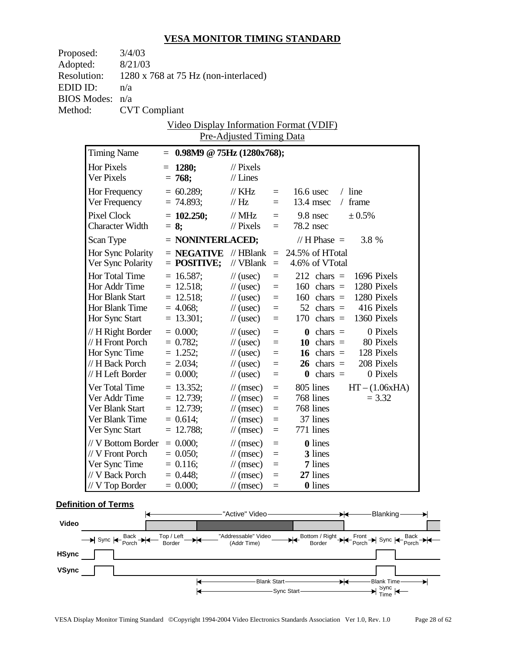| Proposed:          |                                                       | 3/4/03                 |  |                                                   |                                                            |            |                |                            |                                           |                  |
|--------------------|-------------------------------------------------------|------------------------|--|---------------------------------------------------|------------------------------------------------------------|------------|----------------|----------------------------|-------------------------------------------|------------------|
| Adopted:           |                                                       | 8/21/03                |  |                                                   |                                                            |            |                |                            |                                           |                  |
| <b>Resolution:</b> |                                                       |                        |  | $1280 \times 768$ at 75 Hz (non-interlaced)       |                                                            |            |                |                            |                                           |                  |
| EDID ID:           |                                                       | n/a                    |  |                                                   |                                                            |            |                |                            |                                           |                  |
|                    | <b>BIOS Modes:</b>                                    | n/a                    |  |                                                   |                                                            |            |                |                            |                                           |                  |
| Method:            |                                                       | <b>CVT</b> Compliant   |  |                                                   |                                                            |            |                |                            |                                           |                  |
|                    | Video Display Information Format (VDIF)               |                        |  |                                                   |                                                            |            |                |                            |                                           |                  |
|                    |                                                       |                        |  |                                                   | <b>Pre-Adjusted Timing Data</b>                            |            |                |                            |                                           |                  |
|                    | <b>Timing Name</b><br>$= 0.98M9 \t@ 75Hz (1280x768);$ |                        |  |                                                   |                                                            |            |                |                            |                                           |                  |
|                    | Hor Pixels                                            |                        |  | $= 1280;$                                         | $\frac{1}{2}$ Pixels                                       |            |                |                            |                                           |                  |
|                    | Ver Pixels                                            |                        |  | $= 768;$                                          | $//$ Lines                                                 |            |                |                            |                                           |                  |
|                    |                                                       | Hor Frequency          |  | $= 60.289;$                                       | $\frac{1}{K}$ KHz                                          | $=$        |                | $16.6$ usec                | $/$ line                                  |                  |
|                    |                                                       | Ver Frequency          |  | $= 74.893;$                                       | $\frac{1}{1}$ Hz                                           | $=$        |                | $13.4$ msec                | $/$ frame                                 |                  |
|                    | Pixel Clock                                           |                        |  | $= 102.250;$                                      | $\frac{1}{2}$ MHz                                          | $=$        | $9.8$ nsec     |                            | ± 0.5%                                    |                  |
|                    |                                                       | <b>Character Width</b> |  | $= 8$ ;                                           | $\frac{1}{2}$ Pixels                                       | $=$        | 78.2 nsec      |                            |                                           |                  |
|                    | Scan Type                                             |                        |  | $=$ NONINTERLACED;                                |                                                            |            |                | // H Phase $=$             | 3.8 %                                     |                  |
|                    |                                                       | Hor Sync Polarity      |  | $=$ <b>NEGATIVE</b> // HBlank $=$ 24.5% of HTotal |                                                            |            |                |                            |                                           |                  |
|                    |                                                       | Ver Sync Polarity      |  | $=$ POSITIVE;                                     | // $VBlank =$                                              |            | 4.6% of VTotal |                            |                                           |                  |
|                    |                                                       | Hor Total Time         |  | $= 16.587;$                                       | $\frac{1}{2}$ (usec)                                       | $\equiv$   |                |                            | $212 \text{ chars} = 1696 \text{ Pixels}$ |                  |
|                    |                                                       | Hor Addr Time          |  | $= 12.518;$                                       | $\frac{1}{2}$ (usec)                                       | $\equiv$   |                |                            | $160$ chars = $1280$ Pixels               |                  |
|                    |                                                       | <b>Hor Blank Start</b> |  | $= 12.518;$                                       | $\frac{1}{2}$ (usec)                                       | $\equiv$   |                |                            | $160 \text{ chars} = 1280 \text{ Pixels}$ |                  |
|                    |                                                       | Hor Blank Time         |  | $= 4.068;$                                        | $\frac{1}{2}$ (usec)                                       | $=$        |                | $52 \text{ chars} =$       |                                           | 416 Pixels       |
|                    | Hor Sync Start                                        |                        |  | $= 13.301;$                                       | $\frac{1}{2}$ (usec)                                       | $\equiv$   |                |                            | $170$ chars = $1360$ Pixels               |                  |
|                    |                                                       | // H Right Border      |  | $= 0.000;$                                        | $\frac{1}{2}$ (usec)                                       | $=$        |                | $\mathbf{0}$ chars =       |                                           | 0 Pixels         |
|                    |                                                       | // H Front Porch       |  | $= 0.782;$                                        | $\frac{1}{2}$ (usec)                                       | $=$        |                | 10 chars $=$               |                                           | 80 Pixels        |
|                    |                                                       | Hor Sync Time          |  | $= 1.252;$                                        | $\frac{1}{2}$ (usec)                                       | $\equiv$   |                |                            | 16 chars $=$ 128 Pixels                   |                  |
|                    | // H Back Porch                                       |                        |  | $= 2.034;$                                        | $\frac{1}{2}$ (usec)                                       | $\equiv$   |                | $26 \text{ chars} =$       |                                           | 208 Pixels       |
|                    |                                                       | // H Left Border       |  | $= 0.000;$                                        | $\frac{1}{2}$ (usec)                                       | $=$        |                | $\mathbf{0}$ chars =       |                                           | 0 Pixels         |
|                    |                                                       | Ver Total Time         |  | $= 13.352;$                                       | $\frac{1}{\tan(\theta)}$                                   | $\equiv$   |                | 805 lines                  |                                           | $HT - (1.06xHA)$ |
|                    |                                                       | Ver Addr Time          |  | $= 12.739;$                                       | $\frac{1}{\tan(\theta)}$                                   | $\equiv$   |                | 768 lines                  |                                           | $= 3.32$         |
|                    | Ver Blank Start                                       |                        |  | $= 12.739;$                                       | $\frac{1}{\tan(\theta)}$                                   | $\equiv$   |                | 768 lines                  |                                           |                  |
|                    |                                                       | Ver Blank Time         |  | $= 0.614;$                                        | $\frac{1}{\tan \sec }$ =                                   |            |                | 37 lines                   |                                           |                  |
|                    | Ver Sync Start                                        |                        |  | $= 12.788;$                                       | $\frac{1}{\sqrt{2}}$ (msec)                                | $=$        |                | 771 lines                  |                                           |                  |
|                    |                                                       | // V Bottom Border     |  | $= 0.000;$                                        | $\frac{1}{\sqrt{2}}$ (msec)                                | $=$        |                | <b>0</b> lines             |                                           |                  |
|                    | // V Front Porch                                      |                        |  | $= 0.050;$                                        | $\frac{1}{\sqrt{2}}$ (msec)                                | $=$        |                | 3 lines                    |                                           |                  |
|                    | Ver Sync Time<br>// V Back Porch                      |                        |  | $= 0.116;$                                        | $\frac{1}{\sqrt{2}}$ (msec)                                | $=$        |                | 7 lines                    |                                           |                  |
|                    | $//V$ Top Border                                      |                        |  | $= 0.448;$<br>$= 0.000;$                          | $\frac{1}{\sqrt{2}}$ (msec)<br>$\frac{1}{\sqrt{2}}$ (msec) | $=$<br>$=$ |                | 27 lines<br><b>0</b> lines |                                           |                  |
|                    |                                                       |                        |  |                                                   |                                                            |            |                |                            |                                           |                  |

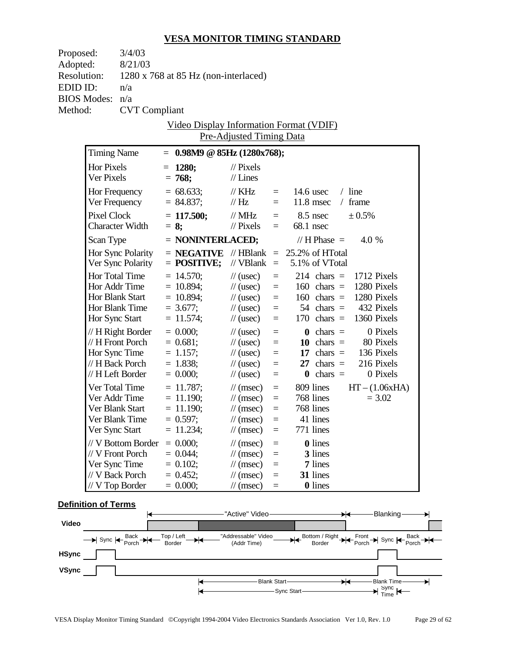| Proposed:          | 3/4/03                                                                            |  |                                      |                                                      |                      |                                                                         |  |
|--------------------|-----------------------------------------------------------------------------------|--|--------------------------------------|------------------------------------------------------|----------------------|-------------------------------------------------------------------------|--|
| Adopted:           | 8/21/03                                                                           |  |                                      |                                                      |                      |                                                                         |  |
| <b>Resolution:</b> |                                                                                   |  | 1280 x 768 at 85 Hz (non-interlaced) |                                                      |                      |                                                                         |  |
| EDID ID:           | n/a                                                                               |  |                                      |                                                      |                      |                                                                         |  |
| <b>BIOS Modes:</b> | n/a                                                                               |  |                                      |                                                      |                      |                                                                         |  |
| Method:            | <b>CVT</b> Compliant                                                              |  |                                      |                                                      |                      |                                                                         |  |
|                    |                                                                                   |  |                                      |                                                      |                      | Video Display Information Format (VDIF)                                 |  |
|                    |                                                                                   |  |                                      |                                                      |                      |                                                                         |  |
|                    | Pre-Adjusted Timing Data<br><b>Timing Name</b><br>$= 0.98M9 \t@ 85Hz (1280x768);$ |  |                                      |                                                      |                      |                                                                         |  |
|                    | Hor Pixels                                                                        |  | $= 1280;$                            | $\frac{1}{2}$ Pixels                                 |                      |                                                                         |  |
|                    | Ver Pixels                                                                        |  | $= 768;$                             | $//$ Lines                                           |                      |                                                                         |  |
|                    |                                                                                   |  | $= 68.633;$                          | $\frac{1}{K}$ KHz                                    |                      | $/$ line<br>14.6 usec                                                   |  |
|                    | Hor Frequency<br>Ver Frequency                                                    |  | $= 84.837;$                          | $\frac{1}{1}$ Hz                                     | $=$ $-$<br>$=$ $-$   | $11.8$ msec<br>$/$ frame                                                |  |
|                    |                                                                                   |  |                                      |                                                      |                      |                                                                         |  |
|                    | <b>Pixel Clock</b><br><b>Character Width</b>                                      |  | $= 117.500;$<br>$= 8$ ;              | $\frac{1}{2}$ MHz<br>$\frac{1}{2}$ Pixels            | $=$<br>$=$           | ± 0.5%<br>$8.5$ nsec<br>68.1 nsec                                       |  |
|                    |                                                                                   |  |                                      |                                                      |                      |                                                                         |  |
|                    | Scan Type                                                                         |  | $=$ NONINTERLACED;                   |                                                      |                      | // H Phase $=$<br>$4.0\%$                                               |  |
|                    | Hor Sync Polarity                                                                 |  |                                      |                                                      |                      | $=$ <b>NEGATIVE</b> // HBlank $=$ 25.2% of HTotal                       |  |
|                    | Ver Sync Polarity                                                                 |  | $=$ POSITIVE;                        |                                                      |                      | // $VBlank = 5.1\%$ of VTotal                                           |  |
|                    | Hor Total Time                                                                    |  | $= 14.570$ ;                         | $\frac{1}{2}$ (usec)                                 | $\equiv$             | $214$ chars =<br>1712 Pixels                                            |  |
|                    | Hor Addr Time                                                                     |  | $= 10.894;$                          | $\frac{1}{2}$ (usec)                                 | $\equiv$             | 1280 Pixels<br>$160 \text{ chars} =$                                    |  |
|                    | Hor Blank Start                                                                   |  | $= 10.894;$                          | $\frac{1}{2}$ (usec)                                 | $\equiv$             | $160 \text{ chars} = 1280 \text{ Pixels}$                               |  |
|                    | Hor Blank Time                                                                    |  | $= 3.677;$<br>$= 11.574;$            | $\frac{1}{2}$ (usec)                                 | $\equiv$             | $54 \text{ chars} = 432 \text{ Pixels}$<br>170 chars $=$<br>1360 Pixels |  |
|                    | Hor Sync Start                                                                    |  |                                      | $\frac{1}{2}$ (usec)                                 | $\equiv$             |                                                                         |  |
|                    | // H Right Border                                                                 |  | $= 0.000;$                           | $\frac{1}{2}$ (usec)                                 | $\equiv$             | 0 Pixels<br>$\mathbf{0}$ chars =                                        |  |
|                    | // H Front Porch                                                                  |  | $= 0.681;$                           | $\frac{1}{2}$ (usec)                                 | $\equiv$             | 10 chars $=$<br>80 Pixels                                               |  |
|                    | Hor Sync Time<br>// H Back Porch                                                  |  | $= 1.157;$                           | $\frac{1}{2}$ (usec)                                 | $=$                  | 17 chars $=$ 136 Pixels<br>216 Pixels<br>$27 \text{ chars} =$           |  |
|                    | // H Left Border                                                                  |  | $= 1.838;$<br>$= 0.000;$             | $\frac{1}{2}$ (usec)<br>$\frac{1}{2}$ (usec)         | $=$<br>$\equiv$      | $\mathbf{0}$ chars =<br>0 Pixels                                        |  |
|                    |                                                                                   |  |                                      |                                                      |                      |                                                                         |  |
|                    | Ver Total Time<br>Ver Addr Time                                                   |  | $= 11.787;$                          | $\frac{1}{\tan(\theta)}$                             | $\equiv$             | 809 lines<br>$HT - (1.06xHA)$                                           |  |
|                    | Ver Blank Start                                                                   |  | $= 11.190;$<br>$= 11.190;$           | $\frac{1}{\tan(\theta)}$<br>$\frac{1}{\tan(\theta)}$ | $\equiv$<br>$\equiv$ | 768 lines<br>$= 3.02$<br>768 lines                                      |  |
|                    | Ver Blank Time                                                                    |  | $= 0.597;$                           | $\frac{1}{\tan(\theta)}$                             | $=$                  | 41 lines                                                                |  |
|                    | Ver Sync Start                                                                    |  | $= 11.234;$                          | $\frac{1}{\sqrt{2}}$ (msec)                          | $=$                  | 771 lines                                                               |  |
|                    |                                                                                   |  |                                      |                                                      |                      |                                                                         |  |
|                    | // V Bottom Border<br>// V Front Porch                                            |  | $= 0.000;$<br>$= 0.044;$             | $\frac{1}{\pi}$ (msec)<br>$\frac{1}{\pi}$ (msec)     | $=$                  | <b>0</b> lines<br>3 lines                                               |  |
|                    | Ver Sync Time                                                                     |  | $= 0.102;$                           | $\frac{1}{\sqrt{2}}$ (msec)                          | $=$<br>$=$           | 7 lines                                                                 |  |
|                    | // V Back Porch                                                                   |  | $= 0.452;$                           | $\frac{1}{\sqrt{2}}$ (msec)                          | $=$                  | 31 lines                                                                |  |
|                    | // V Top Border                                                                   |  | $= 0.000;$                           | $\frac{1}{\sqrt{2}}$ (msec)                          | $\equiv$             | <b>0</b> lines                                                          |  |
|                    |                                                                                   |  |                                      |                                                      |                      |                                                                         |  |

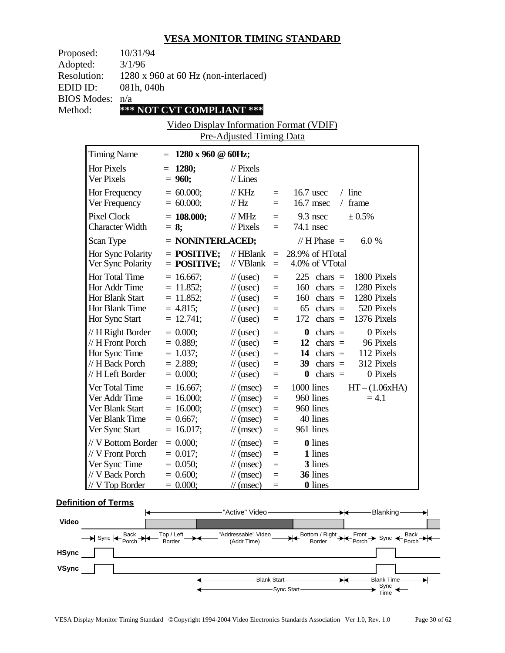| Proposed:          | 10/31/94                                    |
|--------------------|---------------------------------------------|
| Adopted:           | 3/1/96                                      |
| <b>Resolution:</b> | $1280 \times 960$ at 60 Hz (non-interlaced) |
| EDID ID:           | 081h, 040h                                  |
| BIOS Modes: n/a    |                                             |
| Method:            | *** NOT CVT COMPLIANT ***                   |
|                    |                                             |

Video Display Information Format (VDIF) Pre-Adjusted Timing Data

| <b>Timing Name</b>                                                                            | $1280 \times 960 \text{ } @60Hz;$                                         |                                                                                                                                           |                                                |                                                                                                                                                                                  |
|-----------------------------------------------------------------------------------------------|---------------------------------------------------------------------------|-------------------------------------------------------------------------------------------------------------------------------------------|------------------------------------------------|----------------------------------------------------------------------------------------------------------------------------------------------------------------------------------|
| Hor Pixels<br>Ver Pixels                                                                      | 1280;<br>$= 960;$                                                         | $\frac{1}{2}$ Pixels<br>$//$ Lines                                                                                                        |                                                |                                                                                                                                                                                  |
| Hor Frequency<br>Ver Frequency                                                                | $= 60.000;$<br>$= 60.000;$                                                | $//$ KHz<br>$\frac{1}{1}$ Hz                                                                                                              | $=$<br>$=$                                     | $16.7$ usec<br>$/$ line<br>16.7 msec<br>frame<br>$\sqrt{2}$                                                                                                                      |
| <b>Pixel Clock</b><br><b>Character Width</b>                                                  | $= 108.000;$<br>$= 8;$                                                    | $//$ MHz<br>$\frac{1}{2}$ Pixels                                                                                                          | $=$<br>$=$                                     | $9.3$ nsec<br>± 0.5%<br>74.1 nsec                                                                                                                                                |
| Scan Type                                                                                     | = NONINTERLACED;                                                          |                                                                                                                                           |                                                | // H Phase $=$<br>6.0%                                                                                                                                                           |
| Hor Sync Polarity<br>Ver Sync Polarity                                                        | $=$ POSITIVE;<br>$=$ POSITIVE;                                            | $//$ HBlank<br>// VBlank                                                                                                                  | $\equiv$<br>$\equiv$                           | 28.9% of HTotal<br>4.0% of VTotal                                                                                                                                                |
| Hor Total Time<br>Hor Addr Time<br>Hor Blank Start<br>Hor Blank Time<br>Hor Sync Start        | $= 16.667$ ;<br>$= 11.852;$<br>$= 11.852$ ;<br>$= 4.815$ ;<br>$= 12.741;$ | $\frac{1}{2}$ (usec)<br>$\frac{1}{2}$ (usec)<br>$\frac{1}{2}$ (usec)<br>$\frac{1}{2}$ (usec)<br>$\frac{1}{2}$ (usec)                      | $=$<br>$=$<br>$=$<br>$=$<br>$=$                | 225<br>1800 Pixels<br>chars $=$<br>1280 Pixels<br>160<br>chars $=$<br>160<br>1280 Pixels<br>chars $=$<br>520 Pixels<br>65<br>chars $=$<br>1376 Pixels<br>172<br>chars $=$        |
| // H Right Border<br>// H Front Porch<br>Hor Sync Time<br>// H Back Porch<br>// H Left Border | $= 0.000;$<br>$= 0.889;$<br>$= 1.037;$<br>$= 2.889;$<br>$= 0.000;$        | $\frac{1}{2}$ (usec)<br>$\frac{1}{2}$ (usec)<br>$\frac{1}{2}$ (usec)<br>$\frac{1}{2}$ (usec)<br>$\frac{1}{2}$ (usec)                      | $=$<br>$=$<br>$=$<br>$=$<br>$=$                | 0 Pixels<br>$\boldsymbol{0}$<br>chars $=$<br>12<br>$chars =$<br>96 Pixels<br>112 Pixels<br>14<br>chars $=$<br>312 Pixels<br>39<br>chars $=$<br>0 Pixels<br>$chars =$<br>$\bf{0}$ |
| Ver Total Time<br>Ver Addr Time<br>Ver Blank Start<br>Ver Blank Time<br>Ver Sync Start        | $= 16.667$ ;<br>$= 16.000;$<br>$= 16.000;$<br>$= 0.667;$<br>$= 16.017;$   | $\frac{1}{\sqrt{2}}$ (msec)<br>$\frac{1}{\pi}$ (msec)<br>$\frac{1}{\pi}$ (msec)<br>$\frac{1}{\pi}$ (msec)<br>$\frac{1}{\sqrt{2}}$ (msec)  | $\equiv$<br>$=$<br>$\equiv$<br>$\equiv$<br>$=$ | 1000 lines<br>$HT - (1.06xHA)$<br>960 lines<br>$= 4.1$<br>960 lines<br>40 lines<br>961 lines                                                                                     |
| // V Bottom Border<br>// V Front Porch<br>Ver Sync Time<br>// V Back Porch<br>// V Top Border | $= 0.000;$<br>$= 0.017$ ;<br>$= 0.050$ ;<br>$= 0.600;$<br>$= 0.000;$      | $\mathcal{U}$ (msec)<br>$\frac{1}{\sqrt{2}}$ (msec)<br>$\frac{1}{\sqrt{2}}$ (msec)<br>$\frac{1}{\sqrt{2}}$ (msec)<br>$\mathcal{U}$ (msec) | $=$<br>$=$<br>$=$<br>$=$<br>$=$                | 0 lines<br>1 lines<br>3 lines<br>36 lines<br>0 lines                                                                                                                             |

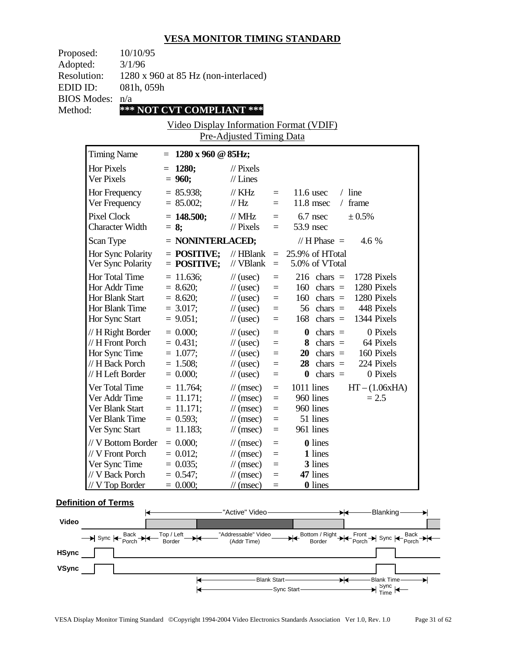| Proposed:          | 10/10/95                                    |
|--------------------|---------------------------------------------|
| Adopted:           | 3/1/96                                      |
| <b>Resolution:</b> | $1280 \times 960$ at 85 Hz (non-interlaced) |
| EDID ID:           | 081h, 059h                                  |
| BIOS Modes: n/a    |                                             |
| Method:            | *** NOT CVT COMPLIANT ***                   |

Video Display Information Format (VDIF) Pre-Adjusted Timing Data

| <b>Timing Name</b>                                                                              | 1280 x 960 @ 85Hz;<br>$=$                                               |                                                                                                                                        |                                 |                                                                                                                                                                                         |
|-------------------------------------------------------------------------------------------------|-------------------------------------------------------------------------|----------------------------------------------------------------------------------------------------------------------------------------|---------------------------------|-----------------------------------------------------------------------------------------------------------------------------------------------------------------------------------------|
| Hor Pixels<br>Ver Pixels                                                                        | 1280;<br>$=$<br>$= 960;$                                                | $\mathcal{U}$ Pixels<br>$//$ Lines                                                                                                     |                                 |                                                                                                                                                                                         |
| Hor Frequency<br>Ver Frequency                                                                  | $= 85.938;$<br>$= 85.002;$                                              | $//$ KHz<br>$\frac{1}{1}$ Hz                                                                                                           | $\equiv$<br>$=$                 | $11.6$ usec<br>$/$ line<br>11.8 msec<br>frame<br>$\sqrt{2}$                                                                                                                             |
| <b>Pixel Clock</b><br><b>Character Width</b>                                                    | $= 148.500;$<br>$= 8;$                                                  | $//$ MHz<br>$\frac{1}{2}$ Pixels                                                                                                       | $=$<br>$=$                      | $6.7$ nsec<br>± 0.5%<br>53.9 nsec                                                                                                                                                       |
| Scan Type                                                                                       | $=$ NONINTERLACED;                                                      |                                                                                                                                        |                                 | // $H$ Phase $=$<br>4.6 %                                                                                                                                                               |
| Hor Sync Polarity<br>Ver Sync Polarity                                                          | $=$ POSITIVE;<br>$=$ POSITIVE;                                          | $//$ HBlank<br>// VBlank                                                                                                               | $\equiv$<br>$\equiv$            | 25.9% of HTotal<br>5.0% of VTotal                                                                                                                                                       |
| Hor Total Time<br>Hor Addr Time<br>Hor Blank Start<br>Hor Blank Time<br>Hor Sync Start          | $= 11.636$ ;<br>$= 8.620;$<br>$= 8.620$ ;<br>$= 3.017$ ;<br>$= 9.051$ ; | $\frac{1}{2}$ (usec)<br>$\frac{1}{2}$ (usec)<br>$\frac{1}{2}$ (usec)<br>$\frac{1}{2}$ (usec)<br>$\frac{1}{2}$ (usec)                   | $=$<br>$=$<br>$=$<br>$=$<br>$=$ | $216$ chars =<br>1728 Pixels<br>1280 Pixels<br>160<br>chars $=$<br>160<br>1280 Pixels<br>chars $=$<br>448 Pixels<br>56<br>chars $=$<br>168<br>chars $=$<br>1344 Pixels                  |
| // H Right Border<br>// H Front Porch<br>Hor Sync Time<br>// H Back Porch<br>// H Left Border   | $= 0.000;$<br>$= 0.431$ ;<br>$= 1.077;$<br>$= 1.508;$<br>$= 0.000;$     | $\frac{1}{2}$ (usec)<br>$\frac{1}{2}$ (usec)<br>$\frac{1}{2}$ (usec)<br>$\frac{1}{2}$ (usec)<br>$\frac{1}{2}$ (usec)                   | $=$<br>$=$<br>$=$<br>$=$<br>$=$ | 0 Pixels<br>$\boldsymbol{0}$<br>chars $=$<br>8<br>chars $=$<br>64 Pixels<br>20<br>chars $=$<br>160 Pixels<br>224 Pixels<br>28<br>chars $=$<br>chars $=$<br>0 Pixels<br>$\boldsymbol{0}$ |
| Ver Total Time<br>Ver Addr Time<br>Ver Blank Start<br>Ver Blank Time<br>Ver Sync Start          | $= 11.764$ ;<br>$= 11.171;$<br>$= 11.171;$<br>$= 0.593;$<br>$= 11.183;$ | $\frac{1}{\pi}$ (msec)<br>$\frac{1}{\pi}$ (msec)<br>$\frac{1}{\pi}$ (msec)<br>$\frac{1}{\pi}$ (msec)<br>$\frac{1}{\sqrt{2}}$ (msec)    | $=$<br>$=$<br>$=$<br>$=$<br>$=$ | 1011 lines<br>$HT - (1.06xHA)$<br>960 lines<br>$= 2.5$<br>960 lines<br>51 lines<br>961 lines                                                                                            |
| // V Bottom Border<br>// V Front Porch<br>Ver Sync Time<br>// V Back Porch<br>$//$ V Top Border | $= 0.000;$<br>$= 0.012$ ;<br>$= 0.035$ ;<br>$= 0.547;$<br>$= 0.000$     | $\frac{1}{\pi}$ (msec)<br>$\frac{1}{\pi}$ (msec)<br>$\frac{1}{\sqrt{2}}$ (msec)<br>$\frac{1}{\sqrt{2}}$ (msec)<br>$\mathcal{U}$ (msec) | $=$<br>$=$<br>$=$<br>$=$<br>$=$ | 0 lines<br>1 lines<br>3 lines<br>47 lines<br><b>0</b> lines                                                                                                                             |

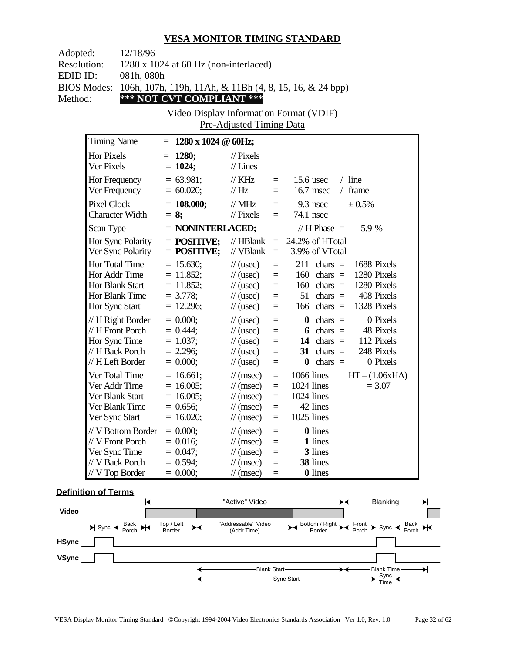| Adopted:<br><b>Resolution:</b>            | 12/18/96                                                                                        | $1280 \times 1024$ at 60 Hz (non-interlaced)                              |                                                                                                                                                         |                                                          |                                                                                                                                                                                    |  |
|-------------------------------------------|-------------------------------------------------------------------------------------------------|---------------------------------------------------------------------------|---------------------------------------------------------------------------------------------------------------------------------------------------------|----------------------------------------------------------|------------------------------------------------------------------------------------------------------------------------------------------------------------------------------------|--|
| EDID ID:<br><b>BIOS Modes:</b><br>Method: | 081h, 080h                                                                                      | *** NOT CVT COMPLIANT ***                                                 |                                                                                                                                                         |                                                          | 106h, 107h, 119h, 11Ah, & 11Bh (4, 8, 15, 16, & 24 bpp)                                                                                                                            |  |
|                                           |                                                                                                 | Video Display Information Format (VDIF)                                   | Pre-Adjusted Timing Data                                                                                                                                |                                                          |                                                                                                                                                                                    |  |
|                                           | <b>Timing Name</b>                                                                              | $= 1280 \times 1024 \text{ } \textcircled{a}$ 60Hz;                       |                                                                                                                                                         |                                                          |                                                                                                                                                                                    |  |
|                                           | <b>Hor Pixels</b><br>Ver Pixels                                                                 | $= 1280;$<br>$= 1024;$                                                    | $\frac{1}{2}$ Pixels<br>$//$ Lines                                                                                                                      |                                                          |                                                                                                                                                                                    |  |
|                                           | Hor Frequency<br>Ver Frequency                                                                  | $= 63.981;$<br>$= 60.020;$                                                | $\frac{1}{K}$ KHz<br>$\frac{1}{1}$ Hz                                                                                                                   | $=$<br>$=$                                               | $/$ line<br>15.6 usec<br>$16.7$ msec<br>$/$ frame                                                                                                                                  |  |
|                                           | <b>Pixel Clock</b><br><b>Character Width</b>                                                    | $= 108.000;$<br>$= 8$ ;                                                   | $\frac{1}{2}$ MHz<br>$\frac{1}{2}$ Pixels                                                                                                               | $=$<br>$=$                                               | $9.3$ nsec<br>± 0.5%<br>74.1 nsec                                                                                                                                                  |  |
|                                           | Scan Type                                                                                       | = NONINTERLACED;                                                          |                                                                                                                                                         |                                                          | 5.9 %<br>// $H$ Phase $=$                                                                                                                                                          |  |
|                                           | Hor Sync Polarity<br>Ver Sync Polarity                                                          | $=$ POSITIVE;<br>$=$ POSITIVE;                                            | $//$ HBlank<br>// VBlank                                                                                                                                | $=$<br>$\equiv$                                          | 24.2% of HTotal<br>3.9% of VTotal                                                                                                                                                  |  |
|                                           | Hor Total Time<br>Hor Addr Time<br>Hor Blank Start<br>Hor Blank Time<br>Hor Sync Start          | $= 15.630;$<br>$= 11.852;$<br>$= 11.852$ ;<br>$= 3.778;$<br>$= 12.296;$   | $\frac{1}{2}$ (usec)<br>$\frac{1}{2}$ (usec)<br>$\frac{1}{2}$ (usec)<br>$\frac{1}{2}$ (usec)<br>$\frac{1}{2}$ (usec)                                    | $\equiv$<br>$=$<br>$\equiv$<br>$\equiv$<br>$\equiv$      | $211$ chars =<br>1688 Pixels<br>1280 Pixels<br>$160 \text{ chars} =$<br>$160 \text{ chars} =$<br>1280 Pixels<br>408 Pixels<br>$51$ chars =<br>$166 \text{ chars} =$<br>1328 Pixels |  |
|                                           | // H Right Border<br>$// H$ Front Porch<br>Hor Sync Time<br>// H Back Porch<br>// H Left Border | $= 0.000;$<br>$= 0.444$ ;<br>$= 1.037;$<br>$= 2.296$ ;<br>$= 0.000;$      | $\frac{1}{2}$ (usec)<br>$\frac{1}{2}$ (usec)<br>$\frac{1}{2}$ (usec)<br>$\frac{1}{2}$ (usec)<br>$\frac{1}{2}$ (usec)                                    | $\equiv$<br>$=$<br>$\equiv$<br>$=$<br>$=$                | 0 Pixels<br>$\theta$ chars =<br>6 chars $=$<br>48 Pixels<br>14 chars $=$<br>112 Pixels<br>31 chars $=$<br>248 Pixels<br>0 Pixels<br>$\theta$ chars =                               |  |
|                                           | Ver Total Time<br>Ver Addr Time<br>Ver Blank Start<br>Ver Blank Time<br>Ver Sync Start          | $= 16.661;$<br>$= 16.005$ ;<br>$= 16.005$ ;<br>$= 0.656$ ;<br>$= 16.020;$ | $\mathcal{U}$ (msec)<br>$\frac{1}{\tan(\theta)}$<br>$\frac{1}{\tan(\theta)}$<br>$\frac{1}{\tan(\theta)}$<br>$\frac{1}{2}$ (msec)                        | $\equiv$<br>$\equiv$<br>$\equiv$<br>$\equiv$<br>$\equiv$ | 1066 lines<br>$HT - (1.06xHA)$<br>$1024$ lines<br>$= 3.07$<br>1024 lines<br>42 lines<br>1025 lines                                                                                 |  |
|                                           | // V Bottom Border<br>// V Front Porch<br>Ver Sync Time<br>// V Back Porch<br>$//$ V Top Border | $= 0.000;$<br>$= 0.016;$<br>$= 0.047;$<br>$= 0.594$ ;<br>$= 0.000;$       | $\frac{1}{\sqrt{2}}$ (msec)<br>$\frac{1}{\sqrt{2}}$ (msec)<br>$\frac{1}{\sqrt{2}}$ (msec)<br>$\frac{1}{\sqrt{2}}$ (msec)<br>$\frac{1}{\sqrt{2}}$ (msec) | $=$<br>$\equiv$<br>$=$<br>$=$<br>$=$                     | <b>0</b> lines<br>1 lines<br>3 lines<br>38 lines<br><b>0</b> lines                                                                                                                 |  |

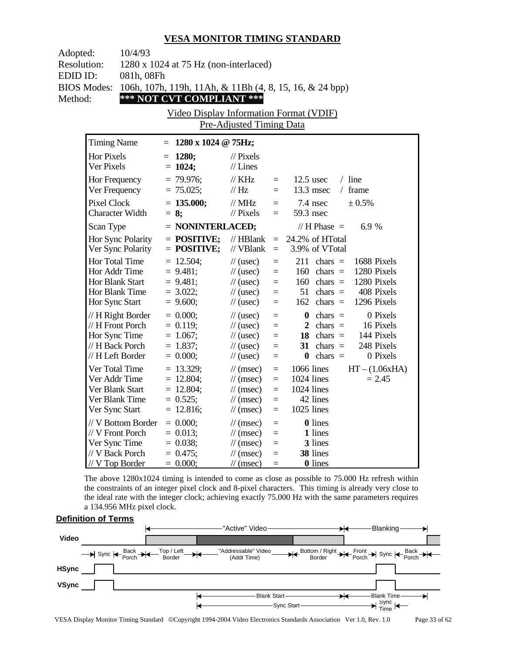| Adopted:           | 10/4/93                                                             |                                       |                                                            |            |                                                         |  |  |  |
|--------------------|---------------------------------------------------------------------|---------------------------------------|------------------------------------------------------------|------------|---------------------------------------------------------|--|--|--|
| <b>Resolution:</b> |                                                                     | 1280 x 1024 at 75 Hz (non-interlaced) |                                                            |            |                                                         |  |  |  |
| EDID ID:           | 081h, 08Fh                                                          |                                       |                                                            |            |                                                         |  |  |  |
| <b>BIOS Modes:</b> |                                                                     |                                       |                                                            |            | 106h, 107h, 119h, 11Ah, & 11Bh (4, 8, 15, 16, & 24 bpp) |  |  |  |
| Method:            |                                                                     | *** NOT CVT COMPLIANT ***             |                                                            |            |                                                         |  |  |  |
|                    |                                                                     |                                       |                                                            |            |                                                         |  |  |  |
|                    | Video Display Information Format (VDIF)<br>Pre-Adjusted Timing Data |                                       |                                                            |            |                                                         |  |  |  |
|                    |                                                                     |                                       |                                                            |            |                                                         |  |  |  |
|                    | <b>Timing Name</b>                                                  | $1280 \times 1024$ @ 75Hz;<br>$=$     |                                                            |            |                                                         |  |  |  |
|                    | Hor Pixels                                                          | 1280;<br>$=$                          | $//$ Pixels                                                |            |                                                         |  |  |  |
|                    | Ver Pixels                                                          | $= 1024;$                             | $//$ Lines                                                 |            |                                                         |  |  |  |
|                    | Hor Frequency                                                       | $= 79.976$ ;                          | $\frac{1}{K}$ KHz                                          | $=$        | $12.5$ usec<br>$/$ line                                 |  |  |  |
|                    | Ver Frequency                                                       | $= 75.025;$                           | // Hz                                                      | $=$        | 13.3 msec<br>/ frame                                    |  |  |  |
|                    | <b>Pixel Clock</b>                                                  | $= 135.000;$                          | $//$ MHz                                                   | $=$        | 7.4 nsec<br>± 0.5%                                      |  |  |  |
|                    | <b>Character Width</b>                                              | $= 8;$                                | $\mathcal{U}$ Pixels                                       | $=$        | 59.3 nsec                                               |  |  |  |
|                    | Scan Type                                                           | $=$ NONINTERLACED;                    |                                                            |            | // $H$ Phase $=$<br>6.9%                                |  |  |  |
|                    | Hor Sync Polarity                                                   | $=$ POSITIVE;                         | $//$ HBlank                                                | $=$        | 24.2% of HTotal                                         |  |  |  |
|                    | Ver Sync Polarity                                                   | $=$ POSITIVE;                         | // VBlank                                                  | $=$        | 3.9% of VTotal                                          |  |  |  |
|                    | Hor Total Time                                                      | $= 12.504$ ;                          | $\frac{1}{2}$ (usec)                                       | $=$        | $211$ chars =<br>1688 Pixels                            |  |  |  |
|                    | Hor Addr Time                                                       | $= 9.481;$                            | $\frac{1}{2}$ (usec)                                       | $=$        | 1280 Pixels<br>$160 \text{ chars} =$                    |  |  |  |
|                    | Hor Blank Start                                                     | $= 9.481;$                            | $\frac{1}{2}$ (usec)                                       | $=$        | 1280 Pixels<br>160<br>chars $=$                         |  |  |  |
|                    | Hor Blank Time                                                      | $= 3.022;$                            | $\frac{1}{2}$ (usec)                                       | $=$        | 51<br>chars $=$<br>408 Pixels                           |  |  |  |
|                    | Hor Sync Start                                                      | $= 9.600;$                            | $\frac{1}{2}$ (usec)                                       | $=$        | 1296 Pixels<br>162<br>chars $=$                         |  |  |  |
|                    | // H Right Border                                                   | $= 0.000;$                            | $\frac{1}{2}$ (usec)                                       | $=$        | chars $=$<br>0 Pixels<br>$\bf{0}$                       |  |  |  |
|                    | // H Front Porch                                                    | $= 0.119;$                            | $\frac{1}{2}$ (usec)                                       | $=$        | 2 chars $=$<br>16 Pixels                                |  |  |  |
|                    | Hor Sync Time                                                       | $= 1.067;$                            | $\frac{1}{2}$ (usec)                                       | $=$        | 18 chars $=$<br>144 Pixels                              |  |  |  |
|                    | // H Back Porch                                                     | $= 1.837;$                            | $\frac{1}{2}$ (usec)                                       | $=$        | 31 chars $=$<br>248 Pixels                              |  |  |  |
|                    | // H Left Border                                                    | $= 0.000;$                            | $\frac{1}{2}$ (usec)                                       | $=$        | chars $=$<br>0 Pixels<br>$\bf{0}$                       |  |  |  |
|                    | Ver Total Time                                                      | $= 13.329;$                           | $\frac{1}{\sqrt{2}}$ (msec)                                | $=$        | 1066 lines<br>$HT - (1.06xHA)$                          |  |  |  |
|                    | Ver Addr Time                                                       | $= 12.804$ ;                          | $\frac{1}{\sqrt{2}}$ (msec)                                | $=$        | 1024 lines<br>$= 2.45$                                  |  |  |  |
|                    | Ver Blank Start                                                     | $= 12.804$ ;                          | $\frac{1}{\sqrt{2}}$ (msec)                                | $=$        | 1024 lines                                              |  |  |  |
|                    | Ver Blank Time                                                      | $= 0.525$ ;                           | $\frac{1}{\sqrt{2}}$ (msec)                                | $=$        | 42 lines<br>1025 lines                                  |  |  |  |
|                    | Ver Sync Start                                                      | $= 12.816;$                           | $\frac{1}{\sqrt{2}}$ (msec)                                | $=$        |                                                         |  |  |  |
|                    | // V Bottom Border                                                  | $= 0.000;$                            | $\frac{1}{\tan(\theta)}$                                   | $=$        | 0 lines                                                 |  |  |  |
|                    | // V Front Porch                                                    | $= 0.013;$                            | $\frac{1}{\sqrt{2}}$ (msec)                                | $=$        | 1 lines                                                 |  |  |  |
|                    | Ver Sync Time<br>// V Back Porch                                    | $= 0.038;$<br>$= 0.475$ ;             | $\frac{1}{\sqrt{2}}$ (msec)<br>$\frac{1}{\sqrt{2}}$ (msec) | $=$<br>$=$ | 3 lines<br>38 lines                                     |  |  |  |
|                    | $//$ V Top Border                                                   | $= 0.000;$                            | $\frac{1}{\sqrt{2}}$ (msec)                                | $=$        | <b>0</b> lines                                          |  |  |  |
|                    |                                                                     |                                       |                                                            |            |                                                         |  |  |  |

The above 1280x1024 timing is intended to come as close as possible to 75.000 Hz refresh within the constraints of an integer pixel clock and 8-pixel characters. This timing is already very close to the ideal rate with the integer clock; achieving exactly 75.000 Hz with the same parameters requires a 134.956 MHz pixel clock.

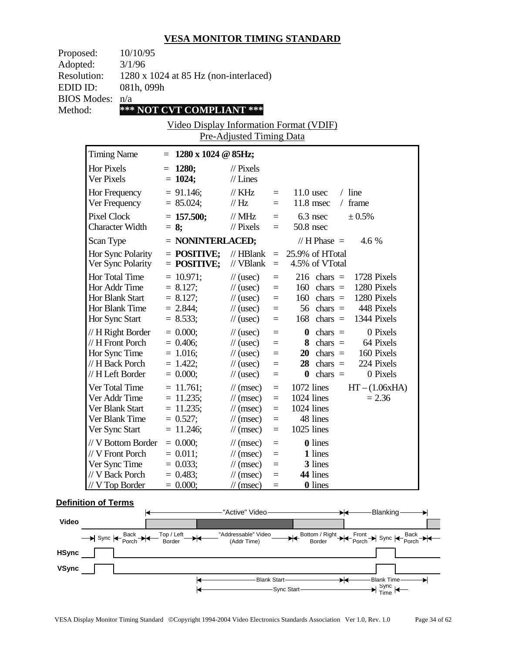| Proposed:           | 10/10/95                                     |
|---------------------|----------------------------------------------|
| Adopted:            | 3/1/96                                       |
| <b>Resolution:</b>  | $1280 \times 1024$ at 85 Hz (non-interlaced) |
| EDID ID:            | 081h, 099h                                   |
| $BIOS$ Modes: $n/a$ |                                              |
| Method:             | *** NOT CVT COMPLIANT ***                    |
|                     |                                              |

Video Display Information Format (VDIF) Pre-Adjusted Timing Data

| <b>Timing Name</b>                                                                              | $1280 \times 1024 \odot 85$ Hz;<br>$=$                                    |                                                                                                                                               |                                                          |                                                                                                                                                                                 |
|-------------------------------------------------------------------------------------------------|---------------------------------------------------------------------------|-----------------------------------------------------------------------------------------------------------------------------------------------|----------------------------------------------------------|---------------------------------------------------------------------------------------------------------------------------------------------------------------------------------|
| <b>Hor Pixels</b><br>Ver Pixels                                                                 | 1280;<br>$=$<br>$= 1024;$                                                 | $\frac{1}{2}$ Pixels<br>$//$ Lines                                                                                                            |                                                          |                                                                                                                                                                                 |
| Hor Frequency<br>Ver Frequency                                                                  | $= 91.146$ ;<br>$= 85.024$ ;                                              | $//$ KHz<br>// Hz                                                                                                                             | $=$<br>$=$                                               | $/$ line<br>$11.0$ usec<br>11.8 msec<br>frame<br>$\sqrt{2}$                                                                                                                     |
| <b>Pixel Clock</b><br><b>Character Width</b>                                                    | $= 157.500;$<br>$= 8;$                                                    | $\frac{1}{1}$ MHz<br>$\frac{1}{2}$ Pixels                                                                                                     | $=$<br>$=$                                               | 6.3 nsec<br>$\pm 0.5\%$<br>50.8 nsec                                                                                                                                            |
| Scan Type                                                                                       | = NONINTERLACED;                                                          |                                                                                                                                               |                                                          | // H Phase $=$<br>4.6 %                                                                                                                                                         |
| Hor Sync Polarity<br>Ver Sync Polarity                                                          | $=$ POSITIVE;<br>$=$ POSITIVE;                                            | $//$ HBlank<br>// VBlank                                                                                                                      | $\equiv$<br>$\equiv$                                     | 25.9% of HTotal<br>4.5% of VTotal                                                                                                                                               |
| Hor Total Time<br>Hor Addr Time<br>Hor Blank Start<br>Hor Blank Time<br>Hor Sync Start          | $= 10.971$ ;<br>$= 8.127;$<br>$= 8.127$ ;<br>$= 2.844;$<br>$= 8.533;$     | $\frac{1}{2}$ (usec)<br>$\frac{1}{2}$ (usec)<br>$\frac{1}{2}$ (usec)<br>$\frac{1}{2}$ (usec)<br>$\frac{1}{2}$ (usec)                          | $\equiv$<br>$\equiv$<br>$=$<br>$=$<br>$=$                | 216<br>1728 Pixels<br>$chars =$<br>160<br>1280 Pixels<br>chars $=$<br>160<br>1280 Pixels<br>chars $=$<br>448 Pixels<br>56<br>chars $=$<br>1344 Pixels<br>168<br>chars $=$       |
| // H Right Border<br>// H Front Porch<br>Hor Sync Time<br>// H Back Porch<br>// H Left Border   | $= 0.000;$<br>$= 0.406$ ;<br>$= 1.016;$<br>$= 1.422$ ;<br>$= 0.000;$      | $\frac{1}{2}$ (usec)<br>$\frac{1}{2}$ (usec)<br>$\frac{1}{2}$ (usec)<br>$\frac{1}{2}$ (usec)<br>$\frac{1}{2}$ (usec)                          | $=$<br>$=$<br>$=$<br>$\equiv$<br>$=$                     | 0 Pixels<br>$\boldsymbol{0}$<br>chars $=$<br>64 Pixels<br>8<br>chars $=$<br>160 Pixels<br>20<br>chars $=$<br>chars $=$<br>224 Pixels<br>28<br>0 Pixels<br>chars $=$<br>$\bf{0}$ |
| Ver Total Time<br>Ver Addr Time<br>Ver Blank Start<br>Ver Blank Time<br>Ver Sync Start          | $= 11.761$ ;<br>$= 11.235$ ;<br>$= 11.235;$<br>$= 0.527;$<br>$= 11.246$ ; | $\frac{1}{\sqrt{2}}$ (msec)<br>$\frac{1}{\pi}$ (msec)<br>$\frac{1}{\pi}$ (msec)<br>$\frac{1}{\sqrt{2}}$ (msec)<br>$\frac{1}{\sqrt{2}}$ (msec) | $\equiv$<br>$\equiv$<br>$\equiv$<br>$\equiv$<br>$\equiv$ | 1072 lines<br>$HT - (1.06xHA)$<br>1024 lines<br>$= 2.36$<br>1024 lines<br>48 lines<br>1025 lines                                                                                |
| // V Bottom Border<br>// V Front Porch<br>Ver Sync Time<br>// V Back Porch<br>$//$ V Top Border | $= 0.000;$<br>$= 0.011;$<br>$= 0.033$ ;<br>$= 0.483;$<br>$= 0.000;$       | $\frac{1}{\pi}$ (msec)<br>$\frac{1}{\sqrt{2}}$ (msec)<br>$\frac{1}{\sqrt{2}}$ (msec)<br>$\frac{1}{\sqrt{2}}$ (msec)<br>$\mathcal{U}$ (msec)   | $=$<br>$=$<br>$\equiv$<br>$=$<br>$=$                     | <b>0</b> lines<br>1 lines<br>3 lines<br>44 lines<br><b>0</b> lines                                                                                                              |

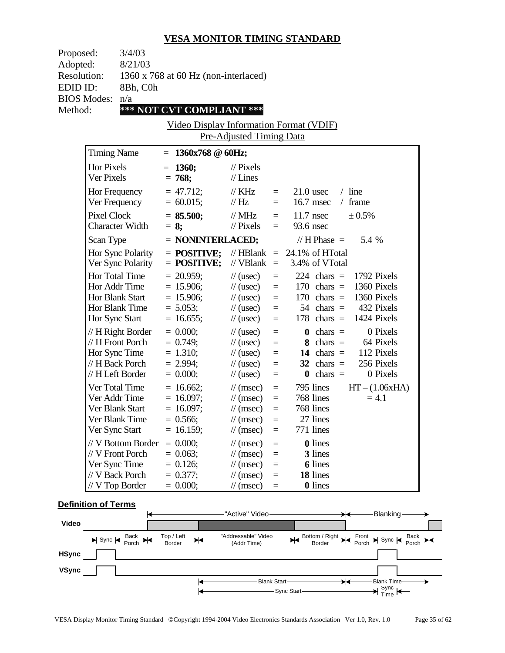| Proposed:<br>Adopted:<br><b>Resolution:</b><br>EDID ID:<br><b>BIOS Modes:</b><br>Method: | 3/4/03<br>8/21/03<br>8Bh, C0h<br>n/a                                         | 1360 x 768 at 60 Hz (non-interlaced)<br>*** NOT CVT COMPLIANT ***        | Pre-Adjusted Timing Data                                                                                                                                |                                                                   | <u>Video Display Information Format (VDIF)</u>                                                                                                                               |
|------------------------------------------------------------------------------------------|------------------------------------------------------------------------------|--------------------------------------------------------------------------|---------------------------------------------------------------------------------------------------------------------------------------------------------|-------------------------------------------------------------------|------------------------------------------------------------------------------------------------------------------------------------------------------------------------------|
| <b>Timing Name</b>                                                                       |                                                                              | $= 1360x768$ @ 60Hz;                                                     |                                                                                                                                                         |                                                                   |                                                                                                                                                                              |
| <b>Hor Pixels</b><br>Ver Pixels                                                          |                                                                              | $= 1360;$<br>$= 768;$                                                    | $\frac{1}{2}$ Pixels<br>$//$ Lines                                                                                                                      |                                                                   |                                                                                                                                                                              |
| Ver Frequency                                                                            | Hor Frequency                                                                | $= 47.712;$<br>$= 60.015;$                                               | $\frac{1}{K}$ KHz<br>$\frac{1}{1}$ Hz                                                                                                                   | $=$<br>$=$                                                        | $21.0$ usec<br>$/$ line<br>/ frame<br>16.7 msec                                                                                                                              |
| <b>Pixel Clock</b>                                                                       | <b>Character Width</b>                                                       | $= 85.500;$<br>$= 8$ ;                                                   | $\frac{1}{2}$ MHz<br>$//$ Pixels                                                                                                                        | $=$ $-$<br>$=$                                                    | $11.7$ nsec<br>$\pm 0.5\%$<br>93.6 nsec                                                                                                                                      |
| Scan Type                                                                                |                                                                              | $=$ NONINTERLACED;                                                       |                                                                                                                                                         |                                                                   | // H Phase $=$<br>5.4 %                                                                                                                                                      |
|                                                                                          | Hor Sync Polarity<br>Ver Sync Polarity                                       | $=$ POSITIVE;<br>$=$ POSITIVE;                                           | $//$ HBlank<br>// VBlank                                                                                                                                | $\equiv$ .                                                        | $= 24.1\%$ of HTotal<br>3.4% of VTotal                                                                                                                                       |
| Hor Total Time<br>Hor Addr Time<br>Hor Blank Start<br>Hor Sync Start                     | Hor Blank Time                                                               | $= 20.959$ ;<br>$= 15.906;$<br>$= 15.906;$<br>$= 5.053;$<br>$= 16.655;$  | $\frac{1}{2}$ (usec)<br>$\frac{1}{2}$ (usec)<br>$\frac{1}{2}$ (usec)<br>$\frac{1}{2}$ (usec)<br>$\frac{1}{2}$ (usec)                                    | $=$<br>$\equiv$<br>$\equiv$<br>$\equiv$<br>$\equiv$               | 224 chars $=$ 1792 Pixels<br>$170 \text{ chars} =$<br>1360 Pixels<br>170 chars $=$ 1360 Pixels<br>432 Pixels<br>$54 \text{ chars} =$<br>$178$ chars =<br>1424 Pixels         |
| Hor Sync Time                                                                            | // H Right Border<br>// H Front Porch<br>// H Back Porch<br>// H Left Border | $= 0.000;$<br>$= 0.749;$<br>$= 1.310;$<br>$= 2.994;$<br>$= 0.000;$       | $\frac{1}{2}$ (usec)<br>$\frac{1}{\sqrt{2}}$ (usec)<br>$\frac{1}{2}$ (usec)<br>$\frac{1}{2}$ (usec)<br>$\frac{1}{2}$ (usec)                             | $\equiv$<br>$\qquad \qquad =$<br>$\equiv$<br>$\equiv$<br>$\equiv$ | 0 Pixels<br>$\mathbf{0}$ chars =<br>$8 \text{ chars} =$<br>64 Pixels<br>112 Pixels<br>14 chars $=$<br>$32 \text{ chars} =$<br>256 Pixels<br>$\mathbf{0}$ chars =<br>0 Pixels |
| Ver Total Time<br>Ver Addr Time<br>Ver Blank Start<br>Ver Sync Start                     | Ver Blank Time                                                               | $= 16.662$ ;<br>$= 16.097;$<br>$= 16.097$ ;<br>$= 0.566;$<br>$= 16.159;$ | $\frac{1}{\tan(\theta)}$<br>$\frac{1}{\tan(\theta)}$<br>$\frac{1}{\tan(\theta)}$<br>$\frac{1}{\sqrt{2}}$ (msec)<br>$\frac{1}{\sqrt{2}}$ (msec)          | $\equiv$<br>$\equiv$<br>$=$<br>$=$<br>$\equiv$                    | 795 lines<br>$HT - (1.06xHA)$<br>768 lines<br>$= 4.1$<br>768 lines<br>27 lines<br>771 lines                                                                                  |
| Ver Sync Time<br>// V Back Porch<br>$//$ V Top Border                                    | // V Bottom Border<br>// V Front Porch                                       | $= 0.000;$<br>$= 0.063$ ;<br>$= 0.126$ ;<br>$= 0.377;$<br>$= 0.000;$     | $\frac{1}{\sqrt{2}}$ (msec)<br>$\frac{1}{\sqrt{2}}$ (msec)<br>$\frac{1}{\sqrt{2}}$ (msec)<br>$\frac{1}{\sqrt{2}}$ (msec)<br>$\frac{1}{\sqrt{2}}$ (msec) | $\equiv$<br>$\equiv$<br>$\equiv$<br>$\equiv$<br>$\equiv$          | 0 lines<br>3 lines<br><b>6</b> lines<br>18 lines<br><b>0</b> lines                                                                                                           |

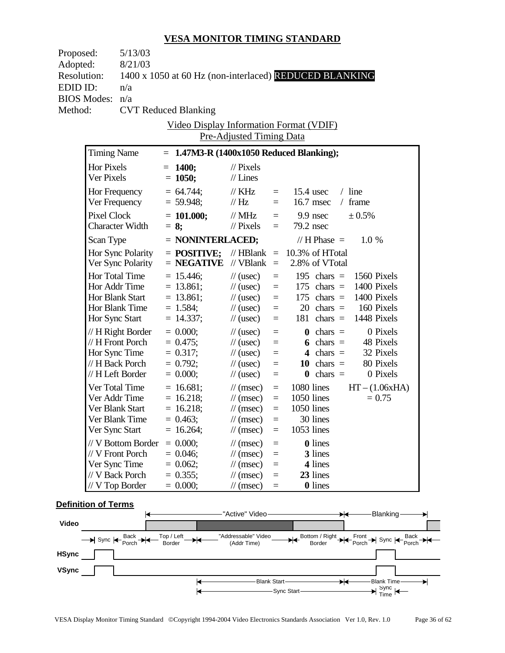| Proposed:          |                    | 5/13/03                |                                                        |                                 |          |                 |                      |                           |          |
|--------------------|--------------------|------------------------|--------------------------------------------------------|---------------------------------|----------|-----------------|----------------------|---------------------------|----------|
| Adopted:           |                    | 8/21/03                |                                                        |                                 |          |                 |                      |                           |          |
| <b>Resolution:</b> |                    |                        | 1400 x 1050 at 60 Hz (non-interlaced) REDUCED BLANKING |                                 |          |                 |                      |                           |          |
| EDID ID:           |                    | n/a                    |                                                        |                                 |          |                 |                      |                           |          |
|                    | <b>BIOS Modes:</b> | n/a                    |                                                        |                                 |          |                 |                      |                           |          |
| Method:            |                    |                        | <b>CVT Reduced Blanking</b>                            |                                 |          |                 |                      |                           |          |
|                    |                    |                        | Video Display Information Format (VDIF)                |                                 |          |                 |                      |                           |          |
|                    |                    |                        |                                                        | <b>Pre-Adjusted Timing Data</b> |          |                 |                      |                           |          |
|                    | <b>Timing Name</b> |                        | $= 1.47M3-R (1400x1050$ Reduced Blanking);             |                                 |          |                 |                      |                           |          |
|                    | Hor Pixels         |                        | $= 1400;$                                              | $//$ Pixels                     |          |                 |                      |                           |          |
|                    | Ver Pixels         |                        | $= 1050;$                                              | $//$ Lines                      |          |                 |                      |                           |          |
|                    | Hor Frequency      |                        | $= 64.744;$                                            | $\frac{1}{K}$ KHz               | $=$      |                 | $15.4$ usec          | $/$ line                  |          |
|                    |                    | Ver Frequency          | $= 59.948;$                                            | $\frac{1}{1}$ Hz                | $=$      |                 | $16.7$ msec          | / frame                   |          |
|                    | <b>Pixel Clock</b> |                        | $= 101.000;$                                           | $\frac{1}{2}$ MHz               | $\equiv$ | $9.9$ nsec      |                      | ± 0.5%                    |          |
|                    |                    | <b>Character Width</b> | $= 8$ ;                                                | $\frac{1}{2}$ Pixels            | $=$      | 79.2 nsec       |                      |                           |          |
|                    | Scan Type          |                        | $=$ NONINTERLACED;                                     |                                 |          |                 | // H Phase $=$       | 1.0%                      |          |
|                    |                    | Hor Sync Polarity      | $=$ POSITIVE:                                          | // $HBlank =$                   |          | 10.3% of HTotal |                      |                           |          |
|                    |                    | Ver Sync Polarity      | $=$ NEGATIVE                                           | // $VB$ lank =                  |          |                 | 2.8% of VTotal       |                           |          |
|                    | Hor Total Time     |                        | $= 15.446;$                                            | $\frac{1}{2}$ (usec)            | $\equiv$ |                 | 195 chars $=$        | 1560 Pixels               |          |
|                    | Hor Addr Time      |                        | $= 13.861;$                                            | $\frac{1}{2}$ (usec)            | $\equiv$ |                 |                      | 175 chars $=$ 1400 Pixels |          |
|                    | Hor Blank Start    |                        | $= 13.861;$                                            | $\frac{1}{2}$ (usec)            | $\equiv$ |                 | $175$ chars =        | 1400 Pixels               |          |
|                    | Hor Blank Time     |                        | $= 1.584;$                                             | $\frac{1}{2}$ (usec)            | $\equiv$ |                 | $20 \text{ chars} =$ | 160 Pixels                |          |
|                    | Hor Sync Start     |                        | $= 14.337;$                                            | $\frac{1}{2}$ (usec)            | $\equiv$ |                 |                      | 181 chars $=$ 1448 Pixels |          |
|                    |                    | // H Right Border      | $= 0.000;$                                             | $\frac{1}{2}$ (usec)            | $\equiv$ |                 | $\mathbf{0}$ chars = |                           | 0 Pixels |
|                    | // H Front Porch   |                        | $= 0.475$ ;                                            | $\frac{1}{2}$ (usec)            | $\equiv$ |                 | 6 chars $=$          | 48 Pixels                 |          |
|                    | Hor Sync Time      |                        | $= 0.317;$                                             | $\frac{1}{2}$ (usec)            | $=$      |                 | 4 chars $=$          | 32 Pixels                 |          |
|                    | // H Back Porch    |                        | $= 0.792;$                                             | $\frac{1}{2}$ (usec)            | $\equiv$ |                 | 10 chars $=$         | 80 Pixels                 |          |
|                    | // H Left Border   |                        | $= 0.000;$                                             | $\frac{1}{2}$ (usec)            | $\equiv$ |                 | $\mathbf{0}$ chars = |                           | 0 Pixels |
|                    | Ver Total Time     |                        | $= 16.681;$                                            | $\frac{1}{\tan(\theta)}$        | $\equiv$ | 1080 lines      |                      | $HT - (1.06xHA)$          |          |
|                    | Ver Addr Time      |                        | $= 16.218;$                                            | $\frac{1}{\tan(\theta)}$        | $\equiv$ | $1050$ lines    |                      | $= 0.75$                  |          |
|                    | Ver Blank Start    |                        | $= 16.218;$                                            | $\frac{1}{\tan(\theta)}$        | $\equiv$ | 1050 lines      |                      |                           |          |
|                    | Ver Blank Time     |                        | $= 0.463;$                                             | $\frac{1}{\sqrt{2}}$ (msec)     | $\equiv$ |                 | 30 lines             |                           |          |
|                    | Ver Sync Start     |                        | $= 16.264;$                                            | $\frac{1}{\sqrt{2}}$ (msec)     | $=$      | 1053 lines      |                      |                           |          |
|                    |                    | // V Bottom Border     | $= 0.000;$                                             | $\frac{1}{\sqrt{2}}$ (msec)     | $=$      |                 | <b>0</b> lines       |                           |          |
|                    | // V Front Porch   |                        | $= 0.046$ ;                                            | $\frac{1}{\sqrt{2}}$ (msec)     | $=$      |                 | 3 lines              |                           |          |
|                    | Ver Sync Time      |                        | $= 0.062$ ;                                            | $\frac{1}{\sqrt{2}}$ (msec)     | $=$      |                 | 4 lines              |                           |          |
|                    | // V Back Porch    |                        | $= 0.355;$                                             | $\frac{1}{\sqrt{2}}$ (msec)     | $=$      |                 | 23 lines             |                           |          |
|                    | // V Top Border    |                        | $= 0.000;$                                             | $\frac{1}{\sqrt{2}}$ (msec)     | $=$      |                 | <b>0</b> lines       |                           |          |
|                    |                    |                        |                                                        |                                 |          |                 |                      |                           |          |

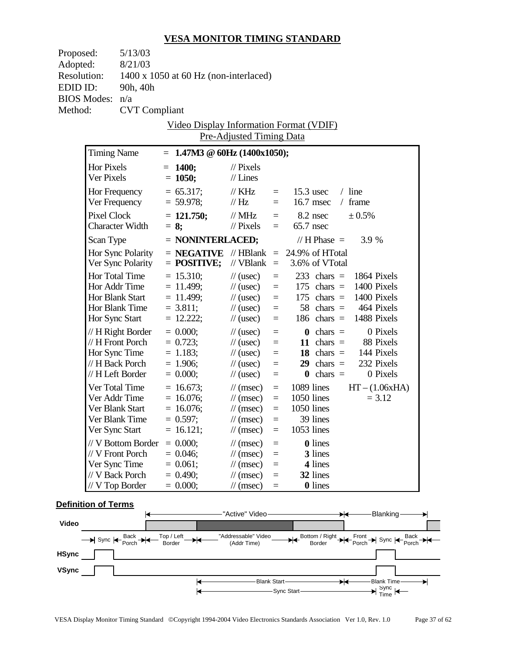| Proposed:          |                    | 5/13/03                                |                                                   |                                              |                      |             |                       |                                                        |                  |
|--------------------|--------------------|----------------------------------------|---------------------------------------------------|----------------------------------------------|----------------------|-------------|-----------------------|--------------------------------------------------------|------------------|
| Adopted:           |                    | 8/21/03                                |                                                   |                                              |                      |             |                       |                                                        |                  |
| <b>Resolution:</b> |                    |                                        | 1400 x 1050 at 60 Hz (non-interlaced)             |                                              |                      |             |                       |                                                        |                  |
| EDID ID:           |                    | 90h, 40h                               |                                                   |                                              |                      |             |                       |                                                        |                  |
| <b>BIOS Modes:</b> |                    | n/a                                    |                                                   |                                              |                      |             |                       |                                                        |                  |
| Method:            |                    | <b>CVT</b> Compliant                   |                                                   |                                              |                      |             |                       |                                                        |                  |
|                    |                    |                                        | Video Display Information Format (VDIF)           |                                              |                      |             |                       |                                                        |                  |
|                    |                    |                                        |                                                   | Pre-Adjusted Timing Data                     |                      |             |                       |                                                        |                  |
|                    | <b>Timing Name</b> |                                        | $= 1.47M3 \ @ \ 60Hz \ (1400x1050);$              |                                              |                      |             |                       |                                                        |                  |
|                    | Hor Pixels         |                                        | $= 1400;$                                         | $\frac{1}{2}$ Pixels                         |                      |             |                       |                                                        |                  |
|                    | Ver Pixels         |                                        | $= 1050;$                                         | $//$ Lines                                   |                      |             |                       |                                                        |                  |
|                    |                    | Hor Frequency                          | $= 65.317;$                                       | $\frac{1}{K}$ KHz                            | $=$ $-$              | $15.3$ usec |                       | $/$ line                                               |                  |
|                    |                    | Ver Frequency                          | $= 59.978;$                                       | $\frac{1}{1}$ Hz                             | $=$                  |             | $16.7$ msec           | $/$ frame                                              |                  |
|                    | <b>Pixel Clock</b> |                                        | $= 121.750;$                                      | $\frac{1}{2}$ MHz                            |                      |             | 8.2 nsec              | ± 0.5%                                                 |                  |
|                    |                    | <b>Character Width</b>                 | $= 8$ ;                                           | $//$ Pixels                                  | $=$<br>$=$           | 65.7 nsec   |                       |                                                        |                  |
|                    |                    |                                        |                                                   |                                              |                      |             |                       | 3.9 %                                                  |                  |
|                    | Scan Type          |                                        | $=$ NONINTERLACED;                                |                                              |                      |             | // H Phase $=$        |                                                        |                  |
|                    |                    | Hor Sync Polarity<br>Ver Sync Polarity | $=$ <b>NEGATIVE</b> // HBlank $=$ 24.9% of HTotal | // VBlank $=$ 3.6% of VTotal                 |                      |             |                       |                                                        |                  |
|                    |                    |                                        | $=$ POSITIVE;                                     |                                              |                      |             |                       |                                                        |                  |
|                    |                    | Hor Total Time                         | $= 15.310;$                                       | $\frac{1}{2}$ (usec)                         | $\equiv$             |             | $233 \text{ chars} =$ |                                                        | 1864 Pixels      |
|                    |                    | Hor Addr Time<br>Hor Blank Start       | $= 11.499;$<br>$= 11.499;$                        | $\frac{1}{2}$ (usec)<br>$\frac{1}{2}$ (usec) | $\equiv$<br>$\equiv$ |             |                       | 175 chars $=$ 1400 Pixels<br>175 chars $=$ 1400 Pixels |                  |
|                    |                    | Hor Blank Time                         | $= 3.811;$                                        | $\frac{1}{2}$ (usec)                         | $\equiv$             |             |                       | 58 chars $=$ 464 Pixels                                |                  |
|                    | Hor Sync Start     |                                        | $= 12.222;$                                       | $\frac{1}{2}$ (usec)                         | $\equiv$             |             | 186 chars $=$         | 1488 Pixels                                            |                  |
|                    |                    | // H Right Border                      | $= 0.000;$                                        | $\frac{1}{2}$ (usec)                         | $\equiv$             |             | $\mathbf{0}$ chars =  |                                                        | 0 Pixels         |
|                    |                    | // H Front Porch                       | $= 0.723;$                                        | $\frac{1}{2}$ (usec)                         | $\equiv$             |             | 11 chars $=$          |                                                        | 88 Pixels        |
|                    |                    | Hor Sync Time                          | $= 1.183$ ;                                       | $\frac{1}{2}$ (usec)                         | $\equiv$             |             |                       | 18 chars $=$ 144 Pixels                                |                  |
|                    |                    | // H Back Porch                        | $= 1.906$ ;                                       | $\frac{1}{2}$ (usec)                         | $=$                  |             | $29 \text{ chars} =$  |                                                        | 232 Pixels       |
|                    |                    | // H Left Border                       | $= 0.000;$                                        | $\frac{1}{2}$ (usec)                         | $\equiv$             |             | $\mathbf{0}$ chars =  |                                                        | 0 Pixels         |
|                    |                    | Ver Total Time                         | $= 16.673;$                                       | $\frac{1}{\tan(\theta)}$                     | $\equiv$             | 1089 lines  |                       |                                                        | $HT - (1.06xHA)$ |
|                    |                    | Ver Addr Time                          | $= 16.076;$                                       | $\frac{1}{\tan(\theta)}$                     | $\equiv$             | 1050 lines  |                       |                                                        | $= 3.12$         |
|                    |                    | Ver Blank Start                        | $= 16.076$ ;                                      | $\frac{1}{\tan(\theta)}$                     | $\equiv$             | 1050 lines  |                       |                                                        |                  |
|                    |                    | Ver Blank Time                         | $= 0.597;$                                        | $\frac{1}{\sqrt{2}}$ (msec)                  | $=$                  |             | 39 lines              |                                                        |                  |
|                    | Ver Sync Start     |                                        | $= 16.121;$                                       | $\frac{1}{\sqrt{2}}$ (msec)                  | $=$                  | 1053 lines  |                       |                                                        |                  |
|                    |                    | // V Bottom Border                     | $= 0.000;$                                        | $\frac{1}{\sqrt{2}}$ (msec)                  | $=$                  |             | <b>0</b> lines        |                                                        |                  |
|                    |                    | // V Front Porch                       | $= 0.046;$                                        | $\frac{1}{\sqrt{2}}$ (msec)                  | $=$                  |             | 3 lines               |                                                        |                  |
|                    | Ver Sync Time      |                                        | $= 0.061;$                                        | $\frac{1}{\sqrt{2}}$ (msec)                  | $=$                  |             | 4 lines               |                                                        |                  |
|                    |                    | // V Back Porch                        | $= 0.490;$                                        | $\frac{1}{\sqrt{2}}$ (msec)                  | $=$                  |             | 32 lines              |                                                        |                  |
|                    |                    | // V Top Border                        | $= 0.000;$                                        | $\frac{1}{\sqrt{2}}$ (msec)                  | $=$                  |             | <b>0</b> lines        |                                                        |                  |

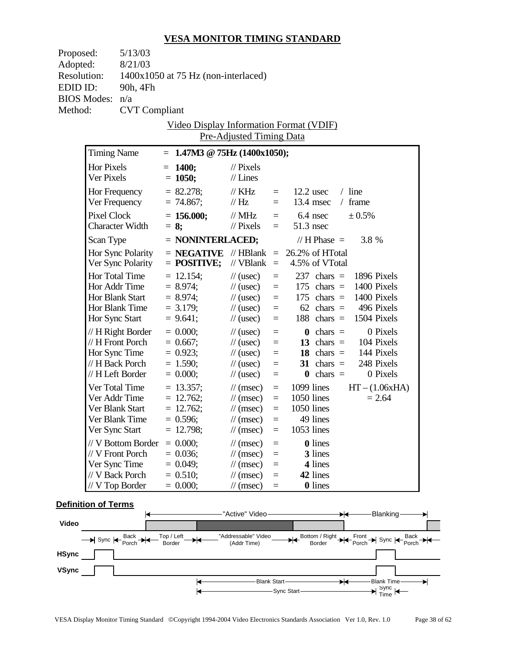| Proposed:          |                        | 5/13/03              |                                         |                             |          |                 |                       |                           |                  |
|--------------------|------------------------|----------------------|-----------------------------------------|-----------------------------|----------|-----------------|-----------------------|---------------------------|------------------|
| Adopted:           |                        | 8/21/03              |                                         |                             |          |                 |                       |                           |                  |
| <b>Resolution:</b> |                        |                      | 1400x1050 at 75 Hz (non-interlaced)     |                             |          |                 |                       |                           |                  |
| EDID ID:           |                        | 90h, 4Fh             |                                         |                             |          |                 |                       |                           |                  |
| <b>BIOS Modes:</b> |                        | n/a                  |                                         |                             |          |                 |                       |                           |                  |
| Method:            |                        | <b>CVT</b> Compliant |                                         |                             |          |                 |                       |                           |                  |
|                    |                        |                      | Video Display Information Format (VDIF) |                             |          |                 |                       |                           |                  |
|                    |                        |                      |                                         | Pre-Adjusted Timing Data    |          |                 |                       |                           |                  |
|                    |                        |                      |                                         |                             |          |                 |                       |                           |                  |
|                    | <b>Timing Name</b>     |                      | $= 1.47M3 \t@ 75Hz (1400x1050);$        |                             |          |                 |                       |                           |                  |
|                    | Hor Pixels             |                      | $= 1400;$                               | $\frac{1}{2}$ Pixels        |          |                 |                       |                           |                  |
|                    | Ver Pixels             |                      | $= 1050;$                               | $//$ Lines                  |          |                 |                       |                           |                  |
|                    | Hor Frequency          |                      | $= 82.278;$                             | $\frac{1}{K}$ KHz           | $=$      |                 | $12.2$ usec           | $/$ line                  |                  |
|                    |                        | Ver Frequency        | $= 74.867;$                             | $\frac{1}{1}$ Hz            | $=$      |                 | $13.4$ msec           | / frame                   |                  |
|                    | Pixel Clock            |                      | $= 156.000;$                            | $\frac{1}{2}$ MHz           | $=$      | $6.4$ nsec      |                       | ± 0.5%                    |                  |
|                    | <b>Character Width</b> |                      | $= 8$ ;                                 | $\frac{1}{2}$ Pixels        | $=$      | $51.3$ nsec     |                       |                           |                  |
|                    | Scan Type              |                      | $=$ NONINTERLACED;                      |                             |          |                 | // H Phase $=$        | 3.8 %                     |                  |
|                    |                        | Hor Sync Polarity    | $=$ <b>NEGATIVE</b> // HBlank $=$       |                             |          | 26.2% of HTotal |                       |                           |                  |
|                    |                        | Ver Sync Polarity    | $=$ POSITIVE;                           | // $VBlank =$               |          |                 | 4.5% of VTotal        |                           |                  |
|                    | Hor Total Time         |                      | $= 12.154;$                             | $\frac{1}{2}$ (usec)        | $\equiv$ |                 | $237 \text{ chars} =$ | 1896 Pixels               |                  |
|                    | Hor Addr Time          |                      | $= 8.974$ ;                             | $\frac{1}{2}$ (usec)        | $\equiv$ |                 | $175$ chars =         | 1400 Pixels               |                  |
|                    | Hor Blank Start        |                      | $= 8.974;$                              | $\frac{1}{2}$ (usec)        | $\equiv$ |                 | $175$ chars =         | 1400 Pixels               |                  |
|                    | Hor Blank Time         |                      | $= 3.179;$                              | $\frac{1}{2}$ (usec)        | $\equiv$ |                 | $62 \text{ chars} =$  | 496 Pixels                |                  |
|                    | Hor Sync Start         |                      | $= 9.641;$                              | $\frac{1}{2}$ (usec)        | $=$      |                 |                       | 188 chars $=$ 1504 Pixels |                  |
|                    |                        | // H Right Border    | $= 0.000;$                              | $\frac{1}{2}$ (usec)        | $\equiv$ |                 | $\mathbf{0}$ chars =  |                           | 0 Pixels         |
|                    | // H Front Porch       |                      | $= 0.667;$                              | $\frac{1}{2}$ (usec)        | $\equiv$ |                 | 13 chars $=$          | 104 Pixels                |                  |
|                    | Hor Sync Time          |                      | $= 0.923;$                              | $\frac{1}{2}$ (usec)        | $=$      |                 |                       | 18 chars $=$ 144 Pixels   |                  |
|                    | // H Back Porch        |                      | $= 1.590;$                              | $\frac{1}{2}$ (usec)        | $\equiv$ |                 | 31 chars $=$          | 248 Pixels                |                  |
|                    | // H Left Border       |                      | $= 0.000;$                              | $\frac{1}{2}$ (usec)        | $\equiv$ |                 | $\mathbf{0}$ chars =  |                           | 0 Pixels         |
|                    | Ver Total Time         |                      | $= 13.357;$                             | $\frac{1}{\tan(\theta)}$    | $\equiv$ | $1099$ lines    |                       |                           | $HT - (1.06xHA)$ |
|                    | Ver Addr Time          |                      | $= 12.762$ ;                            | $\frac{1}{\tan(\theta)}$    | $\equiv$ | 1050 lines      |                       |                           | $= 2.64$         |
|                    | Ver Blank Start        |                      | $= 12.762;$                             | $\frac{1}{\tan(\theta)}$    | $\equiv$ | 1050 lines      |                       |                           |                  |
|                    | Ver Blank Time         |                      | $= 0.596;$                              | $\frac{1}{\sqrt{2}}$ (msec) | $=$      |                 | 49 lines              |                           |                  |
|                    | Ver Sync Start         |                      | $= 12.798$ ;                            | $\frac{1}{\sqrt{2}}$ (msec) | $=$      | 1053 lines      |                       |                           |                  |
|                    |                        | // V Bottom Border   | $= 0.000;$                              | $\frac{1}{\sqrt{2}}$ (msec) | $=$      |                 | <b>0</b> lines        |                           |                  |
|                    | // V Front Porch       |                      | $= 0.036;$                              | $\frac{1}{\sqrt{2}}$ (msec) | $=$      |                 | 3 lines               |                           |                  |
|                    | Ver Sync Time          |                      | $= 0.049;$                              | $\frac{1}{\sqrt{2}}$ (msec) | $=$      |                 | 4 lines               |                           |                  |
|                    | // V Back Porch        |                      | $= 0.510;$                              | $\frac{1}{\sqrt{2}}$ (msec) | $=$      |                 | 42 lines              |                           |                  |
|                    | // V Top Border        |                      | $= 0.000;$                              | $\frac{1}{\sqrt{2}}$ (msec) | $=$      |                 | <b>0</b> lines        |                           |                  |

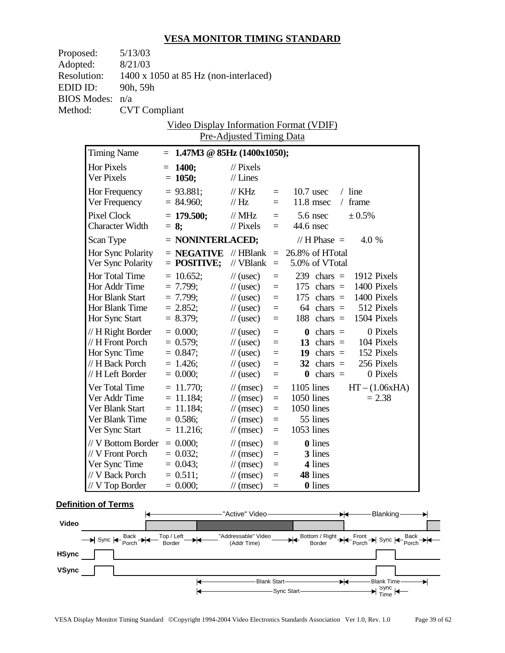| Proposed:          |                                  | 5/13/03                |                                                  |                      |                             |                      |              |                      |                                                        |                  |
|--------------------|----------------------------------|------------------------|--------------------------------------------------|----------------------|-----------------------------|----------------------|--------------|----------------------|--------------------------------------------------------|------------------|
| Adopted:           |                                  | 8/21/03                |                                                  |                      |                             |                      |              |                      |                                                        |                  |
| <b>Resolution:</b> |                                  |                        | 1400 x 1050 at 85 Hz (non-interlaced)            |                      |                             |                      |              |                      |                                                        |                  |
| EDID ID:           |                                  | 90h, 59h               |                                                  |                      |                             |                      |              |                      |                                                        |                  |
| <b>BIOS Modes:</b> |                                  | n/a                    |                                                  |                      |                             |                      |              |                      |                                                        |                  |
| Method:            |                                  | <b>CVT</b> Compliant   |                                                  |                      |                             |                      |              |                      |                                                        |                  |
|                    |                                  |                        | Video Display Information Format (VDIF)          |                      |                             |                      |              |                      |                                                        |                  |
|                    |                                  |                        | Pre-Adjusted Timing Data                         |                      |                             |                      |              |                      |                                                        |                  |
|                    | <b>Timing Name</b>               |                        | $= 1.47M3 \otimes 85Hz (1400x1050);$             |                      |                             |                      |              |                      |                                                        |                  |
|                    | <b>Hor Pixels</b>                |                        | $= 1400;$                                        | $\frac{1}{2}$ Pixels |                             |                      |              |                      |                                                        |                  |
|                    | Ver Pixels                       |                        | $= 1050;$                                        | $//$ Lines           |                             |                      |              |                      |                                                        |                  |
|                    |                                  | Hor Frequency          | $= 93.881;$                                      | $\frac{1}{K}$ KHz    |                             | $=$                  | $10.7$ usec  |                      | $/$ line                                               |                  |
|                    |                                  | Ver Frequency          | $= 84.960;$                                      | $\frac{1}{1}$ Hz     |                             | $=$                  |              | $11.8$ msec          | $/$ frame                                              |                  |
|                    | <b>Pixel Clock</b>               |                        | $= 179.500;$                                     |                      | $\frac{1}{2}$ MHz           |                      |              | $5.6$ nsec           | ± 0.5%                                                 |                  |
|                    |                                  | <b>Character Width</b> | $= 8$ ;                                          | $\frac{1}{2}$ Pixels |                             | $=$<br>$=$ $-$       | 44.6 nsec    |                      |                                                        |                  |
|                    |                                  |                        |                                                  |                      |                             |                      |              |                      |                                                        |                  |
|                    | Scan Type                        |                        | $=$ NONINTERLACED;                               |                      |                             |                      |              | // H Phase $=$       | 4.0 %                                                  |                  |
|                    |                                  | Hor Sync Polarity      | $=$ <b>NEGATIVE</b> //HBlank $=$ 26.8% of HTotal |                      |                             |                      |              |                      |                                                        |                  |
|                    |                                  | Ver Sync Polarity      | $=$ POSITIVE;                                    |                      | // $VBlank =$               |                      |              | 5.0% of VTotal       |                                                        |                  |
|                    | <b>Hor Total Time</b>            |                        | $= 10.652;$                                      | $\frac{1}{2}$ (usec) |                             | $\equiv$             |              | $239$ chars =        |                                                        | 1912 Pixels      |
|                    | Hor Addr Time<br>Hor Blank Start |                        | $= 7.799;$<br>$= 7.799;$                         |                      | $\frac{1}{2}$ (usec)        | $\equiv$             |              |                      | 175 chars $=$ 1400 Pixels<br>175 chars $=$ 1400 Pixels |                  |
|                    |                                  | Hor Blank Time         | $= 2.852;$                                       | $\frac{1}{2}$ (usec) | $\frac{1}{2}$ (usec)        | $\equiv$<br>$\equiv$ |              | $64 \text{ chars} =$ |                                                        | 512 Pixels       |
|                    | Hor Sync Start                   |                        | $= 8.379;$                                       | $\frac{1}{2}$ (usec) |                             | $\equiv$             |              | 188 chars $=$        | 1504 Pixels                                            |                  |
|                    |                                  | // H Right Border      | $= 0.000;$                                       | $\frac{1}{2}$ (usec) |                             |                      |              | $\mathbf{0}$ chars = |                                                        | 0 Pixels         |
|                    |                                  | // H Front Porch       | $= 0.579;$                                       | $\frac{1}{2}$ (usec) |                             | $\equiv$<br>$\equiv$ |              | 13 chars $=$         |                                                        | 104 Pixels       |
|                    |                                  | Hor Sync Time          | $= 0.847;$                                       | $\frac{1}{2}$ (usec) |                             | $\equiv$             |              |                      | 19 chars $=$ 152 Pixels                                |                  |
|                    | // H Back Porch                  |                        | $= 1.426$ ;                                      | $\frac{1}{2}$ (usec) |                             | $=$                  |              | $32 \text{ chars} =$ |                                                        | 256 Pixels       |
|                    | // H Left Border                 |                        | $= 0.000;$                                       | $\frac{1}{2}$ (usec) |                             | $\equiv$             |              | $\mathbf{0}$ chars = |                                                        | 0 Pixels         |
|                    | Ver Total Time                   |                        | $= 11.770;$                                      |                      | $\frac{1}{\tan(\theta)}$    | $\equiv$             | $1105$ lines |                      |                                                        | $HT - (1.06xHA)$ |
|                    |                                  | Ver Addr Time          | $= 11.184;$                                      |                      | $\frac{1}{\tan(\theta)}$    | $\equiv$             | 1050 lines   |                      |                                                        | $= 2.38$         |
|                    | Ver Blank Start                  |                        | $= 11.184;$                                      |                      | $\frac{1}{\tan(\theta)}$    | $\equiv$             | 1050 lines   |                      |                                                        |                  |
|                    |                                  | Ver Blank Time         | $= 0.586;$                                       |                      | $\frac{1}{\sqrt{2}}$ (msec) | $=$                  |              | 55 lines             |                                                        |                  |
|                    | Ver Sync Start                   |                        | $= 11.216;$                                      |                      | $\frac{1}{\sqrt{2}}$ (msec) | $=$                  | 1053 lines   |                      |                                                        |                  |
|                    |                                  | // V Bottom Border     | $= 0.000;$                                       |                      | $\frac{1}{\sqrt{2}}$ (msec) | $=$                  |              | <b>0</b> lines       |                                                        |                  |
|                    | // V Front Porch                 |                        | $= 0.032;$                                       |                      | $\frac{1}{\sqrt{2}}$ (msec) | $=$                  |              | 3 lines              |                                                        |                  |
|                    | Ver Sync Time                    |                        | $= 0.043;$                                       |                      | $\frac{1}{\sqrt{2}}$ (msec) | $=$                  |              | 4 lines              |                                                        |                  |
|                    | // V Back Porch                  |                        | $= 0.511$ ;                                      |                      | $\frac{1}{\sqrt{2}}$ (msec) | $=$                  |              | 48 lines             |                                                        |                  |
|                    | // V Top Border                  |                        | $= 0.000;$                                       |                      | $\frac{1}{\sqrt{2}}$ (msec) | $=$                  |              | <b>0</b> lines       |                                                        |                  |

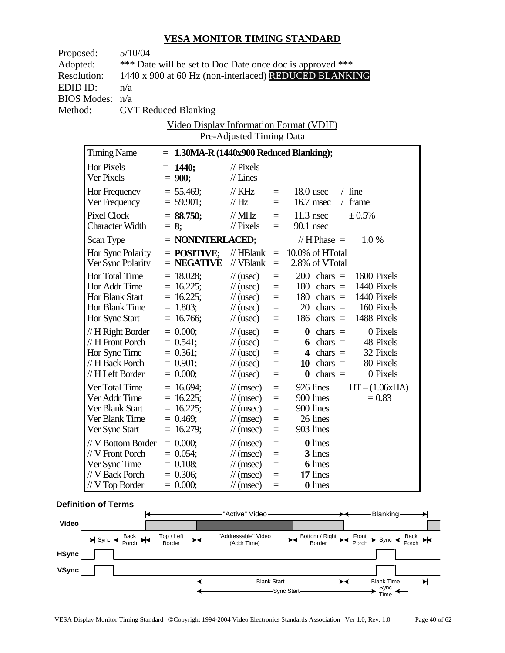| Proposed:          |                        | 5/10/04                     |         |                                           |                             |          |                                                           |  |
|--------------------|------------------------|-----------------------------|---------|-------------------------------------------|-----------------------------|----------|-----------------------------------------------------------|--|
| Adopted:           |                        |                             |         |                                           |                             |          | *** Date will be set to Doc Date once doc is approved *** |  |
| <b>Resolution:</b> |                        |                             |         |                                           |                             |          | 1440 x 900 at 60 Hz (non-interlaced) REDUCED BLANKING     |  |
| EDID ID:           |                        | n/a                         |         |                                           |                             |          |                                                           |  |
|                    | <b>BIOS Modes:</b>     | n/a                         |         |                                           |                             |          |                                                           |  |
| Method:            |                        | <b>CVT Reduced Blanking</b> |         |                                           |                             |          |                                                           |  |
|                    |                        |                             |         |                                           |                             |          | <u>Video Display Information Format (VDIF)</u>            |  |
|                    |                        |                             |         |                                           | Pre-Adjusted Timing Data    |          |                                                           |  |
|                    | <b>Timing Name</b>     |                             |         | $= 1.30MA-R (1440x900 Reduced Blanking);$ |                             |          |                                                           |  |
|                    | Hor Pixels             |                             |         | $= 1440;$                                 | $\mathcal{U}$ Pixels        |          |                                                           |  |
|                    | Ver Pixels             |                             |         | $= 900;$                                  | $//$ Lines                  |          |                                                           |  |
|                    | Hor Frequency          |                             |         | $= 55.469;$                               | $\frac{1}{K}$ KHz           | $=$      | $18.0$ usec<br>$/$ line                                   |  |
|                    | Ver Frequency          |                             |         | $= 59.901;$                               | $\mathcal{U}$ Hz            | $\equiv$ | $16.7$ msec<br>$/$ frame                                  |  |
|                    | Pixel Clock            |                             |         | $=$ 88.750;                               | $\text{/}/\text{MHz}$       |          | $=$ 11.3 nsec<br>± 0.5%                                   |  |
|                    | <b>Character Width</b> |                             | $= 8$ ; |                                           | $\mathcal{U}$ Pixels        | $=$      | $90.1$ nsec                                               |  |
|                    | Scan Type              |                             |         | $=$ NONINTERLACED;                        |                             |          | $// H Phase =$<br>1.0%                                    |  |
|                    |                        | Hor Sync Polarity           |         | $=$ POSITIVE;                             | // $HBlank =$               |          | 10.0% of HTotal                                           |  |
|                    |                        | Ver Sync Polarity           |         | $=$ NEGATIVE                              | // VBlank                   | $\equiv$ | 2.8% of VTotal                                            |  |
|                    | Hor Total Time         |                             |         | $= 18.028;$                               | $\frac{1}{2}$ (usec)        | $\equiv$ | $200 \text{ chars} =$<br>1600 Pixels                      |  |
|                    | Hor Addr Time          |                             |         | $= 16.225;$                               | $\frac{1}{2}$ (usec)        | $\equiv$ | $180 \text{ chars} =$<br>1440 Pixels                      |  |
|                    | Hor Blank Start        |                             |         | $= 16.225;$                               | $\frac{1}{2}$ (usec)        | $\equiv$ | $180 \text{ chars} =$<br>1440 Pixels                      |  |
|                    | Hor Blank Time         |                             |         | $= 1.803;$                                | $\frac{1}{2}$ (usec)        | $=$      | $20 \text{ chars} =$<br>160 Pixels                        |  |
|                    | Hor Sync Start         |                             |         | $= 16.766;$                               | $\frac{1}{2}$ (usec)        | $\equiv$ | $186 \text{ chars} =$<br>1488 Pixels                      |  |
|                    | $// H$ Right Border    |                             |         | $= 0.000;$                                | $\frac{1}{2}$ (usec)        | $\equiv$ | 0 Pixels<br>$\theta$ chars =                              |  |
|                    | // H Front Porch       |                             |         | $= 0.541$ ;                               | $\frac{1}{2}$ (usec)        | $=$      | 6 chars $=$<br>48 Pixels                                  |  |
|                    |                        | Hor Sync Time               |         | $= 0.361;$                                | $\frac{1}{2}$ (usec)        | $=$      | 4 chars $=$<br>32 Pixels                                  |  |
|                    |                        | // H Back Porch             |         | $= 0.901;$                                | $\frac{1}{2}$ (usec)        | $\equiv$ | 80 Pixels<br>10 chars $=$                                 |  |
|                    |                        | // H Left Border            |         | $= 0.000;$                                | $\frac{1}{2}$ (usec)        | $\equiv$ | $\theta$ chars =<br>0 Pixels                              |  |
|                    | Ver Total Time         |                             |         | $= 16.694;$                               | $\mathcal{U}(\text{msec})$  | $\equiv$ | 926 lines<br>$HT - (1.06xHA)$                             |  |
|                    | Ver Addr Time          |                             |         | $= 16.225;$                               | $\mathcal{U}(\text{msec})$  | $\equiv$ | 900 lines<br>$= 0.83$                                     |  |
|                    | Ver Blank Start        |                             |         | $= 16.225$ ;                              | $\mathcal{U}$ (msec)        | $\equiv$ | 900 lines                                                 |  |
|                    | Ver Blank Time         |                             |         | $= 0.469;$                                | $\frac{1}{\sqrt{2}}$ (msec) | $\equiv$ | 26 lines                                                  |  |
|                    | Ver Sync Start         |                             |         | $= 16.279;$                               | $\mathcal{U}$ (msec)        | $=$      | 903 lines                                                 |  |
|                    |                        | // V Bottom Border          |         | $= 0.000;$                                | $\frac{1}{\sqrt{2}}$ (msec) | $\equiv$ | 0 lines                                                   |  |
|                    | // V Front Porch       |                             |         | $= 0.054;$                                | $\frac{1}{\sqrt{2}}$ (msec) | $=$      | 3 lines                                                   |  |
|                    | Ver Sync Time          |                             |         | $= 0.108;$                                | $\frac{1}{\sqrt{2}}$ (msec) | $=$      | <b>6</b> lines                                            |  |
|                    | // V Back Porch        |                             |         | $= 0.306;$                                | $\mathcal{N}(msec)$         | $=$      | 17 lines                                                  |  |
|                    | // V Top Border        |                             |         | $= 0.000;$                                | $\frac{1}{\sqrt{2}}$ (msec) | $\equiv$ | <b>0</b> lines                                            |  |

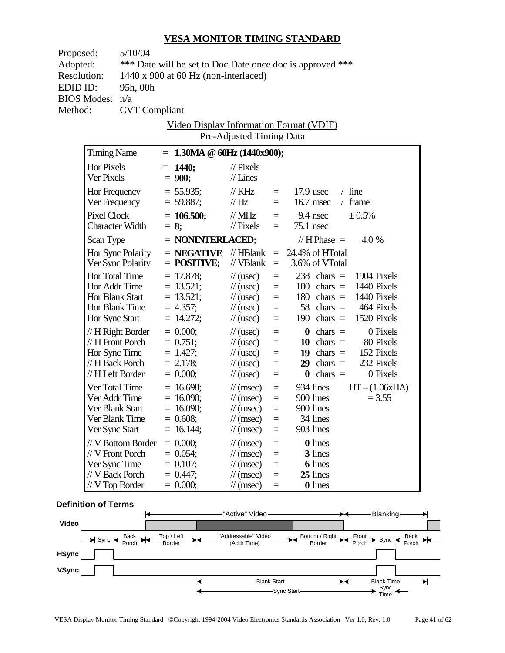| Proposed:          |                                       | 5/10/04              |  |                                            |                                                                      |                 |                                                                    |  |  |
|--------------------|---------------------------------------|----------------------|--|--------------------------------------------|----------------------------------------------------------------------|-----------------|--------------------------------------------------------------------|--|--|
| Adopted:           |                                       |                      |  |                                            |                                                                      |                 | *** Date will be set to Doc Date once doc is approved ***          |  |  |
| <b>Resolution:</b> |                                       |                      |  | 1440 x 900 at 60 Hz (non-interlaced)       |                                                                      |                 |                                                                    |  |  |
| EDID ID:           |                                       | 95h, 00h             |  |                                            |                                                                      |                 |                                                                    |  |  |
|                    | <b>BIOS Modes:</b>                    | n/a                  |  |                                            |                                                                      |                 |                                                                    |  |  |
| Method:            |                                       | <b>CVT</b> Compliant |  |                                            |                                                                      |                 |                                                                    |  |  |
|                    |                                       |                      |  |                                            |                                                                      |                 | <u>Video Display Information Format (VDIF)</u>                     |  |  |
|                    |                                       |                      |  |                                            | Pre-Adjusted Timing Data                                             |                 |                                                                    |  |  |
|                    | <b>Timing Name</b>                    |                      |  | $= 1.30MA \t\circledcirc 60Hz (1440x900);$ |                                                                      |                 |                                                                    |  |  |
|                    | Hor Pixels                            |                      |  | $= 1440;$                                  | $\frac{1}{2}$ Pixels                                                 |                 |                                                                    |  |  |
|                    | Ver Pixels                            |                      |  | $= 900;$                                   | $//$ Lines                                                           |                 |                                                                    |  |  |
|                    |                                       |                      |  | $= 55.935$ ;                               | $\mathbin{/}\hspace{-0.75cm}\mathbin{/}\hspace{-0.75cm}\mathbf{KHz}$ | $=$             | $/$ line<br>$17.9$ usec                                            |  |  |
|                    | Hor Frequency<br>Ver Frequency        |                      |  | $= 59.887;$                                | $\mathcal{U}$ Hz                                                     | $=$             | $16.7$ msec<br>$/$ frame                                           |  |  |
|                    |                                       |                      |  |                                            |                                                                      |                 |                                                                    |  |  |
|                    | Pixel Clock<br><b>Character Width</b> |                      |  | $= 106.500;$<br>$= 8$ ;                    | $\mathcal{N}$ MHz<br>$\frac{1}{2}$ Pixels                            | $=$             | $=$ 9.4 nsec<br>± 0.5%<br>$75.1$ nsec                              |  |  |
|                    |                                       |                      |  |                                            |                                                                      |                 |                                                                    |  |  |
|                    | Scan Type                             |                      |  | $=$ NONINTERLACED;                         |                                                                      |                 | $// H Phase =$<br>4.0 %                                            |  |  |
|                    |                                       | Hor Sync Polarity    |  | $=$ NEGATIVE                               | $\mathcal{U}$ HBlank                                                 |                 | $= 24.4\%$ of HTotal                                               |  |  |
|                    |                                       | Ver Sync Polarity    |  | $=$ POSITIVE;                              | // VBlank                                                            | $\equiv$        | 3.6% of VTotal                                                     |  |  |
|                    | Hor Total Time                        |                      |  | $= 17.878$ ;                               | $\frac{1}{2}$ (usec)                                                 | $=$             | $238$ chars =<br>1904 Pixels                                       |  |  |
|                    | Hor Addr Time                         |                      |  | $= 13.521;$                                | $\frac{1}{\sqrt{2}}$ (usec)                                          | $\equiv$        | $180 \text{ chars} =$<br>1440 Pixels                               |  |  |
|                    | Hor Blank Start                       |                      |  | $= 13.521;$                                | $\frac{1}{2}$ (usec)                                                 | $\equiv$        | $180 \text{ chars} =$<br>1440 Pixels                               |  |  |
|                    | Hor Blank Time                        |                      |  | $= 4.357$ ;                                | $\frac{1}{2}$ (usec)                                                 | $=$             | 464 Pixels<br>$58 \text{ chars} =$                                 |  |  |
|                    | Hor Sync Start                        |                      |  | $= 14.272;$                                | $\frac{1}{2}$ (usec)                                                 | $=$             | 190 chars $=$<br>1520 Pixels                                       |  |  |
|                    |                                       | // H Right Border    |  | $= 0.000;$                                 | $\frac{1}{2}$ (usec)                                                 | $=$             | 0 Pixels<br>$\theta$ chars =                                       |  |  |
|                    | // H Front Porch                      |                      |  | $= 0.751$ ;                                | $\frac{1}{2}$ (usec)                                                 | $=$             | 10 chars $=$<br>80 Pixels                                          |  |  |
|                    | Hor Sync Time                         |                      |  | $= 1.427;$                                 | $\frac{1}{2}$ (usec)                                                 | $\equiv$        | 19 chars $=$<br>152 Pixels                                         |  |  |
|                    | // H Back Porch<br>// H Left Border   |                      |  | $= 2.178$ ;<br>$= 0.000;$                  | $\frac{1}{2}$ (usec)<br>$\frac{1}{2}$ (usec)                         | $=$<br>$=$      | 232 Pixels<br>$29 \text{ chars} =$<br>$\theta$ chars =<br>0 Pixels |  |  |
|                    |                                       |                      |  |                                            |                                                                      |                 |                                                                    |  |  |
|                    |                                       | Ver Total Time       |  | $= 16.698;$                                | $\mathcal{U}(\text{msec})$                                           | $\equiv$        | $HT - (1.06xHA)$<br>934 lines                                      |  |  |
|                    | Ver Blank Start                       | Ver Addr Time        |  | $= 16.090$ ;<br>$= 16.090$ ;               | $\mathcal{U}$ (msec)<br>$\mathcal{U}(\text{msec})$                   | $\equiv$<br>$=$ | 900 lines<br>$= 3.55$<br>900 lines                                 |  |  |
|                    | Ver Blank Time                        |                      |  | $= 0.608;$                                 | $\frac{1}{\sqrt{2}}$ (msec)                                          | $\equiv$        | 34 lines                                                           |  |  |
|                    | Ver Sync Start                        |                      |  | $= 16.144;$                                | $\mathcal{U}$ (msec)                                                 | $\equiv$        | 903 lines                                                          |  |  |
|                    |                                       | // V Bottom Border   |  | $= 0.000;$                                 | $\mathcal{U}$ (msec)                                                 |                 | <b>0</b> lines                                                     |  |  |
|                    | // V Front Porch                      |                      |  | $= 0.054;$                                 | $\frac{1}{\sqrt{2}}$ (msec)                                          | $\equiv$<br>$=$ | 3 lines                                                            |  |  |
|                    | Ver Sync Time                         |                      |  | $= 0.107;$                                 | $\frac{1}{\sqrt{2}}$ (msec)                                          | $=$             | <b>6</b> lines                                                     |  |  |
|                    | // V Back Porch                       |                      |  | $= 0.447;$                                 | $\frac{1}{\sqrt{2}}$ (msec)                                          | $=$             | 25 lines                                                           |  |  |
|                    | // V Top Border                       |                      |  | $= 0.000;$                                 | $\frac{1}{\sqrt{2}}$ (msec)                                          | $\equiv$        | 0 lines                                                            |  |  |
|                    |                                       |                      |  |                                            |                                                                      |                 |                                                                    |  |  |

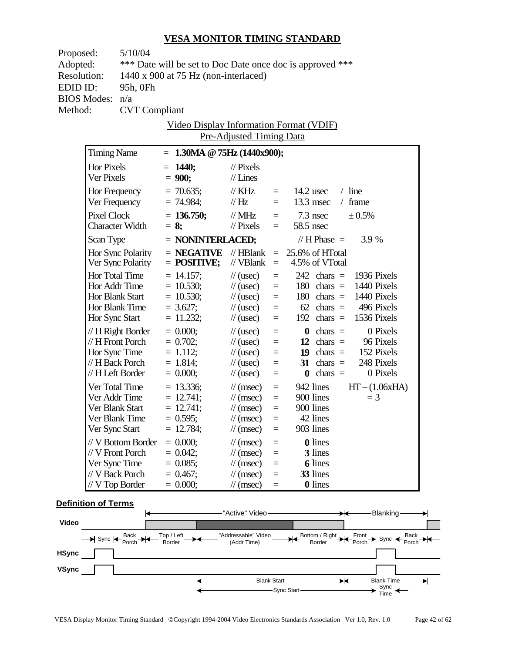| Proposed:          | 5/10/04                         |                                      |                                              |                      |                                                           |                  |
|--------------------|---------------------------------|--------------------------------------|----------------------------------------------|----------------------|-----------------------------------------------------------|------------------|
| Adopted:           |                                 |                                      |                                              |                      | *** Date will be set to Doc Date once doc is approved *** |                  |
| <b>Resolution:</b> |                                 | 1440 x 900 at 75 Hz (non-interlaced) |                                              |                      |                                                           |                  |
| EDID ID:           | 95h, 0Fh                        |                                      |                                              |                      |                                                           |                  |
| <b>BIOS Modes:</b> | n/a                             |                                      |                                              |                      |                                                           |                  |
| Method:            | <b>CVT</b> Compliant            |                                      |                                              |                      |                                                           |                  |
|                    |                                 |                                      |                                              |                      | <u>Video Display Information Format (VDIF)</u>            |                  |
|                    |                                 |                                      | Pre-Adjusted Timing Data                     |                      |                                                           |                  |
|                    | <b>Timing Name</b>              | $= 1.30MA \tQ 75Hz (1440x900);$      |                                              |                      |                                                           |                  |
|                    | Hor Pixels                      | $= 1440;$                            | $\frac{1}{2}$ Pixels                         |                      |                                                           |                  |
|                    | Ver Pixels                      | $= 900;$                             | $//$ Lines                                   |                      |                                                           |                  |
|                    | Hor Frequency                   | $= 70.635$ ;                         | $\mathbin{/\!\!/\,}$ KHz                     | $=$ $-$              | $14.2$ usec<br>$/$ line                                   |                  |
|                    | Ver Frequency                   | $= 74.984;$                          | $\mathcal{U}$ Hz                             | $=$                  | $13.3$ msec<br>$/$ frame                                  |                  |
|                    | <b>Pixel Clock</b>              | $= 136.750$ ;                        | $\text{/}/\text{/}$ MHz                      |                      | $7.3$ nsec                                                | ± 0.5%           |
|                    | <b>Character Width</b>          | $= 8$ ;                              | $\mathcal{U}$ Pixels                         | $=$<br>$=$           | 58.5 nsec                                                 |                  |
|                    |                                 |                                      |                                              |                      |                                                           |                  |
|                    | Scan Type                       | $=$ NONINTERLACED;                   |                                              |                      | // $H$ Phase $=$                                          | 3.9 %            |
|                    | Hor Sync Polarity               | $=$ NEGATIVE                         | // HBlank<br>// VBlank                       |                      | $= 25.6\%$ of HTotal<br>4.5% of VTotal                    |                  |
|                    | Ver Sync Polarity               | $=$ POSITIVE;                        |                                              | $\equiv$             |                                                           |                  |
|                    | Hor Total Time<br>Hor Addr Time | $= 14.157;$                          | $\frac{1}{2}$ (usec)                         | $\equiv$             | $242$ chars = 1936 Pixels                                 |                  |
|                    | Hor Blank Start                 | $= 10.530$ ;<br>$= 10.530;$          | $\frac{1}{2}$ (usec)<br>$\frac{1}{2}$ (usec) | $\equiv$<br>$\equiv$ | 180 chars $=$ 1440 Pixels<br>$180 \text{ chars} =$        | 1440 Pixels      |
|                    | Hor Blank Time                  | $= 3.627$ ;                          | $\frac{1}{2}$ (usec)                         | $\qquad \qquad =$    | $62 \text{ chars} =$                                      | 496 Pixels       |
|                    | Hor Sync Start                  | $= 11.232;$                          | $\frac{1}{2}$ (usec)                         | $\equiv$             | $192 \text{ chars} =$                                     | 1536 Pixels      |
|                    | $// H$ Right Border             | $= 0.000;$                           | $\frac{1}{2}$ (usec)                         | $\equiv$             | $\theta$ chars =                                          | 0 Pixels         |
|                    | $// H$ Front Porch              | $= 0.702$ ;                          | $\frac{1}{2}$ (usec)                         | $\qquad \qquad =$    | 12 chars $=$                                              | 96 Pixels        |
|                    | Hor Sync Time                   | $= 1.112;$                           | $\frac{1}{2}$ (usec)                         | $\equiv$             | 19 chars $=$                                              | 152 Pixels       |
|                    | // H Back Porch                 | $= 1.814;$                           | $\frac{1}{2}$ (usec)                         | $\equiv$             | 31 chars $=$                                              | 248 Pixels       |
|                    | // H Left Border                | $= 0.000;$                           | $\frac{1}{2}$ (usec)                         | $\equiv$             | $\mathbf{0}$ chars =                                      | 0 Pixels         |
|                    | Ver Total Time                  | $= 13.336;$                          | $\mathcal{U}(\text{msec})$                   | $\equiv$             | 942 lines                                                 | $HT - (1.06xHA)$ |
|                    | Ver Addr Time                   | $= 12.741;$                          | $\mathcal{U}(\text{msec})$                   | $\equiv$             | 900 lines                                                 | $=$ 3            |
|                    | Ver Blank Start                 | $= 12.741;$                          | $\mathcal{U}(\text{msec})$                   | $\equiv$             | 900 lines                                                 |                  |
|                    | Ver Blank Time                  | $= 0.595;$                           | $\frac{1}{\cos \theta}$ =                    |                      | 42 lines                                                  |                  |
|                    | Ver Sync Start                  | $= 12.784;$                          | $\mathcal{U}$ (msec)                         | $\equiv$             | 903 lines                                                 |                  |
|                    | // V Bottom Border              | $= 0.000;$                           | $\frac{1}{\sqrt{2}}$ (msec)                  | $\equiv$             | <b>0</b> lines                                            |                  |
|                    | // V Front Porch                | $= 0.042;$                           | $\mathcal{U}$ (msec)                         | $=$                  | 3 lines                                                   |                  |
|                    | Ver Sync Time                   | $= 0.085$ ;                          | $\frac{1}{\pi}$ (msec)                       | $=$                  | <b>6</b> lines                                            |                  |
|                    | // V Back Porch                 | $= 0.467;$                           | $\frac{1}{\sqrt{2}}$ (msec)                  | $=$                  | 33 lines                                                  |                  |
|                    | $//$ V Top Border               | $= 0.000;$                           | $\frac{1}{\sqrt{2}}$ (msec)                  | $\equiv$             | 0 lines                                                   |                  |

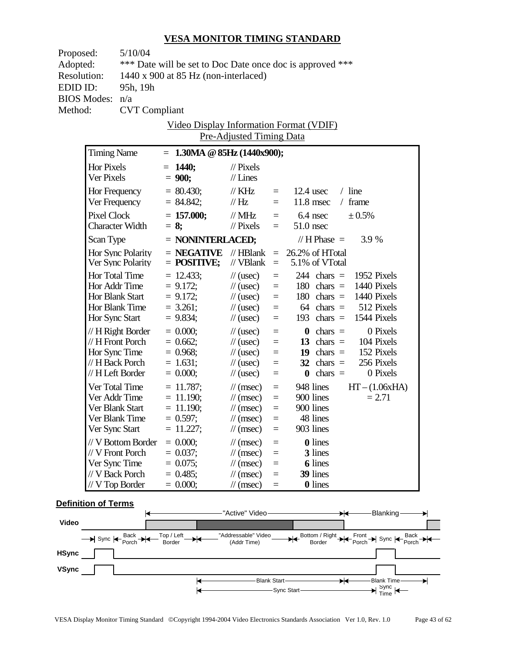| Proposed:          | 5/10/04                |                                                           |                                                |                                              |          |                              |  |                  |  |
|--------------------|------------------------|-----------------------------------------------------------|------------------------------------------------|----------------------------------------------|----------|------------------------------|--|------------------|--|
| Adopted:           |                        | *** Date will be set to Doc Date once doc is approved *** |                                                |                                              |          |                              |  |                  |  |
| <b>Resolution:</b> |                        |                                                           | 1440 x 900 at 85 Hz (non-interlaced)           |                                              |          |                              |  |                  |  |
| EDID ID:           | 95h, 19h               |                                                           |                                                |                                              |          |                              |  |                  |  |
| <b>BIOS Modes:</b> | n/a                    |                                                           |                                                |                                              |          |                              |  |                  |  |
| Method:            | <b>CVT</b> Compliant   |                                                           |                                                |                                              |          |                              |  |                  |  |
|                    |                        |                                                           | <u>Video Display Information Format (VDIF)</u> |                                              |          |                              |  |                  |  |
|                    |                        |                                                           |                                                | Pre-Adjusted Timing Data                     |          |                              |  |                  |  |
| <b>Timing Name</b> |                        |                                                           | $= 1.30MA \t@ 85Hz (1440x900);$                |                                              |          |                              |  |                  |  |
| Hor Pixels         |                        |                                                           | $= 1440;$                                      | $\frac{1}{2}$ Pixels                         |          |                              |  |                  |  |
| Ver Pixels         |                        |                                                           | $= 900;$                                       | $//$ Lines                                   |          |                              |  |                  |  |
| Hor Frequency      |                        |                                                           | $= 80.430$ ;                                   | $\mathbin{/}\hspace{-0.75cm}\mathbin{/}$ KHz | $=$      | $12.4$ usec                  |  | $/$ line         |  |
| Ver Frequency      |                        |                                                           | $= 84.842;$                                    | $\mathcal{U}$ Hz                             | $=$      | $11.8$ msec                  |  | $/$ frame        |  |
| <b>Pixel Clock</b> |                        |                                                           | $= 157.000;$                                   | $\text{/}\text{/}$ MHz                       |          | $=$ 6.4 nsec                 |  | ± 0.5%           |  |
|                    | <b>Character Width</b> |                                                           | $= 8$ ;                                        | $\mathcal{U}$ Pixels                         | $=$      | $51.0$ nsec                  |  |                  |  |
| Scan Type          |                        |                                                           | $=$ NONINTERLACED;                             |                                              |          | // H Phase $=$               |  | 3.9 %            |  |
|                    | Hor Sync Polarity      |                                                           | $=$ NEGATIVE                                   | $\mathcal{U}$ HBlank                         |          | $= 26.2\% \text{ of HTotal}$ |  |                  |  |
|                    | Ver Sync Polarity      |                                                           | $=$ POSITIVE;                                  | // VBlank                                    | $=$      | 5.1% of VTotal               |  |                  |  |
|                    | Hor Total Time         |                                                           | $= 12.433;$                                    | $\frac{1}{2}$ (usec)                         | $=$      | $244 \text{ chars} =$        |  | 1952 Pixels      |  |
|                    | Hor Addr Time          |                                                           | $= 9.172$ ;                                    | $\frac{1}{2}$ (usec)                         | $=$      | $180 \text{ chars} =$        |  | 1440 Pixels      |  |
|                    | Hor Blank Start        |                                                           | $= 9.172$ ;                                    | $\frac{1}{2}$ (usec)                         | $=$      | $180 \text{ chars} =$        |  | 1440 Pixels      |  |
|                    | Hor Blank Time         |                                                           | $= 3.261;$                                     | $\frac{1}{2}$ (usec)                         | $=$      | $64 \text{ chars} =$         |  | 512 Pixels       |  |
| Hor Sync Start     |                        |                                                           | $= 9.834;$                                     | $\frac{1}{2}$ (usec)                         | $=$      | 193 chars $=$                |  | 1544 Pixels      |  |
|                    | $// H$ Right Border    |                                                           | $= 0.000;$                                     | $\frac{1}{2}$ (usec)                         | $=$      | $\theta$ chars =             |  | 0 Pixels         |  |
|                    | $// H$ Front Porch     |                                                           | $= 0.662;$                                     | $\mathcal{U}$ (usec)                         | $=$      | 13 chars $=$                 |  | 104 Pixels       |  |
|                    | Hor Sync Time          |                                                           | $= 0.968$ ;                                    | $\frac{1}{2}$ (usec)                         | $=$      | 19 chars $=$                 |  | 152 Pixels       |  |
|                    | // H Back Porch        |                                                           | $= 1.631;$                                     | $\frac{1}{2}$ (usec)                         | $=$      | $32 \text{ chars} =$         |  | 256 Pixels       |  |
|                    | // H Left Border       |                                                           | $= 0.000;$                                     | $\mathcal{U}$ (usec)                         | $=$      | $\mathbf{0}$ chars =         |  | 0 Pixels         |  |
|                    | Ver Total Time         |                                                           | $= 11.787;$                                    | $\mathcal{U}(\text{msec})$                   | $\equiv$ | 948 lines                    |  | $HT - (1.06xHA)$ |  |
|                    | Ver Addr Time          |                                                           | $= 11.190$ ;                                   | $\mathcal{U}(\text{msec})$                   | $=$      | 900 lines                    |  | $= 2.71$         |  |
|                    | Ver Blank Start        |                                                           | $= 11.190;$                                    | $\mathcal{N}(\text{msec})$                   | $=$      | 900 lines                    |  |                  |  |
|                    | Ver Blank Time         |                                                           | $= 0.597;$                                     | $\frac{1}{\cos \theta}$ =                    |          | 48 lines                     |  |                  |  |
| Ver Sync Start     |                        |                                                           | $= 11.227;$                                    | $\mathcal{U}$ (msec)                         | $\equiv$ | 903 lines                    |  |                  |  |
|                    | // V Bottom Border     |                                                           | $= 0.000;$                                     | $\frac{1}{\sqrt{2}}$ (msec)                  | $\equiv$ | <b>0</b> lines               |  |                  |  |
|                    | // V Front Porch       |                                                           | $= 0.037;$                                     | $\mathcal{U}$ (msec)                         | $=$      | 3 lines                      |  |                  |  |
|                    | Ver Sync Time          |                                                           | $= 0.075$ ;                                    | $\frac{1}{\pi}$ (msec)                       | $=$      | <b>6</b> lines               |  |                  |  |
|                    | // V Back Porch        |                                                           | $= 0.485$ ;                                    | $\mathcal{N}(msec)$                          | $\equiv$ | 39 lines                     |  |                  |  |
|                    | $// V$ Top Border      |                                                           | $= 0.000;$                                     | $\mathcal{N}(msec)$                          | $\equiv$ | <b>0</b> lines               |  |                  |  |

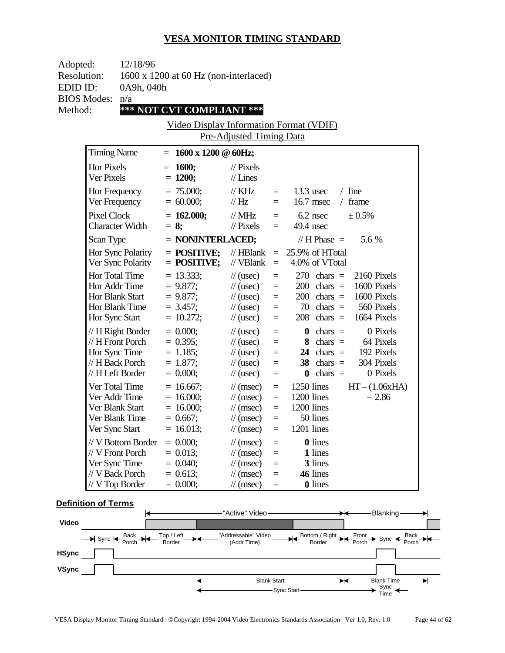| Adopted:<br>12/18/96<br><b>Resolution:</b><br>1600 x 1200 at 60 Hz (non-interlaced)<br>EDID ID:<br>0A9h, 040h |                                                                                               |                                                                           |                                                                                                                                                    |                                 |                                                                                                                                                                           |  |
|---------------------------------------------------------------------------------------------------------------|-----------------------------------------------------------------------------------------------|---------------------------------------------------------------------------|----------------------------------------------------------------------------------------------------------------------------------------------------|---------------------------------|---------------------------------------------------------------------------------------------------------------------------------------------------------------------------|--|
|                                                                                                               |                                                                                               |                                                                           |                                                                                                                                                    |                                 |                                                                                                                                                                           |  |
| <b>BIOS Modes:</b>                                                                                            | n/a                                                                                           |                                                                           |                                                                                                                                                    |                                 |                                                                                                                                                                           |  |
| Method:                                                                                                       |                                                                                               | *** NOT CVT COMPLIANT ***                                                 |                                                                                                                                                    |                                 |                                                                                                                                                                           |  |
|                                                                                                               |                                                                                               |                                                                           |                                                                                                                                                    |                                 | <b>Video Display Information Format (VDIF)</b>                                                                                                                            |  |
|                                                                                                               |                                                                                               |                                                                           | Pre-Adjusted Timing Data                                                                                                                           |                                 |                                                                                                                                                                           |  |
|                                                                                                               | <b>Timing Name</b>                                                                            | $1600 \times 1200 \& 60$ Hz;<br>$=$                                       |                                                                                                                                                    |                                 |                                                                                                                                                                           |  |
| <b>Hor Pixels</b><br>Ver Pixels                                                                               |                                                                                               | <b>1600;</b><br>$=$<br>$= 1200;$                                          | $//$ Pixels<br>$//$ Lines                                                                                                                          |                                 |                                                                                                                                                                           |  |
|                                                                                                               | Hor Frequency<br>Ver Frequency                                                                | $= 75.000$ ;<br>$= 60.000;$                                               | $\frac{1}{K}$ KHz<br>//Hz                                                                                                                          | $=$<br>$=$                      | $13.3$ usec<br>$/$ line<br>16.7 msec<br>/ frame                                                                                                                           |  |
| <b>Pixel Clock</b>                                                                                            | <b>Character Width</b>                                                                        | $= 162.000;$<br>$= 8;$                                                    | $//$ MHz<br>$//$ Pixels                                                                                                                            | $=$<br>$=$                      | $6.2$ nsec<br>± 0.5%<br>49.4 nsec                                                                                                                                         |  |
| Scan Type                                                                                                     |                                                                                               | = NONINTERLACED;                                                          |                                                                                                                                                    |                                 | // $H$ Phase $=$<br>5.6 %                                                                                                                                                 |  |
|                                                                                                               | Hor Sync Polarity<br>Ver Sync Polarity                                                        | $=$ POSITIVE;<br>$=$ POSITIVE;                                            | $//$ HBlank<br>// VBlank                                                                                                                           | $=$<br>$=$                      | 25.9% of HTotal<br>4.0% of VTotal                                                                                                                                         |  |
|                                                                                                               | Hor Total Time<br>Hor Addr Time<br>Hor Blank Start<br>Hor Blank Time<br>Hor Sync Start        | $= 13.333;$<br>$= 9.877$ ;<br>$= 9.877;$<br>$= 3.457$ ;<br>$= 10.272;$    | $\frac{1}{2}$ (usec)<br>$\frac{1}{2}$ (usec)<br>$\frac{1}{2}$ (usec)<br>$\frac{1}{2}$ (usec)<br>$\frac{1}{2}$ (usec)                               | $=$<br>$=$<br>$=$<br>$=$<br>$=$ | $270 \text{ chars} =$<br>2160 Pixels<br>1600 Pixels<br>$200$ chars =<br>$200$ chars =<br>1600 Pixels<br>70 chars $=$<br>560 Pixels<br>$208$ chars =<br>1664 Pixels        |  |
|                                                                                                               | // H Right Border<br>// H Front Porch<br>Hor Sync Time<br>// H Back Porch<br>// H Left Border | $= 0.000;$<br>$= 0.395$ ;<br>$= 1.185$ ;<br>$= 1.877;$<br>$= 0.000;$      | $\frac{1}{2}$ (usec)<br>$\frac{1}{2}$ (usec)<br>$\frac{1}{2}$ (usec)<br>$\frac{1}{2}$ (usec)<br>$\frac{1}{2}$ (usec)                               | $=$<br>$=$<br>$=$<br>$=$<br>$=$ | chars $=$<br>0 Pixels<br>$\boldsymbol{0}$<br>chars $=$<br>64 Pixels<br>8<br>24 chars $=$<br>192 Pixels<br>304 Pixels<br>$38$ chars =<br>$chars =$<br>0 Pixels<br>$\bf{0}$ |  |
|                                                                                                               | Ver Total Time<br>Ver Addr Time<br>Ver Blank Start<br>Ver Blank Time<br>Ver Sync Start        | $= 16.667$ ;<br>$= 16.000;$<br>$= 16.000$ ;<br>$= 0.667$ ;<br>$= 16.013;$ | $\frac{1}{\sqrt{2}}$ (msec)<br>$\frac{1}{\sqrt{2}}$ (msec)<br>$\frac{1}{\pi}$ (msec)<br>$\frac{1}{\sqrt{2}}$ (msec)<br>$\frac{1}{\sqrt{2}}$ (msec) | $=$<br>$=$<br>$=$<br>$=$<br>$=$ | 1250 lines<br>$HT - (1.06xHA)$<br>1200 lines<br>$= 2.86$<br>1200 lines<br>50 lines<br>1201 lines                                                                          |  |
|                                                                                                               | // V Bottom Border<br>// V Front Porch<br>Ver Sync Time<br>// V Back Porch                    | $= 0.000;$<br>$= 0.013;$<br>$= 0.040;$<br>$= 0.613$ ;                     | $\frac{1}{\sqrt{2}}$ (msec)<br>$\frac{1}{\sqrt{2}}$ (msec)<br>$\frac{1}{\sqrt{2}}$ (msec)<br>$\frac{1}{\sqrt{2}}$ (msec)                           | $=$<br>$=$<br>$=$<br>$=$        | <b>0</b> lines<br>1 lines<br>3 lines<br>46 lines                                                                                                                          |  |
|                                                                                                               | // V Top Border                                                                               | $= 0.000;$                                                                | $\frac{1}{\sqrt{2}}$ (msec)                                                                                                                        | $=$                             | <b>0</b> lines                                                                                                                                                            |  |

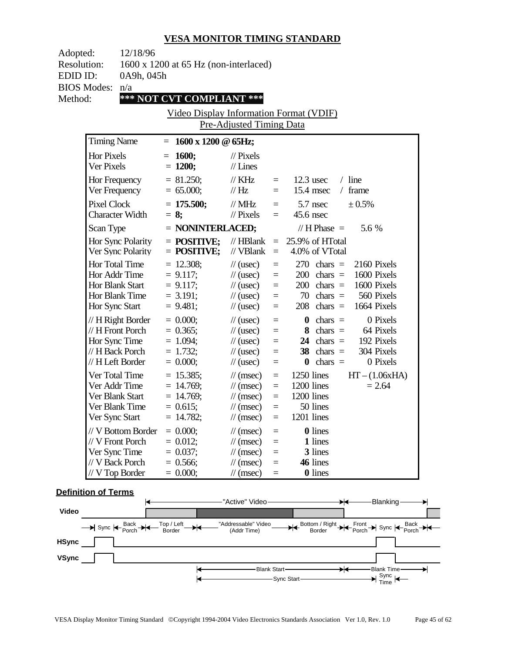| Adopted:           | 12/18/96                               |                                               |                                |          |                                      |
|--------------------|----------------------------------------|-----------------------------------------------|--------------------------------|----------|--------------------------------------|
| <b>Resolution:</b> |                                        | 1600 x 1200 at 65 Hz (non-interlaced)         |                                |          |                                      |
| EDID ID:           | 0A9h, 045h                             |                                               |                                |          |                                      |
|                    | <b>BIOS Modes:</b><br>n/a              |                                               |                                |          |                                      |
| Method:            |                                        | *** NOT CVT COMPLIANT ***                     |                                |          |                                      |
|                    |                                        | Video Display Information Format (VDIF)       |                                |          |                                      |
|                    |                                        |                                               | Pre-Adjusted Timing Data       |          |                                      |
|                    |                                        |                                               |                                |          |                                      |
|                    | <b>Timing Name</b>                     | $= 1600 \times 1200 \text{ @ } 65 \text{Hz};$ |                                |          |                                      |
|                    | <b>Hor Pixels</b>                      | $= 1600;$                                     | $\frac{1}{2}$ Pixels           |          |                                      |
|                    | Ver Pixels                             | $= 1200;$                                     | $//$ Lines                     |          |                                      |
|                    | Hor Frequency                          | $= 81.250$ ;                                  | $\frac{1}{K}$ KHz              | $=$ $-$  | $/$ line<br>$12.3$ usec              |
|                    | Ver Frequency                          | $= 65.000;$                                   | $\frac{1}{1}$ Hz               | $=$      | $15.4$ msec<br>$/$ frame             |
|                    | <b>Pixel Clock</b>                     | $= 175.500;$                                  | // $MHz$                       | $\equiv$ | 5.7 nsec<br>± 0.5%                   |
|                    | <b>Character Width</b>                 | $= 8$ ;                                       | $\frac{1}{2}$ Pixels           | $\equiv$ | 45.6 nsec                            |
|                    |                                        |                                               |                                |          | 5.6 %<br>// H Phase $=$              |
|                    | Scan Type                              | = NONINTERLACED;                              |                                |          |                                      |
|                    | Hor Sync Polarity<br>Ver Sync Polarity | $=$ POSITIVE;<br>$=$ POSITIVE;                | // $HBlank =$<br>// $VBlank =$ |          | 25.9% of HTotal<br>4.0% of VTotal    |
|                    |                                        |                                               |                                |          |                                      |
|                    | Hor Total Time                         | $= 12.308;$                                   | $\frac{1}{2}$ (usec)           | $=$      | 2160 Pixels<br>$270 \text{ chars} =$ |
|                    | Hor Addr Time                          | $= 9.117;$                                    | $\frac{1}{2}$ (usec)           | $\equiv$ | 1600 Pixels<br>$200 \text{ chars} =$ |
|                    | Hor Blank Start                        | $= 9.117;$                                    | $\frac{1}{2}$ (usec)           | $\equiv$ | $200 \text{ chars} =$<br>1600 Pixels |
|                    | Hor Blank Time                         | $= 3.191;$                                    | $\frac{1}{2}$ (usec)           | $=$      | $70 \text{ chars} =$<br>560 Pixels   |
|                    | Hor Sync Start                         | $= 9.481;$                                    | $\frac{1}{2}$ (usec)           | $=$      | 1664 Pixels<br>$208$ chars =         |
|                    | $// H$ Right Border                    | $= 0.000;$                                    | $\frac{1}{2}$ (usec)           | $\equiv$ | $\theta$ chars =<br>0 Pixels         |
|                    | // H Front Porch                       | $= 0.365$ ;                                   | $\frac{1}{2}$ (usec)           | $\equiv$ | $8 \text{ chars} =$<br>64 Pixels     |
|                    | Hor Sync Time                          | $= 1.094;$                                    | $\frac{1}{2}$ (usec)           | $\equiv$ | 24 chars $=$<br>192 Pixels           |
|                    | // H Back Porch                        | $= 1.732$ ;                                   | $\frac{1}{2}$ (usec)           | $\equiv$ | $38$ chars =<br>304 Pixels           |
|                    | // H Left Border                       | $= 0.000;$                                    | $\frac{1}{2}$ (usec)           | $\equiv$ | $chars =$<br>0 Pixels<br>$\bf{0}$    |
|                    | Ver Total Time                         | $= 15.385;$                                   | $\mathcal{U}$ (msec)           | $\equiv$ | $HT - (1.06xHA)$<br>1250 lines       |
|                    | Ver Addr Time                          | $= 14.769;$                                   | $\frac{1}{\tan(\theta)}$       | $\equiv$ | 1200 lines<br>$= 2.64$               |
|                    | Ver Blank Start                        | $= 14.769;$                                   | $\frac{1}{\tan(\theta)}$       | $\equiv$ | 1200 lines                           |
|                    | Ver Blank Time                         | $= 0.615$ ;                                   | $\frac{1}{\tan(\theta)}$       | $\equiv$ | 50 lines                             |
|                    | Ver Sync Start                         | $= 14.782;$                                   | $\frac{1}{\sqrt{2}}$ (msec)    | $\equiv$ | 1201 lines                           |
|                    | // V Bottom Border                     | $= 0.000;$                                    | $\frac{1}{\pi}$ (msec)         | $=$      | <b>0</b> lines                       |
|                    | // V Front Porch                       | $= 0.012;$                                    | $\frac{1}{\sqrt{2}}$ (msec)    | $\equiv$ | 1 lines                              |
|                    | Ver Sync Time                          | $= 0.037;$                                    | $\frac{1}{\sqrt{2}}$ (msec)    | $=$      | 3 lines                              |
|                    | // V Back Porch                        | $= 0.566$ ;                                   | $\frac{1}{\sqrt{2}}$ (msec)    | $=$      | 46 lines                             |
|                    | // V Top Border                        | $= 0.000;$                                    | $\frac{1}{\sqrt{2}}$ (msec)    | $=$      | <b>0</b> lines                       |

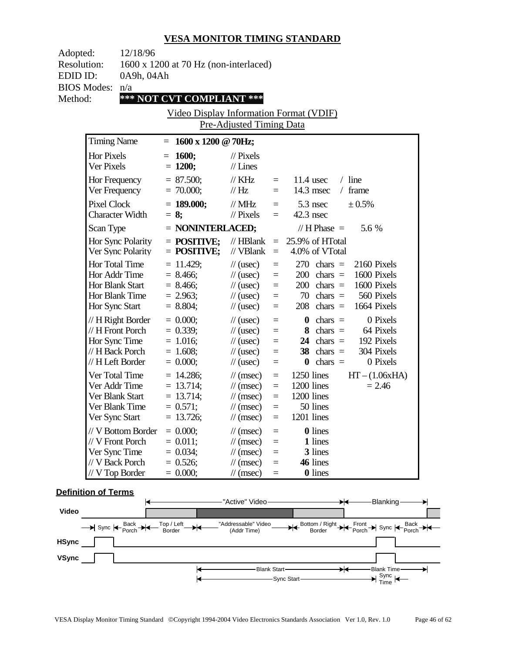| Adopted:           | 12/18/96                                |                                               |                                              |                      |                                                               |
|--------------------|-----------------------------------------|-----------------------------------------------|----------------------------------------------|----------------------|---------------------------------------------------------------|
| <b>Resolution:</b> |                                         | 1600 x 1200 at 70 Hz (non-interlaced)         |                                              |                      |                                                               |
| EDID ID:           | 0A9h, 04Ah                              |                                               |                                              |                      |                                                               |
| <b>BIOS Modes:</b> | n/a                                     |                                               |                                              |                      |                                                               |
| Method:            |                                         | *** NOT CVT COMPLIANT ***                     |                                              |                      |                                                               |
|                    |                                         | Video Display Information Format (VDIF)       |                                              |                      |                                                               |
|                    |                                         |                                               | Pre-Adjusted Timing Data                     |                      |                                                               |
|                    |                                         |                                               |                                              |                      |                                                               |
|                    | <b>Timing Name</b>                      | $= 1600 \times 1200 \text{ @ } 70 \text{Hz};$ |                                              |                      |                                                               |
|                    | <b>Hor Pixels</b>                       | $= 1600;$                                     | $\frac{1}{2}$ Pixels                         |                      |                                                               |
|                    | Ver Pixels                              | $= 1200;$                                     | $//$ Lines                                   |                      |                                                               |
|                    | Hor Frequency                           | $= 87.500;$                                   | $\frac{1}{K}$ KHz                            | $=$ $-$              | $/$ line<br>$11.4$ usec                                       |
|                    | Ver Frequency                           | $= 70.000;$                                   | $\frac{1}{1}$ Hz                             | $=$                  | 14.3 msec<br>$/$ frame                                        |
|                    | <b>Pixel Clock</b>                      | $= 189.000;$                                  | // $MHz$                                     | $\equiv$             | 5.3 nsec<br>± 0.5%                                            |
|                    | <b>Character Width</b>                  | $= 8;$                                        | $\frac{1}{2}$ Pixels                         | $=$                  | $42.3$ nsec                                                   |
|                    | Scan Type                               | = NONINTERLACED;                              |                                              |                      | 5.6 %<br>// H Phase $=$                                       |
|                    |                                         |                                               |                                              |                      |                                                               |
|                    | Hor Sync Polarity<br>Ver Sync Polarity  | $=$ POSITIVE;<br>$=$ POSITIVE;                | // $HBlank =$<br>// $VBlank =$               |                      | 25.9% of HTotal<br>4.0% of VTotal                             |
|                    |                                         |                                               |                                              |                      |                                                               |
|                    | Hor Total Time                          | $= 11.429$ ;                                  | $\frac{1}{2}$ (usec)                         | $=$                  | 2160 Pixels<br>$270 \text{ chars} =$<br>1600 Pixels           |
|                    | Hor Addr Time<br>Hor Blank Start        | $= 8.466;$<br>$= 8.466;$                      | $\frac{1}{2}$ (usec)<br>$\frac{1}{2}$ (usec) | $\equiv$<br>$\equiv$ | $200 \text{ chars} =$<br>$200 \text{ chars} =$<br>1600 Pixels |
|                    | Hor Blank Time                          | $= 2.963$ ;                                   | $\frac{1}{2}$ (usec)                         | $=$                  | $70 \text{ chars} =$<br>560 Pixels                            |
|                    | Hor Sync Start                          | $= 8.804;$                                    | $\frac{1}{2}$ (usec)                         | $\equiv$             | 1664 Pixels<br>$208$ chars =                                  |
|                    |                                         | $= 0.000;$                                    |                                              |                      | 0 Pixels                                                      |
|                    | $// H$ Right Border<br>// H Front Porch | $= 0.339;$                                    | $\frac{1}{2}$ (usec)<br>$\frac{1}{2}$ (usec) | $\equiv$<br>$\equiv$ | $\theta$ chars =<br>$8 \text{ chars} =$<br>64 Pixels          |
|                    | Hor Sync Time                           | $= 1.016;$                                    | $\frac{1}{2}$ (usec)                         | $\equiv$             | 24 chars $=$<br>192 Pixels                                    |
|                    | // H Back Porch                         | $= 1.608;$                                    | $\frac{1}{2}$ (usec)                         | $\equiv$             | 38<br>$chars =$<br>304 Pixels                                 |
|                    | // H Left Border                        | $= 0.000;$                                    | $\frac{1}{2}$ (usec)                         | $\equiv$             | $chars =$<br>0 Pixels<br>$\bf{0}$                             |
|                    | Ver Total Time                          | $= 14.286$ ;                                  | $\mathcal{U}$ (msec)                         | $\equiv$             | $HT - (1.06xHA)$<br>1250 lines                                |
|                    | Ver Addr Time                           | $= 13.714;$                                   | $\frac{1}{\tan(\theta)}$                     | $\equiv$             | 1200 lines<br>$= 2.46$                                        |
|                    | Ver Blank Start                         | $= 13.714;$                                   | $\frac{1}{\tan(\theta)}$                     | $\equiv$             | 1200 lines                                                    |
|                    | Ver Blank Time                          | $= 0.571;$                                    | $\frac{1}{\tan(\theta)}$                     | $\equiv$             | 50 lines                                                      |
|                    | Ver Sync Start                          | $= 13.726;$                                   | $\frac{1}{\sqrt{2}}$ (msec)                  | $\equiv$             | 1201 lines                                                    |
|                    | // V Bottom Border                      | $= 0.000;$                                    | $\frac{1}{\pi}$ (msec)                       | $=$                  | <b>0</b> lines                                                |
|                    | // V Front Porch                        | $= 0.011;$                                    | $\frac{1}{\sqrt{2}}$ (msec)                  | $\equiv$             | 1 lines                                                       |
|                    | Ver Sync Time                           | $= 0.034;$                                    | $\frac{1}{\pi}$ (msec)                       | $=$                  | 3 lines                                                       |
|                    | // V Back Porch                         | $= 0.526;$                                    | $\frac{1}{\pi}$ (msec)                       | $=$                  | 46 lines                                                      |
|                    | // V Top Border                         | $= 0.000;$                                    | $\frac{1}{\sqrt{2}}$ (msec)                  | $=$                  | <b>0</b> lines                                                |

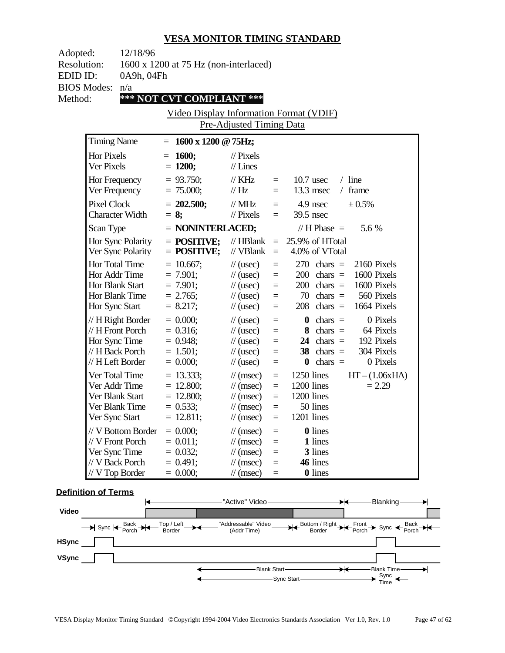| 12/18/96<br>Adopted:<br><b>Resolution:</b>        |                                                                                                 | 1600 x 1200 at 75 Hz (non-interlaced)                                  |                                                                                                                                                    |                                                          |                                                                                                                                                                                    |  |
|---------------------------------------------------|-------------------------------------------------------------------------------------------------|------------------------------------------------------------------------|----------------------------------------------------------------------------------------------------------------------------------------------------|----------------------------------------------------------|------------------------------------------------------------------------------------------------------------------------------------------------------------------------------------|--|
| EDID ID:<br><b>BIOS Modes:</b>                    | 0A9h, 04Fh<br>n/a                                                                               |                                                                        |                                                                                                                                                    |                                                          |                                                                                                                                                                                    |  |
| Method:                                           |                                                                                                 | *** NOT CVT COMPLIANT ***                                              |                                                                                                                                                    |                                                          |                                                                                                                                                                                    |  |
|                                                   |                                                                                                 | Video Display Information Format (VDIF)                                |                                                                                                                                                    |                                                          |                                                                                                                                                                                    |  |
|                                                   |                                                                                                 |                                                                        | Pre-Adjusted Timing Data                                                                                                                           |                                                          |                                                                                                                                                                                    |  |
| <b>Timing Name</b>                                |                                                                                                 | $= 1600 \times 1200 \text{ @ } 75 \text{Hz};$                          |                                                                                                                                                    |                                                          |                                                                                                                                                                                    |  |
| Hor Pixels<br>Ver Pixels                          |                                                                                                 | $= 1600;$<br>$= 1200;$                                                 | $\frac{1}{2}$ Pixels<br>$//$ Lines                                                                                                                 |                                                          |                                                                                                                                                                                    |  |
| Hor Frequency<br>Ver Frequency                    |                                                                                                 | $= 93.750$ ;<br>$= 75.000;$                                            | $\frac{1}{K}$ KHz<br>$\frac{1}{1}$ Hz                                                                                                              | $=$ $-$<br>$=$                                           | $10.7$ usec<br>$/$ line<br>$13.3$ msec<br>/ frame                                                                                                                                  |  |
| <b>Pixel Clock</b>                                | <b>Character Width</b>                                                                          | $= 202.500;$<br>$= 8$ ;                                                | $\mathcal{N}$ MHz<br>$\frac{1}{2}$ Pixels                                                                                                          | $\equiv$<br>$=$                                          | 4.9 nsec<br>± 0.5%<br>39.5 nsec                                                                                                                                                    |  |
| Scan Type                                         |                                                                                                 | = NONINTERLACED;                                                       |                                                                                                                                                    |                                                          | // H Phase $=$<br>5.6 %                                                                                                                                                            |  |
|                                                   | Hor Sync Polarity<br>Ver Sync Polarity                                                          | $=$ POSITIVE;<br>$=$ POSITIVE;                                         | // $HBlank =$<br>// $VBlank =$                                                                                                                     |                                                          | 25.9% of HTotal<br>4.0% of VTotal                                                                                                                                                  |  |
| Hor Total Time<br>Hor Addr Time<br>Hor Sync Start | Hor Blank Start<br>Hor Blank Time                                                               | $= 10.667$ ;<br>$= 7.901;$<br>$= 7.901;$<br>$= 2.765$ ;<br>$= 8.217;$  | $\frac{1}{2}$ (usec)<br>$\frac{1}{2}$ (usec)<br>$\frac{1}{2}$ (usec)<br>$\frac{1}{2}$ (usec)<br>$\frac{1}{2}$ (usec)                               | $\equiv$<br>$\equiv$<br>$\equiv$<br>$=$<br>$\equiv$      | 2160 Pixels<br>$270 \text{ chars} =$<br>1600 Pixels<br>$200 \text{ chars} =$<br>1600 Pixels<br>$200 \text{ chars} =$<br>70 chars $=$<br>560 Pixels<br>$208$ chars =<br>1664 Pixels |  |
|                                                   | $// H$ Right Border<br>// H Front Porch<br>Hor Sync Time<br>// H Back Porch<br>// H Left Border | $= 0.000;$<br>$= 0.316$ ;<br>$= 0.948$ ;<br>$= 1.501$ ;<br>$= 0.000;$  | $\frac{1}{2}$ (usec)<br>$\frac{1}{2}$ (usec)<br>$\frac{1}{2}$ (usec)<br>$\frac{1}{2}$ (usec)<br>$\frac{1}{2}$ (usec)                               | $\equiv$<br>$\equiv$<br>$\equiv$<br>$\equiv$<br>$\equiv$ | $\theta$ chars =<br>0 Pixels<br>8 chars $=$<br>64 Pixels<br>24 chars $=$<br>192 Pixels<br>$38 \text{ chars} =$<br>304 Pixels<br>$chars =$<br>0 Pixels<br>$\bf{0}$                  |  |
|                                                   | Ver Total Time<br>Ver Addr Time<br>Ver Blank Start<br>Ver Blank Time<br>Ver Sync Start          | $= 13.333;$<br>$= 12.800;$<br>$= 12.800;$<br>$= 0.533;$<br>$= 12.811;$ | $\frac{1}{\tan(\theta)}$<br>$\frac{1}{\tan(\theta)}$<br>$\frac{1}{\sqrt{2}}$ (msec)<br>$\frac{1}{\tan(\theta)}$<br>$\frac{1}{\sqrt{2}}$ (msec)     | $\equiv$<br>$\equiv$<br>$\equiv$<br>$\equiv$<br>$\equiv$ | 1250 lines<br>$HT - (1.06xHA)$<br>1200 lines<br>$= 2.29$<br>1200 lines<br>50 lines<br>1201 lines                                                                                   |  |
| Ver Sync Time                                     | // V Bottom Border<br>// V Front Porch<br>// V Back Porch<br>// V Top Border                    | $= 0.000;$<br>$= 0.011;$<br>$= 0.032;$<br>$= 0.491;$<br>$= 0.000;$     | $\frac{1}{\pi}$ (msec)<br>$\frac{1}{\sqrt{2}}$ (msec)<br>$\frac{1}{\sqrt{2}}$ (msec)<br>$\frac{1}{\sqrt{2}}$ (msec)<br>$\frac{1}{\sqrt{2}}$ (msec) | $=$<br>$\equiv$<br>$=$<br>$=$<br>$=$                     | <b>0</b> lines<br>1 lines<br>3 lines<br>46 lines<br><b>0</b> lines                                                                                                                 |  |

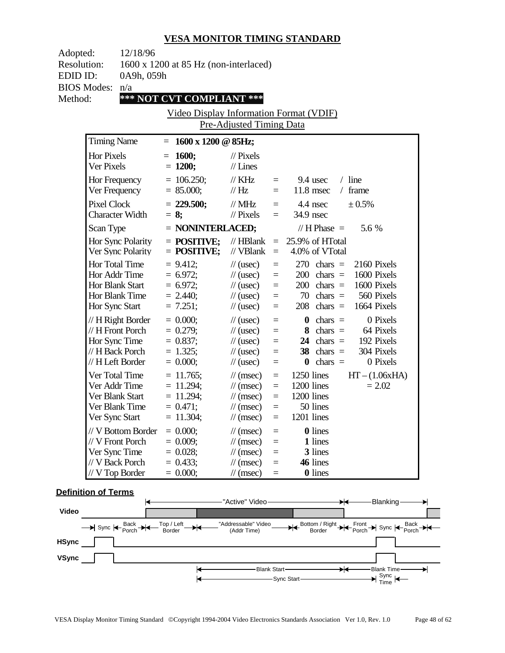| Adopted:           | 12/18/96                         |                                               |                                                       |            |                                      |
|--------------------|----------------------------------|-----------------------------------------------|-------------------------------------------------------|------------|--------------------------------------|
| <b>Resolution:</b> |                                  | 1600 x 1200 at 85 Hz (non-interlaced)         |                                                       |            |                                      |
| EDID ID:           | 0A9h, 059h                       |                                               |                                                       |            |                                      |
|                    | <b>BIOS Modes:</b><br>n/a        |                                               |                                                       |            |                                      |
| Method:            |                                  | *** NOT CVT COMPLIANT ***                     |                                                       |            |                                      |
|                    |                                  | Video Display Information Format (VDIF)       |                                                       |            |                                      |
|                    |                                  |                                               | Pre-Adjusted Timing Data                              |            |                                      |
|                    |                                  |                                               |                                                       |            |                                      |
|                    | <b>Timing Name</b>               | $= 1600 \times 1200 \text{ @ } 85 \text{Hz};$ |                                                       |            |                                      |
|                    | <b>Hor Pixels</b>                | $= 1600;$                                     | $\frac{1}{2}$ Pixels                                  |            |                                      |
|                    | Ver Pixels                       | $= 1200;$                                     | $//$ Lines                                            |            |                                      |
|                    | Hor Frequency                    | $= 106.250$ ;                                 | $\frac{1}{K}$ KHz                                     |            | $/$ line<br>9.4 usec<br>$\equiv$     |
|                    | Ver Frequency                    | $= 85.000;$                                   | //Hz                                                  | $=$        | $11.8$ msec<br>$/$ frame             |
|                    | <b>Pixel Clock</b>               | $= 229.500;$                                  | // $MHz$                                              | $\equiv$   | 4.4 nsec<br>± 0.5%                   |
|                    | <b>Character Width</b>           | $= 8;$                                        | $\frac{1}{2}$ Pixels                                  | $=$        | 34.9 nsec                            |
|                    | Scan Type                        | = NONINTERLACED;                              |                                                       |            | 5.6 %<br>// H Phase $=$              |
|                    | Hor Sync Polarity                | $=$ POSITIVE;                                 | // $HBlank =$                                         |            | 25.9% of HTotal                      |
|                    | Ver Sync Polarity                | $=$ POSITIVE;                                 | // $VBlank =$                                         |            | 4.0% of VTotal                       |
|                    | Hor Total Time                   | $= 9.412;$                                    | $\frac{1}{2}$ (usec)                                  | $=$        | 2160 Pixels<br>$270 \text{ chars} =$ |
|                    | Hor Addr Time                    | $= 6.972$ ;                                   | $\frac{1}{2}$ (usec)                                  | $\equiv$   | 1600 Pixels<br>$200 \text{ chars} =$ |
|                    | Hor Blank Start                  | $= 6.972;$                                    | $\frac{1}{2}$ (usec)                                  | $\equiv$   | $200 \text{ chars} =$<br>1600 Pixels |
|                    | Hor Blank Time                   | $= 2.440;$                                    | $\frac{1}{2}$ (usec)                                  | $=$        | $70 \text{ chars} =$<br>560 Pixels   |
|                    | Hor Sync Start                   | $= 7.251;$                                    | $\frac{1}{2}$ (usec)                                  | $\equiv$   | 1664 Pixels<br>$208$ chars =         |
|                    | $// H$ Right Border              | $= 0.000;$                                    | $\frac{1}{2}$ (usec)                                  | $\equiv$   | $\theta$ chars =<br>0 Pixels         |
|                    | // H Front Porch                 | $= 0.279$ ;                                   | $\frac{1}{2}$ (usec)                                  | $\equiv$   | $8 \text{ chars} =$<br>64 Pixels     |
|                    | Hor Sync Time                    | $= 0.837;$                                    | $\frac{1}{2}$ (usec)                                  | $\equiv$   | 24 chars $=$<br>192 Pixels           |
|                    | // H Back Porch                  | $= 1.325;$                                    | $\frac{1}{2}$ (usec)                                  | $\equiv$   | $38 \text{ chars} =$<br>304 Pixels   |
|                    | // H Left Border                 | $= 0.000;$                                    | $\frac{1}{2}$ (usec)                                  | $\equiv$   | $chars =$<br>0 Pixels<br>$\bf{0}$    |
|                    | Ver Total Time                   | $= 11.765$ ;                                  | $\frac{1}{\tan(\theta)}$                              | $\equiv$   | $HT - (1.06xHA)$<br>1250 lines       |
|                    | Ver Addr Time                    | $= 11.294$ ;                                  | $\frac{1}{\tan(\theta)}$                              | $\equiv$   | 1200 lines<br>$= 2.02$               |
|                    | Ver Blank Start                  | $= 11.294$ ;                                  | $\frac{1}{\tan(\theta)}$                              | $\equiv$   | 1200 lines                           |
|                    | Ver Blank Time                   | $= 0.471;$                                    | $\frac{1}{\tan(\theta)}$                              | $\equiv$   | 50 lines                             |
|                    | Ver Sync Start                   | $= 11.304;$                                   | $\frac{1}{\sqrt{2}}$ (msec)                           | $\equiv$   | 1201 lines                           |
|                    | // V Bottom Border               | $= 0.000;$                                    | $\frac{1}{\pi}$ (msec)                                | $=$        | <b>0</b> lines                       |
|                    | // V Front Porch                 | $= 0.009;$                                    | $\frac{1}{\sqrt{2}}$ (msec)                           | $\equiv$   | 1 lines                              |
|                    | Ver Sync Time<br>// V Back Porch | $= 0.028;$<br>$= 0.433;$                      | $\frac{1}{\sqrt{2}}$ (msec)                           | $=$        | 3 lines<br>46 lines                  |
|                    | $// V$ Top Border                | $= 0.000;$                                    | $\frac{1}{\sqrt{2}}$ (msec)<br>$\frac{1}{\pi}$ (msec) | $=$<br>$=$ | <b>0</b> lines                       |
|                    |                                  |                                               |                                                       |            |                                      |

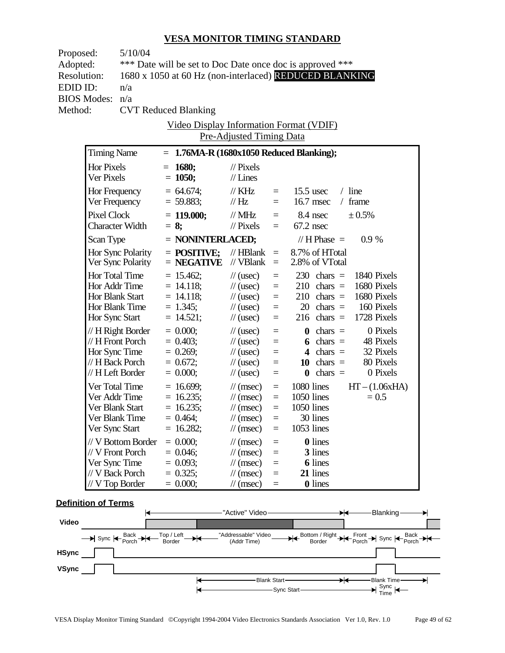| Proposed:          |                                   | 5/10/04                |                                                           |                                              |                 |                                                                            |  |  |  |
|--------------------|-----------------------------------|------------------------|-----------------------------------------------------------|----------------------------------------------|-----------------|----------------------------------------------------------------------------|--|--|--|
| Adopted:           |                                   |                        | *** Date will be set to Doc Date once doc is approved *** |                                              |                 |                                                                            |  |  |  |
| <b>Resolution:</b> |                                   |                        |                                                           |                                              |                 | 1680 x 1050 at 60 Hz (non-interlaced) REDUCED BLANKING                     |  |  |  |
| EDID ID:           |                                   | n/a                    |                                                           |                                              |                 |                                                                            |  |  |  |
| <b>BIOS Modes:</b> |                                   | n/a                    |                                                           |                                              |                 |                                                                            |  |  |  |
| Method:            |                                   |                        | <b>CVT Reduced Blanking</b>                               |                                              |                 |                                                                            |  |  |  |
|                    |                                   |                        | <u>Video Display Information Format (VDIF)</u>            |                                              |                 |                                                                            |  |  |  |
|                    |                                   |                        |                                                           | Pre-Adjusted Timing Data                     |                 |                                                                            |  |  |  |
|                    | <b>Timing Name</b>                |                        | $= 1.76MA-R (1680x1050 Reduced Blanking);$                |                                              |                 |                                                                            |  |  |  |
|                    | Hor Pixels                        |                        | $= 1680;$                                                 | $\frac{1}{2}$ Pixels                         |                 |                                                                            |  |  |  |
|                    | Ver Pixels                        |                        | $= 1050;$                                                 | $//$ Lines                                   |                 |                                                                            |  |  |  |
|                    |                                   |                        | $= 64.674;$                                               |                                              |                 | $/$ line                                                                   |  |  |  |
|                    | Hor Frequency<br>Ver Frequency    |                        | $= 59.883;$                                               | $\frac{1}{K}$ KHz<br>$\mathcal{U}$ Hz        | $=$<br>$=$      | $15.5$ usec<br>$/$ frame<br>$16.7$ msec                                    |  |  |  |
|                    |                                   |                        |                                                           |                                              |                 |                                                                            |  |  |  |
|                    | Pixel Clock                       | <b>Character Width</b> | $= 119.000;$<br>$= 8;$                                    | $\mathcal{N}$ MHz<br>$\mathcal{U}$ Pixels    | $\equiv$<br>$=$ | 8.4 nsec<br>± 0.5%<br>$67.2$ nsec                                          |  |  |  |
|                    |                                   |                        |                                                           |                                              |                 |                                                                            |  |  |  |
|                    | Scan Type                         |                        | $=$ NONINTERLACED;                                        |                                              |                 | // $H$ Phase $=$<br>0.9%                                                   |  |  |  |
|                    |                                   | Hor Sync Polarity      | $=$ POSITIVE;                                             | $//$ HBlank =                                |                 | 8.7% of HTotal                                                             |  |  |  |
|                    |                                   | Ver Sync Polarity      | $=$ NEGATIVE                                              | // VBlank                                    | $\equiv$        | 2.8% of VTotal                                                             |  |  |  |
|                    | Hor Total Time                    |                        | $= 15.462;$                                               | $\frac{1}{2}$ (usec)                         | $=$             | $230 \text{ chars} =$<br>1840 Pixels                                       |  |  |  |
|                    |                                   | Hor Addr Time          | $= 14.118;$                                               | $\frac{1}{2}$ (usec)                         | $=$             | $210 \text{ chars} =$<br>1680 Pixels                                       |  |  |  |
|                    | Hor Blank Start<br>Hor Blank Time |                        | $= 14.118;$<br>$= 1.345;$                                 | $\frac{1}{2}$ (usec)<br>$\frac{1}{2}$ (usec) | $=$<br>$\equiv$ | $210 \text{ chars} =$<br>1680 Pixels<br>$20 \text{ chars} =$<br>160 Pixels |  |  |  |
|                    | Hor Sync Start                    |                        | $= 14.521;$                                               | $\frac{1}{2}$ (usec)                         | $\equiv$        | $216 \text{ chars} =$<br>1728 Pixels                                       |  |  |  |
|                    |                                   | $// H$ Right Border    | $= 0.000;$                                                |                                              |                 | 0 Pixels<br>$\mathbf{0}$ chars =                                           |  |  |  |
|                    | // H Front Porch                  |                        | $= 0.403;$                                                | $\frac{1}{2}$ (usec)<br>$\frac{1}{2}$ (usec) | $\equiv$<br>$=$ | 6 chars $=$<br>48 Pixels                                                   |  |  |  |
|                    |                                   | Hor Sync Time          | $= 0.269;$                                                | $\frac{1}{2}$ (usec)                         | $\quad =$       | 4 chars $=$<br>32 Pixels                                                   |  |  |  |
|                    |                                   | // H Back Porch        | $= 0.672;$                                                | $\frac{1}{2}$ (usec)                         | $\equiv$        | $10 \text{ chars} =$<br>80 Pixels                                          |  |  |  |
|                    | // H Left Border                  |                        | $= 0.000;$                                                | $\frac{1}{2}$ (usec)                         | $=$             | 0 Pixels<br>$\theta$ chars =                                               |  |  |  |
|                    | Ver Total Time                    |                        | $= 16.699$ ;                                              | $\frac{1}{\pi}$ (msec)                       | $\equiv$        | 1080 lines<br>$HT - (1.06xHA)$                                             |  |  |  |
|                    | Ver Addr Time                     |                        | $= 16.235;$                                               | $\mathcal{N}(msec)$                          | $=$             | 1050 lines<br>$= 0.5$                                                      |  |  |  |
|                    | Ver Blank Start                   |                        | $= 16.235;$                                               | $\mathcal{U}$ (msec)                         | $\equiv$        | 1050 lines                                                                 |  |  |  |
|                    | Ver Blank Time                    |                        | $= 0.464;$                                                | $\frac{1}{\sqrt{2}}$ (msec)                  | $\equiv$        | 30 lines                                                                   |  |  |  |
|                    | Ver Sync Start                    |                        | $= 16.282;$                                               | $\mathcal{U}$ (msec)                         | $\equiv$        | 1053 lines                                                                 |  |  |  |
|                    |                                   | // V Bottom Border     | $= 0.000;$                                                | $\mathcal{U}$ (msec)                         | $=$             | <b>0</b> lines                                                             |  |  |  |
|                    | // V Front Porch                  |                        | $= 0.046;$                                                | $\mathcal{N}(msec)$                          | $=$             | 3 lines                                                                    |  |  |  |
|                    | Ver Sync Time                     |                        | $= 0.093;$                                                | $\mathcal{N}(msec)$                          | $=$             | <b>6</b> lines                                                             |  |  |  |
|                    | // V Back Porch                   |                        | $= 0.325;$                                                | $\mathcal{N}(msec)$                          | $=$             | 21 lines                                                                   |  |  |  |
|                    | // V Top Border                   |                        | $= 0.000;$                                                | $\mathcal{U}$ (msec)                         |                 | <b>0</b> lines                                                             |  |  |  |

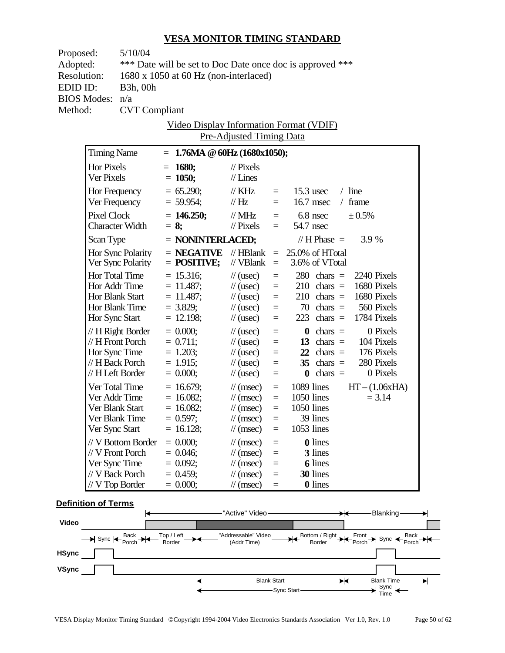| Proposed:          |                                  | 5/10/04                         |                                                           |                                                          |                          |                            |                                              |  |                                           |
|--------------------|----------------------------------|---------------------------------|-----------------------------------------------------------|----------------------------------------------------------|--------------------------|----------------------------|----------------------------------------------|--|-------------------------------------------|
|                    | Adopted:                         |                                 | *** Date will be set to Doc Date once doc is approved *** |                                                          |                          |                            |                                              |  |                                           |
| <b>Resolution:</b> |                                  |                                 | $1680 \times 1050$ at 60 Hz (non-interlaced)              |                                                          |                          |                            |                                              |  |                                           |
| EDID ID:           |                                  | <b>B</b> 3h, 00h                |                                                           |                                                          |                          |                            |                                              |  |                                           |
|                    | <b>BIOS Modes:</b>               | n/a                             |                                                           |                                                          |                          |                            |                                              |  |                                           |
| Method:            |                                  | <b>CVT</b> Compliant            |                                                           |                                                          |                          |                            |                                              |  |                                           |
|                    |                                  |                                 | <u>Video Display Information Format (VDIF)</u>            |                                                          |                          |                            |                                              |  |                                           |
|                    |                                  |                                 |                                                           | Pre-Adjusted Timing Data                                 |                          |                            |                                              |  |                                           |
|                    | <b>Timing Name</b>               |                                 | $= 1.76MA \t@ 60Hz (1680x1050);$                          |                                                          |                          |                            |                                              |  |                                           |
|                    | Hor Pixels                       |                                 | $= 1680;$                                                 | $\frac{1}{2}$ Pixels                                     |                          |                            |                                              |  |                                           |
|                    | Ver Pixels                       |                                 | $= 1050;$                                                 | $//$ Lines                                               |                          |                            |                                              |  |                                           |
|                    |                                  |                                 | $= 65.290;$                                               |                                                          |                          | $15.3$ usec                |                                              |  | $/$ line                                  |
|                    | Hor Frequency<br>Ver Frequency   |                                 | $= 59.954;$                                               | // KHz<br>$\mathcal{U}$ Hz                               | $=$<br>$=$               |                            | $16.7$ msec                                  |  | $/$ frame                                 |
|                    |                                  |                                 |                                                           |                                                          |                          |                            |                                              |  |                                           |
|                    | Pixel Clock                      |                                 | $= 146.250$ ;                                             | $\frac{1}{2}$ MHz<br>$\frac{1}{2}$ Pixels                | $=$ $-$                  | $=$ 6.8 nsec<br>54.7 nsec  |                                              |  | ± 0.5%                                    |
|                    |                                  | <b>Character Width</b>          | $= 8$ ;                                                   |                                                          |                          |                            |                                              |  |                                           |
|                    | Scan Type                        |                                 | $=$ NONINTERLACED;                                        |                                                          |                          |                            | // $H$ Phase $=$                             |  | 3.9 %                                     |
|                    |                                  | Hor Sync Polarity               | $=$ NEGATIVE                                              | $\mathcal{U}$ HBlank                                     |                          | $= 25.0\%$ of HTotal       |                                              |  |                                           |
|                    |                                  | Ver Sync Polarity               | $=$ POSITIVE;                                             | // VBlank                                                | $\equiv$ .               |                            | 3.6% of VTotal                               |  |                                           |
|                    | Hor Total Time                   |                                 | $= 15.316;$                                               | $\frac{1}{2}$ (usec)                                     | $\equiv$                 |                            |                                              |  | $280 \text{ chars} = 2240 \text{ Pixels}$ |
|                    | Hor Addr Time                    |                                 | $= 11.487;$                                               | $\frac{1}{2}$ (usec)                                     | $=$                      |                            |                                              |  | $210 \text{ chars} = 1680 \text{ Pixels}$ |
|                    | Hor Blank Start                  |                                 | $= 11.487;$                                               | $\frac{1}{2}$ (usec)                                     | $\quad =$                |                            | $210 \text{ chars} =$                        |  | 1680 Pixels                               |
|                    | Hor Blank Time                   |                                 | $= 3.829;$                                                | $\frac{1}{2}$ (usec)                                     | $\qquad \qquad =$<br>$=$ |                            | $70 \text{ chars} =$<br>$223$ chars =        |  | 560 Pixels<br>1784 Pixels                 |
|                    | Hor Sync Start                   |                                 | $= 12.198;$                                               | $\frac{1}{2}$ (usec)                                     |                          |                            |                                              |  |                                           |
|                    |                                  | $// H$ Right Border             | $= 0.000;$                                                | $\frac{1}{2}$ (usec)                                     | $\equiv$                 |                            | $\theta$ chars =                             |  | 0 Pixels                                  |
|                    | $// H$ Front Porch               |                                 | $= 0.711;$                                                | $\frac{1}{2}$ (usec)                                     | $\equiv$                 |                            | 13 chars $=$                                 |  | 104 Pixels                                |
|                    | Hor Sync Time<br>// H Back Porch |                                 | $= 1.203$ ;<br>$= 1.915$ ;                                | $\frac{1}{2}$ (usec)<br>$\frac{1}{2}$ (usec)             | $\equiv$<br>$=$          |                            | $22 \text{ chars} =$<br>$35 \text{ chars} =$ |  | 176 Pixels<br>280 Pixels                  |
|                    | // H Left Border                 |                                 | $= 0.000;$                                                | $\frac{1}{2}$ (usec)                                     | $\equiv$                 |                            | $\mathbf{0}$ chars =                         |  | 0 Pixels                                  |
|                    |                                  |                                 |                                                           |                                                          |                          |                            |                                              |  |                                           |
|                    |                                  | Ver Total Time<br>Ver Addr Time | $= 16.679;$<br>$= 16.082$ ;                               | $\mathcal{U}(\text{msec})$<br>$\mathcal{U}(\text{msec})$ | $=$<br>$=$               | 1089 lines<br>$1050$ lines |                                              |  | $HT - (1.06xHA)$<br>$= 3.14$              |
|                    | Ver Blank Start                  |                                 | $= 16.082$ ;                                              | $\mathcal{U}$ (msec)                                     | $=$                      | 1050 lines                 |                                              |  |                                           |
|                    | Ver Blank Time                   |                                 | $= 0.597;$                                                | $\pi$ (msec) =                                           |                          |                            | 39 lines                                     |  |                                           |
|                    | Ver Sync Start                   |                                 | $= 16.128;$                                               | $\mathcal{U}$ (msec)                                     | $\equiv$                 | 1053 lines                 |                                              |  |                                           |
|                    |                                  | // V Bottom Border              | $= 0.000;$                                                | $\frac{1}{\sqrt{2}}$ (msec)                              | $\equiv$                 |                            | <b>0</b> lines                               |  |                                           |
|                    | // V Front Porch                 |                                 | $= 0.046$ ;                                               | $\mathcal{N}(msec)$                                      | $\equiv$                 |                            | 3 lines                                      |  |                                           |
|                    | Ver Sync Time                    |                                 | $= 0.092;$                                                | $\mathcal{N}(msec)$                                      | $=$                      |                            | <b>6</b> lines                               |  |                                           |
|                    | // V Back Porch                  |                                 | $= 0.459;$                                                | $\frac{1}{\sqrt{2}}$ (msec)                              | $=$                      |                            | 30 lines                                     |  |                                           |
|                    | $// V$ Top Border                |                                 | $= 0.000;$                                                | $\mathcal{U}$ (msec)                                     | $\equiv$                 |                            | <b>0</b> lines                               |  |                                           |

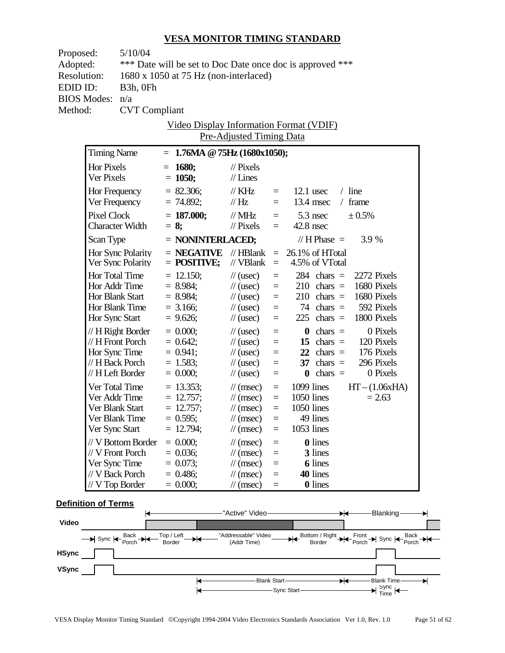| Proposed:          |                                   | 5/10/04                |  |                                                           |                                                     |                   |                        |                           |  |                                           |  |
|--------------------|-----------------------------------|------------------------|--|-----------------------------------------------------------|-----------------------------------------------------|-------------------|------------------------|---------------------------|--|-------------------------------------------|--|
|                    | Adopted:                          |                        |  | *** Date will be set to Doc Date once doc is approved *** |                                                     |                   |                        |                           |  |                                           |  |
| <b>Resolution:</b> |                                   |                        |  | $1680 \times 1050$ at 75 Hz (non-interlaced)              |                                                     |                   |                        |                           |  |                                           |  |
| EDID ID:           |                                   | B <sub>3</sub> h, OFh  |  |                                                           |                                                     |                   |                        |                           |  |                                           |  |
| <b>BIOS Modes:</b> |                                   | n/a                    |  |                                                           |                                                     |                   |                        |                           |  |                                           |  |
| Method:            |                                   | <b>CVT</b> Compliant   |  |                                                           |                                                     |                   |                        |                           |  |                                           |  |
|                    |                                   |                        |  | <u>Video Display Information Format (VDIF)</u>            |                                                     |                   |                        |                           |  |                                           |  |
|                    |                                   |                        |  |                                                           | Pre-Adjusted Timing Data                            |                   |                        |                           |  |                                           |  |
|                    | <b>Timing Name</b>                |                        |  | $= 1.76MA \tQ 75Hz (1680x1050);$                          |                                                     |                   |                        |                           |  |                                           |  |
|                    |                                   |                        |  |                                                           |                                                     |                   |                        |                           |  |                                           |  |
|                    | Hor Pixels<br>Ver Pixels          |                        |  | $= 1680;$<br>$= 1050;$                                    | $\frac{1}{2}$ Pixels<br>$//$ Lines                  |                   |                        |                           |  |                                           |  |
|                    |                                   |                        |  |                                                           |                                                     |                   |                        |                           |  |                                           |  |
|                    | Hor Frequency                     |                        |  | $= 82.306;$                                               | // KHz                                              | $=$               |                        | $12.1$ usec               |  | $/$ line                                  |  |
|                    | Ver Frequency                     |                        |  | $= 74.892;$                                               | $\mathcal{U}$ Hz                                    | $=$               |                        | $13.4$ msec               |  | $/$ frame                                 |  |
|                    | Pixel Clock                       |                        |  | $= 187.000;$                                              | $\text{/}/\text{/}$ MHz                             |                   | $= 5.3$ nsec           |                           |  | ± 0.5%                                    |  |
|                    |                                   | <b>Character Width</b> |  | $= 8$ ;                                                   | $\frac{1}{2}$ Pixels                                | $=$               | $42.8$ nsec            |                           |  |                                           |  |
|                    | Scan Type                         |                        |  | $=$ NONINTERLACED;                                        |                                                     |                   |                        | // $H$ Phase $=$          |  | 3.9 %                                     |  |
|                    |                                   | Hor Sync Polarity      |  | $=$ NEGATIVE                                              | $\mathcal{N}$ HBlank                                |                   | $= 26.1\%$ of HTotal   |                           |  |                                           |  |
|                    |                                   | Ver Sync Polarity      |  | $=$ POSITIVE;                                             | // VBlank                                           | $\equiv$          |                        | 4.5% of VTotal            |  |                                           |  |
|                    | Hor Total Time                    |                        |  | $= 12.150$ ;                                              | $\frac{1}{2}$ (usec)                                | $=$               |                        | $284$ chars =             |  | 2272 Pixels                               |  |
|                    | Hor Addr Time                     |                        |  | $= 8.984;$                                                | $\frac{1}{2}$ (usec)                                | $=$               |                        |                           |  | $210 \text{ chars} = 1680 \text{ Pixels}$ |  |
|                    | Hor Blank Start                   |                        |  | $= 8.984;$                                                | $\frac{1}{2}$ (usec)                                | $\quad \  \  =$   |                        | $210 \text{ chars} =$     |  | 1680 Pixels                               |  |
|                    | Hor Blank Time                    |                        |  | $=$ 3.166;                                                | $\frac{1}{2}$ (usec)                                | $\qquad \qquad =$ |                        | $74 \text{ chars} =$      |  | 592 Pixels                                |  |
|                    | Hor Sync Start                    |                        |  | $= 9.626$ ;                                               | $\frac{1}{2}$ (usec)                                | $=$               |                        | $225$ chars =             |  | 1800 Pixels                               |  |
|                    |                                   | $// H$ Right Border    |  | $= 0.000;$                                                | $\frac{1}{2}$ (usec)                                | $\equiv$          |                        | $\theta$ chars =          |  | 0 Pixels                                  |  |
|                    | $// H$ Front Porch                |                        |  | $= 0.642$ ;                                               | $\frac{1}{2}$ (usec)                                | $\equiv$          |                        | 15 chars $=$              |  | 120 Pixels                                |  |
|                    | Hor Sync Time                     |                        |  | $= 0.941;$                                                | $\frac{1}{2}$ (usec)                                | $=$               |                        | $22 \text{ chars} =$      |  | 176 Pixels                                |  |
|                    | // H Back Porch                   |                        |  | $= 1.583;$                                                | $\frac{1}{2}$ (usec)                                | $\equiv$          |                        | $37 \text{ chars} =$      |  | 296 Pixels                                |  |
|                    | // H Left Border                  |                        |  | $= 0.000;$                                                | $\frac{1}{2}$ (usec)                                | $\equiv$          |                        | $\mathbf{0}$ chars $=$    |  | 0 Pixels                                  |  |
|                    | Ver Total Time                    |                        |  | $= 13.353$ ;                                              | $\mathcal{U}(\text{msec})$                          | $=$               | $1099$ lines           |                           |  | $HT - (1.06xHA)$                          |  |
|                    |                                   | Ver Addr Time          |  | $= 12.757$ ;                                              | $\frac{1}{\tan(\theta)}$                            | $=$               | $1050$ lines           |                           |  | $= 2.63$                                  |  |
|                    | Ver Blank Start<br>Ver Blank Time |                        |  | $= 12.757;$<br>$= 0.595$ ;                                | $\mathcal{U}$ (msec)<br>$\pi$ (msec) =              | $=$               | 1050 lines             |                           |  |                                           |  |
|                    | Ver Sync Start                    |                        |  | $= 12.794;$                                               | $\mathcal{U}$ (msec)                                | $\equiv$          | 49 lines<br>1053 lines |                           |  |                                           |  |
|                    |                                   |                        |  |                                                           |                                                     |                   |                        |                           |  |                                           |  |
|                    |                                   | // V Bottom Border     |  | $= 0.000;$                                                | $\frac{1}{\sqrt{2}}$ (msec)                         | $\equiv$          |                        | <b>0</b> lines<br>3 lines |  |                                           |  |
|                    | // V Front Porch<br>Ver Sync Time |                        |  | $= 0.036;$<br>$= 0.073;$                                  | $\mathcal{U}$ (msec)<br>$\frac{1}{\sqrt{2}}$ (msec) | $\equiv$<br>$=$   |                        | <b>6</b> lines            |  |                                           |  |
|                    | // V Back Porch                   |                        |  | $= 0.486;$                                                | $\frac{1}{\sqrt{2}}$ (msec)                         | $=$               |                        | 40 lines                  |  |                                           |  |
|                    | $//$ V Top Border                 |                        |  | $= 0.000;$                                                | $\mathcal{N}(msec)$                                 | $\equiv$          |                        | <b>0</b> lines            |  |                                           |  |
|                    |                                   |                        |  |                                                           |                                                     |                   |                        |                           |  |                                           |  |

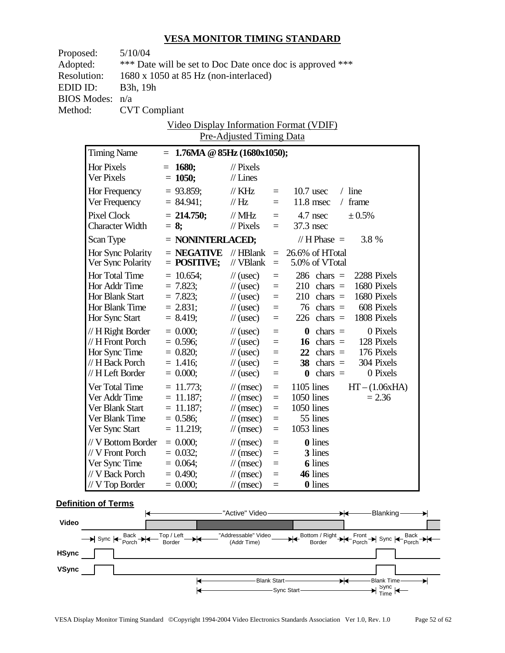| Proposed:          | 5/10/04                                   |  |                                                           |                                                |                                   |                                                                            |  |  |  |
|--------------------|-------------------------------------------|--|-----------------------------------------------------------|------------------------------------------------|-----------------------------------|----------------------------------------------------------------------------|--|--|--|
| Adopted:           |                                           |  | *** Date will be set to Doc Date once doc is approved *** |                                                |                                   |                                                                            |  |  |  |
| <b>Resolution:</b> |                                           |  | $1680 \times 1050$ at 85 Hz (non-interlaced)              |                                                |                                   |                                                                            |  |  |  |
| EDID ID:           | B3h, 19h                                  |  |                                                           |                                                |                                   |                                                                            |  |  |  |
| <b>BIOS Modes:</b> | n/a                                       |  |                                                           |                                                |                                   |                                                                            |  |  |  |
| Method:            | <b>CVT</b> Compliant                      |  |                                                           |                                                |                                   |                                                                            |  |  |  |
|                    |                                           |  |                                                           |                                                |                                   | <b>Video Display Information Format (VDIF)</b>                             |  |  |  |
|                    |                                           |  |                                                           | <b>Pre-Adjusted Timing Data</b>                |                                   |                                                                            |  |  |  |
|                    | <b>Timing Name</b>                        |  | $= 1.76MA \& 85Hz (1680x1050);$                           |                                                |                                   |                                                                            |  |  |  |
| Hor Pixels         |                                           |  | $= 1680$ ;                                                | $\frac{1}{2}$ Pixels                           |                                   |                                                                            |  |  |  |
| Ver Pixels         |                                           |  | $= 1050;$                                                 | $//$ Lines                                     |                                   |                                                                            |  |  |  |
|                    | Hor Frequency                             |  | $= 93.859$ ;                                              | // $KHz$                                       | $=$                               | $/$ line<br>$10.7$ usec                                                    |  |  |  |
|                    | Ver Frequency                             |  | $= 84.941;$                                               | $\mathcal{U}$ Hz                               | $=$                               | $11.8$ msec<br>$/$ frame                                                   |  |  |  |
|                    | <b>Pixel Clock</b>                        |  | $= 214.750$ ;                                             |                                                |                                   | $= 4.7$ nsec<br>$± 0.5\%$                                                  |  |  |  |
|                    | <b>Character Width</b>                    |  | $= 8$ ;                                                   | $\text{/}\text{/}$ MHz<br>$\frac{1}{2}$ Pixels | $=$                               | $37.3$ nsec                                                                |  |  |  |
|                    |                                           |  |                                                           |                                                |                                   |                                                                            |  |  |  |
| Scan Type          |                                           |  | $=$ NONINTERLACED;                                        |                                                |                                   | $// H Phase =$<br>3.8 %                                                    |  |  |  |
|                    | Hor Sync Polarity                         |  | $=$ NEGATIVE                                              | $\mathcal{U}$ HBlank                           |                                   | $= 26.6\%$ of HTotal                                                       |  |  |  |
|                    | Ver Sync Polarity                         |  | $=$ POSITIVE;                                             | // VBlank                                      | $=$                               | 5.0% of VTotal                                                             |  |  |  |
|                    | Hor Total Time                            |  | $= 10.654$ ;                                              | $\frac{1}{2}$ (usec)                           | $\qquad \qquad =$                 | $286 \text{ chars} =$<br>2288 Pixels                                       |  |  |  |
|                    | Hor Addr Time                             |  | $= 7.823;$                                                | $\frac{1}{2}$ (usec)                           | $=$                               | $210 \text{ chars} =$<br>1680 Pixels                                       |  |  |  |
|                    | Hor Blank Start<br>Hor Blank Time         |  | $= 7.823;$<br>$= 2.831;$                                  | $\frac{1}{2}$ (usec)<br>$\frac{1}{2}$ (usec)   | $=$<br>$=$                        | $210 \text{ chars} =$<br>1680 Pixels<br>608 Pixels<br>$76 \text{ chars} =$ |  |  |  |
|                    | Hor Sync Start                            |  | $= 8.419;$                                                | $\frac{1}{2}$ (usec)                           | $\equiv$                          | $226$ chars =<br>1808 Pixels                                               |  |  |  |
|                    |                                           |  |                                                           |                                                |                                   | 0 Pixels                                                                   |  |  |  |
|                    | $// H$ Right Border<br>$// H$ Front Porch |  | $= 0.000;$<br>$= 0.596$ ;                                 | $\frac{1}{2}$ (usec)<br>$\frac{1}{2}$ (usec)   | $\quad =$<br>$\equiv$             | $\theta$ chars =<br>$16 \text{ chars} =$<br>128 Pixels                     |  |  |  |
|                    | Hor Sync Time                             |  | $= 0.820;$                                                | $\frac{1}{2}$ (usec)                           | $\equiv$                          | $22 \text{ chars} =$<br>176 Pixels                                         |  |  |  |
|                    | // H Back Porch                           |  | $= 1.416$ ;                                               | $\frac{1}{2}$ (usec)                           | $\equiv$                          | $38 \text{ chars} =$<br>304 Pixels                                         |  |  |  |
|                    | // H Left Border                          |  | $= 0.000;$                                                | $\frac{1}{2}$ (usec)                           | $\equiv$                          | $\mathbf{0}$ chars =<br>0 Pixels                                           |  |  |  |
|                    | Ver Total Time                            |  | $= 11.773$ ;                                              | $\mathcal{U}(\text{msec})$                     | $=$                               | $1105$ lines<br>$HT - (1.06xHA)$                                           |  |  |  |
|                    | Ver Addr Time                             |  | $= 11.187$ ;                                              | $\mathcal{U}(\text{msec})$                     | $=$                               | $1050$ lines<br>$= 2.36$                                                   |  |  |  |
|                    | Ver Blank Start                           |  | $= 11.187;$                                               | $\mathcal{U}(\text{msec})$                     | $=$                               | 1050 lines                                                                 |  |  |  |
|                    | Ver Blank Time                            |  | $= 0.586;$                                                | $\mathcal{U}$ (msec)                           | $=$ $\,$                          | 55 lines                                                                   |  |  |  |
|                    | Ver Sync Start                            |  | $= 11.219;$                                               | $\mathcal{U}$ (msec)                           | $\equiv$                          | 1053 lines                                                                 |  |  |  |
|                    | // V Bottom Border                        |  | $= 0.000;$                                                | $\frac{1}{\sqrt{2}}$ (msec)                    | $=$                               | <b>0</b> lines                                                             |  |  |  |
|                    | // V Front Porch                          |  | $= 0.032;$                                                | $\mathcal{N}(msec)$                            | $=$                               | 3 lines                                                                    |  |  |  |
|                    | Ver Sync Time                             |  | $= 0.064;$                                                | $\mathcal{N}(msec)$                            | $=$                               | <b>6</b> lines                                                             |  |  |  |
|                    | // V Back Porch                           |  | $= 0.490;$                                                | $\frac{1}{\sqrt{2}}$ (msec)                    | $=$                               | 46 lines                                                                   |  |  |  |
|                    | $// V$ Top Border                         |  | $= 0.000;$                                                | $\mathcal{N}(msec)$                            | $\hspace{1.6cm} = \hspace{1.6cm}$ | <b>0</b> lines                                                             |  |  |  |

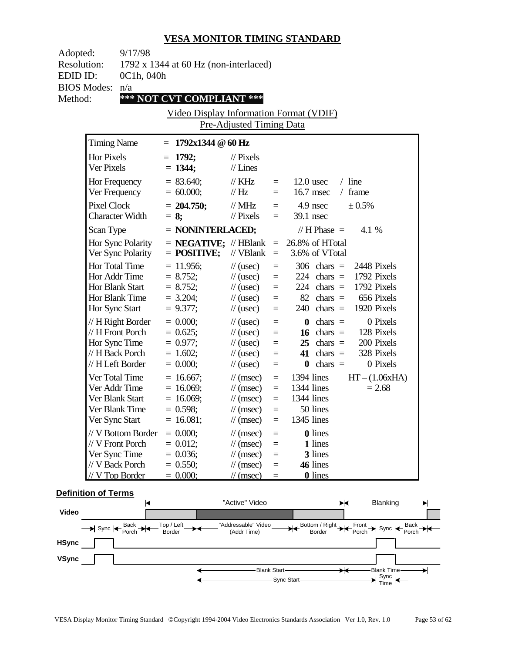| Adopted:<br>9/17/98<br><b>Resolution:</b> |                                                                              |                                                                      |                                                                                                                                                   |                                                          |                                                                                                                                                                                            |  |
|-------------------------------------------|------------------------------------------------------------------------------|----------------------------------------------------------------------|---------------------------------------------------------------------------------------------------------------------------------------------------|----------------------------------------------------------|--------------------------------------------------------------------------------------------------------------------------------------------------------------------------------------------|--|
| EDID ID:                                  | 0C1h, 040h                                                                   | 1792 x 1344 at 60 Hz (non-interlaced)                                |                                                                                                                                                   |                                                          |                                                                                                                                                                                            |  |
| <b>BIOS Modes:</b>                        | n/a                                                                          |                                                                      |                                                                                                                                                   |                                                          |                                                                                                                                                                                            |  |
| Method:                                   |                                                                              | *** NOT CVT COMPLIANT ***                                            |                                                                                                                                                   |                                                          |                                                                                                                                                                                            |  |
|                                           |                                                                              | Video Display Information Format (VDIF)                              |                                                                                                                                                   |                                                          |                                                                                                                                                                                            |  |
|                                           |                                                                              |                                                                      | Pre-Adjusted Timing Data                                                                                                                          |                                                          |                                                                                                                                                                                            |  |
| <b>Timing Name</b>                        |                                                                              | $= 1792x1344 \& 60 \text{ Hz}$                                       |                                                                                                                                                   |                                                          |                                                                                                                                                                                            |  |
| <b>Hor Pixels</b><br>Ver Pixels           |                                                                              | $= 1792;$<br>$= 1344;$                                               | $\frac{1}{2}$ Pixels<br>$//$ Lines                                                                                                                |                                                          |                                                                                                                                                                                            |  |
| Hor Frequency<br>Ver Frequency            |                                                                              | $= 83.640;$<br>$= 60.000;$                                           | $\frac{1}{K}$ KHz<br>$\mathcal{U}$ Hz                                                                                                             | $=$<br>$=$                                               | $12.0$ usec<br>$/$ line<br>16.7 msec<br>/ frame                                                                                                                                            |  |
| <b>Pixel Clock</b>                        | <b>Character Width</b>                                                       | $= 204.750;$<br>$= 8$ ;                                              | $\text{/}\text{/}$ MHz<br>$\frac{1}{2}$ Pixels                                                                                                    | $=$ $-$                                                  | ± 0.5%<br>$=$ 4.9 nsec<br>39.1 nsec                                                                                                                                                        |  |
| Scan Type                                 |                                                                              | $=$ NONINTERLACED;                                                   |                                                                                                                                                   |                                                          | $// H Phase =$<br>4.1 %                                                                                                                                                                    |  |
|                                           | Hor Sync Polarity<br>Ver Sync Polarity                                       | $=$ POSITIVE;                                                        | // $VBlank =$                                                                                                                                     |                                                          | $=$ <b>NEGATIVE;</b> // HBlank $=$ 26.8% of HTotal<br>3.6% of VTotal                                                                                                                       |  |
| Hor Total Time<br>Hor Sync Start          | Hor Addr Time<br>Hor Blank Start<br>Hor Blank Time                           | $= 11.956;$<br>$= 8.752;$<br>$= 8.752;$<br>$= 3.204;$<br>$= 9.377;$  | $\frac{1}{2}$ (usec)<br>$\frac{1}{2}$ (usec)<br>$\frac{1}{2}$ (usec)<br>$\frac{1}{2}$ (usec)<br>$\frac{1}{2}$ (usec)                              | $\equiv$<br>$\equiv$<br>$\equiv$<br>$\equiv$<br>$\equiv$ | $306$ chars =<br>2448 Pixels<br>1792 Pixels<br>$224 \text{ chars} =$<br>1792 Pixels<br>$224 \text{ chars} =$<br>$82 \text{ chars} =$<br>656 Pixels<br>1920 Pixels<br>$240 \text{ chars} =$ |  |
| Hor Sync Time                             | // H Right Border<br>// H Front Porch<br>// H Back Porch<br>// H Left Border | $= 0.000;$<br>$= 0.625;$<br>$= 0.977;$<br>$= 1.602$ ;<br>$= 0.000;$  | $\frac{1}{2}$ (usec)<br>$\frac{1}{2}$ (usec)<br>$\frac{1}{2}$ (usec)<br>$\frac{1}{2}$ (usec)<br>$\frac{1}{2}$ (usec)                              | $\equiv$<br>$\equiv$<br>$\equiv$<br>$\equiv$<br>$=$      | 0 Pixels<br>$\theta$ chars =<br>128 Pixels<br>16 chars $=$<br>$25$ chars $=$ 200 Pixels<br>41 chars $=$<br>328 Pixels<br>0 Pixels<br>$\theta$ chars =                                      |  |
| Ver Total Time                            | Ver Addr Time<br>Ver Blank Start<br>Ver Blank Time<br>Ver Sync Start         | $= 16.667$ ;<br>$= 16.069;$<br>$= 16.069;$<br>$= 0.598$ ;<br>16.081; | $\frac{1}{\sqrt{2}}$ (msec)<br>$\frac{1}{\tan(\theta)}$<br>$\frac{1}{\tan(\theta)}$<br>$\frac{1}{\sqrt{2}}$ (msec)<br>$\frac{1}{\sqrt{2}}$ (msec) | $\equiv$<br>$\equiv$<br>$\equiv$<br>$\equiv$<br>$\equiv$ | 1394 lines<br>$HT - (1.06xHA)$<br>1344 lines<br>$= 2.68$<br>1344 lines<br>50 lines<br>1345 lines                                                                                           |  |
| Ver Sync Time                             | // V Bottom Border<br>// V Front Porch<br>// V Back Porch<br>// V Top Border | $= 0.000;$<br>$= 0.012;$<br>$= 0.036;$<br>$= 0.550;$<br>$= 0.000;$   | $\frac{1}{\pi}$ (msec)<br>$\frac{1}{\pi}$ (msec)<br>$\frac{1}{\sqrt{2}}$ (msec)<br>$\frac{1}{\sqrt{2}}$ (msec)<br>$\frac{1}{\sqrt{2}}$ (msec)     | $=$<br>$=$<br>$=$<br>$=$<br>$=$                          | <b>0</b> lines<br>1 lines<br>3 lines<br>46 lines<br><b>0</b> lines                                                                                                                         |  |

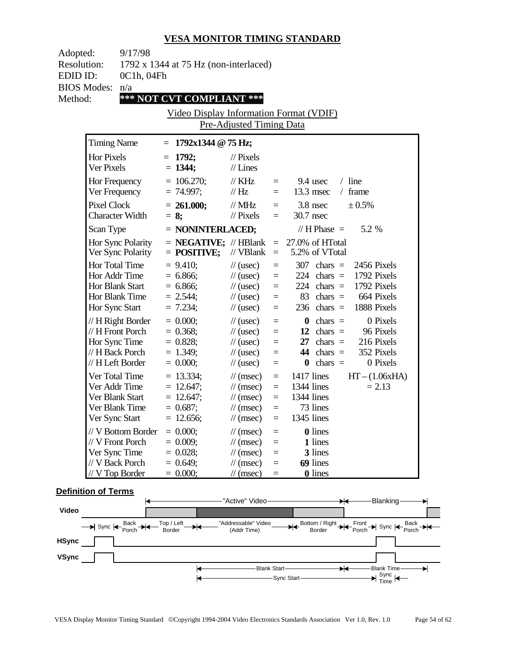| Adopted:<br>9/17/98<br><b>Resolution:</b> |                                                                                                 | 1792 x 1344 at 75 Hz (non-interlaced)                                    |                                                                                                                                                      |                                                           |                                                                                                                                                                                |  |
|-------------------------------------------|-------------------------------------------------------------------------------------------------|--------------------------------------------------------------------------|------------------------------------------------------------------------------------------------------------------------------------------------------|-----------------------------------------------------------|--------------------------------------------------------------------------------------------------------------------------------------------------------------------------------|--|
| EDID ID:                                  | 0C1h, 04Fh                                                                                      |                                                                          |                                                                                                                                                      |                                                           |                                                                                                                                                                                |  |
| <b>BIOS Modes:</b>                        | n/a                                                                                             |                                                                          |                                                                                                                                                      |                                                           |                                                                                                                                                                                |  |
| Method:                                   |                                                                                                 | *** NOT CVT COMPLIANT ***                                                |                                                                                                                                                      |                                                           |                                                                                                                                                                                |  |
|                                           |                                                                                                 | Video Display Information Format (VDIF)                                  |                                                                                                                                                      |                                                           |                                                                                                                                                                                |  |
|                                           |                                                                                                 |                                                                          | Pre-Adjusted Timing Data                                                                                                                             |                                                           |                                                                                                                                                                                |  |
| <b>Timing Name</b>                        |                                                                                                 | $= 1792x1344 \text{ } \textcircled{a} 75 \text{ Hz};$                    |                                                                                                                                                      |                                                           |                                                                                                                                                                                |  |
| Hor Pixels<br>Ver Pixels                  |                                                                                                 | $= 1792;$<br>$= 1344;$                                                   | $\frac{1}{2}$ Pixels<br>$//$ Lines                                                                                                                   |                                                           |                                                                                                                                                                                |  |
| Hor Frequency<br>Ver Frequency            |                                                                                                 | $= 106.270;$<br>$= 74.997;$                                              | $\frac{1}{K}$ KHz<br>$\mathcal{U}$ Hz                                                                                                                | $=$                                                       | $/$ line<br>$=$ 9.4 usec<br>$13.3$ msec<br>$/$ frame                                                                                                                           |  |
| Pixel Clock                               | <b>Character Width</b>                                                                          | $= 261.000;$<br>$= 8;$                                                   | // $MHz$<br>$\frac{1}{2}$ Pixels                                                                                                                     | $=$<br>$=$                                                | $3.8$ nsec<br>$± 0.5\%$<br>30.7 nsec                                                                                                                                           |  |
| Scan Type                                 |                                                                                                 | $=$ NONINTERLACED;                                                       |                                                                                                                                                      |                                                           | 5.2 %<br>// H Phase $=$                                                                                                                                                        |  |
|                                           | Hor Sync Polarity<br>Ver Sync Polarity                                                          | $=$ POSITIVE;                                                            | // $VBlank =$                                                                                                                                        |                                                           | $=$ <b>NEGATIVE;</b> // HBlank $=$ 27.0% of HTotal<br>5.2% of VTotal                                                                                                           |  |
| <b>Hor Total Time</b><br>Hor Sync Start   | Hor Addr Time<br>Hor Blank Start<br>Hor Blank Time                                              | $= 9.410$ ;<br>$= 6.866$ ;<br>$= 6.866$ ;<br>$= 2.544;$<br>$= 7.234;$    | $\frac{1}{2}$ (usec)<br>$\frac{1}{2}$ (usec)<br>$\frac{1}{2}$ (usec)<br>$\frac{1}{2}$ (usec)<br>$\frac{1}{2}$ (usec)                                 | $\equiv$<br>$\equiv$<br>$\equiv$<br>$=$<br>$\equiv$       | 2456 Pixels<br>$307 \text{ chars} =$<br>1792 Pixels<br>$224$ chars =<br>1792 Pixels<br>$224$ chars =<br>664 Pixels<br>83 chars $=$<br>$236$ chars =<br>1888 Pixels             |  |
|                                           | $// H$ Right Border<br>// H Front Porch<br>Hor Sync Time<br>// H Back Porch<br>// H Left Border | $= 0.000;$<br>$= 0.368;$<br>$= 0.828;$<br>$= 1.349;$<br>$= 0.000;$       | $\frac{1}{2}$ (usec)<br>$\frac{1}{2}$ (usec)<br>$\frac{1}{2}$ (usec)<br>$\frac{1}{2}$ (usec)<br>$\frac{1}{2}$ (usec)                                 | $\equiv$<br>$\equiv$<br>$\quad =$<br>$\equiv$<br>$\equiv$ | $\mathbf{0}$ chars =<br>0 Pixels<br>12 chars $=$<br>96 Pixels<br>$27 \text{ chars} = 216 \text{ Pixels}$<br>$44 \text{ chars} =$<br>352 Pixels<br>0 Pixels<br>$\theta$ chars = |  |
| Ver Total Time<br>Ver Addr Time           | Ver Blank Start<br>Ver Blank Time<br>Ver Sync Start                                             | $= 13.334;$<br>$= 12.647$ ;<br>$= 12.647$ ;<br>$= 0.687;$<br>$= 12.656;$ | $\frac{1}{\tan(\theta)}$<br>$\frac{1}{\sqrt{2}}$ (msec)<br>$\frac{1}{\sqrt{2}}$ (msec)<br>$\frac{1}{\sqrt{2}}$ (msec)<br>$\frac{1}{\sqrt{2}}$ (msec) | $\equiv$<br>$\equiv$<br>$\equiv$<br>$\equiv$<br>$\equiv$  | $1417$ lines<br>$HT - (1.06xHA)$<br>1344 lines<br>$= 2.13$<br>1344 lines<br>73 lines<br>1345 lines                                                                             |  |
| Ver Sync Time                             | // V Bottom Border<br>// V Front Porch<br>// V Back Porch<br>/ V Top Border                     | $= 0.000;$<br>$= 0.009;$<br>$= 0.028;$<br>$= 0.649;$<br>$= 0.000;$       | $\frac{1}{\pi}$ (msec)<br>$\frac{1}{2}$ (msec)<br>$\frac{1}{\sqrt{2}}$ (msec)<br>$\frac{1}{\sqrt{2}}$ (msec)<br>$\frac{1}{\sqrt{2}}$ (msec)          | $=$<br>$=$<br>$=$<br>$=$<br>$=$                           | <b>0</b> lines<br>1 lines<br>3 lines<br>69 lines<br><b>0</b> lines                                                                                                             |  |

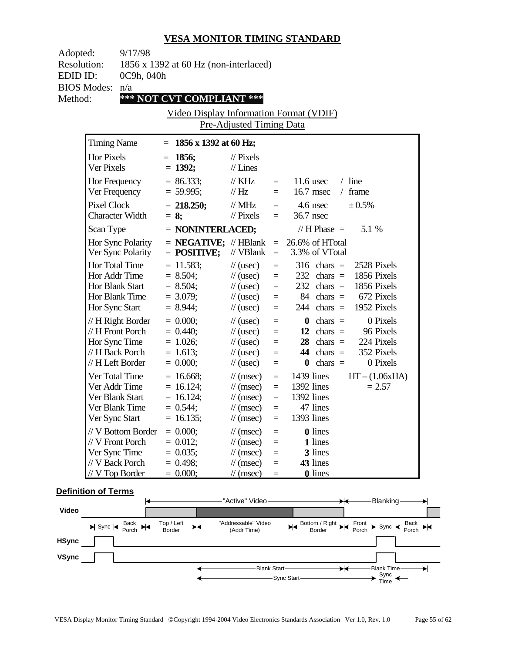| Adopted:<br><b>Resolution:</b><br>EDID ID:                           | 9/17/98<br>0C9h, 040h                                                                         | 1856 x 1392 at 60 Hz (non-interlaced)                                  |                                                                                                                           |                                                                         |                                                                                                                                                                                         |  |
|----------------------------------------------------------------------|-----------------------------------------------------------------------------------------------|------------------------------------------------------------------------|---------------------------------------------------------------------------------------------------------------------------|-------------------------------------------------------------------------|-----------------------------------------------------------------------------------------------------------------------------------------------------------------------------------------|--|
| <b>BIOS Modes:</b>                                                   | n/a                                                                                           |                                                                        |                                                                                                                           |                                                                         |                                                                                                                                                                                         |  |
| Method:                                                              |                                                                                               | *** NOT CVT COMPLIANT ***                                              |                                                                                                                           |                                                                         |                                                                                                                                                                                         |  |
|                                                                      |                                                                                               | Video Display Information Format (VDIF)                                | Pre-Adjusted Timing Data                                                                                                  |                                                                         |                                                                                                                                                                                         |  |
| <b>Timing Name</b>                                                   |                                                                                               | $= 1856 \times 1392$ at 60 Hz;                                         |                                                                                                                           |                                                                         |                                                                                                                                                                                         |  |
| <b>Hor Pixels</b><br>Ver Pixels                                      |                                                                                               | $= 1856;$<br>$= 1392;$                                                 | $\frac{1}{2}$ Pixels<br>$//$ Lines                                                                                        |                                                                         |                                                                                                                                                                                         |  |
| Hor Frequency<br>Ver Frequency                                       |                                                                                               | $= 86.333;$<br>$= 59.995;$                                             | $\frac{1}{K}$ KHz<br>$\mathcal{U}$ Hz                                                                                     | $=$ $-$<br>$\equiv$                                                     | $/$ line<br>$11.6$ usec<br>16.7 msec<br>/ frame                                                                                                                                         |  |
| <b>Pixel Clock</b>                                                   | <b>Character Width</b>                                                                        | $= 218.250;$<br>$= 8;$                                                 | $\mathcal N$ MHz<br>$\mathcal{U}$ Pixels                                                                                  | $=$<br>$=$                                                              | $4.6$ nsec<br>± 0.5%<br>36.7 nsec                                                                                                                                                       |  |
| Scan Type                                                            |                                                                                               | $=$ NONINTERLACED;                                                     |                                                                                                                           |                                                                         | // H Phase $=$<br>5.1 %                                                                                                                                                                 |  |
|                                                                      | Hor Sync Polarity<br>Ver Sync Polarity                                                        | $=$ POSITIVE;                                                          | // $VBlank =$                                                                                                             |                                                                         | $=$ <b>NEGATIVE;</b> // HBlank $=$ 26.6% of HTotal<br>3.3% of VTotal                                                                                                                    |  |
| Hor Total Time<br>Hor Addr Time<br>Hor Blank Start<br>Hor Sync Start | Hor Blank Time                                                                                | $= 11.583;$<br>$= 8.504;$<br>$= 8.504;$<br>$= 3.079;$<br>$= 8.944;$    | $\frac{1}{2}$ (usec)<br>$\frac{1}{2}$ (usec)<br>$\frac{1}{2}$ (usec)<br>$\frac{1}{2}$ (usec)<br>$\frac{1}{2}$ (usec)      | $\equiv$<br>$=$<br>$\equiv$<br>$=$<br>$\equiv$                          | $316 \text{ chars} =$<br>2528 Pixels<br>1856 Pixels<br>$232 \text{ chars} =$<br>$232 \text{ chars} =$<br>1856 Pixels<br>84 chars $=$ 672 Pixels<br>$244 \text{ chars} =$<br>1952 Pixels |  |
|                                                                      | // H Right Border<br>// H Front Porch<br>Hor Sync Time<br>// H Back Porch<br>// H Left Border | $= 0.000;$<br>$= 0.440;$<br>$= 1.026$ ;<br>$= 1.613;$<br>$= 0.000;$    | $\frac{1}{2}$ (usec)<br>$\frac{1}{2}$ (usec)<br>$\frac{1}{2}$ (usec)<br>$\frac{1}{2}$ (usec)<br>$\frac{1}{2}$ (usec)      | $=$<br>$\equiv$<br>$\equiv$<br>$\equiv$<br>$=$                          | 0 Pixels<br>$\theta$ chars =<br>12 chars $=$<br>96 Pixels<br>$28 \text{ chars} =$<br>224 Pixels<br>$44 \text{ chars} =$<br>352 Pixels<br>0 Pixels<br>$\theta$ chars =                   |  |
| Ver Total Time<br>Ver Addr Time<br>Ver Sync Start                    | Ver Blank Start<br>Ver Blank Time                                                             | $= 16.668;$<br>$= 16.124;$<br>$= 16.124;$<br>$= 0.544;$<br>$= 16.135;$ | $\mathcal{U}$ (msec)<br>$\mathcal{U}$ (msec)<br>$\mathcal{U}$ (msec)<br>$\mathcal{U}$ (msec)<br>$\mathcal{U}$ (msec)      | $\qquad \qquad =\qquad$<br>$\equiv$<br>$\equiv$<br>$\equiv$<br>$\equiv$ | $1439$ lines<br>$HT - (1.06xHA)$<br>1392 lines<br>$= 2.57$<br>1392 lines<br>47 lines<br>1393 lines                                                                                      |  |
| // V Front Porch<br>Ver Sync Time<br>// V Back Porch                 | // V Bottom Border<br>// V Top Border                                                         | $= 0.000;$<br>$= 0.012$ ;<br>$= 0.035$ ;<br>$= 0.498;$<br>$= 0.000;$   | $\mathcal{U}$ (msec)<br>$\mathcal{U}$ (msec)<br>$\mathcal{N}(msec)$<br>$\mathcal{N}(msec)$<br>$\frac{1}{\sqrt{2}}$ (msec) | $=$<br>$=$<br>$=$<br>$=$<br>$=$                                         | <b>0</b> lines<br>1 lines<br>3 lines<br>43 lines<br><b>0</b> lines                                                                                                                      |  |

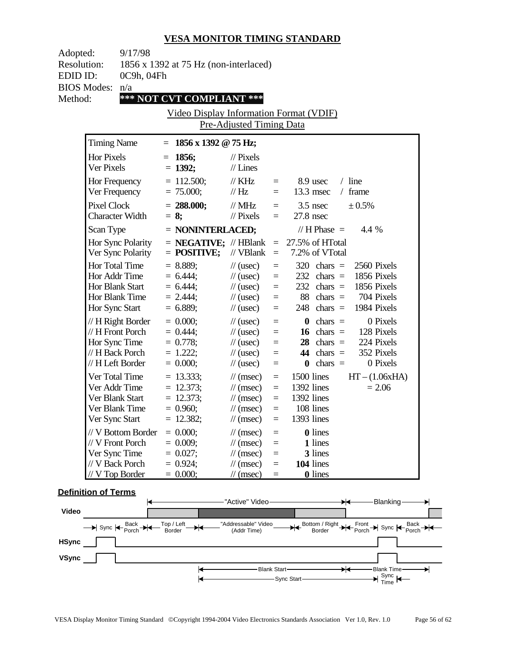| Adopted:<br><b>Resolution:</b><br>EDID ID:<br><b>BIOS Modes:</b><br>Method: | 9/17/98<br>0C9h, 04Fh<br>n/a                               | 1856 x 1392 at 75 Hz (non-interlaced)<br>*** NOT CVT COMPLIANT ***<br>Video Display Information Format (VDIF) | Pre-Adjusted Timing Data                                                                                                                       |                                                          |                                                                                                                                                                                            |  |
|-----------------------------------------------------------------------------|------------------------------------------------------------|---------------------------------------------------------------------------------------------------------------|------------------------------------------------------------------------------------------------------------------------------------------------|----------------------------------------------------------|--------------------------------------------------------------------------------------------------------------------------------------------------------------------------------------------|--|
| <b>Timing Name</b>                                                          |                                                            | $= 1856 \times 1392 \text{ } \textcircled{ } 75 \text{ Hz};$                                                  |                                                                                                                                                |                                                          |                                                                                                                                                                                            |  |
| <b>Hor Pixels</b><br>Ver Pixels                                             |                                                            | $= 1856;$<br>$= 1392;$                                                                                        | $\frac{1}{2}$ Pixels<br>$//$ Lines                                                                                                             |                                                          |                                                                                                                                                                                            |  |
| Hor Frequency<br>Ver Frequency                                              |                                                            | $= 112.500;$<br>$= 75.000;$                                                                                   | $\frac{1}{K}$ KHz<br>$\mathcal{U}$ Hz                                                                                                          | $=$                                                      | $/$ line<br>8.9 usec<br>$\equiv$ $\equiv$<br>$13.3$ msec<br>$/$ frame                                                                                                                      |  |
| <b>Pixel Clock</b>                                                          | <b>Character Width</b>                                     | $= 288.000;$<br>$= 8;$                                                                                        | // $MHz$<br>$\mathcal{U}$ Pixels                                                                                                               | $\equiv$<br>$\equiv$                                     | $3.5$ nsec<br>± 0.5%<br>$27.8$ nsec                                                                                                                                                        |  |
| Scan Type                                                                   |                                                            | $=$ NONINTERLACED;                                                                                            |                                                                                                                                                |                                                          | 4.4 %<br>$// H Phase =$                                                                                                                                                                    |  |
|                                                                             | Hor Sync Polarity<br>Ver Sync Polarity                     | $=$ <b>NEGATIVE;</b> // HBlank $=$<br>$=$ POSITIVE;                                                           | // VBlank                                                                                                                                      | $\equiv$                                                 | 27.5% of HTotal<br>7.2% of VTotal                                                                                                                                                          |  |
| Hor Total Time<br>Hor Addr Time<br>Hor Blank Start<br>Hor Sync Start        | Hor Blank Time                                             | $= 8.889;$<br>$= 6.444$ ;<br>$= 6.444;$<br>$= 2.444$ ;<br>$= 6.889;$                                          | $\frac{1}{2}$ (usec)<br>$\frac{1}{2}$ (usec)<br>$\frac{1}{2}$ (usec)<br>$\frac{1}{2}$ (usec)<br>$\frac{1}{2}$ (usec)                           | $\equiv$<br>$\equiv$<br>$\equiv$<br>$\equiv$<br>$\equiv$ | 2560 Pixels<br>$320 \text{ chars} =$<br>1856 Pixels<br>$232 \text{ chars} =$<br>$232 \text{ chars} =$<br>1856 Pixels<br>$88 \text{ chars} =$<br>704 Pixels<br>1984 Pixels<br>$248$ chars = |  |
| Hor Sync Time<br>// H Left Border                                           | $// H$ Right Border<br>// H Front Porch<br>// H Back Porch | $= 0.000;$<br>$= 0.444;$<br>$= 0.778;$<br>$= 1.222$ ;<br>$= 0.000;$                                           | $\frac{1}{2}$ (usec)<br>$\frac{1}{2}$ (usec)<br>$\frac{1}{2}$ (usec)<br>$\frac{1}{2}$ (usec)<br>$\frac{1}{2}$ (usec)                           | $\equiv$<br>$\equiv$<br>$\equiv$<br>$\equiv$<br>$=$      | 0 Pixels<br>$\theta$ chars =<br>16 chars $=$<br>128 Pixels<br>$28 \text{ chars} =$<br>224 Pixels<br>44 chars $=$<br>352 Pixels<br>0 Pixels<br>$\theta$ chars =                             |  |
| Ver Total Time<br>Ver Addr Time<br>Ver Blank Start<br>Ver Sync Start        | Ver Blank Time                                             | $= 13.333;$<br>$= 12.373;$<br>$= 12.373;$<br>$= 0.960;$<br>$= 12.382;$                                        | $\mathcal{U}$ (msec)<br>$\frac{1}{\sqrt{2}}$ (msec)<br>$\frac{1}{\sqrt{2}}$ (msec)<br>$\frac{1}{\sqrt{2}}$ (msec)<br>$\frac{1}{\cos \theta}$ = | $\equiv$<br>$\equiv$<br>$\equiv$<br>$\equiv$             | 1500 lines<br>$HT - (1.06xHA)$<br>1392 lines<br>$= 2.06$<br>1392 lines<br>108 lines<br>1393 lines                                                                                          |  |
| // V Front Porch<br>Ver Sync Time<br>// V Back Porch                        | // V Bottom Border<br>V Top Border                         | $= 0.000;$<br>$= 0.009;$<br>$= 0.027;$<br>$= 0.924;$<br>$= 0.000;$                                            | $\frac{1}{\pi}$ (msec)<br>$\frac{1}{\sqrt{2}}$ (msec)<br>$\mathcal{N}(msec)$<br>$\mathcal{U}$ (msec)<br>$\frac{1}{\sqrt{2}}$ (msec)            | $=$<br>$=$<br>$=$<br>$=$<br>$\equiv$                     | <b>0</b> lines<br>1 lines<br>3 lines<br>104 lines<br><b>0</b> lines                                                                                                                        |  |

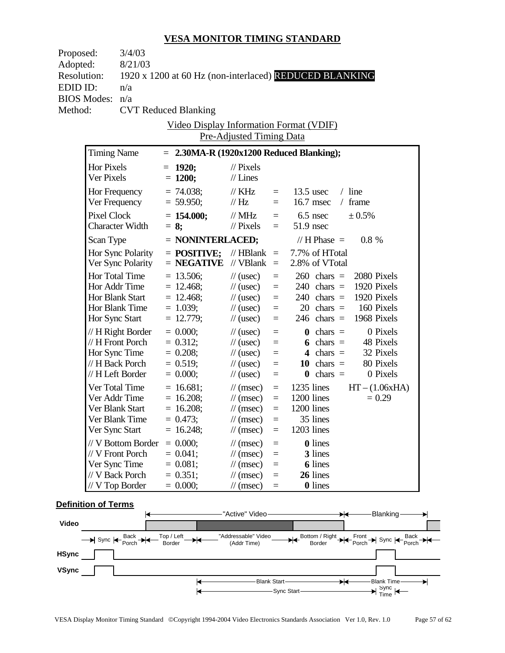| Proposed:          |                        | 3/4/03             |                                                        |                             |          |              |                                           |             |                  |
|--------------------|------------------------|--------------------|--------------------------------------------------------|-----------------------------|----------|--------------|-------------------------------------------|-------------|------------------|
| Adopted:           |                        | 8/21/03            |                                                        |                             |          |              |                                           |             |                  |
| <b>Resolution:</b> |                        |                    | 1920 x 1200 at 60 Hz (non-interlaced) REDUCED BLANKING |                             |          |              |                                           |             |                  |
| EDID ID:           |                        | n/a                |                                                        |                             |          |              |                                           |             |                  |
| <b>BIOS Modes:</b> |                        | n/a                |                                                        |                             |          |              |                                           |             |                  |
| Method:            |                        |                    | <b>CVT Reduced Blanking</b>                            |                             |          |              |                                           |             |                  |
|                    |                        |                    | <b>Video Display Information Format (VDIF)</b>         |                             |          |              |                                           |             |                  |
|                    |                        |                    |                                                        | Pre-Adjusted Timing Data    |          |              |                                           |             |                  |
|                    | <b>Timing Name</b>     |                    | $= 2.30MA-R (1920x1200 Reduced Blanking);$             |                             |          |              |                                           |             |                  |
|                    | Hor Pixels             |                    | $= 1920;$                                              | $\frac{1}{2}$ Pixels        |          |              |                                           |             |                  |
|                    | Ver Pixels             |                    | $= 1200;$                                              | $//$ Lines                  |          |              |                                           |             |                  |
|                    | Hor Frequency          |                    | $= 74.038;$                                            | $\frac{1}{K}$ KHz           | $=$      | $13.5$ usec  |                                           | $/$ line    |                  |
|                    |                        | Ver Frequency      | $= 59.950;$                                            | $\frac{1}{1}$ Hz            | $=$      | 16.7 msec    |                                           | / frame     |                  |
|                    | Pixel Clock            |                    | $= 154.000;$                                           | $\text{/}/\text{/}$ MHz     | $=$      | $6.5$ nsec   |                                           | ± 0.5%      |                  |
|                    | <b>Character Width</b> |                    | $= 8$ ;                                                | $//$ Pixels                 | $=$      | $51.9$ nsec  |                                           |             |                  |
|                    | Scan Type              |                    | $=$ NONINTERLACED;                                     |                             |          |              | // H Phase $=$                            | $0.8 \%$    |                  |
|                    |                        | Hor Sync Polarity  | $=$ POSITIVE;                                          | // $HBlank =$               |          |              | 7.7% of HTotal                            |             |                  |
|                    |                        | Ver Sync Polarity  | $=$ NEGATIVE                                           | // $VB$ lank =              |          |              | 2.8% of VTotal                            |             |                  |
|                    | Hor Total Time         |                    | $= 13.506;$                                            | $\frac{1}{2}$ (usec)        | $\equiv$ |              | $260 \text{ chars} =$                     |             | 2080 Pixels      |
|                    | Hor Addr Time          |                    | $= 12.468;$                                            | $\frac{1}{2}$ (usec)        | $\equiv$ |              | $240 \text{ chars} = 1920 \text{ Pixels}$ |             |                  |
|                    | Hor Blank Start        |                    | $= 12.468;$                                            | $\frac{1}{2}$ (usec)        | $\equiv$ |              | $240 \text{ chars} =$                     | 1920 Pixels |                  |
|                    | Hor Blank Time         |                    | $= 1.039;$                                             | $\frac{1}{2}$ (usec)        | $\equiv$ |              | $20 \text{ chars} = 160 \text{ Pixels}$   |             |                  |
|                    | Hor Sync Start         |                    | $= 12.779;$                                            | $\frac{1}{2}$ (usec)        | $\equiv$ |              | $246$ chars =                             |             | 1968 Pixels      |
|                    |                        | // H Right Border  | $= 0.000;$                                             | $\frac{1}{2}$ (usec)        | $=$      |              | $\mathbf{0}$ chars =                      |             | 0 Pixels         |
|                    | // H Front Porch       |                    | $= 0.312;$                                             | $\frac{1}{2}$ (usec)        | $=$      |              | 6 chars $=$                               |             | 48 Pixels        |
|                    | Hor Sync Time          |                    | $= 0.208;$                                             | $\frac{1}{2}$ (usec)        | $\equiv$ |              | 4 chars $=$                               |             | 32 Pixels        |
|                    | // H Back Porch        |                    | $= 0.519;$                                             | $\frac{1}{2}$ (usec)        | $=$      |              | 10 chars $=$                              |             | 80 Pixels        |
|                    | // H Left Border       |                    | $= 0.000;$                                             | $\frac{1}{2}$ (usec)        | $=$      |              | $\mathbf{0}$ chars =                      |             | 0 Pixels         |
|                    | Ver Total Time         |                    | $= 16.681;$                                            | $\frac{1}{\tan(\theta)}$    | $\equiv$ | $1235$ lines |                                           |             | $HT - (1.06xHA)$ |
|                    | Ver Addr Time          |                    | $= 16.208;$                                            | $\frac{1}{\tan(\theta)}$    | $\equiv$ | 1200 lines   |                                           |             | $= 0.29$         |
|                    | Ver Blank Start        |                    | $= 16.208$ ;                                           | $\frac{1}{\tan(\theta)}$    | $\equiv$ | 1200 lines   |                                           |             |                  |
|                    | Ver Blank Time         |                    | $= 0.473;$                                             | $\frac{1}{\sqrt{2}}$ (msec) |          |              | 35 lines                                  |             |                  |
|                    | Ver Sync Start         |                    | $= 16.248;$                                            | $\frac{1}{\sqrt{2}}$ (msec) | $=$      | 1203 lines   |                                           |             |                  |
|                    |                        | // V Bottom Border | $= 0.000;$                                             | $\frac{1}{\sqrt{2}}$ (msec) | $=$      |              | <b>0</b> lines                            |             |                  |
|                    | // V Front Porch       |                    | $= 0.041$ ;                                            | $\frac{1}{\sqrt{2}}$ (msec) | $=$      |              | 3 lines                                   |             |                  |
|                    | Ver Sync Time          |                    | $= 0.081;$                                             | $\frac{1}{\sqrt{2}}$ (msec) | $=$      |              | <b>6</b> lines                            |             |                  |
|                    | // V Back Porch        |                    | $= 0.351;$                                             | $\frac{1}{\sqrt{2}}$ (msec) | $=$      |              | 26 lines                                  |             |                  |
|                    | // V Top Border        |                    | $= 0.000;$                                             | $\frac{1}{\sqrt{2}}$ (msec) | $=$      |              | <b>0</b> lines                            |             |                  |
|                    |                        |                    |                                                        |                             |          |              |                                           |             |                  |

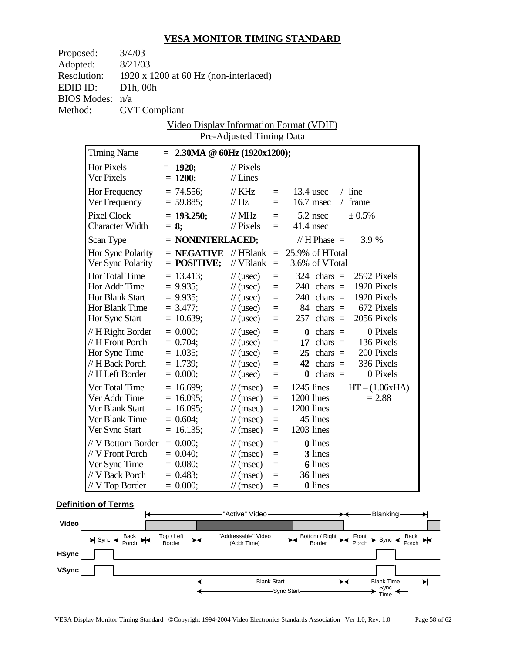| Proposed:<br>Adopted:    | 3/4/03<br>8/21/03      |                                                   |                                    |          |              |                       |                         |
|--------------------------|------------------------|---------------------------------------------------|------------------------------------|----------|--------------|-----------------------|-------------------------|
| <b>Resolution:</b>       |                        | 1920 x 1200 at 60 Hz (non-interlaced)             |                                    |          |              |                       |                         |
| EDID ID:                 | D1h, 00h               |                                                   |                                    |          |              |                       |                         |
| <b>BIOS Modes:</b>       | n/a                    |                                                   |                                    |          |              |                       |                         |
| Method:                  | <b>CVT</b> Compliant   |                                                   |                                    |          |              |                       |                         |
|                          |                        | Video Display Information Format (VDIF)           |                                    |          |              |                       |                         |
|                          |                        |                                                   | Pre-Adjusted Timing Data           |          |              |                       |                         |
| <b>Timing Name</b>       |                        | $= 2.30MA \& 60Hz (1920x1200);$                   |                                    |          |              |                       |                         |
| Hor Pixels<br>Ver Pixels |                        | $= 1920;$<br>$= 1200;$                            | $\frac{1}{2}$ Pixels<br>$//$ Lines |          |              |                       |                         |
|                          | Hor Frequency          | $= 74.556;$                                       | $\frac{1}{K}$ KHz                  | $=$ $-$  |              | $13.4$ usec           | $/$ line                |
|                          | Ver Frequency          | $= 59.885;$                                       | $\mathcal{U}$ Hz                   | $=$ $-$  |              | $16.7$ msec           | $/$ frame               |
| Pixel Clock              |                        | $= 193.250;$                                      | $\frac{1}{2}$ MHz                  | $=$      | $5.2$ nsec   |                       | ± 0.5%                  |
|                          | <b>Character Width</b> | $= 8$ ;                                           | $\frac{1}{2}$ Pixels               | $=$ $-$  | $41.4$ nsec  |                       |                         |
| Scan Type                |                        | $=$ NONINTERLACED;                                |                                    |          |              | // $H$ Phase $=$      | 3.9 %                   |
|                          | Hor Sync Polarity      | $=$ <b>NEGATIVE</b> // HBlank $=$ 25.9% of HTotal |                                    |          |              |                       |                         |
|                          | Ver Sync Polarity      | $=$ POSITIVE;                                     | // $VBlank = 3.6\%$ of VTotal      |          |              |                       |                         |
| Hor Total Time           |                        | $= 13.413$ ;                                      | $\frac{1}{2}$ (usec)               | $\equiv$ |              | $324 \text{ chars} =$ | 2592 Pixels             |
|                          | Hor Addr Time          | $= 9.935;$                                        | $\frac{1}{2}$ (usec)               | $\equiv$ |              | $240 \text{ chars} =$ | 1920 Pixels             |
|                          | Hor Blank Start        | $= 9.935;$                                        | $\frac{1}{2}$ (usec)               | $\equiv$ |              | $240 \text{ chars} =$ | 1920 Pixels             |
|                          | Hor Blank Time         | $= 3.477;$                                        | $\frac{1}{2}$ (usec)               | $\equiv$ |              |                       | 84 chars $=$ 672 Pixels |
|                          | Hor Sync Start         | $= 10.639;$                                       | $\frac{1}{2}$ (usec)               | $\equiv$ |              | $257 \text{ chars} =$ | 2056 Pixels             |
|                          | // H Right Border      | $= 0.000;$                                        | $\frac{1}{2}$ (usec)               | $\equiv$ |              | $\mathbf{0}$ chars =  | 0 Pixels                |
|                          | // H Front Porch       | $= 0.704;$                                        | $\frac{1}{2}$ (usec)               | $\equiv$ |              | 17 chars $=$          | 136 Pixels              |
|                          | Hor Sync Time          | $= 1.035;$                                        | $\frac{1}{2}$ (usec)               | $\equiv$ |              | $25$ chars =          | 200 Pixels              |
|                          | // H Back Porch        | $= 1.739;$                                        | $\frac{1}{2}$ (usec)               | $=$      |              | 42 chars $=$          | 336 Pixels              |
| // H Left Border         |                        | $= 0.000;$                                        | $\frac{1}{2}$ (usec)               | $\equiv$ |              | $\mathbf{0}$ chars =  | 0 Pixels                |
|                          | Ver Total Time         | $= 16.699;$                                       | $\frac{1}{\tan(\theta)}$           | $\equiv$ | $1245$ lines |                       | $HT - (1.06xHA)$        |
|                          | Ver Addr Time          | $= 16.095$ ;                                      | $\frac{1}{\tan(\theta)}$           | $\equiv$ | 1200 lines   |                       | $= 2.88$                |
| Ver Blank Start          |                        | $= 16.095$ ;                                      | $\frac{1}{\tan(\theta)}$           | $\equiv$ | 1200 lines   |                       |                         |
|                          | Ver Blank Time         | $= 0.604;$                                        | $\frac{1}{\sqrt{2}}$ (msec)        | $=$      |              | 45 lines              |                         |
| Ver Sync Start           |                        | $= 16.135;$                                       | $\frac{1}{\pi}$ (msec)             | $=$      | 1203 lines   |                       |                         |
|                          | // V Bottom Border     | $= 0.000;$                                        | $\frac{1}{\sqrt{2}}$ (msec)        | $=$      |              | <b>0</b> lines        |                         |
| // V Front Porch         |                        | $= 0.040$ ;                                       | $\frac{1}{\sqrt{2}}$ (msec)        | $=$      |              | 3 lines               |                         |
| Ver Sync Time            |                        | $= 0.080;$                                        | $\frac{1}{\sqrt{2}}$ (msec)        | $=$      |              | <b>6</b> lines        |                         |
| // V Back Porch          |                        | $= 0.483;$                                        | $\frac{1}{\pi}$ (msec)             | $=$      |              | 36 lines              |                         |
| $// V$ Top Border        |                        | $= 0.000;$                                        | $\frac{1}{\sqrt{2}}$ (msec)        | $=$      |              | 0 lines               |                         |

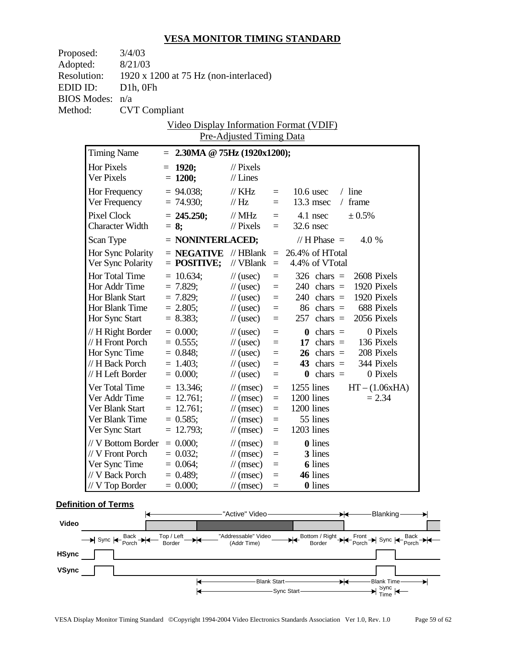| Proposed:          | 3/4/03                 |                                       |                                  |          |                                                   |  |
|--------------------|------------------------|---------------------------------------|----------------------------------|----------|---------------------------------------------------|--|
| Adopted:           | 8/21/03                |                                       |                                  |          |                                                   |  |
| <b>Resolution:</b> |                        | 1920 x 1200 at 75 Hz (non-interlaced) |                                  |          |                                                   |  |
| EDID ID:           | $D1h$ , OFh            |                                       |                                  |          |                                                   |  |
| <b>BIOS Modes:</b> | n/a                    |                                       |                                  |          |                                                   |  |
| Method:            | <b>CVT</b> Compliant   |                                       |                                  |          |                                                   |  |
|                    |                        |                                       |                                  |          | Video Display Information Format (VDIF)           |  |
|                    |                        |                                       | <b>Pre-Adjusted Timing Data</b>  |          |                                                   |  |
|                    | <b>Timing Name</b>     | $= 2.30MA \& 75Hz (1920x1200);$       |                                  |          |                                                   |  |
|                    |                        |                                       |                                  |          |                                                   |  |
|                    | Hor Pixels             | $= 1920;$                             | $//$ Pixels                      |          |                                                   |  |
|                    | Ver Pixels             | $= 1200;$                             | $//$ Lines                       |          |                                                   |  |
|                    | Hor Frequency          | $= 94.038$ ;                          | $\frac{1}{K}$ KHz                | $=$      | $/$ line<br>$10.6$ usec                           |  |
|                    | Ver Frequency          | $= 74.930;$                           | $\frac{1}{1}$ Hz                 | $=$ $-$  | $13.3$ msec<br>$/$ frame                          |  |
|                    | <b>Pixel Clock</b>     | $= 245.250;$                          | $\frac{1}{2}$ MHz                |          | ± 0.5%<br>$=$ 4.1 nsec                            |  |
|                    | <b>Character Width</b> | $= 8:$                                | $\frac{1}{2}$ Pixels             | $=$ $-$  | 32.6 nsec                                         |  |
|                    | Scan Type              | $=$ NONINTERLACED;                    |                                  |          | // H Phase $=$<br>4.0 %                           |  |
|                    | Hor Sync Polarity      |                                       |                                  |          | $=$ <b>NEGATIVE</b> // HBlank $=$ 26.4% of HTotal |  |
|                    | Ver Sync Polarity      | $=$ POSITIVE;                         | // $VBlank =$                    |          | 4.4% of VTotal                                    |  |
|                    | Hor Total Time         | $= 10.634;$                           | $\frac{1}{2}$ (usec)             | $\equiv$ | 2608 Pixels<br>$326$ chars =                      |  |
|                    | Hor Addr Time          | $= 7.829;$                            | $\frac{1}{2}$ (usec)             | $\equiv$ | 1920 Pixels<br>$240 \text{ chars} =$              |  |
|                    | Hor Blank Start        | $= 7.829;$                            | $\frac{1}{2}$ (usec)             | $\equiv$ | 1920 Pixels<br>$240 \text{ chars} =$              |  |
|                    | Hor Blank Time         | $= 2.805;$                            | $\frac{1}{2}$ (usec)             | $=$      | 688 Pixels<br>$86 \text{ chars} =$                |  |
|                    | Hor Sync Start         | $= 8.383;$                            | $\frac{1}{2}$ (usec)             | $\equiv$ | $257 \text{ chars} =$<br>2056 Pixels              |  |
|                    | // H Right Border      | $= 0.000;$                            | $\frac{1}{2}$ (usec)             | $\equiv$ | 0 Pixels<br>$\mathbf{0}$ chars =                  |  |
|                    | // H Front Porch       | $= 0.555;$                            | $\frac{1}{2}$ (usec)             | $\equiv$ | 17 chars $=$<br>136 Pixels                        |  |
|                    | Hor Sync Time          | $= 0.848;$                            | $\frac{1}{2}$ (usec)             | $\equiv$ | $26 \text{ chars} =$<br>208 Pixels                |  |
|                    | // H Back Porch        | $= 1.403;$                            | $\frac{1}{2}$ (usec)             | $\equiv$ | 43 chars $=$<br>344 Pixels                        |  |
|                    | // H Left Border       | $= 0.000;$                            | $\frac{1}{2}$ (usec)             | $\equiv$ | 0 Pixels<br>$\mathbf{0}$ chars =                  |  |
|                    | Ver Total Time         | $= 13.346;$                           | $\frac{1}{\tan(\theta)}$         | $=$      | $1255$ lines<br>$HT - (1.06xHA)$                  |  |
|                    | Ver Addr Time          | $= 12.761;$                           | $\frac{1}{\tan(\theta)}$         |          | $=$ 1200 lines<br>$= 2.34$                        |  |
|                    | Ver Blank Start        | $= 12.761;$                           | $\frac{1}{\tan(\theta)}$         | $\equiv$ | 1200 lines                                        |  |
|                    | Ver Blank Time         | $= 0.585;$                            | $\frac{1}{\tan \theta}$ (msec) = |          | 55 lines                                          |  |
|                    | Ver Sync Start         | $= 12.793;$                           | $\frac{1}{\sqrt{2}}$ (msec)      | $=$      | 1203 lines                                        |  |
|                    | // V Bottom Border     | $= 0.000;$                            | $\frac{1}{\sqrt{2}}$ (msec)      | $=$      | 0 lines                                           |  |
|                    | // V Front Porch       | $= 0.032;$                            | $\frac{1}{\sqrt{2}}$ (msec)      | $=$      | 3 lines                                           |  |
|                    | Ver Sync Time          | $= 0.064;$                            | $\frac{1}{\sqrt{2}}$ (msec)      | $\equiv$ | <b>6</b> lines                                    |  |
|                    | // V Back Porch        | $= 0.489$ ;                           | $\frac{1}{\sqrt{2}}$ (msec)      | $\equiv$ | 46 lines                                          |  |
|                    | // V Top Border        | $= 0.000;$                            | $\frac{1}{\sqrt{2}}$ (msec)      | $\equiv$ | 0 lines                                           |  |

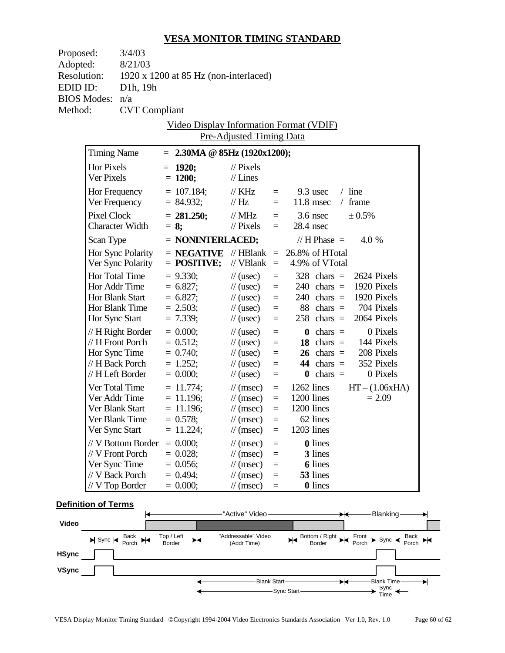| Proposed:          |                          | 3/4/03                 |                                                   |                                                            |            |                            |                      |                                         |                  |
|--------------------|--------------------------|------------------------|---------------------------------------------------|------------------------------------------------------------|------------|----------------------------|----------------------|-----------------------------------------|------------------|
| Adopted:           |                          | 8/21/03                |                                                   |                                                            |            |                            |                      |                                         |                  |
| <b>Resolution:</b> |                          |                        | 1920 x 1200 at 85 Hz (non-interlaced)             |                                                            |            |                            |                      |                                         |                  |
| EDID ID:           |                          | D1h, 19h               |                                                   |                                                            |            |                            |                      |                                         |                  |
|                    | <b>BIOS Modes:</b>       | n/a                    |                                                   |                                                            |            |                            |                      |                                         |                  |
| Method:            |                          | <b>CVT</b> Compliant   |                                                   |                                                            |            |                            |                      |                                         |                  |
|                    |                          |                        | <u>Video Display Information Format (VDIF)</u>    |                                                            |            |                            |                      |                                         |                  |
|                    |                          |                        |                                                   | <b>Pre-Adjusted Timing Data</b>                            |            |                            |                      |                                         |                  |
|                    | <b>Timing Name</b>       |                        | $= 2.30MA \t@ 85Hz (1920x1200);$                  |                                                            |            |                            |                      |                                         |                  |
|                    |                          |                        |                                                   |                                                            |            |                            |                      |                                         |                  |
|                    | Hor Pixels<br>Ver Pixels |                        | $= 1920;$<br>$= 1200;$                            | $//$ Pixels<br>$//$ Lines                                  |            |                            |                      |                                         |                  |
|                    |                          |                        |                                                   |                                                            |            |                            |                      |                                         |                  |
|                    |                          | Hor Frequency          | $= 107.184;$                                      | $\frac{1}{K}$ KHz                                          | $=$        | $9.3$ usec                 |                      | $/$ line                                |                  |
|                    |                          | Ver Frequency          | $= 84.932;$                                       | $\frac{1}{1}$ Hz                                           | $=$ $-$    | $11.8$ msec                |                      | $/$ frame                               |                  |
|                    |                          | Pixel Clock            | $= 281.250;$                                      | $\frac{1}{2}$ MHz                                          | $=$        | $3.6$ nsec                 |                      | ± 0.5%                                  |                  |
|                    |                          | <b>Character Width</b> | $= 8$ ;                                           | $\frac{1}{2}$ Pixels                                       | $=$        | 28.4 nsec                  |                      |                                         |                  |
|                    | Scan Type                |                        | $=$ NONINTERLACED;                                |                                                            |            | // H Phase $=$             |                      | 4.0 %                                   |                  |
|                    |                          | Hor Sync Polarity      | $=$ <b>NEGATIVE</b> // HBlank $=$ 26.8% of HTotal |                                                            |            |                            |                      |                                         |                  |
|                    |                          | Ver Sync Polarity      | $=$ POSITIVE;                                     | // $VBlank =$                                              |            | 4.9% of VTotal             |                      |                                         |                  |
|                    | <b>Hor Total Time</b>    |                        | $= 9.330$ ;                                       | $\frac{1}{2}$ (usec)                                       | $\equiv$   | $328$ chars =              |                      |                                         | 2624 Pixels      |
|                    |                          | Hor Addr Time          | $= 6.827;$                                        | $\frac{1}{2}$ (usec)                                       | $\equiv$   | $240 \text{ chars} =$      |                      |                                         | 1920 Pixels      |
|                    |                          | Hor Blank Start        | $= 6.827;$                                        | $\frac{1}{2}$ (usec)                                       | $=$        | $240 \text{ chars} =$      |                      |                                         | 1920 Pixels      |
|                    |                          | Hor Blank Time         | $= 2.503;$                                        | $\frac{1}{2}$ (usec)                                       | $\equiv$   |                            |                      | 88 chars $=$ 704 Pixels                 |                  |
|                    | Hor Sync Start           |                        | $= 7.339;$                                        | $\frac{1}{2}$ (usec)                                       | $\equiv$   | $258$ chars =              |                      |                                         | 2064 Pixels      |
|                    |                          | $// H$ Right Border    | $= 0.000;$                                        | $\frac{1}{2}$ (usec)                                       | $=$        |                            | $\mathbf{0}$ chars = |                                         | 0 Pixels         |
|                    |                          | // H Front Porch       | $= 0.512;$                                        | $\frac{1}{2}$ (usec)                                       | $=$        |                            | 18 chars $=$         |                                         | 144 Pixels       |
|                    |                          | Hor Sync Time          | $= 0.740;$                                        | $\frac{1}{2}$ (usec)                                       | $\equiv$   |                            |                      | $26 \text{ chars} = 208 \text{ Pixels}$ |                  |
|                    |                          | // H Back Porch        | $= 1.252;$                                        | $\frac{1}{2}$ (usec)                                       | $=$        |                            | $44 \text{ chars} =$ |                                         | 352 Pixels       |
|                    |                          | // H Left Border       | $= 0.000;$                                        | $\frac{1}{2}$ (usec)                                       | $=$        |                            | $\mathbf{0}$ chars = |                                         | 0 Pixels         |
|                    |                          | Ver Total Time         | $= 11.774;$                                       | $\frac{1}{\tan(\theta)}$                                   | $\equiv$   | $1262$ lines               |                      |                                         | $HT - (1.06xHA)$ |
|                    |                          | Ver Addr Time          | $= 11.196$ ;                                      | $\frac{1}{\tan(\theta)}$                                   | $=$        | $1200$ lines               |                      |                                         | $= 2.09$         |
|                    |                          | Ver Blank Start        | $= 11.196;$                                       | $\frac{1}{\tan(\theta)}$                                   | $=$        | 1200 lines                 |                      |                                         |                  |
|                    | Ver Sync Start           | Ver Blank Time         | $= 0.578;$                                        | $\frac{1}{\tan(\theta)}$                                   | $\equiv$   | 62 lines<br>1203 lines     |                      |                                         |                  |
|                    |                          |                        | $= 11.224;$                                       | $\frac{1}{\sqrt{2}}$ (msec)                                | $=$        |                            |                      |                                         |                  |
|                    |                          | // V Bottom Border     | $= 0.000;$                                        | $\frac{1}{\pi}$ (msec)                                     | $=$        | <b>0</b> lines             |                      |                                         |                  |
|                    |                          | // V Front Porch       | $= 0.028;$                                        | $\frac{1}{\sqrt{2}}$ (msec)                                | $=$        | 3 lines                    |                      |                                         |                  |
|                    | Ver Sync Time            | // V Back Porch        | $= 0.056;$<br>$= 0.494$ ;                         | $\frac{1}{\sqrt{2}}$ (msec)<br>$\frac{1}{\sqrt{2}}$ (msec) | $=$<br>$=$ | <b>6</b> lines<br>53 lines |                      |                                         |                  |
|                    |                          | // V Top Border        | $= 0.000;$                                        | $\frac{1}{\sqrt{2}}$ (msec)                                | $=$        | <b>0</b> lines             |                      |                                         |                  |
|                    |                          |                        |                                                   |                                                            |            |                            |                      |                                         |                  |

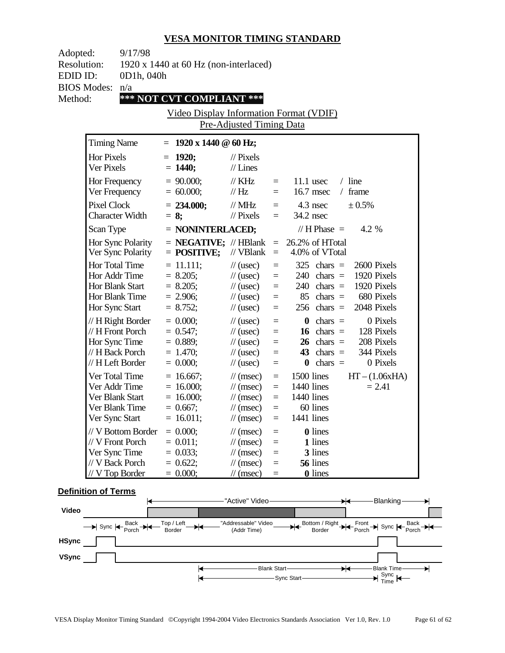| Adopted:<br><b>Resolution:</b>                      | 9/17/98                                                                                         | 1920 x 1440 at 60 Hz (non-interlaced)                                   |                                                                                                                                                      |                                                                          |                                                                                                                                                                            |  |
|-----------------------------------------------------|-------------------------------------------------------------------------------------------------|-------------------------------------------------------------------------|------------------------------------------------------------------------------------------------------------------------------------------------------|--------------------------------------------------------------------------|----------------------------------------------------------------------------------------------------------------------------------------------------------------------------|--|
| EDID ID:                                            | 0D1h, 040h                                                                                      |                                                                         |                                                                                                                                                      |                                                                          |                                                                                                                                                                            |  |
| <b>BIOS Modes:</b><br>Method:                       | n/a                                                                                             | *** NOT CVT COMPLIANT ***                                               |                                                                                                                                                      |                                                                          |                                                                                                                                                                            |  |
|                                                     |                                                                                                 | Video Display Information Format (VDIF)                                 |                                                                                                                                                      |                                                                          |                                                                                                                                                                            |  |
|                                                     |                                                                                                 |                                                                         | Pre-Adjusted Timing Data                                                                                                                             |                                                                          |                                                                                                                                                                            |  |
| <b>Timing Name</b>                                  |                                                                                                 | $= 1920 \times 1440 \text{ } \textcircled{a} 60 \text{ Hz};$            |                                                                                                                                                      |                                                                          |                                                                                                                                                                            |  |
| Hor Pixels<br>Ver Pixels                            |                                                                                                 | $= 1920$<br>$= 1440;$                                                   | $\frac{1}{2}$ Pixels<br>$//$ Lines                                                                                                                   |                                                                          |                                                                                                                                                                            |  |
| Hor Frequency<br>Ver Frequency                      |                                                                                                 | $= 90.000;$<br>$= 60.000;$                                              | $\frac{1}{K}$ KHz<br>$\mathcal{U}$ Hz                                                                                                                | $=$ $-$<br>$=$                                                           | $/$ line<br>$11.1$ usec<br>16.7 msec<br>$/$ frame                                                                                                                          |  |
|                                                     | <b>Pixel Clock</b><br><b>Character Width</b>                                                    |                                                                         | // $MHz$<br>$\frac{1}{2}$ Pixels                                                                                                                     | $=$                                                                      | $=$ 4.3 nsec<br>$\pm 0.5\%$<br>34.2 nsec                                                                                                                                   |  |
| Scan Type                                           |                                                                                                 | $=$ NONINTERLACED;                                                      |                                                                                                                                                      |                                                                          | // H Phase $=$<br>4.2 %                                                                                                                                                    |  |
|                                                     | Hor Sync Polarity<br>Ver Sync Polarity                                                          | $=$ POSITIVE;                                                           | // $VBlank =$                                                                                                                                        |                                                                          | $=$ <b>NEGATIVE;</b> // HBlank $=$ 26.2% of HTotal<br>4.0% of VTotal                                                                                                       |  |
| Hor Total Time<br>Hor Blank Start<br>Hor Sync Start | Hor Addr Time<br>Hor Blank Time                                                                 | $= 11.111;$<br>$= 8.205;$<br>$= 8.205$ ;<br>$= 2.906;$<br>$= 8.752;$    | $\frac{1}{2}$ (usec)<br>$\frac{1}{2}$ (usec)<br>$\frac{1}{2}$ (usec)<br>$\frac{1}{2}$ (usec)<br>$\frac{1}{2}$ (usec)                                 | $\quad =$<br>$\equiv$<br>$\equiv$<br>$\equiv$<br>$\equiv$                | 2600 Pixels<br>$325$ chars =<br>1920 Pixels<br>$240 \text{ chars} =$<br>1920 Pixels<br>$240 \text{ chars} =$<br>680 Pixels<br>$85$ chars =<br>$256$ chars =<br>2048 Pixels |  |
|                                                     | $// H$ Right Border<br>// H Front Porch<br>Hor Sync Time<br>// H Back Porch<br>// H Left Border | $= 0.000;$<br>$= 0.547;$<br>$= 0.889;$<br>$= 1.470;$<br>$= 0.000;$      | $\frac{1}{2}$ (usec)<br>$\frac{1}{2}$ (usec)<br>$\frac{1}{2}$ (usec)<br>$\frac{1}{2}$ (usec)<br>$\frac{1}{2}$ (usec)                                 | $\equiv$<br>$\equiv$<br>$\qquad \qquad =$<br>$\quad \  \  =$<br>$\equiv$ | $\mathbf{0}$ chars =<br>0 Pixels<br>16 chars $=$<br>128 Pixels<br>$26 \text{ chars} =$<br>208 Pixels<br>344 Pixels<br>$43 \text{ chars} =$<br>0 Pixels<br>$\theta$ chars = |  |
| Ver Total Time<br>Ver Addr Time                     | Ver Blank Start<br>Ver Blank Time<br>Ver Sync Start                                             | $= 16.667$ ;<br>$= 16.000;$<br>$= 16.000;$<br>$= 0.667;$<br>$= 16.011;$ | $\frac{1}{\sqrt{2}}$ (msec)<br>$\frac{1}{\sqrt{2}}$ (msec)<br>$\frac{1}{\tan(\theta)}$<br>$\frac{1}{\sqrt{2}}$ (msec)<br>$\frac{1}{\sqrt{2}}$ (msec) | $\equiv$<br>$\equiv$<br>$\equiv$<br>$\equiv$<br>$\overline{\phantom{0}}$ | 1500 lines<br>$HT - (1.06xHA)$<br>1440 lines<br>$= 2.41$<br>1440 lines<br>60 lines<br>1441 lines                                                                           |  |
| Ver Sync Time<br>// V Back Porch                    | // V Bottom Border<br>// V Front Porch<br>/ V Top Border                                        | $= 0.000;$<br>$= 0.011;$<br>$= 0.033;$<br>$= 0.622;$<br>$= 0.000;$      | $\frac{1}{\sqrt{2}}$ (msec)<br>$\frac{1}{\tan(\theta)}$<br>$\frac{1}{\tan(\theta)}$<br>$\frac{1}{\sqrt{2}}$ (msec)<br>$\frac{1}{\sqrt{2}}$ (msec)    | $=$<br>$=$<br>$=$<br>$=$<br>$=$                                          | <b>0</b> lines<br>1 lines<br>3 lines<br>56 lines<br><b>0</b> lines                                                                                                         |  |